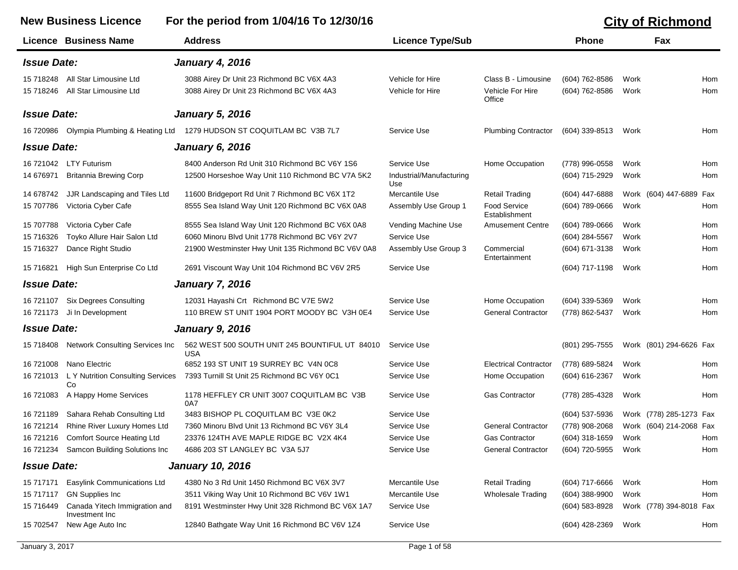## **New Business Licence For the period from 1/04/16 To 12/30/16 City of Richmond Licence Business Name Address Licence Type/Sub Phone Fax** *Issue Date: January 4, 2016* 15 718248 All Star Limousine Ltd 3088 Airey Dr Unit 23 Richmond BC V6X 4A3 Vehicle for Hire Class B - Limousine (604) 762-8586 Work Hom 15 718246 All Star Limousine Ltd 3088 Airey Dr Unit 23 Richmond BC V6X 4A3 Vehicle for Hire Vehicle For Hire (604) 762-8586 Work Hom **Office** *Issue Date: January 5, 2016* 16 720986 Olympia Plumbing & Heating Ltd 1279 HUDSON ST COQUITLAM BC V3B 7L7 Service Use Plumbing Contractor (604) 339-8513 Work Hom *Issue Date: January 6, 2016* 16 721042 LTY Futurism 8400 Anderson Rd Unit 310 Richmond BC V6Y 1S6 Service Use Home Occupation (778) 996-0558 Work Hom 14 676971 Britannia Brewing Corp 12500 Horseshoe Way Unit 110 Richmond BC V7A 5K2 Industrial/Manufacturing (604) 715-2929 Work Hom Use 14 678742 JJR Landscaping and Tiles Ltd 11600 Bridgeport Rd Unit 7 Richmond BC V6X 1T2 Mercantile Use Retail Trading (604) 447-6888 Work (604) 447-6889 Fax 15 707786 Victoria Cyber Cafe 18655 Sea Island Way Unit 120 Richmond BC V6X 0A8 Assembly Use Group 1 Food Service 1604) 789-0666 Work Hom Establishment 15 707788 Victoria Cyber Cafe 8555 Sea Island Way Unit 120 Richmond BC V6X 0A8 Vending Machine Use Amusement Centre (604) 789-0666 Work Hom 15 716326 Toyko Allure Hair Salon Ltd 6060 Minoru Blvd Unit 1778 Richmond BC V6Y 2V7 Service Use (604) 284-5567 Work Hom 15 716327 Dance Right Studio 21900 Westminster Hwy Unit 135 Richmond BC V6V 0A8 Assembly Use Group 3 Commercial (604) 671-3138 Work Hom **Entertainment** 15 716821 High Sun Enterprise Co Ltd 2691 Viscount Way Unit 104 Richmond BC V6V 2R5 Service Use (604) 717-1198 Work Hom *Issue Date: January 7, 2016* 16 721107 Six Degrees Consulting 12031 Hayashi Crt Richmond BC V7E 5W2 Service Use Home Occupation (604) 339-5369 Work Hom 16 721173 Ji In Development 110 BREW ST UNIT 1904 PORT MOODY BC V3H 0E4 Service Use General Contractor (778) 862-5437 Work Hom *Issue Date: January 9, 2016* 15 718408 Network Consulting Services Inc 562 WEST 500 SOUTH UNIT 245 BOUNTIFUL UT 84010 Service Use (801) 295-7555 Work (801) 294-6626 Fax USA 16 721008 Nano Electric 6852 193 ST UNIT 19 SURREY BC V4N 0C8 Service Use Electrical Contractor (778) 689-5824 Work Hom 16 721013 L Y Nutrition Consulting Services Co 7393 Turnill St Unit 25 Richmond BC V6Y 0C1 Service Use Home Occupation (604) 616-2367 Work Hom 16 721083 A Happy Home Services 1178 HEFFLEY CR UNIT 3007 COQUITLAM BC V3B Service Use Gas Contractor (778) 285-4328 Work Hom 0A7 16 721189 Sahara Rehab Consulting Ltd 3483 BISHOP PL COQUITLAM BC V3E 0K2 Service Use (604) 537-5936 Work (778) 285-1273 Fax 16 721214 Rhine River Luxury Homes Ltd 7360 Minoru Blvd Unit 13 Richmond BC V6Y 3L4 Service Use General Contractor (778) 908-2068 Work (604) 214-2068 Fax 16 721216 Comfort Source Heating Ltd 23376 124TH AVE MAPLE RIDGE BC V2X 4K4 Service Use Gas Contractor (604) 318-1659 Work Hom 16 721234 Samcon Building Solutions Inc 4686 203 ST LANGLEY BC V3A 5J7 Service Use General Contractor (604) 720-5955 Work Hom *Issue Date: January 10, 2016* 15 717171 Easylink Communications Ltd 4380 No 3 Rd Unit 1450 Richmond BC V6X 3V7 Mercantile Use Retail Trading (604) 717-6666 Work Hom 15 717117 GN Supplies Inc 3511 Viking Way Unit 10 Richmond BC V6V 1W1 Mercantile Use Wholesale Trading (604) 388-9900 Work Hom 15 716449 Canada Yitech Immigration and Investment Inc 8191 Westminster Hwy Unit 328 Richmond BC V6X 1A7 Service Use (604) S83-8928 Work (778) 394-8018 Fax 15 702547 New Age Auto Inc 12840 Bathgate Way Unit 16 Richmond BC V6V 1Z4 Service Use (604) 428-2369 Work Hom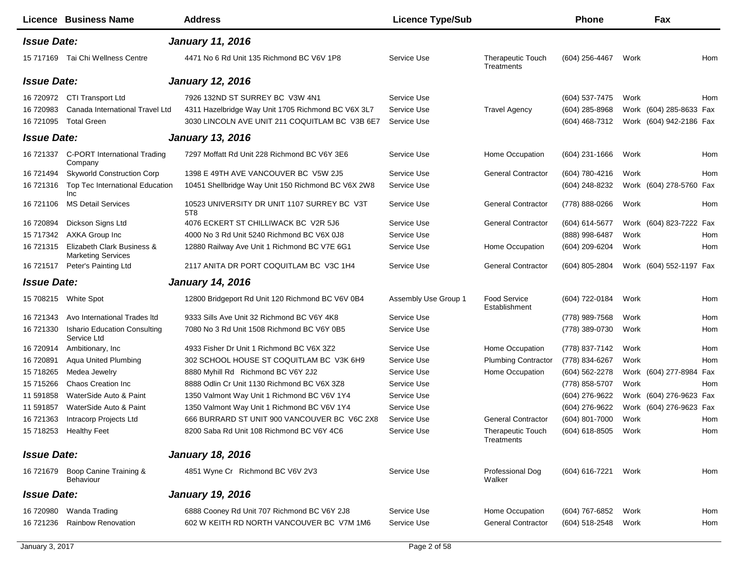|                    | Licence Business Name                                   | <b>Address</b>                                     | <b>Licence Type/Sub</b> |                                        | Phone               |      | Fax                     |     |
|--------------------|---------------------------------------------------------|----------------------------------------------------|-------------------------|----------------------------------------|---------------------|------|-------------------------|-----|
| <b>Issue Date:</b> |                                                         | <b>January 11, 2016</b>                            |                         |                                        |                     |      |                         |     |
|                    | 15 717169 Tai Chi Wellness Centre                       | 4471 No 6 Rd Unit 135 Richmond BC V6V 1P8          | Service Use             | <b>Therapeutic Touch</b><br>Treatments | (604) 256-4467      | Work |                         | Hom |
| <b>Issue Date:</b> |                                                         | <b>January 12, 2016</b>                            |                         |                                        |                     |      |                         |     |
|                    | 16 720972 CTI Transport Ltd                             | 7926 132ND ST SURREY BC V3W 4N1                    | Service Use             |                                        | (604) 537-7475      | Work |                         | Hom |
| 16 720983          | Canada International Travel Ltd                         | 4311 Hazelbridge Way Unit 1705 Richmond BC V6X 3L7 | Service Use             | <b>Travel Agency</b>                   | $(604)$ 285-8968    |      | Work (604) 285-8633 Fax |     |
| 16 721095          | <b>Total Green</b>                                      | 3030 LINCOLN AVE UNIT 211 COQUITLAM BC V3B 6E7     | Service Use             |                                        | (604) 468-7312      |      | Work (604) 942-2186 Fax |     |
| <b>Issue Date:</b> |                                                         | <b>January 13, 2016</b>                            |                         |                                        |                     |      |                         |     |
|                    | 16 721337 C-PORT International Trading<br>Company       | 7297 Moffatt Rd Unit 228 Richmond BC V6Y 3E6       | Service Use             | Home Occupation                        | (604) 231-1666      | Work |                         | Hom |
| 16 721494          | <b>Skyworld Construction Corp</b>                       | 1398 E 49TH AVE VANCOUVER BC V5W 2J5               | Service Use             | <b>General Contractor</b>              | (604) 780-4216      | Work |                         | Hom |
|                    | 16 721316 Top Tec International Education<br>Inc        | 10451 Shellbridge Way Unit 150 Richmond BC V6X 2W8 | Service Use             |                                        | (604) 248-8232      |      | Work (604) 278-5760 Fax |     |
| 16 721106          | <b>MS Detail Services</b>                               | 10523 UNIVERSITY DR UNIT 1107 SURREY BC V3T<br>5T8 | Service Use             | <b>General Contractor</b>              | (778) 888-0266      | Work |                         | Hom |
| 16 720894          | Dickson Signs Ltd                                       | 4076 ECKERT ST CHILLIWACK BC V2R 5J6               | Service Use             | <b>General Contractor</b>              | (604) 614-5677      |      | Work (604) 823-7222 Fax |     |
| 15 717342          | AXKA Group Inc                                          | 4000 No 3 Rd Unit 5240 Richmond BC V6X 0J8         | Service Use             |                                        | (888) 998-6487      | Work |                         | Hom |
| 16 721315          | Elizabeth Clark Business &<br><b>Marketing Services</b> | 12880 Railway Ave Unit 1 Richmond BC V7E 6G1       | Service Use             | Home Occupation                        | (604) 209-6204      | Work |                         | Hom |
| 16 721517          | Peter's Painting Ltd                                    | 2117 ANITA DR PORT COQUITLAM BC V3C 1H4            | Service Use             | <b>General Contractor</b>              | (604) 805-2804      |      | Work (604) 552-1197 Fax |     |
| <b>Issue Date:</b> |                                                         | <b>January 14, 2016</b>                            |                         |                                        |                     |      |                         |     |
|                    | 15 708215 White Spot                                    | 12800 Bridgeport Rd Unit 120 Richmond BC V6V 0B4   | Assembly Use Group 1    | <b>Food Service</b><br>Establishment   | (604) 722-0184      | Work |                         | Hom |
| 16 721343          | Avo International Trades Itd                            | 9333 Sills Ave Unit 32 Richmond BC V6Y 4K8         | Service Use             |                                        | (778) 989-7568      | Work |                         | Hom |
| 16 721330          | <b>Ishario Education Consulting</b><br>Service Ltd      | 7080 No 3 Rd Unit 1508 Richmond BC V6Y 0B5         | Service Use             |                                        | (778) 389-0730      | Work |                         | Hom |
| 16 720914          | Ambitionary, Inc.                                       | 4933 Fisher Dr Unit 1 Richmond BC V6X 3Z2          | Service Use             | Home Occupation                        | (778) 837-7142      | Work |                         | Hom |
| 16 720891          | Aqua United Plumbing                                    | 302 SCHOOL HOUSE ST COQUITLAM BC V3K 6H9           | Service Use             | <b>Plumbing Contractor</b>             | (778) 834-6267      | Work |                         | Hom |
| 15 718265          | Medea Jewelry                                           | 8880 Myhill Rd Richmond BC V6Y 2J2                 | Service Use             | Home Occupation                        | (604) 562-2278      |      | Work (604) 277-8984 Fax |     |
| 15 715266          | Chaos Creation Inc                                      | 8888 Odlin Cr Unit 1130 Richmond BC V6X 3Z8        | Service Use             |                                        | (778) 858-5707      | Work |                         | Hom |
| 11 591858          | WaterSide Auto & Paint                                  | 1350 Valmont Way Unit 1 Richmond BC V6V 1Y4        | Service Use             |                                        | (604) 276-9622      |      | Work (604) 276-9623 Fax |     |
| 11 591857          | WaterSide Auto & Paint                                  | 1350 Valmont Way Unit 1 Richmond BC V6V 1Y4        | Service Use             |                                        | (604) 276-9622      |      | Work (604) 276-9623 Fax |     |
|                    | 16 721363 Intracorp Projects Ltd                        | 666 BURRARD ST UNIT 900 VANCOUVER BC V6C 2X8       | Service Use             | <b>General Contractor</b>              | $(604)$ 801-7000    | Work |                         | Hom |
|                    | 15 718253 Healthy Feet                                  | 8200 Saba Rd Unit 108 Richmond BC V6Y 4C6          | Service Use             | Therapeutic Touch<br>Treatments        | (604) 618-8505 Work |      |                         | Hom |
| <b>Issue Date:</b> |                                                         | <b>January 18, 2016</b>                            |                         |                                        |                     |      |                         |     |
|                    | 16 721679 Boop Canine Training &<br><b>Behaviour</b>    | 4851 Wyne Cr Richmond BC V6V 2V3                   | Service Use             | Professional Dog<br>Walker             | (604) 616-7221      | Work |                         | Hom |
| <b>Issue Date:</b> |                                                         | <b>January 19, 2016</b>                            |                         |                                        |                     |      |                         |     |
|                    | 16 720980 Wanda Trading                                 | 6888 Cooney Rd Unit 707 Richmond BC V6Y 2J8        | Service Use             | Home Occupation                        | (604) 767-6852      | Work |                         | Hom |
| 16 721236          | <b>Rainbow Renovation</b>                               | 602 W KEITH RD NORTH VANCOUVER BC V7M 1M6          | Service Use             | <b>General Contractor</b>              | (604) 518-2548      | Work |                         | Hom |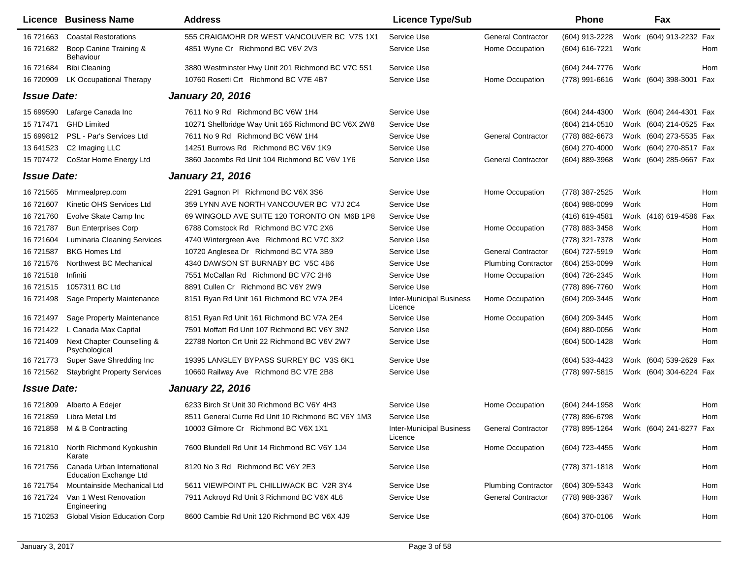|                    | Licence Business Name                                       | <b>Address</b>                                     | <b>Licence Type/Sub</b>                    |                            | <b>Phone</b>        | Fax                                    |     |
|--------------------|-------------------------------------------------------------|----------------------------------------------------|--------------------------------------------|----------------------------|---------------------|----------------------------------------|-----|
| 16 721663          | <b>Coastal Restorations</b>                                 | 555 CRAIGMOHR DR WEST VANCOUVER BC V7S 1X1         | Service Use                                | <b>General Contractor</b>  | (604) 913-2228      | Work (604) 913-2232 Fax                |     |
| 16 721682          | Boop Canine Training &<br><b>Behaviour</b>                  | 4851 Wyne Cr Richmond BC V6V 2V3                   | Service Use                                | Home Occupation            | (604) 616-7221      | Work                                   | Hom |
| 16 721684          | <b>Bibi Cleaning</b>                                        | 3880 Westminster Hwy Unit 201 Richmond BC V7C 5S1  | Service Use                                |                            | (604) 244-7776      | Work                                   | Hom |
| 16 720909          | LK Occupational Therapy                                     | 10760 Rosetti Crt Richmond BC V7E 4B7              | Service Use                                | Home Occupation            | (778) 991-6616      | Work (604) 398-3001 Fax                |     |
| <b>Issue Date:</b> |                                                             | <b>January 20, 2016</b>                            |                                            |                            |                     |                                        |     |
| 15 699590          | Lafarge Canada Inc                                          | 7611 No 9 Rd Richmond BC V6W 1H4                   | Service Use                                |                            | (604) 244-4300      | Work (604) 244-4301 Fax                |     |
| 15 717471          | <b>GHD Limited</b>                                          | 10271 Shellbridge Way Unit 165 Richmond BC V6X 2W8 | Service Use                                |                            | (604) 214-0510      | Work (604) 214-0525 Fax                |     |
| 15 699812          | PSL - Par's Services Ltd                                    | 7611 No 9 Rd Richmond BC V6W 1H4                   | Service Use                                | <b>General Contractor</b>  | (778) 882-6673      | Work (604) 273-5535 Fax                |     |
| 13 641523          | C <sub>2</sub> Imaging LLC                                  | 14251 Burrows Rd Richmond BC V6V 1K9               | Service Use                                |                            | (604) 270-4000      | Work (604) 270-8517 Fax                |     |
| 15 707472          | CoStar Home Energy Ltd                                      | 3860 Jacombs Rd Unit 104 Richmond BC V6V 1Y6       | Service Use                                | <b>General Contractor</b>  | (604) 889-3968      | Work (604) 285-9667 Fax                |     |
| <b>Issue Date:</b> |                                                             | <b>January 21, 2016</b>                            |                                            |                            |                     |                                        |     |
| 16 721565          | Mmmealprep.com                                              | 2291 Gagnon PI Richmond BC V6X 3S6                 | Service Use                                | Home Occupation            | (778) 387-2525      | Work                                   | Hom |
| 16 721607          | Kinetic OHS Services Ltd                                    | 359 LYNN AVE NORTH VANCOUVER BC V7J 2C4            | Service Use                                |                            | (604) 988-0099      | Work                                   | Hom |
| 16 721760          | Evolve Skate Camp Inc                                       | 69 WINGOLD AVE SUITE 120 TORONTO ON M6B 1P8        | Service Use                                |                            | (416) 619-4581      | Work (416) 619-4586 Fax                |     |
| 16 721787          | <b>Bun Enterprises Corp</b>                                 | 6788 Comstock Rd Richmond BC V7C 2X6               | Service Use                                | Home Occupation            | (778) 883-3458      | Work                                   | Hom |
| 16 721604          | <b>Luminaria Cleaning Services</b>                          | 4740 Wintergreen Ave Richmond BC V7C 3X2           | Service Use                                |                            | (778) 321-7378      | Work                                   | Hom |
| 16 721587          | <b>BKG Homes Ltd</b>                                        | 10720 Anglesea Dr Richmond BC V7A 3B9              | Service Use                                | <b>General Contractor</b>  | (604) 727-5919      | Work                                   | Hom |
| 16 721576          | Northwest BC Mechanical                                     | 4340 DAWSON ST BURNABY BC V5C 4B6                  | Service Use                                | <b>Plumbing Contractor</b> | (604) 253-0099      | Work                                   | Hom |
| 16 721518          | Infiniti                                                    | 7551 McCallan Rd Richmond BC V7C 2H6               | Service Use                                | Home Occupation            | (604) 726-2345      | Work                                   | Hom |
| 16 721515          | 1057311 BC Ltd                                              | 8891 Cullen Cr Richmond BC V6Y 2W9                 | Service Use                                |                            | (778) 896-7760      | Work                                   | Hom |
| 16 721498          | Sage Property Maintenance                                   | 8151 Ryan Rd Unit 161 Richmond BC V7A 2E4          | <b>Inter-Municipal Business</b><br>Licence | Home Occupation            | (604) 209-3445      | Work                                   | Hom |
| 16 721497          | Sage Property Maintenance                                   | 8151 Ryan Rd Unit 161 Richmond BC V7A 2E4          | Service Use                                | Home Occupation            | (604) 209-3445      | Work                                   | Hom |
| 16 721422          | L Canada Max Capital                                        | 7591 Moffatt Rd Unit 107 Richmond BC V6Y 3N2       | Service Use                                |                            | (604) 880-0056      | Work                                   | Hom |
| 16 721409          | Next Chapter Counselling &<br>Psychological                 | 22788 Norton Crt Unit 22 Richmond BC V6V 2W7       | Service Use                                |                            | (604) 500-1428      | Work                                   | Hom |
| 16 721773          | Super Save Shredding Inc                                    | 19395 LANGLEY BYPASS SURREY BC V3S 6K1             | Service Use                                |                            | (604) 533-4423      | Work (604) 539-2629 Fax                |     |
| 16 721562          | <b>Staybright Property Services</b>                         | 10660 Railway Ave Richmond BC V7E 2B8              | Service Use                                |                            | (778) 997-5815      | Work (604) 304-6224 Fax                |     |
| <b>Issue Date:</b> |                                                             | <b>January 22, 2016</b>                            |                                            |                            |                     |                                        |     |
| 16 721809          | Alberto A Edejer                                            | 6233 Birch St Unit 30 Richmond BC V6Y 4H3          | Service Use                                | Home Occupation            | (604) 244-1958      | Work                                   | Hom |
| 16 721859          | Libra Metal Ltd                                             | 8511 General Currie Rd Unit 10 Richmond BC V6Y 1M3 | Service Use                                |                            | (778) 896-6798      | Work                                   | Hom |
|                    | 16 721858 M & B Contracting                                 | 10003 Gilmore Cr Richmond BC V6X 1X1               | Inter-Municipal Business<br>Licence        | <b>General Contractor</b>  |                     | (778) 895-1264 Work (604) 241-8277 Fax |     |
| 16 721810          | North Richmond Kyokushin<br>Karate                          | 7600 Blundell Rd Unit 14 Richmond BC V6Y 1J4       | Service Use                                | Home Occupation            | (604) 723-4455      | Work                                   | Hom |
| 16 721756          | Canada Urban International<br><b>Education Exchange Ltd</b> | 8120 No 3 Rd Richmond BC V6Y 2E3                   | Service Use                                |                            | (778) 371-1818      | Work                                   | Hom |
| 16 721754          | Mountainside Mechanical Ltd                                 | 5611 VIEWPOINT PL CHILLIWACK BC V2R 3Y4            | Service Use                                | <b>Plumbing Contractor</b> | (604) 309-5343      | Work                                   | Hom |
| 16 721724          | Van 1 West Renovation<br>Engineering                        | 7911 Ackroyd Rd Unit 3 Richmond BC V6X 4L6         | Service Use                                | <b>General Contractor</b>  | (778) 988-3367      | Work                                   | Hom |
| 15 710253          | <b>Global Vision Education Corp</b>                         | 8600 Cambie Rd Unit 120 Richmond BC V6X 4J9        | Service Use                                |                            | (604) 370-0106 Work |                                        | Hom |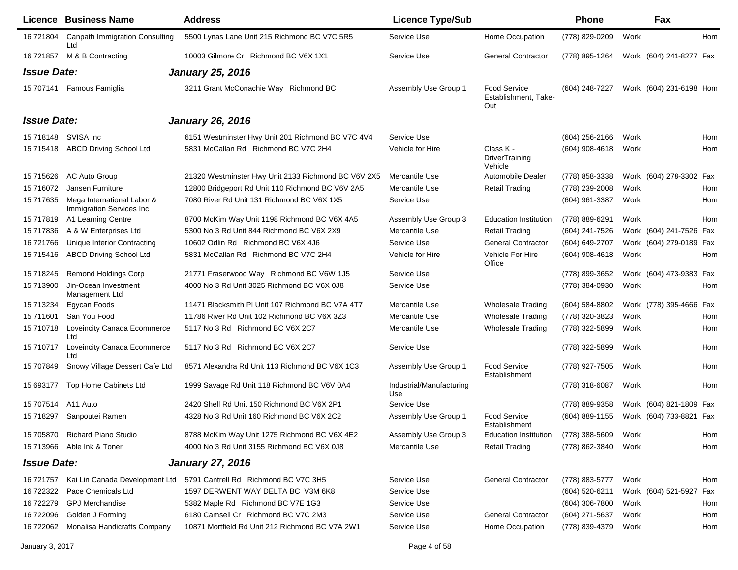|                    | Licence Business Name                                  | <b>Address</b>                                      | <b>Licence Type/Sub</b>         |                                                    | Phone            |      | Fax                     |     |
|--------------------|--------------------------------------------------------|-----------------------------------------------------|---------------------------------|----------------------------------------------------|------------------|------|-------------------------|-----|
| 16 721804          | <b>Canpath Immigration Consulting</b><br>Ltd           | 5500 Lynas Lane Unit 215 Richmond BC V7C 5R5        | Service Use                     | Home Occupation                                    | (778) 829-0209   | Work |                         | Hom |
| 16 721857          | M & B Contracting                                      | 10003 Gilmore Cr Richmond BC V6X 1X1                | Service Use                     | <b>General Contractor</b>                          | (778) 895-1264   |      | Work (604) 241-8277 Fax |     |
| <b>Issue Date:</b> |                                                        | <b>January 25, 2016</b>                             |                                 |                                                    |                  |      |                         |     |
|                    | 15 707141 Famous Famiglia                              | 3211 Grant McConachie Way Richmond BC               | Assembly Use Group 1            | <b>Food Service</b><br>Establishment, Take-<br>Out | (604) 248-7227   |      | Work (604) 231-6198 Hom |     |
| <b>Issue Date:</b> |                                                        | <b>January 26, 2016</b>                             |                                 |                                                    |                  |      |                         |     |
|                    | 15 718148 SVISA Inc                                    | 6151 Westminster Hwy Unit 201 Richmond BC V7C 4V4   | Service Use                     |                                                    | $(604)$ 256-2166 | Work |                         | Hom |
|                    | 15 715418 ABCD Driving School Ltd                      | 5831 McCallan Rd Richmond BC V7C 2H4                | Vehicle for Hire                | Class K -<br><b>DriverTraining</b><br>Vehicle      | (604) 908-4618   | Work |                         | Hom |
| 15 71 56 26        | AC Auto Group                                          | 21320 Westminster Hwy Unit 2133 Richmond BC V6V 2X5 | Mercantile Use                  | Automobile Dealer                                  | (778) 858-3338   |      | Work (604) 278-3302 Fax |     |
| 15 716072          | Jansen Furniture                                       | 12800 Bridgeport Rd Unit 110 Richmond BC V6V 2A5    | Mercantile Use                  | <b>Retail Trading</b>                              | (778) 239-2008   | Work |                         | Hom |
| 15 717635          | Mega International Labor &<br>Immigration Services Inc | 7080 River Rd Unit 131 Richmond BC V6X 1X5          | Service Use                     |                                                    | (604) 961-3387   | Work |                         | Hom |
| 15 717819          | A1 Learning Centre                                     | 8700 McKim Way Unit 1198 Richmond BC V6X 4A5        | Assembly Use Group 3            | <b>Education Institution</b>                       | (778) 889-6291   | Work |                         | Hom |
| 15 717836          | A & W Enterprises Ltd                                  | 5300 No 3 Rd Unit 844 Richmond BC V6X 2X9           | Mercantile Use                  | Retail Trading                                     | (604) 241-7526   |      | Work (604) 241-7526 Fax |     |
| 16 721766          | Unique Interior Contracting                            | 10602 Odlin Rd Richmond BC V6X 4J6                  | Service Use                     | <b>General Contractor</b>                          | (604) 649-2707   |      | Work (604) 279-0189 Fax |     |
| 15 71 5416         | <b>ABCD Driving School Ltd</b>                         | 5831 McCallan Rd Richmond BC V7C 2H4                | Vehicle for Hire                | Vehicle For Hire<br>Office                         | $(604)$ 908-4618 | Work |                         | Hom |
| 15 718245          | <b>Remond Holdings Corp</b>                            | 21771 Fraserwood Way Richmond BC V6W 1J5            | Service Use                     |                                                    | (778) 899-3652   |      | Work (604) 473-9383 Fax |     |
| 15 713900          | Jin-Ocean Investment<br>Management Ltd                 | 4000 No 3 Rd Unit 3025 Richmond BC V6X 0J8          | Service Use                     |                                                    | (778) 384-0930   | Work |                         | Hom |
| 15 713234          | Egycan Foods                                           | 11471 Blacksmith PI Unit 107 Richmond BC V7A 4T7    | Mercantile Use                  | <b>Wholesale Trading</b>                           | (604) 584-8802   |      | Work (778) 395-4666 Fax |     |
| 15 711601          | San You Food                                           | 11786 River Rd Unit 102 Richmond BC V6X 3Z3         | Mercantile Use                  | <b>Wholesale Trading</b>                           | (778) 320-3823   | Work |                         | Hom |
| 15 710718          | Loveincity Canada Ecommerce<br>Ltd                     | 5117 No 3 Rd Richmond BC V6X 2C7                    | Mercantile Use                  | <b>Wholesale Trading</b>                           | (778) 322-5899   | Work |                         | Hom |
| 15 710717          | Loveincity Canada Ecommerce<br>Ltd                     | 5117 No 3 Rd Richmond BC V6X 2C7                    | Service Use                     |                                                    | (778) 322-5899   | Work |                         | Hom |
| 15 707849          | Snowy Village Dessert Cafe Ltd                         | 8571 Alexandra Rd Unit 113 Richmond BC V6X 1C3      | Assembly Use Group 1            | Food Service<br>Establishment                      | (778) 927-7505   | Work |                         | Hom |
| 15 693177          | Top Home Cabinets Ltd                                  | 1999 Savage Rd Unit 118 Richmond BC V6V 0A4         | Industrial/Manufacturing<br>Use |                                                    | (778) 318-6087   | Work |                         | Hom |
| 15 707514          | A11 Auto                                               | 2420 Shell Rd Unit 150 Richmond BC V6X 2P1          | Service Use                     |                                                    | (778) 889-9358   |      | Work (604) 821-1809 Fax |     |
| 15 718297          | Sanpoutei Ramen                                        | 4328 No 3 Rd Unit 160 Richmond BC V6X 2C2           | Assembly Use Group 1            | <b>Food Service</b><br>Establishment               | (604) 889-1155   |      | Work (604) 733-8821 Fax |     |
|                    | 15 705870 Richard Piano Studio                         | 8788 McKim Way Unit 1275 Richmond BC V6X 4E2        | Assembly Use Group 3            | <b>Education Institution</b>                       | (778) 388-5609   | Work |                         | Hom |
|                    | 15 713966 Able Ink & Toner                             | 4000 No 3 Rd Unit 3155 Richmond BC V6X 0J8          | Mercantile Use                  | <b>Retail Trading</b>                              | (778) 862-3840   | Work |                         | Hom |
| <b>Issue Date:</b> |                                                        | <b>January 27, 2016</b>                             |                                 |                                                    |                  |      |                         |     |
| 16 721757          | Kai Lin Canada Development Ltd                         | 5791 Cantrell Rd Richmond BC V7C 3H5                | Service Use                     | <b>General Contractor</b>                          | (778) 883-5777   | Work |                         | Hom |
| 16 722322          | Pace Chemicals Ltd                                     | 1597 DERWENT WAY DELTA BC V3M 6K8                   | Service Use                     |                                                    | (604) 520-6211   |      | Work (604) 521-5927 Fax |     |
| 16 722279          | <b>GPJ Merchandise</b>                                 | 5382 Maple Rd Richmond BC V7E 1G3                   | Service Use                     |                                                    | $(604)$ 306-7800 | Work |                         | Hom |
| 16 722096          | Golden J Forming                                       | 6180 Camsell Cr Richmond BC V7C 2M3                 | Service Use                     | <b>General Contractor</b>                          | (604) 271-5637   | Work |                         | Hom |
| 16 722062          | Monalisa Handicrafts Company                           | 10871 Mortfield Rd Unit 212 Richmond BC V7A 2W1     | Service Use                     | Home Occupation                                    | (778) 839-4379   | Work |                         | Hom |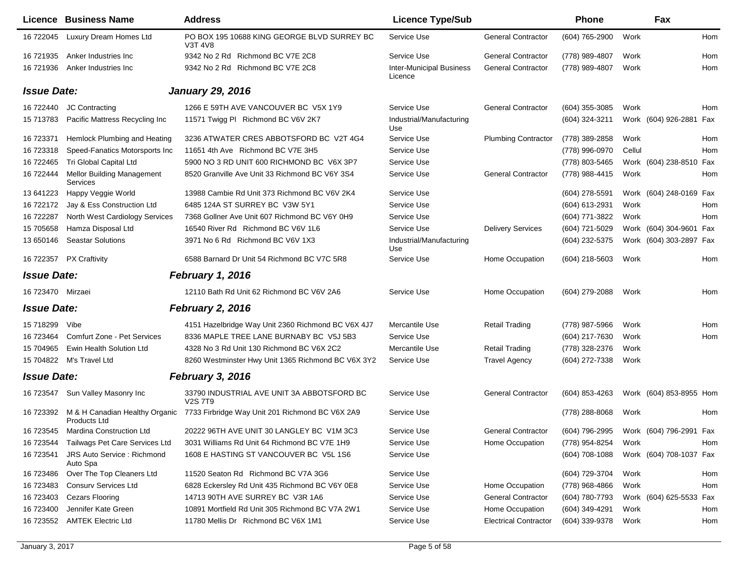|                    | Licence Business Name                          | <b>Address</b>                                                | <b>Licence Type/Sub</b>                    |                              | <b>Phone</b>     | Fax                                    |     |
|--------------------|------------------------------------------------|---------------------------------------------------------------|--------------------------------------------|------------------------------|------------------|----------------------------------------|-----|
| 16 722045          | Luxury Dream Homes Ltd                         | PO BOX 195 10688 KING GEORGE BLVD SURREY BC<br><b>V3T 4V8</b> | Service Use                                | <b>General Contractor</b>    | (604) 765-2900   | Work                                   | Hom |
| 16 721935          | Anker Industries Inc                           | 9342 No 2 Rd Richmond BC V7E 2C8                              | Service Use                                | <b>General Contractor</b>    | (778) 989-4807   | Work                                   | Hom |
| 16 721936          | Anker Industries Inc                           | 9342 No 2 Rd Richmond BC V7E 2C8                              | <b>Inter-Municipal Business</b><br>Licence | <b>General Contractor</b>    | (778) 989-4807   | Work                                   | Hom |
| <b>Issue Date:</b> |                                                | <b>January 29, 2016</b>                                       |                                            |                              |                  |                                        |     |
| 16 722440          | JC Contracting                                 | 1266 E 59TH AVE VANCOUVER BC V5X 1Y9                          | Service Use                                | <b>General Contractor</b>    | (604) 355-3085   | Work                                   | Hom |
| 15 713783          | Pacific Mattress Recycling Inc                 | 11571 Twigg PI Richmond BC V6V 2K7                            | Industrial/Manufacturing<br>Use            |                              | (604) 324-3211   | Work (604) 926-2881 Fax                |     |
| 16 723371          | Hemlock Plumbing and Heating                   | 3236 ATWATER CRES ABBOTSFORD BC V2T 4G4                       | Service Use                                | <b>Plumbing Contractor</b>   | (778) 389-2858   | Work                                   | Hom |
| 16 723318          | Speed-Fanatics Motorsports Inc.                | 11651 4th Ave Richmond BC V7E 3H5                             | Service Use                                |                              | (778) 996-0970   | Cellul                                 | Hom |
| 16 722465          | Tri Global Capital Ltd                         | 5900 NO 3 RD UNIT 600 RICHMOND BC V6X 3P7                     | Service Use                                |                              | (778) 803-5465   | Work (604) 238-8510 Fax                |     |
| 16 722444          | <b>Mellor Building Management</b><br>Services  | 8520 Granville Ave Unit 33 Richmond BC V6Y 3S4                | Service Use                                | <b>General Contractor</b>    | (778) 988-4415   | Work                                   | Hom |
| 13 641223          | Happy Veggie World                             | 13988 Cambie Rd Unit 373 Richmond BC V6V 2K4                  | Service Use                                |                              | (604) 278-5591   | Work (604) 248-0169 Fax                |     |
| 16 722172          | Jay & Ess Construction Ltd                     | 6485 124A ST SURREY BC V3W 5Y1                                | Service Use                                |                              | $(604)$ 613-2931 | Work                                   | Hom |
| 16 722287          | North West Cardiology Services                 | 7368 Gollner Ave Unit 607 Richmond BC V6Y 0H9                 | Service Use                                |                              | (604) 771-3822   | Work                                   | Hom |
| 15 705658          | Hamza Disposal Ltd                             | 16540 River Rd Richmond BC V6V 1L6                            | Service Use                                | <b>Delivery Services</b>     | (604) 721-5029   | Work (604) 304-9601 Fax                |     |
| 13 650146          | <b>Seastar Solutions</b>                       | 3971 No 6 Rd Richmond BC V6V 1X3                              | Industrial/Manufacturing<br>Use            |                              | (604) 232-5375   | Work (604) 303-2897 Fax                |     |
| 16 722357          | <b>PX Craftivity</b>                           | 6588 Barnard Dr Unit 54 Richmond BC V7C 5R8                   | Service Use                                | Home Occupation              | $(604)$ 218-5603 | Work                                   | Hom |
| <b>Issue Date:</b> |                                                | February 1, 2016                                              |                                            |                              |                  |                                        |     |
| 16 723470          | Mirzaei                                        | 12110 Bath Rd Unit 62 Richmond BC V6V 2A6                     | Service Use                                | Home Occupation              | (604) 279-2088   | Work                                   | Hom |
| <b>Issue Date:</b> |                                                | February 2, 2016                                              |                                            |                              |                  |                                        |     |
| 15 718299          | Vibe                                           | 4151 Hazelbridge Way Unit 2360 Richmond BC V6X 4J7            | Mercantile Use                             | <b>Retail Trading</b>        | (778) 987-5966   | Work                                   | Hom |
| 16 723464          | Comfurt Zone - Pet Services                    | 8336 MAPLE TREE LANE BURNABY BC V5J 5B3                       | Service Use                                |                              | (604) 217-7630   | Work                                   | Hom |
| 15 704965          | Ewin Health Solution Ltd                       | 4328 No 3 Rd Unit 130 Richmond BC V6X 2C2                     | Mercantile Use                             | Retail Trading               | (778) 328-2376   | Work                                   |     |
| 15 704822          | M's Travel Ltd                                 | 8260 Westminster Hwy Unit 1365 Richmond BC V6X 3Y2            | Service Use                                | <b>Travel Agency</b>         | (604) 272-7338   | Work                                   |     |
| <b>Issue Date:</b> |                                                | February 3, 2016                                              |                                            |                              |                  |                                        |     |
| 16 723547          | Sun Valley Masonry Inc                         | 33790 INDUSTRIAL AVE UNIT 3A ABBOTSFORD BC<br><b>V2S 7T9</b>  | Service Use                                | <b>General Contractor</b>    | $(604)$ 853-4263 | Work (604) 853-8955 Hom                |     |
| 16 723392          | M & H Canadian Healthy Organic<br>Products Ltd | 7733 Firbridge Way Unit 201 Richmond BC V6X 2A9               | Service Use                                |                              | (778) 288-8068   | Work                                   | Hom |
|                    | 16 723545 Mardina Construction Ltd             | 20222 96TH AVE UNIT 30 LANGLEY BC V1M 3C3                     | Service Use                                | <b>General Contractor</b>    |                  | (604) 796-2995 Work (604) 796-2991 Fax |     |
| 16 723544          | Tailwags Pet Care Services Ltd                 | 3031 Williams Rd Unit 64 Richmond BC V7E 1H9                  | Service Use                                | Home Occupation              | (778) 954-8254   | Work                                   | Hom |
| 16 723541          | <b>JRS Auto Service: Richmond</b><br>Auto Spa  | 1608 E HASTING ST VANCOUVER BC V5L 1S6                        | Service Use                                |                              | $(604)$ 708-1088 | Work (604) 708-1037 Fax                |     |
| 16 723486          | Over The Top Cleaners Ltd                      | 11520 Seaton Rd Richmond BC V7A 3G6                           | Service Use                                |                              | (604) 729-3704   | Work                                   | Hom |
| 16 723483          | <b>Consury Services Ltd</b>                    | 6828 Eckersley Rd Unit 435 Richmond BC V6Y 0E8                | Service Use                                | Home Occupation              | (778) 968-4866   | Work                                   | Hom |
| 16 723403          | <b>Cezars Flooring</b>                         | 14713 90TH AVE SURREY BC V3R 1A6                              | Service Use                                | <b>General Contractor</b>    | (604) 780-7793   | Work (604) 625-5533 Fax                |     |
| 16 723400          | Jennifer Kate Green                            | 10891 Mortfield Rd Unit 305 Richmond BC V7A 2W1               | Service Use                                | Home Occupation              | (604) 349-4291   | Work                                   | Hom |
| 16 723552          | <b>AMTEK Electric Ltd</b>                      | 11780 Mellis Dr Richmond BC V6X 1M1                           | Service Use                                | <b>Electrical Contractor</b> | (604) 339-9378   | Work                                   | Hom |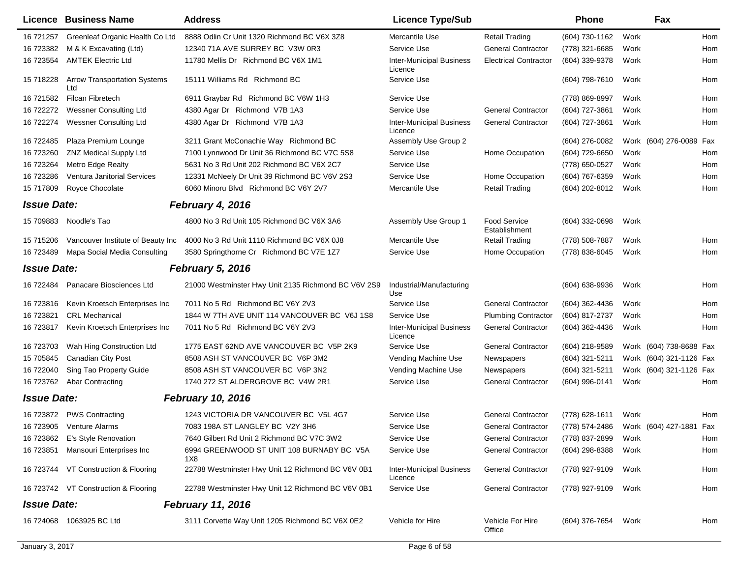|                    | <b>Licence Business Name</b>               | <b>Address</b>                                      | <b>Licence Type/Sub</b>                    |                                      | <b>Phone</b>     |      | Fax                     |     |
|--------------------|--------------------------------------------|-----------------------------------------------------|--------------------------------------------|--------------------------------------|------------------|------|-------------------------|-----|
| 16 721257          | Greenleaf Organic Health Co Ltd            | 8888 Odlin Cr Unit 1320 Richmond BC V6X 3Z8         | Mercantile Use                             | Retail Trading                       | (604) 730-1162   | Work |                         | Hom |
| 16 723382          | M & K Excavating (Ltd)                     | 12340 71A AVE SURREY BC V3W 0R3                     | Service Use                                | <b>General Contractor</b>            | (778) 321-6685   | Work |                         | Hom |
| 16 723554          | <b>AMTEK Electric Ltd</b>                  | 11780 Mellis Dr Richmond BC V6X 1M1                 | <b>Inter-Municipal Business</b><br>Licence | <b>Electrical Contractor</b>         | (604) 339-9378   | Work |                         | Hom |
| 15 718228          | <b>Arrow Transportation Systems</b><br>Ltd | 15111 Williams Rd Richmond BC                       | Service Use                                |                                      | (604) 798-7610   | Work |                         | Hom |
| 16 721582          | Filcan Fibretech                           | 6911 Graybar Rd Richmond BC V6W 1H3                 | Service Use                                |                                      | (778) 869-8997   | Work |                         | Hom |
| 16 722272          | <b>Wessner Consulting Ltd</b>              | 4380 Agar Dr Richmond V7B 1A3                       | Service Use                                | <b>General Contractor</b>            | (604) 727-3861   | Work |                         | Hom |
| 16 722274          | <b>Wessner Consulting Ltd</b>              | 4380 Agar Dr Richmond V7B 1A3                       | <b>Inter-Municipal Business</b><br>Licence | <b>General Contractor</b>            | (604) 727-3861   | Work |                         | Hom |
| 16 722485          | Plaza Premium Lounge                       | 3211 Grant McConachie Way Richmond BC               | Assembly Use Group 2                       |                                      | $(604)$ 276-0082 |      | Work (604) 276-0089 Fax |     |
| 16 723260          | <b>ZNZ Medical Supply Ltd</b>              | 7100 Lynnwood Dr Unit 36 Richmond BC V7C 5S8        | Service Use                                | Home Occupation                      | (604) 729-6650   | Work |                         | Hom |
| 16 723264          | <b>Metro Edge Realty</b>                   | 5631 No 3 Rd Unit 202 Richmond BC V6X 2C7           | Service Use                                |                                      | (778) 650-0527   | Work |                         | Hom |
| 16 723286          | Ventura Janitorial Services                | 12331 McNeely Dr Unit 39 Richmond BC V6V 2S3        | Service Use                                | Home Occupation                      | (604) 767-6359   | Work |                         | Hom |
| 15 717809          | Royce Chocolate                            | 6060 Minoru Blvd Richmond BC V6Y 2V7                | Mercantile Use                             | <b>Retail Trading</b>                | (604) 202-8012   | Work |                         | Hom |
| <b>Issue Date:</b> |                                            | February 4, 2016                                    |                                            |                                      |                  |      |                         |     |
|                    | 15 709883 Noodle's Tao                     | 4800 No 3 Rd Unit 105 Richmond BC V6X 3A6           | Assembly Use Group 1                       | <b>Food Service</b><br>Establishment | (604) 332-0698   | Work |                         |     |
| 15 715206          | Vancouver Institute of Beauty Inc          | 4000 No 3 Rd Unit 1110 Richmond BC V6X 0J8          | Mercantile Use                             | <b>Retail Trading</b>                | (778) 508-7887   | Work |                         | Hom |
| 16 723489          | Mapa Social Media Consulting               | 3580 Springthorne Cr Richmond BC V7E 1Z7            | Service Use                                | Home Occupation                      | (778) 838-6045   | Work |                         | Hom |
| <b>Issue Date:</b> |                                            | <b>February 5, 2016</b>                             |                                            |                                      |                  |      |                         |     |
| 16 722484          | Panacare Biosciences Ltd                   | 21000 Westminster Hwy Unit 2135 Richmond BC V6V 2S9 | Industrial/Manufacturing<br>Use            |                                      | (604) 638-9936   | Work |                         | Hom |
| 16 723816          | Kevin Kroetsch Enterprises Inc             | 7011 No 5 Rd Richmond BC V6Y 2V3                    | Service Use                                | <b>General Contractor</b>            | (604) 362-4436   | Work |                         | Hom |
| 16 723821          | <b>CRL Mechanical</b>                      | 1844 W 7TH AVE UNIT 114 VANCOUVER BC V6J 1S8        | Service Use                                | <b>Plumbing Contractor</b>           | (604) 817-2737   | Work |                         | Hom |
| 16 723817          | Kevin Kroetsch Enterprises Inc             | 7011 No 5 Rd Richmond BC V6Y 2V3                    | <b>Inter-Municipal Business</b><br>Licence | <b>General Contractor</b>            | (604) 362-4436   | Work |                         | Hom |
| 16 723703          | Wah Hing Construction Ltd                  | 1775 EAST 62ND AVE VANCOUVER BC V5P 2K9             | Service Use                                | <b>General Contractor</b>            | (604) 218-9589   |      | Work (604) 738-8688 Fax |     |
| 15 705845          | Canadian City Post                         | 8508 ASH ST VANCOUVER BC V6P 3M2                    | Vending Machine Use                        | Newspapers                           | (604) 321-5211   |      | Work (604) 321-1126 Fax |     |
| 16 722040          | Sing Tao Property Guide                    | 8508 ASH ST VANCOUVER BC V6P 3N2                    | Vending Machine Use                        | Newspapers                           | (604) 321-5211   |      | Work (604) 321-1126 Fax |     |
| 16 723762          | Abar Contracting                           | 1740 272 ST ALDERGROVE BC V4W 2R1                   | Service Use                                | <b>General Contractor</b>            | (604) 996-0141   | Work |                         | Hom |
| <b>Issue Date:</b> |                                            | <b>February 10, 2016</b>                            |                                            |                                      |                  |      |                         |     |
| 16 723872          | <b>PWS Contracting</b>                     | 1243 VICTORIA DR VANCOUVER BC V5L 4G7               | Service Use                                | <b>General Contractor</b>            | (778) 628-1611   | Work |                         | Hom |
|                    | 16 723905 Venture Alarms                   | 7083 198A ST LANGLEY BC V2Y 3H6                     | Service Use                                | <b>General Contractor</b>            | (778) 574-2486   |      | Work (604) 427-1881 Fax |     |
| 16 723862          | E's Style Renovation                       | 7640 Gilbert Rd Unit 2 Richmond BC V7C 3W2          | Service Use                                | <b>General Contractor</b>            | (778) 837-2899   | Work |                         | Hom |
| 16 723851          | Mansouri Enterprises Inc                   | 6994 GREENWOOD ST UNIT 108 BURNABY BC V5A           | Service Use                                | <b>General Contractor</b>            | (604) 298-8388   | Work |                         | Hom |
|                    |                                            | 1X8                                                 |                                            |                                      |                  |      |                         |     |
|                    | 16 723744 VT Construction & Flooring       | 22788 Westminster Hwy Unit 12 Richmond BC V6V 0B1   | <b>Inter-Municipal Business</b><br>Licence | <b>General Contractor</b>            | (778) 927-9109   | Work |                         | Hom |
|                    | 16 723742 VT Construction & Flooring       | 22788 Westminster Hwy Unit 12 Richmond BC V6V 0B1   | Service Use                                | <b>General Contractor</b>            | (778) 927-9109   | Work |                         | Hom |
| <b>Issue Date:</b> |                                            | <b>February 11, 2016</b>                            |                                            |                                      |                  |      |                         |     |
|                    | 16 724068 1063925 BC Ltd                   | 3111 Corvette Way Unit 1205 Richmond BC V6X 0E2     | Vehicle for Hire                           | Vehicle For Hire<br>Office           | (604) 376-7654   | Work |                         | Hom |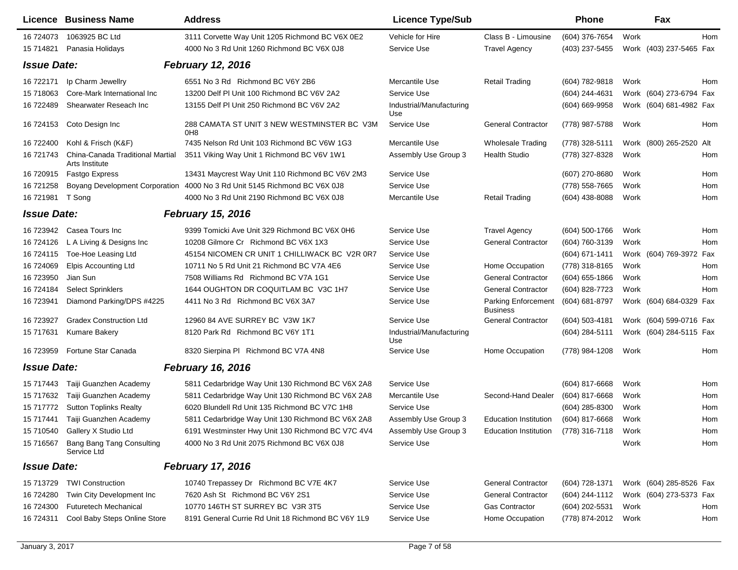|                    | Licence Business Name                              | <b>Address</b>                                                             | <b>Licence Type/Sub</b>         |                                        | Phone            |      | Fax                     |     |
|--------------------|----------------------------------------------------|----------------------------------------------------------------------------|---------------------------------|----------------------------------------|------------------|------|-------------------------|-----|
| 16 724073          | 1063925 BC Ltd                                     | 3111 Corvette Way Unit 1205 Richmond BC V6X 0E2                            | Vehicle for Hire                | Class B - Limousine                    | (604) 376-7654   | Work |                         | Hom |
| 15 714821          | Panasia Holidays                                   | 4000 No 3 Rd Unit 1260 Richmond BC V6X 0J8                                 | Service Use                     | <b>Travel Agency</b>                   | (403) 237-5455   |      | Work (403) 237-5465 Fax |     |
| <b>Issue Date:</b> |                                                    | <b>February 12, 2016</b>                                                   |                                 |                                        |                  |      |                         |     |
| 16 722171          | Ip Charm Jewellry                                  | 6551 No 3 Rd Richmond BC V6Y 2B6                                           | Mercantile Use                  | <b>Retail Trading</b>                  | (604) 782-9818   | Work |                         | Hom |
| 15 718063          | Core-Mark International Inc                        | 13200 Delf PI Unit 100 Richmond BC V6V 2A2                                 | Service Use                     |                                        | (604) 244-4631   |      | Work (604) 273-6794 Fax |     |
| 16 722489          | Shearwater Reseach Inc                             | 13155 Delf PI Unit 250 Richmond BC V6V 2A2                                 | Industrial/Manufacturing<br>Use |                                        | (604) 669-9958   |      | Work (604) 681-4982 Fax |     |
| 16 724153          | Coto Design Inc                                    | 288 CAMATA ST UNIT 3 NEW WESTMINSTER BC V3M<br>0 <sub>H</sub> <sub>8</sub> | Service Use                     | <b>General Contractor</b>              | (778) 987-5788   | Work |                         | Hom |
| 16 722400          | Kohl & Frisch (K&F)                                | 7435 Nelson Rd Unit 103 Richmond BC V6W 1G3                                | Mercantile Use                  | <b>Wholesale Trading</b>               | (778) 328-5111   |      | Work (800) 265-2520 Alt |     |
| 16 721743          | China-Canada Traditional Martial<br>Arts Institute | 3511 Viking Way Unit 1 Richmond BC V6V 1W1                                 | Assembly Use Group 3            | <b>Health Studio</b>                   | (778) 327-8328   | Work |                         | Hom |
| 16 720915          | Fastgo Express                                     | 13431 Maycrest Way Unit 110 Richmond BC V6V 2M3                            | Service Use                     |                                        | (607) 270-8680   | Work |                         | Hom |
| 16 721258          | Boyang Development Corporation                     | 4000 No 3 Rd Unit 5145 Richmond BC V6X 0J8                                 | Service Use                     |                                        | (778) 558-7665   | Work |                         | Hom |
| 16 721981          | T Song                                             | 4000 No 3 Rd Unit 2190 Richmond BC V6X 0J8                                 | Mercantile Use                  | <b>Retail Trading</b>                  | $(604)$ 438-8088 | Work |                         | Hom |
| <b>Issue Date:</b> |                                                    | <b>February 15, 2016</b>                                                   |                                 |                                        |                  |      |                         |     |
| 16 723942          | Casea Tours Inc                                    | 9399 Tomicki Ave Unit 329 Richmond BC V6X 0H6                              | Service Use                     | <b>Travel Agency</b>                   | (604) 500-1766   | Work |                         | Hom |
| 16 724126          | L A Living & Designs Inc                           | 10208 Gilmore Cr Richmond BC V6X 1X3                                       | Service Use                     | <b>General Contractor</b>              | (604) 760-3139   | Work |                         | Hom |
| 16 724115          | Toe-Hoe Leasing Ltd                                | 45154 NICOMEN CR UNIT 1 CHILLIWACK BC V2R 0R7                              | Service Use                     |                                        | (604) 671-1411   |      | Work (604) 769-3972 Fax |     |
| 16 724069          | Elpis Accounting Ltd                               | 10711 No 5 Rd Unit 21 Richmond BC V7A 4E6                                  | Service Use                     | Home Occupation                        | (778) 318-8165   | Work |                         | Hom |
| 16 723950          | Jian Sun                                           | 7508 Williams Rd Richmond BC V7A 1G1                                       | Service Use                     | <b>General Contractor</b>              | $(604)$ 655-1866 | Work |                         | Hom |
| 16 724184          | <b>Select Sprinklers</b>                           | 1644 OUGHTON DR COQUITLAM BC V3C 1H7                                       | Service Use                     | <b>General Contractor</b>              | (604) 828-7723   | Work |                         | Hom |
| 16 723941          | Diamond Parking/DPS #4225                          | 4411 No 3 Rd Richmond BC V6X 3A7                                           | Service Use                     | Parking Enforcement<br><b>Business</b> | (604) 681-8797   |      | Work (604) 684-0329 Fax |     |
| 16 723927          | <b>Gradex Construction Ltd</b>                     | 12960 84 AVE SURREY BC V3W 1K7                                             | Service Use                     | <b>General Contractor</b>              | (604) 503-4181   |      | Work (604) 599-0716 Fax |     |
| 15 717631          | Kumare Bakery                                      | 8120 Park Rd Richmond BC V6Y 1T1                                           | Industrial/Manufacturing<br>Use |                                        | (604) 284-5111   |      | Work (604) 284-5115 Fax |     |
| 16 723959          | Fortune Star Canada                                | 8320 Sierpina PI Richmond BC V7A 4N8                                       | Service Use                     | Home Occupation                        | (778) 984-1208   | Work |                         | Hom |
| <b>Issue Date:</b> |                                                    | <b>February 16, 2016</b>                                                   |                                 |                                        |                  |      |                         |     |
| 15 717443          | Taiji Guanzhen Academy                             | 5811 Cedarbridge Way Unit 130 Richmond BC V6X 2A8                          | Service Use                     |                                        | (604) 817-6668   | Work |                         | Hom |
| 15 717632          | Taiji Guanzhen Academy                             | 5811 Cedarbridge Way Unit 130 Richmond BC V6X 2A8                          | Mercantile Use                  | Second-Hand Dealer                     | (604) 817-6668   | Work |                         | Hom |
| 15 717772          | <b>Sutton Toplinks Realty</b>                      | 6020 Blundell Rd Unit 135 Richmond BC V7C 1H8                              | Service Use                     |                                        | (604) 285-8300   | Work |                         | Hom |
| 15 717441          | Taiji Guanzhen Academy                             | 5811 Cedarbridge Way Unit 130 Richmond BC V6X 2A8                          | Assembly Use Group 3            | <b>Education Institution</b>           | (604) 817-6668   | Work |                         | Hom |
| 15 710540          | Gallery X Studio Ltd                               | 6191 Westminster Hwy Unit 130 Richmond BC V7C 4V4                          | Assembly Use Group 3            | Education Institution (778) 316-7118   |                  | Work |                         | Hom |
| 15 716567          | Bang Bang Tang Consulting<br>Service Ltd           | 4000 No 3 Rd Unit 2075 Richmond BC V6X 0J8                                 | Service Use                     |                                        |                  | Work |                         | Hom |
| <b>Issue Date:</b> |                                                    | <b>February 17, 2016</b>                                                   |                                 |                                        |                  |      |                         |     |
| 15 713729          | <b>TWI Construction</b>                            | 10740 Trepassey Dr Richmond BC V7E 4K7                                     | Service Use                     | <b>General Contractor</b>              | (604) 728-1371   |      | Work (604) 285-8526 Fax |     |
| 16 724280          | Twin City Development Inc                          | 7620 Ash St Richmond BC V6Y 2S1                                            | Service Use                     | <b>General Contractor</b>              | (604) 244-1112   |      | Work (604) 273-5373 Fax |     |
| 16 724300          | <b>Futuretech Mechanical</b>                       | 10770 146TH ST SURREY BC V3R 3T5                                           | Service Use                     | <b>Gas Contractor</b>                  | (604) 202-5531   | Work |                         | Hom |
| 16 724311          | Cool Baby Steps Online Store                       | 8191 General Currie Rd Unit 18 Richmond BC V6Y 1L9                         | Service Use                     | Home Occupation                        | (778) 874-2012   | Work |                         | Hom |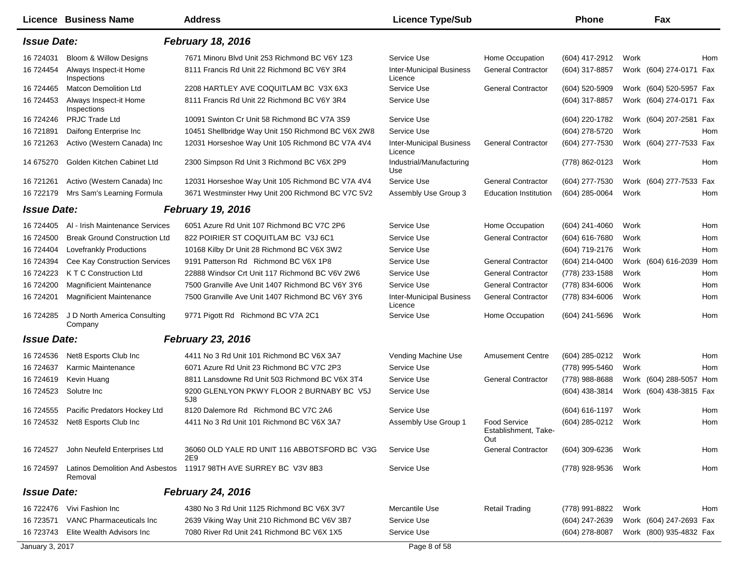|                    | Licence Business Name                             | <b>Address</b>                                      | <b>Licence Type/Sub</b>                    |                                             | <b>Phone</b>   |      | Fax                     |     |
|--------------------|---------------------------------------------------|-----------------------------------------------------|--------------------------------------------|---------------------------------------------|----------------|------|-------------------------|-----|
| <b>Issue Date:</b> |                                                   | February 18, 2016                                   |                                            |                                             |                |      |                         |     |
| 16 724031          | Bloom & Willow Designs                            | 7671 Minoru Blvd Unit 253 Richmond BC V6Y 1Z3       | Service Use                                | Home Occupation                             | (604) 417-2912 | Work |                         | Hom |
| 16 724454          | Always Inspect-it Home<br>Inspections             | 8111 Francis Rd Unit 22 Richmond BC V6Y 3R4         | <b>Inter-Municipal Business</b><br>Licence | <b>General Contractor</b>                   | (604) 317-8857 |      | Work (604) 274-0171     | Fax |
| 16 724465          | <b>Matcon Demolition Ltd</b>                      | 2208 HARTLEY AVE COQUITLAM BC V3X 6X3               | Service Use                                | <b>General Contractor</b>                   | (604) 520-5909 |      | Work (604) 520-5957 Fax |     |
| 16 724453          | Always Inspect-it Home<br>Inspections             | 8111 Francis Rd Unit 22 Richmond BC V6Y 3R4         | Service Use                                |                                             | (604) 317-8857 |      | Work (604) 274-0171 Fax |     |
| 16 724246          | PRJC Trade Ltd                                    | 10091 Swinton Cr Unit 58 Richmond BC V7A 3S9        | Service Use                                |                                             | (604) 220-1782 |      | Work (604) 207-2581 Fax |     |
| 16 721891          | Daifong Enterprise Inc                            | 10451 Shellbridge Way Unit 150 Richmond BC V6X 2W8  | Service Use                                |                                             | (604) 278-5720 | Work |                         | Hom |
| 16 721263          | Activo (Western Canada) Inc                       | 12031 Horseshoe Way Unit 105 Richmond BC V7A 4V4    | <b>Inter-Municipal Business</b><br>Licence | <b>General Contractor</b>                   | (604) 277-7530 |      | Work (604) 277-7533 Fax |     |
| 14 675270          | Golden Kitchen Cabinet Ltd                        | 2300 Simpson Rd Unit 3 Richmond BC V6X 2P9          | Industrial/Manufacturing<br>Use            |                                             | (778) 862-0123 | Work |                         | Hom |
| 16 721261          | Activo (Western Canada) Inc                       | 12031 Horseshoe Way Unit 105 Richmond BC V7A 4V4    | Service Use                                | <b>General Contractor</b>                   | (604) 277-7530 |      | Work (604) 277-7533 Fax |     |
| 16 722179          | Mrs Sam's Learning Formula                        | 3671 Westminster Hwy Unit 200 Richmond BC V7C 5V2   | Assembly Use Group 3                       | <b>Education Institution</b>                | (604) 285-0064 | Work |                         | Hom |
| <b>Issue Date:</b> |                                                   | <b>February 19, 2016</b>                            |                                            |                                             |                |      |                         |     |
| 16 724405          | Al - Irish Maintenance Services                   | 6051 Azure Rd Unit 107 Richmond BC V7C 2P6          | Service Use                                | Home Occupation                             | (604) 241-4060 | Work |                         | Hom |
| 16 724500          | <b>Break Ground Construction Ltd</b>              | 822 POIRIER ST COQUITLAM BC V3J 6C1                 | Service Use                                | <b>General Contractor</b>                   | (604) 616-7680 | Work |                         | Hom |
| 16 724404          | Lovefrankly Productions                           | 10168 Kilby Dr Unit 28 Richmond BC V6X 3W2          | Service Use                                |                                             | (604) 719-2176 | Work |                         | Hom |
| 16 724394          | <b>Cee Kay Construction Services</b>              | 9191 Patterson Rd Richmond BC V6X 1P8               | Service Use                                | <b>General Contractor</b>                   | (604) 214-0400 |      | Work (604) 616-2039     | Hom |
| 16 724223          | K T C Construction Ltd                            | 22888 Windsor Crt Unit 117 Richmond BC V6V 2W6      | Service Use                                | <b>General Contractor</b>                   | (778) 233-1588 | Work |                         | Hom |
| 16 724200          | <b>Magnificient Maintenance</b>                   | 7500 Granville Ave Unit 1407 Richmond BC V6Y 3Y6    | Service Use                                | <b>General Contractor</b>                   | (778) 834-6006 | Work |                         | Hom |
| 16 724201          | <b>Magnificient Maintenance</b>                   | 7500 Granville Ave Unit 1407 Richmond BC V6Y 3Y6    | <b>Inter-Municipal Business</b><br>Licence | <b>General Contractor</b>                   | (778) 834-6006 | Work |                         | Hom |
| 16 724285          | J D North America Consulting<br>Company           | 9771 Pigott Rd Richmond BC V7A 2C1                  | Service Use                                | Home Occupation                             | (604) 241-5696 | Work |                         | Hom |
| <b>Issue Date:</b> |                                                   | <b>February 23, 2016</b>                            |                                            |                                             |                |      |                         |     |
| 16 724536          | Net8 Esports Club Inc                             | 4411 No 3 Rd Unit 101 Richmond BC V6X 3A7           | Vending Machine Use                        | <b>Amusement Centre</b>                     | (604) 285-0212 | Work |                         | Hom |
| 16 724637          | Karmic Maintenance                                | 6071 Azure Rd Unit 23 Richmond BC V7C 2P3           | Service Use                                |                                             | (778) 995-5460 | Work |                         | Hom |
| 16 724619          | Kevin Huang                                       | 8811 Lansdowne Rd Unit 503 Richmond BC V6X 3T4      | Service Use                                | <b>General Contractor</b>                   | (778) 988-8688 |      | Work (604) 288-5057     | Hom |
| 16 724523          | Solutre Inc                                       | 9200 GLENLYON PKWY FLOOR 2 BURNABY BC V5J<br>5J8    | Service Use                                |                                             | (604) 438-3814 |      | Work (604) 438-3815 Fax |     |
| 16 724555          | Pacific Predators Hockey Ltd                      | 8120 Dalemore Rd Richmond BC V7C 2A6                | Service Use                                |                                             | (604) 616-1197 | Work |                         | Hom |
| 16 724532          | Net8 Esports Club Inc                             | 4411 No 3 Rd Unit 101 Richmond BC V6X 3A7           | Assembly Use Group 1                       | <b>Food Service</b><br>Establishment, Take- | (604) 285-0212 | Work |                         | Hom |
| 16 724527          | John Neufeld Enterprises Ltd                      | 36060 OLD YALE RD UNIT 116 ABBOTSFORD BC V3G<br>2E9 | Service Use                                | Out<br><b>General Contractor</b>            | (604) 309-6236 | Work |                         | Hom |
| 16 724597          | <b>Latinos Demolition And Asbestos</b><br>Removal | 11917 98TH AVE SURREY BC V3V 8B3                    | Service Use                                |                                             | (778) 928-9536 | Work |                         | Hom |
| <b>Issue Date:</b> |                                                   | <b>February 24, 2016</b>                            |                                            |                                             |                |      |                         |     |
|                    | 16 722476 Vivi Fashion Inc                        | 4380 No 3 Rd Unit 1125 Richmond BC V6X 3V7          | Mercantile Use                             | <b>Retail Trading</b>                       | (778) 991-8822 | Work |                         | Hom |
| 16 723571          | VANC Pharmaceuticals Inc                          | 2639 Viking Way Unit 210 Richmond BC V6V 3B7        | Service Use                                |                                             | (604) 247-2639 |      | Work (604) 247-2693 Fax |     |
| 16 723743          | Elite Wealth Advisors Inc                         | 7080 River Rd Unit 241 Richmond BC V6X 1X5          | Service Use                                |                                             | (604) 278-8087 |      | Work (800) 935-4832 Fax |     |
| January 3, 2017    |                                                   |                                                     | Page 8 of 58                               |                                             |                |      |                         |     |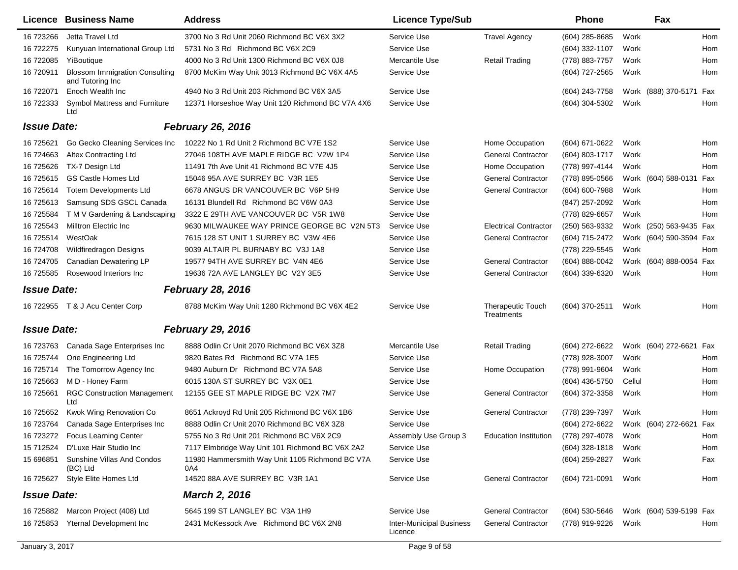|                    | <b>Licence Business Name</b>                              | <b>Address</b>                                         | <b>Licence Type/Sub</b>                    |                                        | <b>Phone</b>     |        | Fax                     |     |
|--------------------|-----------------------------------------------------------|--------------------------------------------------------|--------------------------------------------|----------------------------------------|------------------|--------|-------------------------|-----|
| 16 723266          | Jetta Travel Ltd                                          | 3700 No 3 Rd Unit 2060 Richmond BC V6X 3X2             | Service Use                                | <b>Travel Agency</b>                   | (604) 285-8685   | Work   |                         | Hom |
| 16 722275          | Kunyuan International Group Ltd                           | 5731 No 3 Rd Richmond BC V6X 2C9                       | Service Use                                |                                        | (604) 332-1107   | Work   |                         | Hom |
| 16 722085          | YiBoutique                                                | 4000 No 3 Rd Unit 1300 Richmond BC V6X 0J8             | Mercantile Use                             | <b>Retail Trading</b>                  | (778) 883-7757   | Work   |                         | Hom |
| 16 720911          | <b>Blossom Immigration Consulting</b><br>and Tutoring Inc | 8700 McKim Way Unit 3013 Richmond BC V6X 4A5           | Service Use                                |                                        | (604) 727-2565   | Work   |                         | Hom |
| 16 722071          | Enoch Wealth Inc                                          | 4940 No 3 Rd Unit 203 Richmond BC V6X 3A5              | Service Use                                |                                        | (604) 243-7758   |        | Work (888) 370-5171     | Fax |
| 16 722333          | Symbol Mattress and Furniture<br>Ltd                      | 12371 Horseshoe Way Unit 120 Richmond BC V7A 4X6       | Service Use                                |                                        | (604) 304-5302   | Work   |                         | Hom |
| <b>Issue Date:</b> |                                                           | <b>February 26, 2016</b>                               |                                            |                                        |                  |        |                         |     |
| 16 725621          | Go Gecko Cleaning Services Inc                            | 10222 No 1 Rd Unit 2 Richmond BC V7E 1S2               | Service Use                                | Home Occupation                        | (604) 671-0622   | Work   |                         | Hom |
| 16 724663          | <b>Altex Contracting Ltd</b>                              | 27046 108TH AVE MAPLE RIDGE BC V2W 1P4                 | Service Use                                | <b>General Contractor</b>              | (604) 803-1717   | Work   |                         | Hom |
| 16 725626          | TX-7 Design Ltd                                           | 11491 7th Ave Unit 41 Richmond BC V7E 4J5              | Service Use                                | Home Occupation                        | (778) 997-4144   | Work   |                         | Hom |
| 16 725615          | <b>GS Castle Homes Ltd</b>                                | 15046 95A AVE SURREY BC V3R 1E5                        | Service Use                                | <b>General Contractor</b>              | (778) 895-0566   |        | Work (604) 588-0131     | Fax |
| 16 725614          | <b>Totem Developments Ltd</b>                             | 6678 ANGUS DR VANCOUVER BC V6P 5H9                     | Service Use                                | <b>General Contractor</b>              | (604) 600-7988   | Work   |                         | Hom |
| 16 725613          | Samsung SDS GSCL Canada                                   | 16131 Blundell Rd Richmond BC V6W 0A3                  | Service Use                                |                                        | (847) 257-2092   | Work   |                         | Hom |
| 16 725584          | T M V Gardening & Landscaping                             | 3322 E 29TH AVE VANCOUVER BC V5R 1W8                   | Service Use                                |                                        | (778) 829-6657   | Work   |                         | Hom |
| 16 725543          | Milltron Electric Inc                                     | 9630 MILWAUKEE WAY PRINCE GEORGE BC V2N 5T3            | Service Use                                | <b>Electrical Contractor</b>           | (250) 563-9332   |        | Work (250) 563-9435 Fax |     |
| 16 725514          | WestOak                                                   | 7615 128 ST UNIT 1 SURREY BC V3W 4E6                   | Service Use                                | <b>General Contractor</b>              | (604) 715-2472   |        | Work (604) 590-3594 Fax |     |
| 16 724708          | Wildfiredragon Designs                                    | 9039 ALTAIR PL BURNABY BC V3J 1A8                      | Service Use                                |                                        | (778) 229-5545   | Work   |                         | Hom |
| 16 724705          | Canadian Dewatering LP                                    | 19577 94TH AVE SURREY BC V4N 4E6                       | Service Use                                | <b>General Contractor</b>              | (604) 888-0042   |        | Work (604) 888-0054     | Fax |
| 16 725585          | Rosewood Interiors Inc                                    | 19636 72A AVE LANGLEY BC V2Y 3E5                       | Service Use                                | <b>General Contractor</b>              | (604) 339-6320   | Work   |                         | Hom |
| <b>Issue Date:</b> |                                                           | <b>February 28, 2016</b>                               |                                            |                                        |                  |        |                         |     |
|                    | 16 722955 T & J Acu Center Corp                           | 8788 McKim Way Unit 1280 Richmond BC V6X 4E2           | Service Use                                | <b>Therapeutic Touch</b><br>Treatments | (604) 370-2511   | Work   |                         | Hom |
| <b>Issue Date:</b> |                                                           | <b>February 29, 2016</b>                               |                                            |                                        |                  |        |                         |     |
| 16 723763          | Canada Sage Enterprises Inc                               | 8888 Odlin Cr Unit 2070 Richmond BC V6X 3Z8            | Mercantile Use                             | <b>Retail Trading</b>                  | (604) 272-6622   |        | Work (604) 272-6621 Fax |     |
| 16 725744          | One Engineering Ltd                                       | 9820 Bates Rd Richmond BC V7A 1E5                      | Service Use                                |                                        | (778) 928-3007   | Work   |                         | Hom |
| 16 725714          | The Tomorrow Agency Inc                                   | 9480 Auburn Dr Richmond BC V7A 5A8                     | Service Use                                | Home Occupation                        | (778) 991-9604   | Work   |                         | Hom |
| 16 725663          | M D - Honey Farm                                          | 6015 130A ST SURREY BC V3X 0E1                         | Service Use                                |                                        | (604) 436-5750   | Cellul |                         | Hom |
| 16 725661          | <b>RGC Construction Management</b><br>Ltd                 | 12155 GEE ST MAPLE RIDGE BC V2X 7M7                    | Service Use                                | <b>General Contractor</b>              | (604) 372-3358   | Work   |                         | Hom |
| 16 725652          | Kwok Wing Renovation Co                                   | 8651 Ackroyd Rd Unit 205 Richmond BC V6X 1B6           | Service Use                                | <b>General Contractor</b>              | (778) 239-7397   | Work   |                         | Hom |
| 16 723764          | Canada Sage Enterprises Inc                               | 8888 Odlin Cr Unit 2070 Richmond BC V6X 3Z8            | Service Use                                |                                        | (604) 272-6622   |        | Work (604) 272-6621 Fax |     |
|                    | 16 723272 Focus Learning Center                           | 5755 No 3 Rd Unit 201 Richmond BC V6X 2C9              | Assembly Use Group 3                       | <b>Education Institution</b>           | (778) 297-4078   | Work   |                         | Hom |
| 15 712524          | D'Luxe Hair Studio Inc                                    | 7117 Elmbridge Way Unit 101 Richmond BC V6X 2A2        | Service Use                                |                                        | (604) 328-1818   | Work   |                         | Hom |
| 15 696851          | Sunshine Villas And Condos<br>(BC) Ltd                    | 11980 Hammersmith Way Unit 1105 Richmond BC V7A<br>0A4 | Service Use                                |                                        | (604) 259-2827   | Work   |                         | Fax |
| 16 725627          | Style Elite Homes Ltd                                     | 14520 88A AVE SURREY BC V3R 1A1                        | Service Use                                | <b>General Contractor</b>              | (604) 721-0091   | Work   |                         | Hom |
| <b>Issue Date:</b> |                                                           | <b>March 2, 2016</b>                                   |                                            |                                        |                  |        |                         |     |
| 16 725882          | Marcon Project (408) Ltd                                  | 5645 199 ST LANGLEY BC V3A 1H9                         | Service Use                                | <b>General Contractor</b>              | $(604)$ 530-5646 |        | Work (604) 539-5199 Fax |     |
| 16 725853          | Yternal Development Inc                                   | 2431 McKessock Ave Richmond BC V6X 2N8                 | <b>Inter-Municipal Business</b><br>Licence | <b>General Contractor</b>              | (778) 919-9226   | Work   |                         | Hom |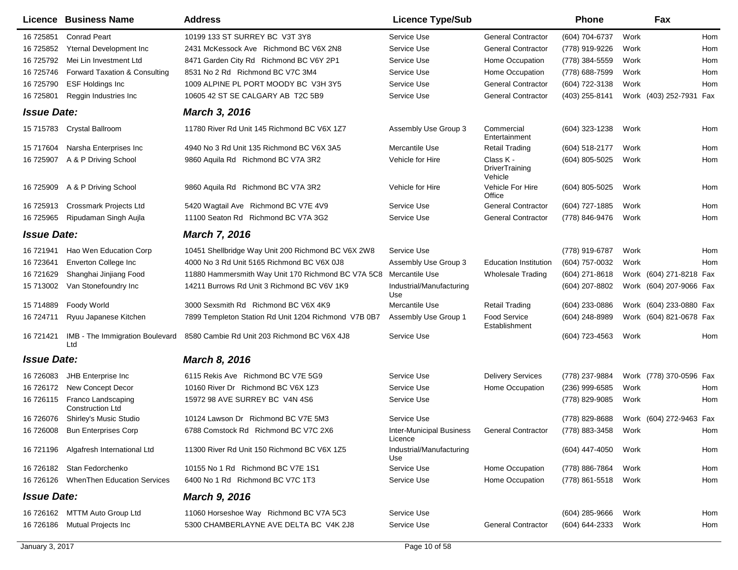|                    | Licence Business Name                         | <b>Address</b>                                       | <b>Licence Type/Sub</b>                                |                                        | <b>Phone</b>     |      | Fax                     |     |
|--------------------|-----------------------------------------------|------------------------------------------------------|--------------------------------------------------------|----------------------------------------|------------------|------|-------------------------|-----|
| 16 725851          | <b>Conrad Peart</b>                           | 10199 133 ST SURREY BC V3T 3Y8                       | Service Use                                            | <b>General Contractor</b>              | (604) 704-6737   | Work |                         | Hom |
| 16 725852          | Yternal Development Inc                       | 2431 McKessock Ave Richmond BC V6X 2N8               | Service Use                                            | <b>General Contractor</b>              | (778) 919-9226   | Work |                         | Hom |
| 16 725792          | Mei Lin Investment Ltd                        | 8471 Garden City Rd Richmond BC V6Y 2P1              | Service Use                                            | Home Occupation                        | (778) 384-5559   | Work |                         | Hom |
| 16 725746          | Forward Taxation & Consulting                 | 8531 No 2 Rd Richmond BC V7C 3M4                     | Service Use                                            | Home Occupation                        | (778) 688-7599   | Work |                         | Hom |
| 16 725790          | <b>ESF Holdings Inc</b>                       | 1009 ALPINE PL PORT MOODY BC V3H 3Y5                 | Service Use                                            | <b>General Contractor</b>              | (604) 722-3138   | Work |                         | Hom |
| 16 725801          | Reggin Industries Inc                         | 10605 42 ST SE CALGARY AB T2C 5B9                    | Service Use                                            | <b>General Contractor</b>              | (403) 255-8141   |      | Work (403) 252-7931 Fax |     |
| <b>Issue Date:</b> |                                               | <b>March 3, 2016</b>                                 |                                                        |                                        |                  |      |                         |     |
|                    | 15 715783 Crystal Ballroom                    | 11780 River Rd Unit 145 Richmond BC V6X 1Z7          | Assembly Use Group 3                                   | Commercial<br>Entertainment            | (604) 323-1238   | Work |                         | Hom |
| 15 717604          | Narsha Enterprises Inc                        | 4940 No 3 Rd Unit 135 Richmond BC V6X 3A5            | Mercantile Use                                         | <b>Retail Trading</b>                  | $(604)$ 518-2177 | Work |                         | Hom |
| 16 725907          | A & P Driving School                          | 9860 Aquila Rd Richmond BC V7A 3R2                   | Vehicle for Hire                                       | Class K -<br>DriverTraining<br>Vehicle | (604) 805-5025   | Work |                         | Hom |
| 16 725909          | A & P Driving School                          | 9860 Aquila Rd Richmond BC V7A 3R2                   | Vehicle for Hire                                       | Vehicle For Hire<br>Office             | $(604)$ 805-5025 | Work |                         | Hom |
| 16 725913          | <b>Crossmark Projects Ltd</b>                 | 5420 Wagtail Ave Richmond BC V7E 4V9                 | Service Use                                            | <b>General Contractor</b>              | (604) 727-1885   | Work |                         | Hom |
| 16 725965          | Ripudaman Singh Aujla                         | 11100 Seaton Rd Richmond BC V7A 3G2                  | Service Use                                            | <b>General Contractor</b>              | (778) 846-9476   | Work |                         | Hom |
| <b>Issue Date:</b> |                                               | <b>March 7, 2016</b>                                 |                                                        |                                        |                  |      |                         |     |
| 16 721941          | Hao Wen Education Corp                        | 10451 Shellbridge Way Unit 200 Richmond BC V6X 2W8   | Service Use                                            |                                        | (778) 919-6787   | Work |                         | Hom |
| 16 723641          | Enverton College Inc                          | 4000 No 3 Rd Unit 5165 Richmond BC V6X 0J8           | Assembly Use Group 3                                   | <b>Education Institution</b>           | (604) 757-0032   | Work |                         | Hom |
| 16 721629          | Shanghai Jinjiang Food                        | 11880 Hammersmith Way Unit 170 Richmond BC V7A 5C8   | Mercantile Use                                         | <b>Wholesale Trading</b>               | (604) 271-8618   |      | Work (604) 271-8218 Fax |     |
| 15 713002          | Van Stonefoundry Inc                          | 14211 Burrows Rd Unit 3 Richmond BC V6V 1K9          | Industrial/Manufacturing<br>Use                        |                                        | (604) 207-8802   |      | Work (604) 207-9066 Fax |     |
| 15 714889          | Foody World                                   | 3000 Sexsmith Rd Richmond BC V6X 4K9                 | Mercantile Use                                         | <b>Retail Trading</b>                  | (604) 233-0886   |      | Work (604) 233-0880 Fax |     |
| 16 724711          | Ryuu Japanese Kitchen                         | 7899 Templeton Station Rd Unit 1204 Richmond V7B 0B7 | Assembly Use Group 1                                   | Food Service<br>Establishment          | $(604)$ 248-8989 |      | Work (604) 821-0678 Fax |     |
| 16 721421          | IMB - The Immigration Boulevard<br>Ltd        | 8580 Cambie Rd Unit 203 Richmond BC V6X 4J8          | Service Use                                            |                                        | (604) 723-4563   | Work |                         | Hom |
| <b>Issue Date:</b> |                                               | <b>March 8, 2016</b>                                 |                                                        |                                        |                  |      |                         |     |
| 16 726083          | JHB Enterprise Inc                            | 6115 Rekis Ave Richmond BC V7E 5G9                   | Service Use                                            | <b>Delivery Services</b>               | (778) 237-9884   |      | Work (778) 370-0596 Fax |     |
| 16 726172          | New Concept Decor                             | 10160 River Dr Richmond BC V6X 1Z3                   | Service Use                                            | Home Occupation                        | $(236)$ 999-6585 | Work |                         | Hom |
| 16 726115          | Franco Landscaping<br><b>Construction Ltd</b> | 15972 98 AVE SURREY BC V4N 4S6                       | Service Use                                            |                                        | (778) 829-9085   | Work |                         | Hom |
| 16 726076          | Shirley's Music Studio                        | 10124 Lawson Dr Richmond BC V7E 5M3                  | Service Use                                            |                                        | (778) 829-8688   |      | Work (604) 272-9463 Fax |     |
|                    | 16 726008 Bun Enterprises Corp                | 6788 Comstock Rd Richmond BC V7C 2X6                 | Inter-Municipal Business General Contractor<br>Licence |                                        | (778) 883-3458   | Work |                         | Hom |
|                    | 16 721196 Algafresh International Ltd         | 11300 River Rd Unit 150 Richmond BC V6X 1Z5          | Industrial/Manufacturing<br>Use                        |                                        | (604) 447-4050   | Work |                         | Hom |
|                    | 16 726182 Stan Fedorchenko                    | 10155 No 1 Rd Richmond BC V7E 1S1                    | Service Use                                            | Home Occupation                        | (778) 886-7864   | Work |                         | Hom |
|                    | 16 726126 When Then Education Services        | 6400 No 1 Rd Richmond BC V7C 1T3                     | Service Use                                            | Home Occupation                        | (778) 861-5518   | Work |                         | Hom |
| <b>Issue Date:</b> |                                               | <b>March 9, 2016</b>                                 |                                                        |                                        |                  |      |                         |     |
|                    | 16 726162 MTTM Auto Group Ltd                 | 11060 Horseshoe Way Richmond BC V7A 5C3              | Service Use                                            |                                        | $(604)$ 285-9666 | Work |                         | Hom |
|                    | 16 726186 Mutual Projects Inc                 | 5300 CHAMBERLAYNE AVE DELTA BC V4K 2J8               | Service Use                                            | <b>General Contractor</b>              | (604) 644-2333   | Work |                         | Hom |
|                    |                                               |                                                      |                                                        |                                        |                  |      |                         |     |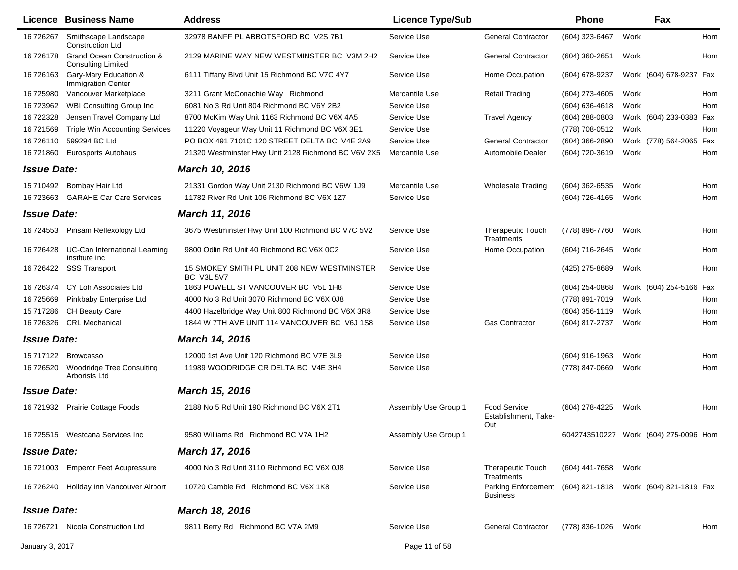| 32978 BANFF PL ABBOTSFORD BC V2S 7B1<br>Service Use<br><b>General Contractor</b><br>(604) 323-6467<br>16 726267<br>Smithscape Landscape<br>Work<br><b>Construction Ltd</b><br>Grand Ocean Construction &<br><b>General Contractor</b><br>16 726178<br>2129 MARINE WAY NEW WESTMINSTER BC V3M 2H2<br>Service Use<br>(604) 360-2651<br>Work<br><b>Consulting Limited</b><br>16 726163<br>Gary-Mary Education &<br>6111 Tiffany Blvd Unit 15 Richmond BC V7C 4Y7<br>Service Use<br>Home Occupation<br>(604) 678-9237<br>Work (604) 678-9237 Fax<br><b>Immigration Center</b><br>Vancouver Marketplace<br>3211 Grant McConachie Way Richmond<br>Mercantile Use<br><b>Retail Trading</b><br>(604) 273-4605<br>Work<br>16 725980<br>16 723962<br><b>WBI Consulting Group Inc.</b><br>6081 No 3 Rd Unit 804 Richmond BC V6Y 2B2<br>Service Use<br>$(604) 636 - 4618$<br>Work<br>16 722328<br>Jensen Travel Company Ltd<br>8700 McKim Way Unit 1163 Richmond BC V6X 4A5<br>Service Use<br><b>Travel Agency</b><br>(604) 288-0803<br>Work (604) 233-0383 Fax<br>16 721569<br><b>Triple Win Accounting Services</b><br>11220 Voyageur Way Unit 11 Richmond BC V6X 3E1<br>Service Use<br>(778) 708-0512<br>Work<br>599294 BC Ltd<br>PO BOX 491 7101C 120 STREET DELTA BC V4E 2A9<br>Service Use<br><b>General Contractor</b><br>(604) 366-2890<br>16 726110<br>Work (778) 564-2065 Fax<br>21320 Westminster Hwy Unit 2128 Richmond BC V6V 2X5<br>Mercantile Use<br>Automobile Dealer<br>(604) 720-3619<br>Work<br>16 721860<br>Eurosports Autohaus<br><b>Issue Date:</b><br>March 10, 2016<br>Mercantile Use<br>15 710492<br>Bombay Hair Ltd<br>21331 Gordon Way Unit 2130 Richmond BC V6W 1J9<br>(604) 362-6535<br>Work<br><b>Wholesale Trading</b> |            |
|-------------------------------------------------------------------------------------------------------------------------------------------------------------------------------------------------------------------------------------------------------------------------------------------------------------------------------------------------------------------------------------------------------------------------------------------------------------------------------------------------------------------------------------------------------------------------------------------------------------------------------------------------------------------------------------------------------------------------------------------------------------------------------------------------------------------------------------------------------------------------------------------------------------------------------------------------------------------------------------------------------------------------------------------------------------------------------------------------------------------------------------------------------------------------------------------------------------------------------------------------------------------------------------------------------------------------------------------------------------------------------------------------------------------------------------------------------------------------------------------------------------------------------------------------------------------------------------------------------------------------------------------------------------------------------------------------------------------------------------------|------------|
|                                                                                                                                                                                                                                                                                                                                                                                                                                                                                                                                                                                                                                                                                                                                                                                                                                                                                                                                                                                                                                                                                                                                                                                                                                                                                                                                                                                                                                                                                                                                                                                                                                                                                                                                           | Hom        |
|                                                                                                                                                                                                                                                                                                                                                                                                                                                                                                                                                                                                                                                                                                                                                                                                                                                                                                                                                                                                                                                                                                                                                                                                                                                                                                                                                                                                                                                                                                                                                                                                                                                                                                                                           | Hom        |
|                                                                                                                                                                                                                                                                                                                                                                                                                                                                                                                                                                                                                                                                                                                                                                                                                                                                                                                                                                                                                                                                                                                                                                                                                                                                                                                                                                                                                                                                                                                                                                                                                                                                                                                                           |            |
|                                                                                                                                                                                                                                                                                                                                                                                                                                                                                                                                                                                                                                                                                                                                                                                                                                                                                                                                                                                                                                                                                                                                                                                                                                                                                                                                                                                                                                                                                                                                                                                                                                                                                                                                           | Hom        |
|                                                                                                                                                                                                                                                                                                                                                                                                                                                                                                                                                                                                                                                                                                                                                                                                                                                                                                                                                                                                                                                                                                                                                                                                                                                                                                                                                                                                                                                                                                                                                                                                                                                                                                                                           | Hom        |
|                                                                                                                                                                                                                                                                                                                                                                                                                                                                                                                                                                                                                                                                                                                                                                                                                                                                                                                                                                                                                                                                                                                                                                                                                                                                                                                                                                                                                                                                                                                                                                                                                                                                                                                                           |            |
|                                                                                                                                                                                                                                                                                                                                                                                                                                                                                                                                                                                                                                                                                                                                                                                                                                                                                                                                                                                                                                                                                                                                                                                                                                                                                                                                                                                                                                                                                                                                                                                                                                                                                                                                           | Hom        |
|                                                                                                                                                                                                                                                                                                                                                                                                                                                                                                                                                                                                                                                                                                                                                                                                                                                                                                                                                                                                                                                                                                                                                                                                                                                                                                                                                                                                                                                                                                                                                                                                                                                                                                                                           |            |
|                                                                                                                                                                                                                                                                                                                                                                                                                                                                                                                                                                                                                                                                                                                                                                                                                                                                                                                                                                                                                                                                                                                                                                                                                                                                                                                                                                                                                                                                                                                                                                                                                                                                                                                                           | Hom        |
|                                                                                                                                                                                                                                                                                                                                                                                                                                                                                                                                                                                                                                                                                                                                                                                                                                                                                                                                                                                                                                                                                                                                                                                                                                                                                                                                                                                                                                                                                                                                                                                                                                                                                                                                           |            |
|                                                                                                                                                                                                                                                                                                                                                                                                                                                                                                                                                                                                                                                                                                                                                                                                                                                                                                                                                                                                                                                                                                                                                                                                                                                                                                                                                                                                                                                                                                                                                                                                                                                                                                                                           | Hom        |
| 16 723663<br><b>GARAHE Car Care Services</b><br>11782 River Rd Unit 106 Richmond BC V6X 1Z7<br>Service Use<br>(604) 726-4165<br>Work                                                                                                                                                                                                                                                                                                                                                                                                                                                                                                                                                                                                                                                                                                                                                                                                                                                                                                                                                                                                                                                                                                                                                                                                                                                                                                                                                                                                                                                                                                                                                                                                      | <b>Hom</b> |
| <b>Issue Date:</b><br>March 11, 2016                                                                                                                                                                                                                                                                                                                                                                                                                                                                                                                                                                                                                                                                                                                                                                                                                                                                                                                                                                                                                                                                                                                                                                                                                                                                                                                                                                                                                                                                                                                                                                                                                                                                                                      |            |
| Pinsam Reflexology Ltd<br>3675 Westminster Hwy Unit 100 Richmond BC V7C 5V2<br>Service Use<br><b>Therapeutic Touch</b><br>(778) 896-7760<br>Work<br>16 724553<br>Treatments                                                                                                                                                                                                                                                                                                                                                                                                                                                                                                                                                                                                                                                                                                                                                                                                                                                                                                                                                                                                                                                                                                                                                                                                                                                                                                                                                                                                                                                                                                                                                               | Hom        |
| 9800 Odlin Rd Unit 40 Richmond BC V6X 0C2<br>16 726428<br>UC-Can International Learning<br>Service Use<br>Home Occupation<br>(604) 716-2645<br>Work<br>Institute Inc                                                                                                                                                                                                                                                                                                                                                                                                                                                                                                                                                                                                                                                                                                                                                                                                                                                                                                                                                                                                                                                                                                                                                                                                                                                                                                                                                                                                                                                                                                                                                                      | Hom        |
| <b>SSS Transport</b><br>15 SMOKEY SMITH PL UNIT 208 NEW WESTMINSTER<br>Service Use<br>Work<br>16 726422<br>(425) 275-8689<br><b>BC V3L 5V7</b>                                                                                                                                                                                                                                                                                                                                                                                                                                                                                                                                                                                                                                                                                                                                                                                                                                                                                                                                                                                                                                                                                                                                                                                                                                                                                                                                                                                                                                                                                                                                                                                            | Hom        |
| 16 726374<br>1863 POWELL ST VANCOUVER BC V5L 1H8<br>Work (604) 254-5166 Fax<br>CY Loh Associates Ltd<br>Service Use<br>$(604)$ 254-0868                                                                                                                                                                                                                                                                                                                                                                                                                                                                                                                                                                                                                                                                                                                                                                                                                                                                                                                                                                                                                                                                                                                                                                                                                                                                                                                                                                                                                                                                                                                                                                                                   |            |
| Pinkbaby Enterprise Ltd<br>4000 No 3 Rd Unit 3070 Richmond BC V6X 0J8<br>Service Use<br>(778) 891-7019<br>Work<br>16 725669                                                                                                                                                                                                                                                                                                                                                                                                                                                                                                                                                                                                                                                                                                                                                                                                                                                                                                                                                                                                                                                                                                                                                                                                                                                                                                                                                                                                                                                                                                                                                                                                               | Hom        |
| Work<br>15 717286<br>CH Beauty Care<br>4400 Hazelbridge Way Unit 800 Richmond BC V6X 3R8<br>Service Use<br>$(604)$ 356-1119                                                                                                                                                                                                                                                                                                                                                                                                                                                                                                                                                                                                                                                                                                                                                                                                                                                                                                                                                                                                                                                                                                                                                                                                                                                                                                                                                                                                                                                                                                                                                                                                               | Hom        |
| <b>CRL Mechanical</b><br>16 726326<br>1844 W 7TH AVE UNIT 114 VANCOUVER BC V6J 1S8<br>Service Use<br><b>Gas Contractor</b><br>(604) 817-2737<br>Work                                                                                                                                                                                                                                                                                                                                                                                                                                                                                                                                                                                                                                                                                                                                                                                                                                                                                                                                                                                                                                                                                                                                                                                                                                                                                                                                                                                                                                                                                                                                                                                      | Hom        |
| <b>Issue Date:</b><br><b>March 14, 2016</b>                                                                                                                                                                                                                                                                                                                                                                                                                                                                                                                                                                                                                                                                                                                                                                                                                                                                                                                                                                                                                                                                                                                                                                                                                                                                                                                                                                                                                                                                                                                                                                                                                                                                                               |            |
| 15 717122<br><b>Browcasso</b><br>12000 1st Ave Unit 120 Richmond BC V7E 3L9<br>Service Use<br>Work<br>$(604)$ 916-1963                                                                                                                                                                                                                                                                                                                                                                                                                                                                                                                                                                                                                                                                                                                                                                                                                                                                                                                                                                                                                                                                                                                                                                                                                                                                                                                                                                                                                                                                                                                                                                                                                    | Hom        |
| 11989 WOODRIDGE CR DELTA BC V4E 3H4<br>Service Use<br>16 726520<br><b>Woodridge Tree Consulting</b><br>(778) 847-0669<br>Work<br>Arborists Ltd                                                                                                                                                                                                                                                                                                                                                                                                                                                                                                                                                                                                                                                                                                                                                                                                                                                                                                                                                                                                                                                                                                                                                                                                                                                                                                                                                                                                                                                                                                                                                                                            | Hom        |
| <b>Issue Date:</b><br>March 15, 2016                                                                                                                                                                                                                                                                                                                                                                                                                                                                                                                                                                                                                                                                                                                                                                                                                                                                                                                                                                                                                                                                                                                                                                                                                                                                                                                                                                                                                                                                                                                                                                                                                                                                                                      |            |
| 2188 No 5 Rd Unit 190 Richmond BC V6X 2T1<br><b>Food Service</b><br>(604) 278-4225<br>16 721932<br><b>Prairie Cottage Foods</b><br>Assembly Use Group 1<br>Work<br>Establishment, Take-<br>Out                                                                                                                                                                                                                                                                                                                                                                                                                                                                                                                                                                                                                                                                                                                                                                                                                                                                                                                                                                                                                                                                                                                                                                                                                                                                                                                                                                                                                                                                                                                                            | Hom        |
| 16 725515 Westcana Services Inc<br>9580 Williams Rd Richmond BC V7A 1H2<br>Assembly Use Group 1<br>6042743510227 Work (604) 275-0096 Hom                                                                                                                                                                                                                                                                                                                                                                                                                                                                                                                                                                                                                                                                                                                                                                                                                                                                                                                                                                                                                                                                                                                                                                                                                                                                                                                                                                                                                                                                                                                                                                                                  |            |
| <b>Issue Date:</b><br>March 17, 2016                                                                                                                                                                                                                                                                                                                                                                                                                                                                                                                                                                                                                                                                                                                                                                                                                                                                                                                                                                                                                                                                                                                                                                                                                                                                                                                                                                                                                                                                                                                                                                                                                                                                                                      |            |
| 16 721003<br><b>Emperor Feet Acupressure</b><br>4000 No 3 Rd Unit 3110 Richmond BC V6X 0J8<br>Service Use<br><b>Therapeutic Touch</b><br>(604) 441-7658<br>Work<br>Treatments                                                                                                                                                                                                                                                                                                                                                                                                                                                                                                                                                                                                                                                                                                                                                                                                                                                                                                                                                                                                                                                                                                                                                                                                                                                                                                                                                                                                                                                                                                                                                             |            |
| Holiday Inn Vancouver Airport<br>10720 Cambie Rd Richmond BC V6X 1K8<br>Service Use<br>Parking Enforcement<br>(604) 821-1818<br>Work (604) 821-1819 Fax<br>16 726240<br><b>Business</b>                                                                                                                                                                                                                                                                                                                                                                                                                                                                                                                                                                                                                                                                                                                                                                                                                                                                                                                                                                                                                                                                                                                                                                                                                                                                                                                                                                                                                                                                                                                                                   |            |
| <b>Issue Date:</b><br>March 18, 2016                                                                                                                                                                                                                                                                                                                                                                                                                                                                                                                                                                                                                                                                                                                                                                                                                                                                                                                                                                                                                                                                                                                                                                                                                                                                                                                                                                                                                                                                                                                                                                                                                                                                                                      |            |
| <b>General Contractor</b><br>Nicola Construction Ltd<br>9811 Berry Rd Richmond BC V7A 2M9<br>Service Use<br>(778) 836-1026<br>16 726721<br>Work                                                                                                                                                                                                                                                                                                                                                                                                                                                                                                                                                                                                                                                                                                                                                                                                                                                                                                                                                                                                                                                                                                                                                                                                                                                                                                                                                                                                                                                                                                                                                                                           | Hom        |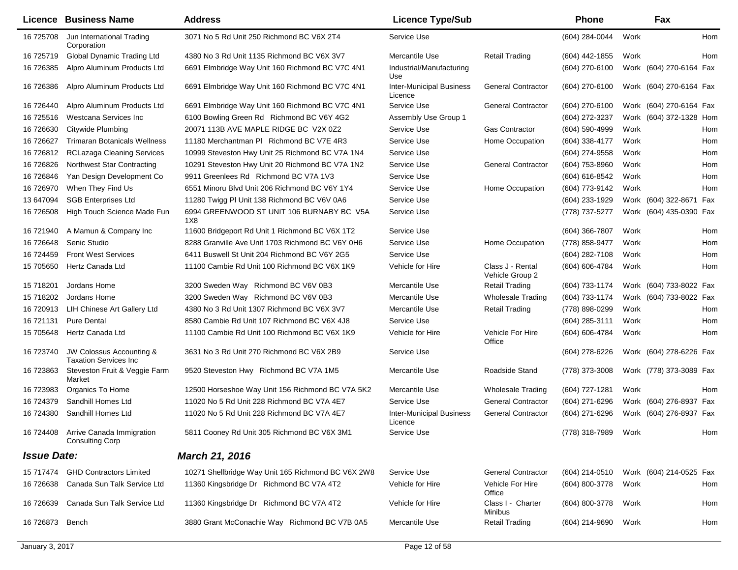|                    | <b>Licence Business Name</b>                                  | <b>Address</b>                                     | <b>Licence Type/Sub</b>                    |                                     | Phone               | Fax                     |     |
|--------------------|---------------------------------------------------------------|----------------------------------------------------|--------------------------------------------|-------------------------------------|---------------------|-------------------------|-----|
|                    | 16 725708 Jun International Trading<br>Corporation            | 3071 No 5 Rd Unit 250 Richmond BC V6X 2T4          | Service Use                                |                                     | (604) 284-0044      | Work                    | Hom |
| 16 725719          | Global Dynamic Trading Ltd                                    | 4380 No 3 Rd Unit 1135 Richmond BC V6X 3V7         | Mercantile Use                             | <b>Retail Trading</b>               | (604) 442-1855      | Work                    | Hom |
| 16 726385          | Alpro Aluminum Products Ltd                                   | 6691 Elmbridge Way Unit 160 Richmond BC V7C 4N1    | Industrial/Manufacturing<br>Use            |                                     | $(604)$ 270-6100    | Work (604) 270-6164 Fax |     |
| 16 726386          | Alpro Aluminum Products Ltd                                   | 6691 Elmbridge Way Unit 160 Richmond BC V7C 4N1    | <b>Inter-Municipal Business</b><br>Licence | <b>General Contractor</b>           | (604) 270-6100      | Work (604) 270-6164 Fax |     |
| 16 726440          | Alpro Aluminum Products Ltd                                   | 6691 Elmbridge Way Unit 160 Richmond BC V7C 4N1    | Service Use                                | <b>General Contractor</b>           | (604) 270-6100      | Work (604) 270-6164 Fax |     |
| 16 725516          | Westcana Services Inc                                         | 6100 Bowling Green Rd Richmond BC V6Y 4G2          | Assembly Use Group 1                       |                                     | (604) 272-3237      | Work (604) 372-1328 Hom |     |
| 16 726630          | <b>Citywide Plumbing</b>                                      | 20071 113B AVE MAPLE RIDGE BC V2X 0Z2              | Service Use                                | <b>Gas Contractor</b>               | (604) 590-4999      | Work                    | Hom |
| 16 72 6627         | <b>Trimaran Botanicals Wellness</b>                           | 11180 Merchantman PI Richmond BC V7E 4R3           | Service Use                                | Home Occupation                     | (604) 338-4177      | Work                    | Hom |
| 16 726812          | <b>RCLazaga Cleaning Services</b>                             | 10999 Steveston Hwy Unit 25 Richmond BC V7A 1N4    | Service Use                                |                                     | (604) 274-9558      | Work                    | Hom |
| 16 726826          | Northwest Star Contracting                                    | 10291 Steveston Hwy Unit 20 Richmond BC V7A 1N2    | Service Use                                | <b>General Contractor</b>           | (604) 753-8960      | Work                    | Hom |
| 16 726846          | Yan Design Development Co                                     | 9911 Greenlees Rd Richmond BC V7A 1V3              | Service Use                                |                                     | (604) 616-8542      | Work                    | Hom |
| 16 726970          | When They Find Us                                             | 6551 Minoru Blvd Unit 206 Richmond BC V6Y 1Y4      | Service Use                                | Home Occupation                     | (604) 773-9142      | Work                    | Hom |
| 13 647094          | <b>SGB Enterprises Ltd</b>                                    | 11280 Twigg PI Unit 138 Richmond BC V6V 0A6        | Service Use                                |                                     | (604) 233-1929      | Work (604) 322-8671 Fax |     |
| 16 726508          | High Touch Science Made Fun                                   | 6994 GREENWOOD ST UNIT 106 BURNABY BC V5A<br>1X8   | Service Use                                |                                     | (778) 737-5277      | Work (604) 435-0390 Fax |     |
| 16 721940          | A Mamun & Company Inc                                         | 11600 Bridgeport Rd Unit 1 Richmond BC V6X 1T2     | Service Use                                |                                     | (604) 366-7807      | Work                    | Hom |
| 16 726648          | Senic Studio                                                  | 8288 Granville Ave Unit 1703 Richmond BC V6Y 0H6   | Service Use                                | Home Occupation                     | (778) 858-9477      | Work                    | Hom |
| 16 724459          | <b>Front West Services</b>                                    | 6411 Buswell St Unit 204 Richmond BC V6Y 2G5       | Service Use                                |                                     | (604) 282-7108      | Work                    | Hom |
| 15 705650          | Hertz Canada Ltd                                              | 11100 Cambie Rd Unit 100 Richmond BC V6X 1K9       | Vehicle for Hire                           | Class J - Rental<br>Vehicle Group 2 | (604) 606-4784      | Work                    | Hom |
| 15 718201          | Jordans Home                                                  | 3200 Sweden Way Richmond BC V6V 0B3                | Mercantile Use                             | Retail Trading                      | (604) 733-1174      | Work (604) 733-8022 Fax |     |
| 15 718202          | Jordans Home                                                  | 3200 Sweden Way Richmond BC V6V 0B3                | Mercantile Use                             | <b>Wholesale Trading</b>            | (604) 733-1174      | Work (604) 733-8022 Fax |     |
| 16 720913          | LIH Chinese Art Gallery Ltd                                   | 4380 No 3 Rd Unit 1307 Richmond BC V6X 3V7         | Mercantile Use                             | <b>Retail Trading</b>               | (778) 898-0299      | Work                    | Hom |
| 16 721131          | <b>Pure Dental</b>                                            | 8580 Cambie Rd Unit 107 Richmond BC V6X 4J8        | Service Use                                |                                     | (604) 285-3111      | Work                    | Hom |
| 15 705648          | Hertz Canada Ltd                                              | 11100 Cambie Rd Unit 100 Richmond BC V6X 1K9       | Vehicle for Hire                           | Vehicle For Hire<br>Office          | (604) 606-4784      | Work                    | Hom |
| 16 723740          | JW Colossus Accounting &<br><b>Taxation Services Inc.</b>     | 3631 No 3 Rd Unit 270 Richmond BC V6X 2B9          | Service Use                                |                                     | (604) 278-6226      | Work (604) 278-6226 Fax |     |
| 16 723863          | Steveston Fruit & Veggie Farm<br>Market                       | 9520 Steveston Hwy Richmond BC V7A 1M5             | Mercantile Use                             | Roadside Stand                      | (778) 373-3008      | Work (778) 373-3089 Fax |     |
| 16 723983          | Organics To Home                                              | 12500 Horseshoe Way Unit 156 Richmond BC V7A 5K2   | Mercantile Use                             | <b>Wholesale Trading</b>            | (604) 727-1281      | Work                    | Hom |
| 16 724379          | Sandhill Homes Ltd                                            | 11020 No 5 Rd Unit 228 Richmond BC V7A 4E7         | Service Use                                | <b>General Contractor</b>           | (604) 271-6296      | Work (604) 276-8937 Fax |     |
| 16 724380          | Sandhill Homes Ltd                                            | 11020 No 5 Rd Unit 228 Richmond BC V7A 4E7         | <b>Inter-Municipal Business</b><br>Licence | <b>General Contractor</b>           | (604) 271-6296      | Work (604) 276-8937 Fax |     |
|                    | 16 724408 Arrive Canada Immigration<br><b>Consulting Corp</b> | 5811 Cooney Rd Unit 305 Richmond BC V6X 3M1        | Service Use                                |                                     | (778) 318-7989 Work |                         | Hom |
| <b>Issue Date:</b> |                                                               | March 21, 2016                                     |                                            |                                     |                     |                         |     |
|                    | 15 717474 GHD Contractors Limited                             | 10271 Shellbridge Way Unit 165 Richmond BC V6X 2W8 | Service Use                                | <b>General Contractor</b>           | (604) 214-0510      | Work (604) 214-0525 Fax |     |
| 16 726638          | Canada Sun Talk Service Ltd                                   | 11360 Kingsbridge Dr Richmond BC V7A 4T2           | Vehicle for Hire                           | Vehicle For Hire<br>Office          | (604) 800-3778      | Work                    | Hom |
| 16 726639          | Canada Sun Talk Service Ltd                                   | 11360 Kingsbridge Dr Richmond BC V7A 4T2           | Vehicle for Hire                           | Class I - Charter<br>Minibus        | (604) 800-3778      | Work                    | Hom |
| 16 726873          | Bench                                                         | 3880 Grant McConachie Way Richmond BC V7B 0A5      | Mercantile Use                             | <b>Retail Trading</b>               | (604) 214-9690 Work |                         | Hom |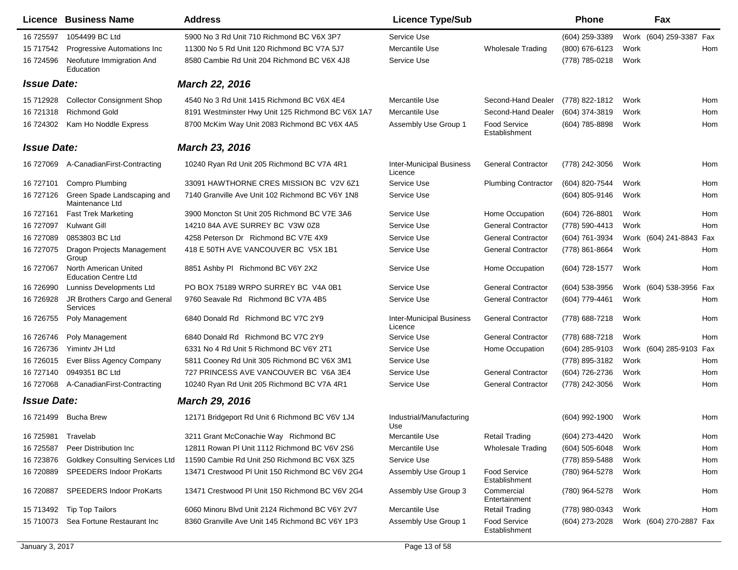|                    | Licence Business Name                                | <b>Address</b>                                    | <b>Licence Type/Sub</b>                    |                                      | <b>Phone</b>     |      | Fax                        |
|--------------------|------------------------------------------------------|---------------------------------------------------|--------------------------------------------|--------------------------------------|------------------|------|----------------------------|
| 16 725597          | 1054499 BC Ltd                                       | 5900 No 3 Rd Unit 710 Richmond BC V6X 3P7         | Service Use                                |                                      | (604) 259-3389   |      | Work (604) 259-3387 Fax    |
| 15 717542          | Progressive Automations Inc                          | 11300 No 5 Rd Unit 120 Richmond BC V7A 5J7        | Mercantile Use                             | <b>Wholesale Trading</b>             | (800) 676-6123   | Work | Hom                        |
| 16 724596          | Neofuture Immigration And<br>Education               | 8580 Cambie Rd Unit 204 Richmond BC V6X 4J8       | Service Use                                |                                      | (778) 785-0218   | Work |                            |
| <b>Issue Date:</b> |                                                      | <b>March 22, 2016</b>                             |                                            |                                      |                  |      |                            |
| 15 712928          | <b>Collector Consignment Shop</b>                    | 4540 No 3 Rd Unit 1415 Richmond BC V6X 4E4        | Mercantile Use                             | Second-Hand Dealer                   | (778) 822-1812   | Work | Hom                        |
| 16 721318          | <b>Richmond Gold</b>                                 | 8191 Westminster Hwy Unit 125 Richmond BC V6X 1A7 | Mercantile Use                             | Second-Hand Dealer                   | (604) 374-3819   | Work | Hom                        |
| 16 724302          | Kam Ho Noddle Express                                | 8700 McKim Way Unit 2083 Richmond BC V6X 4A5      | Assembly Use Group 1                       | Food Service<br>Establishment        | (604) 785-8898   | Work | Hom                        |
| <b>Issue Date:</b> |                                                      | <b>March 23, 2016</b>                             |                                            |                                      |                  |      |                            |
|                    | 16 727069 A-Canadian First-Contracting               | 10240 Ryan Rd Unit 205 Richmond BC V7A 4R1        | <b>Inter-Municipal Business</b><br>Licence | <b>General Contractor</b>            | (778) 242-3056   | Work | Hom                        |
| 16 727101          | <b>Compro Plumbing</b>                               | 33091 HAWTHORNE CRES MISSION BC V2V 6Z1           | Service Use                                | <b>Plumbing Contractor</b>           | (604) 820-7544   | Work | Hom                        |
| 16 727126          | Green Spade Landscaping and<br>Maintenance Ltd       | 7140 Granville Ave Unit 102 Richmond BC V6Y 1N8   | Service Use                                |                                      | (604) 805-9146   | Work | Hom                        |
| 16 727161          | <b>Fast Trek Marketing</b>                           | 3900 Moncton St Unit 205 Richmond BC V7E 3A6      | Service Use                                | Home Occupation                      | (604) 726-8801   | Work | Hom                        |
| 16 727097          | <b>Kulwant Gill</b>                                  | 14210 84A AVE SURREY BC V3W 0Z8                   | Service Use                                | <b>General Contractor</b>            | (778) 590-4413   | Work | Hom                        |
| 16 727089          | 0853803 BC Ltd                                       | 4258 Peterson Dr Richmond BC V7E 4X9              | Service Use                                | <b>General Contractor</b>            | (604) 761-3934   |      | Work (604) 241-8843<br>Fax |
| 16 727075          | Dragon Projects Management<br>Group                  | 418 E 50TH AVE VANCOUVER BC V5X 1B1               | Service Use                                | <b>General Contractor</b>            | (778) 861-8664   | Work | Hom                        |
| 16 727067          | North American United<br><b>Education Centre Ltd</b> | 8851 Ashby PI Richmond BC V6Y 2X2                 | Service Use                                | Home Occupation                      | (604) 728-1577   | Work | Hom                        |
| 16 726990          | Lunniss Developments Ltd                             | PO BOX 75189 WRPO SURREY BC V4A 0B1               | Service Use                                | <b>General Contractor</b>            | (604) 538-3956   |      | Work (604) 538-3956 Fax    |
| 16 726928          | JR Brothers Cargo and General<br>Services            | 9760 Seavale Rd Richmond BC V7A 4B5               | Service Use                                | <b>General Contractor</b>            | (604) 779-4461   | Work | Hom                        |
| 16 726755          | Poly Management                                      | 6840 Donald Rd Richmond BC V7C 2Y9                | <b>Inter-Municipal Business</b><br>Licence | <b>General Contractor</b>            | (778) 688-7218   | Work | Hom                        |
| 16 726746          | Poly Management                                      | 6840 Donald Rd Richmond BC V7C 2Y9                | Service Use                                | <b>General Contractor</b>            | (778) 688-7218   | Work | Hom                        |
| 16 726736          | Yiminty JH Ltd                                       | 6331 No 4 Rd Unit 5 Richmond BC V6Y 2T1           | Service Use                                | Home Occupation                      | (604) 285-9103   |      | Work (604) 285-9103<br>Fax |
| 16 726015          | Ever Bliss Agency Company                            | 5811 Cooney Rd Unit 305 Richmond BC V6X 3M1       | Service Use                                |                                      | (778) 895-3182   | Work | Hom                        |
| 16 727140          | 0949351 BC Ltd                                       | 727 PRINCESS AVE VANCOUVER BC V6A 3E4             | Service Use                                | <b>General Contractor</b>            | (604) 726-2736   | Work | Hom                        |
| 16 727068          | A-CanadianFirst-Contracting                          | 10240 Ryan Rd Unit 205 Richmond BC V7A 4R1        | Service Use                                | <b>General Contractor</b>            | (778) 242-3056   | Work | Hom                        |
| <b>Issue Date:</b> |                                                      | <b>March 29, 2016</b>                             |                                            |                                      |                  |      |                            |
| 16 721499          | Bucha Brew                                           | 12171 Bridgeport Rd Unit 6 Richmond BC V6V 1J4    | Industrial/Manufacturing<br>Use            |                                      | (604) 992-1900   | Work | Hom                        |
| 16 725981          | Travelab                                             | 3211 Grant McConachie Way Richmond BC             | Mercantile Use                             | <b>Retail Trading</b>                | (604) 273-4420   | Work | Hom                        |
| 16 725587          | Peer Distribution Inc                                | 12811 Rowan PI Unit 1112 Richmond BC V6V 2S6      | Mercantile Use                             | <b>Wholesale Trading</b>             | $(604)$ 505-6048 | Work | Hom                        |
| 16 723876          | <b>Goldkey Consulting Services Ltd</b>               | 11590 Cambie Rd Unit 250 Richmond BC V6X 3Z5      | Service Use                                |                                      | (778) 859-5488   | Work | Hom                        |
| 16 720889          | <b>SPEEDERS Indoor ProKarts</b>                      | 13471 Crestwood PI Unit 150 Richmond BC V6V 2G4   | Assembly Use Group 1                       | <b>Food Service</b><br>Establishment | (780) 964-5278   | Work | Hom                        |
| 16 720887          | <b>SPEEDERS Indoor ProKarts</b>                      | 13471 Crestwood PI Unit 150 Richmond BC V6V 2G4   | Assembly Use Group 3                       | Commercial<br>Entertainment          | (780) 964-5278   | Work | Hom                        |
| 15 713492          | Tip Top Tailors                                      | 6060 Minoru Blvd Unit 2124 Richmond BC V6Y 2V7    | Mercantile Use                             | <b>Retail Trading</b>                | (778) 980-0343   | Work | Hom                        |
| 15 710073          | Sea Fortune Restaurant Inc                           | 8360 Granville Ave Unit 145 Richmond BC V6Y 1P3   | Assembly Use Group 1                       | <b>Food Service</b><br>Establishment | (604) 273-2028   |      | Work (604) 270-2887 Fax    |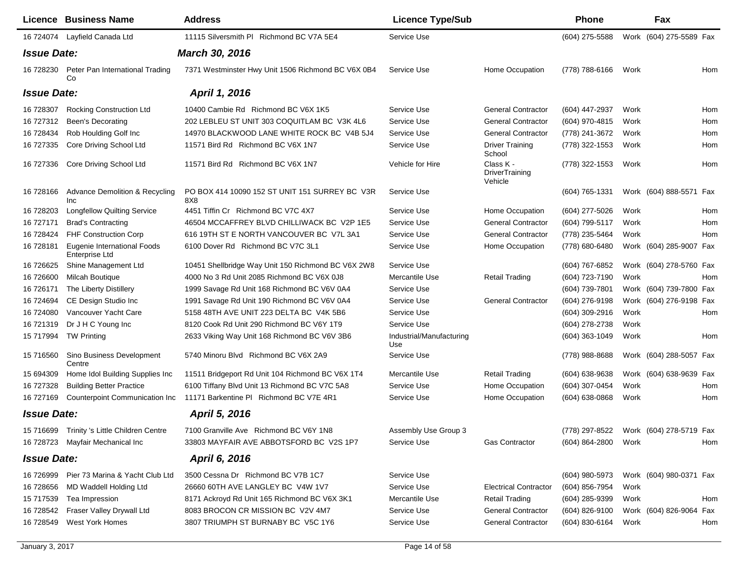|                    | Licence Business Name                         | <b>Address</b>                                                    | <b>Licence Type/Sub</b>         |                                        | <b>Phone</b>                           |      | Fax                     |     |
|--------------------|-----------------------------------------------|-------------------------------------------------------------------|---------------------------------|----------------------------------------|----------------------------------------|------|-------------------------|-----|
|                    | 16 724074 Layfield Canada Ltd                 | 11115 Silversmith PI Richmond BC V7A 5E4                          | Service Use                     |                                        | (604) 275-5588                         |      | Work (604) 275-5589 Fax |     |
| <b>Issue Date:</b> |                                               | <b>March 30, 2016</b>                                             |                                 |                                        |                                        |      |                         |     |
| 16 728230          | Peter Pan International Trading<br>Co         | 7371 Westminster Hwy Unit 1506 Richmond BC V6X 0B4                | Service Use                     | Home Occupation                        | (778) 788-6166                         | Work |                         | Hom |
| <b>Issue Date:</b> |                                               | April 1, 2016                                                     |                                 |                                        |                                        |      |                         |     |
| 16 728307          | <b>Rocking Construction Ltd</b>               | 10400 Cambie Rd Richmond BC V6X 1K5                               | Service Use                     | <b>General Contractor</b>              | (604) 447-2937                         | Work |                         | Hom |
| 16 727312          | <b>Been's Decorating</b>                      | 202 LEBLEU ST UNIT 303 COQUITLAM BC V3K 4L6                       | Service Use                     | <b>General Contractor</b>              | (604) 970-4815                         | Work |                         | Hom |
| 16 728434          | Rob Houlding Golf Inc                         | 14970 BLACKWOOD LANE WHITE ROCK BC V4B 5J4                        | Service Use                     | <b>General Contractor</b>              | (778) 241-3672                         | Work |                         | Hom |
| 16 727335          | Core Driving School Ltd                       | 11571 Bird Rd Richmond BC V6X 1N7                                 | Service Use                     | <b>Driver Training</b><br>School       | (778) 322-1553                         | Work |                         | Hom |
| 16 727336          | Core Driving School Ltd                       | 11571 Bird Rd Richmond BC V6X 1N7                                 | Vehicle for Hire                | Class K -<br>DriverTraining<br>Vehicle | (778) 322-1553                         | Work |                         | Hom |
| 16 728166          | Advance Demolition & Recycling<br>Inc         | PO BOX 414 10090 152 ST UNIT 151 SURREY BC V3R<br>8X <sub>8</sub> | Service Use                     |                                        | (604) 765-1331                         |      | Work (604) 888-5571 Fax |     |
| 16 728203          | <b>Longfellow Quilting Service</b>            | 4451 Tiffin Cr Richmond BC V7C 4X7                                | Service Use                     | Home Occupation                        | (604) 277-5026                         | Work |                         | Hom |
| 16 727171          | <b>Brad's Contracting</b>                     | 46504 MCCAFFREY BLVD CHILLIWACK BC V2P 1E5                        | Service Use                     | <b>General Contractor</b>              | (604) 799-5117                         | Work |                         | Hom |
| 16 728424          | <b>FHF Construction Corp</b>                  | 616 19TH ST E NORTH VANCOUVER BC V7L 3A1                          | Service Use                     | <b>General Contractor</b>              | (778) 235-5464                         | Work |                         | Hom |
| 16 728181          | Eugenie International Foods<br>Enterprise Ltd | 6100 Dover Rd Richmond BC V7C 3L1                                 | Service Use                     | Home Occupation                        | (778) 680-6480                         |      | Work (604) 285-9007 Fax |     |
| 16 726625          | Shine Management Ltd                          | 10451 Shellbridge Way Unit 150 Richmond BC V6X 2W8                | Service Use                     |                                        | (604) 767-6852                         |      | Work (604) 278-5760 Fax |     |
| 16 726600          | Milcah Boutique                               | 4000 No 3 Rd Unit 2085 Richmond BC V6X 0J8                        | Mercantile Use                  | <b>Retail Trading</b>                  | (604) 723-7190                         | Work |                         | Hom |
| 16 726171          | The Liberty Distillery                        | 1999 Savage Rd Unit 168 Richmond BC V6V 0A4                       | Service Use                     |                                        | (604) 739-7801                         |      | Work (604) 739-7800 Fax |     |
| 16 724694          | CE Design Studio Inc                          | 1991 Savage Rd Unit 190 Richmond BC V6V 0A4                       | Service Use                     | <b>General Contractor</b>              | (604) 276-9198                         |      | Work (604) 276-9198 Fax |     |
| 16 724080          | Vancouver Yacht Care                          | 5158 48TH AVE UNIT 223 DELTA BC V4K 5B6                           | Service Use                     |                                        | (604) 309-2916                         | Work |                         | Hom |
| 16 721319          | Dr J H C Young Inc                            | 8120 Cook Rd Unit 290 Richmond BC V6Y 1T9                         | Service Use                     |                                        | (604) 278-2738                         | Work |                         |     |
| 15 717994          | <b>TW Printing</b>                            | 2633 Viking Way Unit 168 Richmond BC V6V 3B6                      | Industrial/Manufacturing<br>Use |                                        | $(604)$ 363-1049                       | Work |                         | Hom |
| 15 716560          | Sino Business Development<br>Centre           | 5740 Minoru Blvd Richmond BC V6X 2A9                              | Service Use                     |                                        | (778) 988-8688                         |      | Work (604) 288-5057 Fax |     |
| 15 694309          | Home Idol Building Supplies Inc               | 11511 Bridgeport Rd Unit 104 Richmond BC V6X 1T4                  | Mercantile Use                  | <b>Retail Trading</b>                  | $(604)$ 638-9638                       |      | Work (604) 638-9639 Fax |     |
| 16 727328          | <b>Building Better Practice</b>               | 6100 Tiffany Blvd Unit 13 Richmond BC V7C 5A8                     | Service Use                     | Home Occupation                        | (604) 307-0454                         | Work |                         | Hom |
| 16 727169          | Counterpoint Communication Inc                | 11171 Barkentine PI Richmond BC V7E 4R1                           | Service Use                     | Home Occupation                        | $(604)$ 638-0868                       | Work |                         | Hom |
| <b>Issue Date:</b> |                                               | April 5, 2016                                                     |                                 |                                        |                                        |      |                         |     |
|                    | 15 716699 Trinity 's Little Children Centre   | 7100 Granville Ave Richmond BC V6Y 1N8                            | Assembly Use Group 3            |                                        | (778) 297-8522 Work (604) 278-5719 Fax |      |                         |     |
|                    | 16 728723 Mayfair Mechanical Inc              | 33803 MAYFAIR AVE ABBOTSFORD BC V2S 1P7                           | Service Use                     | Gas Contractor                         | (604) 864-2800                         | Work |                         | Hom |
| <b>Issue Date:</b> |                                               | April 6, 2016                                                     |                                 |                                        |                                        |      |                         |     |
| 16 726999          | Pier 73 Marina & Yacht Club Ltd               | 3500 Cessna Dr Richmond BC V7B 1C7                                | Service Use                     |                                        | (604) 980-5973                         |      | Work (604) 980-0371 Fax |     |
| 16 728656          | MD Waddell Holding Ltd                        | 26660 60TH AVE LANGLEY BC V4W 1V7                                 | Service Use                     | <b>Electrical Contractor</b>           | (604) 856-7954                         | Work |                         |     |
| 15 717539          | Tea Impression                                | 8171 Ackroyd Rd Unit 165 Richmond BC V6X 3K1                      | Mercantile Use                  | <b>Retail Trading</b>                  | (604) 285-9399                         | Work |                         | Hom |
| 16 728542          | Fraser Valley Drywall Ltd                     | 8083 BROCON CR MISSION BC V2V 4M7                                 | Service Use                     | <b>General Contractor</b>              | (604) 826-9100                         |      | Work (604) 826-9064 Fax |     |
| 16 728549          | <b>West York Homes</b>                        | 3807 TRIUMPH ST BURNABY BC V5C 1Y6                                | Service Use                     | <b>General Contractor</b>              | (604) 830-6164                         | Work |                         | Hom |
|                    |                                               |                                                                   |                                 |                                        |                                        |      |                         |     |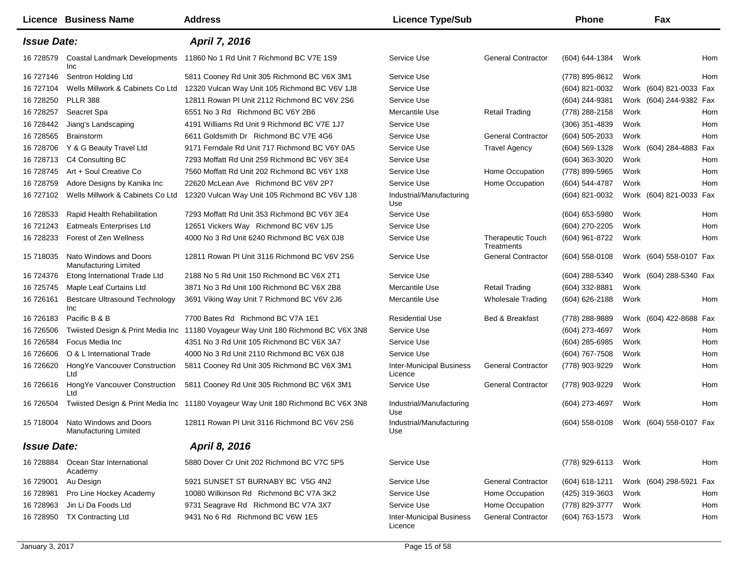|                    | Licence Business Name                                  | <b>Address</b>                                                                    | <b>Licence Type/Sub</b>                    |                                        | <b>Phone</b>     |      | Fax                     |     |
|--------------------|--------------------------------------------------------|-----------------------------------------------------------------------------------|--------------------------------------------|----------------------------------------|------------------|------|-------------------------|-----|
| <b>Issue Date:</b> |                                                        | April 7, 2016                                                                     |                                            |                                        |                  |      |                         |     |
| 16 728579          | Coastal Landmark Developments<br>Inc                   | 11860 No 1 Rd Unit 7 Richmond BC V7E 1S9                                          | Service Use                                | <b>General Contractor</b>              | (604) 644-1384   | Work |                         | Hom |
| 16 727146          | Sentron Holding Ltd                                    | 5811 Cooney Rd Unit 305 Richmond BC V6X 3M1                                       | Service Use                                |                                        | (778) 895-8612   | Work |                         | Hom |
| 16 727104          | Wells Millwork & Cabinets Co Ltd                       | 12320 Vulcan Way Unit 105 Richmond BC V6V 1J8                                     | Service Use                                |                                        | (604) 821-0032   |      | Work (604) 821-0033 Fax |     |
| 16 728250          | <b>PLLR 388</b>                                        | 12811 Rowan PI Unit 2112 Richmond BC V6V 2S6                                      | Service Use                                |                                        | $(604)$ 244-9381 |      | Work (604) 244-9382 Fax |     |
| 16 728257          | Seacret Spa                                            | 6551 No 3 Rd Richmond BC V6Y 2B6                                                  | Mercantile Use                             | <b>Retail Trading</b>                  | (778) 288-2158   | Work |                         | Hom |
| 16 728442          | Jiang's Landscaping                                    | 4191 Williams Rd Unit 9 Richmond BC V7E 1J7                                       | Service Use                                |                                        | $(306)$ 351-4839 | Work |                         | Hom |
| 16 728565          | Brainstorm                                             | 6611 Goldsmith Dr Richmond BC V7E 4G6                                             | Service Use                                | <b>General Contractor</b>              | (604) 505-2033   | Work |                         | Hom |
| 16 728706          | Y & G Beauty Travel Ltd                                | 9171 Ferndale Rd Unit 717 Richmond BC V6Y 0A5                                     | Service Use                                | <b>Travel Agency</b>                   | $(604)$ 569-1328 |      | Work (604) 284-4883 Fax |     |
| 16 728713          | C4 Consulting BC                                       | 7293 Moffatt Rd Unit 259 Richmond BC V6Y 3E4                                      | Service Use                                |                                        | (604) 363-3020   | Work |                         | Hom |
| 16 728745          | Art + Soul Creative Co                                 | 7560 Moffatt Rd Unit 202 Richmond BC V6Y 1X8                                      | Service Use                                | Home Occupation                        | (778) 899-5965   | Work |                         | Hom |
| 16 728759          | Adore Designs by Kanika Inc                            | 22620 McLean Ave Richmond BC V6V 2P7                                              | Service Use                                | Home Occupation                        | (604) 544-4787   | Work |                         | Hom |
| 16 727102          | Wells Millwork & Cabinets Co Ltd                       | 12320 Vulcan Way Unit 105 Richmond BC V6V 1J8                                     | Industrial/Manufacturing<br>Use            |                                        | (604) 821-0032   |      | Work (604) 821-0033 Fax |     |
| 16 728533          | Rapid Health Rehabilitation                            | 7293 Moffatt Rd Unit 353 Richmond BC V6Y 3E4                                      | Service Use                                |                                        | (604) 653-5980   | Work |                         | Hom |
| 16 721243          | Eatmeals Enterprises Ltd                               | 12651 Vickers Way Richmond BC V6V 1J5                                             | Service Use                                |                                        | (604) 270-2205   | Work |                         | Hom |
| 16 728233          | Forest of Zen Wellness                                 | 4000 No 3 Rd Unit 6240 Richmond BC V6X 0J8                                        | Service Use                                | <b>Therapeutic Touch</b><br>Treatments | (604) 961-8722   | Work |                         | Hom |
| 15 718035          | Nato Windows and Doors<br><b>Manufacturing Limited</b> | 12811 Rowan PI Unit 3116 Richmond BC V6V 2S6                                      | Service Use                                | <b>General Contractor</b>              | $(604)$ 558-0108 |      | Work (604) 558-0107 Fax |     |
| 16 724376          | Etong International Trade Ltd                          | 2188 No 5 Rd Unit 150 Richmond BC V6X 2T1                                         | Service Use                                |                                        | (604) 288-5340   |      | Work (604) 288-5340 Fax |     |
| 16 725745          | Maple Leaf Curtains Ltd                                | 3871 No 3 Rd Unit 100 Richmond BC V6X 2B8                                         | Mercantile Use                             | <b>Retail Trading</b>                  | $(604)$ 332-8881 | Work |                         |     |
| 16 726161          | <b>Bestcare Ultrasound Technology</b><br>Inc           | 3691 Viking Way Unit 7 Richmond BC V6V 2J6                                        | Mercantile Use                             | <b>Wholesale Trading</b>               | (604) 626-2188   | Work |                         | Hom |
| 16 726183          | Pacific B & B                                          | 7700 Bates Rd Richmond BC V7A 1E1                                                 | <b>Residential Use</b>                     | Bed & Breakfast                        | (778) 288-9889   |      | Work (604) 422-8688 Fax |     |
| 16 726506          | Twiisted Design & Print Media Inc                      | 11180 Voyageur Way Unit 180 Richmond BC V6X 3N8                                   | Service Use                                |                                        | (604) 273-4697   | Work |                         | Hom |
| 16 726584          | Focus Media Inc                                        | 4351 No 3 Rd Unit 105 Richmond BC V6X 3A7                                         | Service Use                                |                                        | (604) 285-6985   | Work |                         | Hom |
| 16 726606          | O & L International Trade                              | 4000 No 3 Rd Unit 2110 Richmond BC V6X 0J8                                        | Service Use                                |                                        | (604) 767-7508   | Work |                         | Hom |
| 16 726620          | HongYe Vancouver Construction<br>Ltd                   | 5811 Cooney Rd Unit 305 Richmond BC V6X 3M1                                       | <b>Inter-Municipal Business</b><br>Licence | <b>General Contractor</b>              | (778) 903-9229   | Work |                         | Hom |
| 16 726616          | HongYe Vancouver Construction<br>Ltd                   | 5811 Cooney Rd Unit 305 Richmond BC V6X 3M1                                       | Service Use                                | <b>General Contractor</b>              | (778) 903-9229   | Work |                         | Hom |
| 16 726504          |                                                        | Twiisted Design & Print Media Inc 11180 Voyageur Way Unit 180 Richmond BC V6X 3N8 | Industrial/Manufacturing<br>Use            |                                        | (604) 273-4697   | Work |                         | Hom |
| 15 718004          | Nato Windows and Doors<br>Manufacturing Limited        | 12811 Rowan PI Unit 3116 Richmond BC V6V 2S6                                      | Industrial/Manufacturing<br>Use            |                                        | (604) 558-0108   |      | Work (604) 558-0107 Fax |     |
| <b>Issue Date:</b> |                                                        | April 8, 2016                                                                     |                                            |                                        |                  |      |                         |     |
| 16 728884          | Ocean Star International<br>Academy                    | 5880 Dover Cr Unit 202 Richmond BC V7C 5P5                                        | Service Use                                |                                        | (778) 929-6113   | Work |                         | Hom |
| 16 729001          | Au Design                                              | 5921 SUNSET ST BURNABY BC V5G 4N2                                                 | Service Use                                | <b>General Contractor</b>              | (604) 618-1211   |      | Work (604) 298-5921 Fax |     |
| 16 728981          | Pro Line Hockey Academy                                | 10080 Wilkinson Rd Richmond BC V7A 3K2                                            | Service Use                                | Home Occupation                        | (425) 319-3603   | Work |                         | Hom |
| 16 728963          | Jin Li Da Foods Ltd                                    | 9731 Seagrave Rd Richmond BC V7A 3X7                                              | Service Use                                | Home Occupation                        | (778) 829-3777   | Work |                         | Hom |
| 16 728950          | <b>TX Contracting Ltd</b>                              | 9431 No 6 Rd Richmond BC V6W 1E5                                                  | <b>Inter-Municipal Business</b><br>Licence | <b>General Contractor</b>              | (604) 763-1573   | Work |                         | Hom |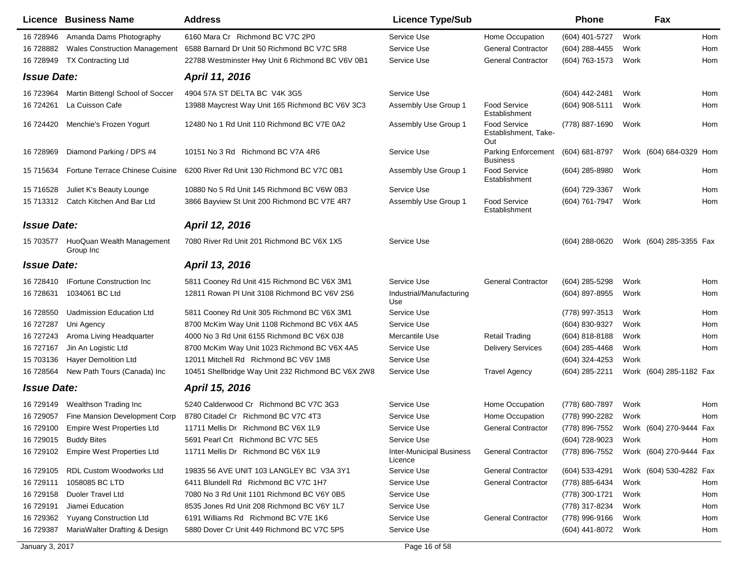|                    | Licence Business Name                  | <b>Address</b>                                     | <b>Licence Type/Sub</b>                    |                                                    | <b>Phone</b>     |      | Fax                     |     |
|--------------------|----------------------------------------|----------------------------------------------------|--------------------------------------------|----------------------------------------------------|------------------|------|-------------------------|-----|
| 16 728946          | Amanda Dams Photography                | 6160 Mara Cr Richmond BC V7C 2P0                   | Service Use                                | Home Occupation                                    | (604) 401-5727   | Work |                         | Hom |
| 16 728882          | <b>Wales Construction Management</b>   | 6588 Barnard Dr Unit 50 Richmond BC V7C 5R8        | Service Use                                | <b>General Contractor</b>                          | (604) 288-4455   | Work |                         | Hom |
| 16 728949          | <b>TX Contracting Ltd</b>              | 22788 Westminster Hwy Unit 6 Richmond BC V6V 0B1   | Service Use                                | <b>General Contractor</b>                          | (604) 763-1573   | Work |                         | Hom |
| <b>Issue Date:</b> |                                        | April 11, 2016                                     |                                            |                                                    |                  |      |                         |     |
| 16 723964          | Martin Bittengl School of Soccer       | 4904 57A ST DELTA BC V4K 3G5                       | Service Use                                |                                                    | (604) 442-2481   | Work |                         | Hom |
| 16 724261          | La Cuisson Cafe                        | 13988 Maycrest Way Unit 165 Richmond BC V6V 3C3    | Assembly Use Group 1                       | <b>Food Service</b><br>Establishment               | (604) 908-5111   | Work |                         | Hom |
| 16 724420          | Menchie's Frozen Yogurt                | 12480 No 1 Rd Unit 110 Richmond BC V7E 0A2         | Assembly Use Group 1                       | <b>Food Service</b><br>Establishment, Take-<br>Out | (778) 887-1690   | Work |                         | Hom |
| 16 728969          | Diamond Parking / DPS #4               | 10151 No 3 Rd Richmond BC V7A 4R6                  | Service Use                                | <b>Parking Enforcement</b><br><b>Business</b>      | (604) 681-8797   |      | Work (604) 684-0329 Hom |     |
| 15 715634          | Fortune Terrace Chinese Cuisine        | 6200 River Rd Unit 130 Richmond BC V7C 0B1         | Assembly Use Group 1                       | <b>Food Service</b><br>Establishment               | (604) 285-8980   | Work |                         | Hom |
| 15 71 6528         | Juliet K's Beauty Lounge               | 10880 No 5 Rd Unit 145 Richmond BC V6W 0B3         | Service Use                                |                                                    | (604) 729-3367   | Work |                         | Hom |
| 15 713312          | Catch Kitchen And Bar Ltd              | 3866 Bayview St Unit 200 Richmond BC V7E 4R7       | Assembly Use Group 1                       | <b>Food Service</b><br>Establishment               | (604) 761-7947   | Work |                         | Hom |
| <b>Issue Date:</b> |                                        | April 12, 2016                                     |                                            |                                                    |                  |      |                         |     |
| 15 703577          | HuoQuan Wealth Management<br>Group Inc | 7080 River Rd Unit 201 Richmond BC V6X 1X5         | Service Use                                |                                                    | $(604)$ 288-0620 |      | Work (604) 285-3355 Fax |     |
| <b>Issue Date:</b> |                                        | April 13, 2016                                     |                                            |                                                    |                  |      |                         |     |
| 16 728410          | <b>IFortune Construction Inc.</b>      | 5811 Cooney Rd Unit 415 Richmond BC V6X 3M1        | Service Use                                | <b>General Contractor</b>                          | (604) 285-5298   | Work |                         | Hom |
| 16 728631          | 1034061 BC Ltd                         | 12811 Rowan PI Unit 3108 Richmond BC V6V 2S6       | Industrial/Manufacturing<br>Use            |                                                    | (604) 897-8955   | Work |                         | Hom |
| 16 728550          | <b>Uadmission Education Ltd</b>        | 5811 Cooney Rd Unit 305 Richmond BC V6X 3M1        | Service Use                                |                                                    | (778) 997-3513   | Work |                         | Hom |
| 16 727287          | Uni Agency                             | 8700 McKim Way Unit 1108 Richmond BC V6X 4A5       | Service Use                                |                                                    | (604) 830-9327   | Work |                         | Hom |
| 16 727243          | Aroma Living Headquarter               | 4000 No 3 Rd Unit 6155 Richmond BC V6X 0J8         | Mercantile Use                             | <b>Retail Trading</b>                              | (604) 818-8188   | Work |                         | Hom |
| 16 727167          | Jin An Logistic Ltd                    | 8700 McKim Way Unit 1023 Richmond BC V6X 4A5       | Service Use                                | <b>Delivery Services</b>                           | $(604)$ 285-4468 | Work |                         | Hom |
| 15 703136          | <b>Hayer Demolition Ltd</b>            | 12011 Mitchell Rd Richmond BC V6V 1M8              | Service Use                                |                                                    | (604) 324-4253   | Work |                         |     |
| 16 728564          | New Path Tours (Canada) Inc            | 10451 Shellbridge Way Unit 232 Richmond BC V6X 2W8 | Service Use                                | <b>Travel Agency</b>                               | (604) 285-2211   |      | Work (604) 285-1182 Fax |     |
| <b>Issue Date:</b> |                                        | April 15, 2016                                     |                                            |                                                    |                  |      |                         |     |
| 16 729149          | Wealthson Trading Inc                  | 5240 Calderwood Cr Richmond BC V7C 3G3             | Service Use                                | Home Occupation                                    | (778) 680-7897   | Work |                         | Hom |
| 16 729057          | Fine Mansion Development Corp          | 8780 Citadel Cr Richmond BC V7C 4T3                | Service Use                                | Home Occupation                                    | (778) 990-2282   | Work |                         | Hom |
| 16 729100          | Empire West Properties Ltd             | 11711 Mellis Dr Richmond BC V6X 1L9                | Service Use                                | <b>General Contractor</b>                          | (778) 896-7552   |      | Work (604) 270-9444 Fax |     |
| 16 729015          | <b>Buddy Bites</b>                     | 5691 Pearl Crt Richmond BC V7C 5E5                 | Service Use                                |                                                    | (604) 728-9023   | Work |                         | Hom |
| 16 729102          | <b>Empire West Properties Ltd</b>      | 11711 Mellis Dr Richmond BC V6X 1L9                | <b>Inter-Municipal Business</b><br>Licence | <b>General Contractor</b>                          | (778) 896-7552   |      | Work (604) 270-9444 Fax |     |
| 16 729105          | RDL Custom Woodworks Ltd               | 19835 56 AVE UNIT 103 LANGLEY BC V3A 3Y1           | Service Use                                | <b>General Contractor</b>                          | (604) 533-4291   |      | Work (604) 530-4282 Fax |     |
| 16 729111          | 1058085 BC LTD                         | 6411 Blundell Rd Richmond BC V7C 1H7               | Service Use                                | <b>General Contractor</b>                          | (778) 885-6434   | Work |                         | Hom |
| 16 729158          | <b>Duoler Travel Ltd</b>               | 7080 No 3 Rd Unit 1101 Richmond BC V6Y 0B5         | Service Use                                |                                                    | (778) 300-1721   | Work |                         | Hom |
| 16 729191          | Jiamei Education                       | 8535 Jones Rd Unit 208 Richmond BC V6Y 1L7         | Service Use                                |                                                    | (778) 317-8234   | Work |                         | Hom |
| 16 729362          | <b>Yuyang Construction Ltd</b>         | 6191 Williams Rd Richmond BC V7E 1K6               | Service Use                                | <b>General Contractor</b>                          | (778) 996-9166   | Work |                         | Hom |
| 16 729387          | MariaWalter Drafting & Design          | 5880 Dover Cr Unit 449 Richmond BC V7C 5P5         | Service Use                                |                                                    | (604) 441-8072   | Work |                         | Hom |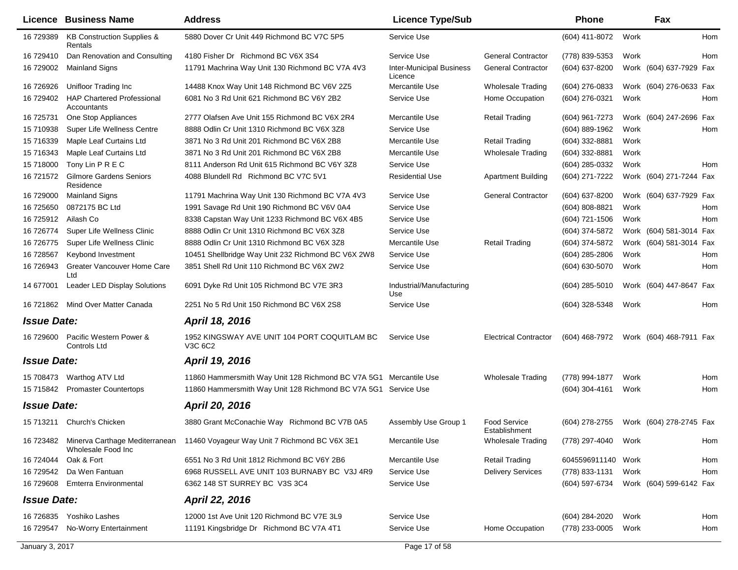|                    | <b>Licence Business Name</b>                     | <b>Address</b>                                                                         | <b>Licence Type/Sub</b>                    |                                      | <b>Phone</b>       |      | Fax                     |     |
|--------------------|--------------------------------------------------|----------------------------------------------------------------------------------------|--------------------------------------------|--------------------------------------|--------------------|------|-------------------------|-----|
| 16 729389          | KB Construction Supplies &<br>Rentals            | 5880 Dover Cr Unit 449 Richmond BC V7C 5P5                                             | Service Use                                |                                      | (604) 411-8072     | Work |                         | Hom |
| 16 729410          | Dan Renovation and Consulting                    | 4180 Fisher Dr Richmond BC V6X 3S4                                                     | Service Use                                | <b>General Contractor</b>            | (778) 839-5353     | Work |                         | Hom |
| 16 729002          | <b>Mainland Signs</b>                            | 11791 Machrina Way Unit 130 Richmond BC V7A 4V3                                        | <b>Inter-Municipal Business</b><br>Licence | <b>General Contractor</b>            | (604) 637-8200     |      | Work (604) 637-7929 Fax |     |
| 16 726926          | Unifloor Trading Inc                             | 14488 Knox Way Unit 148 Richmond BC V6V 2Z5                                            | Mercantile Use                             | <b>Wholesale Trading</b>             | $(604)$ 276-0833   |      | Work (604) 276-0633 Fax |     |
| 16 729402          | <b>HAP Chartered Professional</b><br>Accountants | 6081 No 3 Rd Unit 621 Richmond BC V6Y 2B2                                              | Service Use                                | Home Occupation                      | (604) 276-0321     | Work |                         | Hom |
| 16 725731          | One Stop Appliances                              | 2777 Olafsen Ave Unit 155 Richmond BC V6X 2R4                                          | Mercantile Use                             | <b>Retail Trading</b>                | (604) 961-7273     |      | Work (604) 247-2696 Fax |     |
| 15 710938          | Super Life Wellness Centre                       | 8888 Odlin Cr Unit 1310 Richmond BC V6X 3Z8                                            | Service Use                                |                                      | (604) 889-1962     | Work |                         | Hom |
| 15 716339          | Maple Leaf Curtains Ltd                          | 3871 No 3 Rd Unit 201 Richmond BC V6X 2B8                                              | Mercantile Use                             | <b>Retail Trading</b>                | (604) 332-8881     | Work |                         |     |
| 15 716343          | Maple Leaf Curtains Ltd                          | 3871 No 3 Rd Unit 201 Richmond BC V6X 2B8                                              | Mercantile Use                             | <b>Wholesale Trading</b>             | $(604)$ 332-8881   | Work |                         |     |
| 15 718000          | Tony Lin P R E C                                 | 8111 Anderson Rd Unit 615 Richmond BC V6Y 3Z8                                          | Service Use                                |                                      | (604) 285-0332     | Work |                         | Hom |
| 16 721572          | <b>Gilmore Gardens Seniors</b><br>Residence      | 4088 Blundell Rd Richmond BC V7C 5V1                                                   | <b>Residential Use</b>                     | <b>Apartment Building</b>            | (604) 271-7222     |      | Work (604) 271-7244 Fax |     |
| 16 729000          | <b>Mainland Signs</b>                            | 11791 Machrina Way Unit 130 Richmond BC V7A 4V3                                        | Service Use                                | <b>General Contractor</b>            | (604) 637-8200     |      | Work (604) 637-7929 Fax |     |
| 16 725650          | 0872175 BC Ltd                                   | 1991 Savage Rd Unit 190 Richmond BC V6V 0A4                                            | Service Use                                |                                      | (604) 808-8821     | Work |                         | Hom |
| 16 725912          | Ailash Co                                        | 8338 Capstan Way Unit 1233 Richmond BC V6X 4B5                                         | Service Use                                |                                      | (604) 721-1506     | Work |                         | Hom |
| 16 726774          | Super Life Wellness Clinic                       | 8888 Odlin Cr Unit 1310 Richmond BC V6X 3Z8                                            | Service Use                                |                                      | (604) 374-5872     |      | Work (604) 581-3014 Fax |     |
| 16 726775          | Super Life Wellness Clinic                       | 8888 Odlin Cr Unit 1310 Richmond BC V6X 3Z8                                            | Mercantile Use                             | <b>Retail Trading</b>                | (604) 374-5872     |      | Work (604) 581-3014 Fax |     |
| 16 728567          | Keybond Investment                               | 10451 Shellbridge Way Unit 232 Richmond BC V6X 2W8                                     | Service Use                                |                                      | (604) 285-2806     | Work |                         | Hom |
| 16 726943          | Greater Vancouver Home Care                      | 3851 Shell Rd Unit 110 Richmond BC V6X 2W2                                             | Service Use                                |                                      | (604) 630-5070     | Work |                         | Hom |
| 14 677001          | Ltd<br>Leader LED Display Solutions              | 6091 Dyke Rd Unit 105 Richmond BC V7E 3R3                                              | Industrial/Manufacturing<br>Use            |                                      | $(604)$ 285-5010   |      | Work (604) 447-8647 Fax |     |
| 16 721862          | Mind Over Matter Canada                          | 2251 No 5 Rd Unit 150 Richmond BC V6X 2S8                                              | Service Use                                |                                      | (604) 328-5348     | Work |                         | Hom |
| <b>Issue Date:</b> |                                                  | April 18, 2016                                                                         |                                            |                                      |                    |      |                         |     |
| 16 729600          | Pacific Western Power &<br>Controls Ltd          | 1952 KINGSWAY AVE UNIT 104 PORT COQUITLAM BC<br>V3C 6C2                                | Service Use                                | <b>Electrical Contractor</b>         | (604) 468-7972     |      | Work (604) 468-7911 Fax |     |
| <b>Issue Date:</b> |                                                  | April 19, 2016                                                                         |                                            |                                      |                    |      |                         |     |
| 15 708473          | Warthog ATV Ltd                                  | 11860 Hammersmith Way Unit 128 Richmond BC V7A 5G1 Mercantile Use                      |                                            | <b>Wholesale Trading</b>             | (778) 994-1877     | Work |                         | Hom |
|                    | 15 715842 Promaster Countertops                  | 11860 Hammersmith Way Unit 128 Richmond BC V7A 5G1 Service Use                         |                                            |                                      | $(604)$ 304-4161   | Work |                         | Hom |
| <b>Issue Date:</b> |                                                  | April 20, 2016                                                                         |                                            |                                      |                    |      |                         |     |
|                    | 15 713211 Church's Chicken                       | 3880 Grant McConachie Way Richmond BC V7B 0A5                                          | Assembly Use Group 1                       | <b>Food Service</b><br>Establishment | (604) 278-2755     |      | Work (604) 278-2745 Fax |     |
|                    | Wholesale Food Inc                               | 16 723482 Minerva Carthage Mediterranean 11460 Voyageur Way Unit 7 Richmond BC V6X 3E1 | Mercantile Use                             | <b>Wholesale Trading</b>             | (778) 297-4040     | Work |                         | Hom |
| 16 724044          | Oak & Fort                                       | 6551 No 3 Rd Unit 1812 Richmond BC V6Y 2B6                                             | Mercantile Use                             | <b>Retail Trading</b>                | 6045596911140 Work |      |                         | Hom |
|                    | 16 729542 Da Wen Fantuan                         | 6968 RUSSELL AVE UNIT 103 BURNABY BC V3J 4R9                                           | Service Use                                | <b>Delivery Services</b>             | (778) 833-1131     | Work |                         | Hom |
| 16 729608          | <b>Emterra Environmental</b>                     | 6362 148 ST SURREY BC V3S 3C4                                                          | Service Use                                |                                      | (604) 597-6734     |      | Work (604) 599-6142 Fax |     |
| <b>Issue Date:</b> |                                                  | April 22, 2016                                                                         |                                            |                                      |                    |      |                         |     |
|                    | 16 726835 Yoshiko Lashes                         | 12000 1st Ave Unit 120 Richmond BC V7E 3L9                                             | Service Use                                |                                      | (604) 284-2020     | Work |                         | Hom |
|                    | 16 729547 No-Worry Entertainment                 | 11191 Kingsbridge Dr Richmond BC V7A 4T1                                               | Service Use                                | Home Occupation                      | (778) 233-0005     | Work |                         | Hom |
|                    |                                                  |                                                                                        |                                            |                                      |                    |      |                         |     |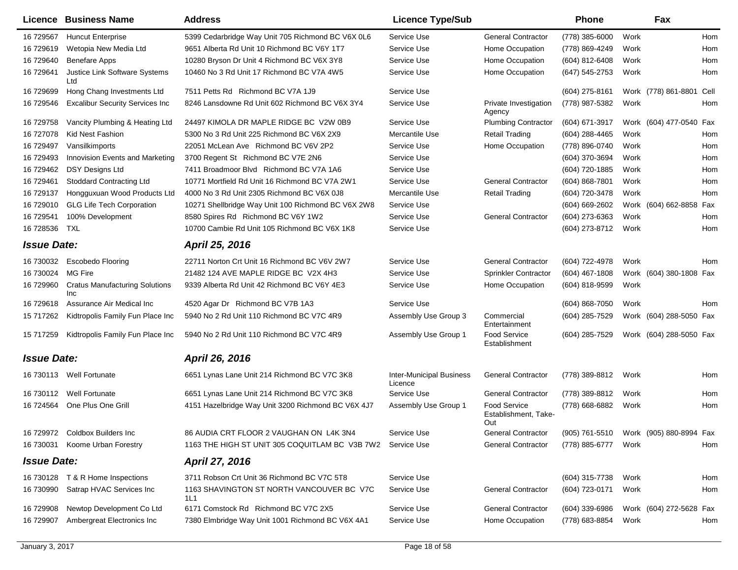| Licence            | <b>Business Name</b>                         | <b>Address</b>                                     | <b>Licence Type/Sub</b>                    |                                                    | <b>Phone</b>       |      | Fax                      |     |
|--------------------|----------------------------------------------|----------------------------------------------------|--------------------------------------------|----------------------------------------------------|--------------------|------|--------------------------|-----|
| 16 729567          | <b>Huncut Enterprise</b>                     | 5399 Cedarbridge Way Unit 705 Richmond BC V6X 0L6  | Service Use                                | <b>General Contractor</b>                          | (778) 385-6000     | Work |                          | Hom |
| 16 729619          | Wetopia New Media Ltd                        | 9651 Alberta Rd Unit 10 Richmond BC V6Y 1T7        | Service Use                                | Home Occupation                                    | (778) 869-4249     | Work |                          | Hom |
| 16 729640          | <b>Benefare Apps</b>                         | 10280 Bryson Dr Unit 4 Richmond BC V6X 3Y8         | Service Use                                | Home Occupation                                    | (604) 812-6408     | Work |                          | Hom |
| 16 729641          | Justice Link Software Systems<br>Ltd         | 10460 No 3 Rd Unit 17 Richmond BC V7A 4W5          | Service Use                                | Home Occupation                                    | (647) 545-2753     | Work |                          | Hom |
| 16 729699          | Hong Chang Investments Ltd                   | 7511 Petts Rd Richmond BC V7A 1J9                  | Service Use                                |                                                    | (604) 275-8161     |      | Work (778) 861-8801 Cell |     |
| 16 729546          | <b>Excalibur Security Services Inc</b>       | 8246 Lansdowne Rd Unit 602 Richmond BC V6X 3Y4     | Service Use                                | Private Investigation<br>Agency                    | (778) 987-5382     | Work |                          | Hom |
| 16 729758          | Vancity Plumbing & Heating Ltd               | 24497 KIMOLA DR MAPLE RIDGE BC V2W 0B9             | Service Use                                | <b>Plumbing Contractor</b>                         | (604) 671-3917     |      | Work (604) 477-0540 Fax  |     |
| 16 727078          | <b>Kid Nest Fashion</b>                      | 5300 No 3 Rd Unit 225 Richmond BC V6X 2X9          | Mercantile Use                             | <b>Retail Trading</b>                              | (604) 288-4465     | Work |                          | Hom |
| 16 729497          | Vansilkimports                               | 22051 McLean Ave Richmond BC V6V 2P2               | Service Use                                | Home Occupation                                    | (778) 896-0740     | Work |                          | Hom |
| 16 729493          | Innovision Events and Marketing              | 3700 Regent St Richmond BC V7E 2N6                 | Service Use                                |                                                    | (604) 370-3694     | Work |                          | Hom |
| 16 729462          | <b>DSY Designs Ltd</b>                       | 7411 Broadmoor Blvd Richmond BC V7A 1A6            | Service Use                                |                                                    | (604) 720-1885     | Work |                          | Hom |
| 16 729461          | <b>Stoddard Contracting Ltd</b>              | 10771 Mortfield Rd Unit 16 Richmond BC V7A 2W1     | Service Use                                | <b>General Contractor</b>                          | (604) 868-7801     | Work |                          | Hom |
| 16 729137          | Hongguxuan Wood Products Ltd                 | 4000 No 3 Rd Unit 2305 Richmond BC V6X 0J8         | Mercantile Use                             | <b>Retail Trading</b>                              | (604) 720-3478     | Work |                          | Hom |
| 16 729010          | <b>GLG Life Tech Corporation</b>             | 10271 Shellbridge Way Unit 100 Richmond BC V6X 2W8 | Service Use                                |                                                    | $(604) 669 - 2602$ |      | Work (604) 662-8858 Fax  |     |
| 16 729541          | 100% Development                             | 8580 Spires Rd Richmond BC V6Y 1W2                 | Service Use                                | <b>General Contractor</b>                          | (604) 273-6363     | Work |                          | Hom |
| 16 728536          | TXL                                          | 10700 Cambie Rd Unit 105 Richmond BC V6X 1K8       | Service Use                                |                                                    | (604) 273-8712     | Work |                          | Hom |
| <b>Issue Date:</b> |                                              | April 25, 2016                                     |                                            |                                                    |                    |      |                          |     |
| 16 730032          | <b>Escobedo Flooring</b>                     | 22711 Norton Crt Unit 16 Richmond BC V6V 2W7       | Service Use                                | <b>General Contractor</b>                          | (604) 722-4978     | Work |                          | Hom |
| 16 730024          | <b>MG Fire</b>                               | 21482 124 AVE MAPLE RIDGE BC V2X 4H3               | Service Use                                | Sprinkler Contractor                               | $(604)$ 467-1808   |      | Work (604) 380-1808 Fax  |     |
| 16 729960          | <b>Cratus Manufacturing Solutions</b><br>Inc | 9339 Alberta Rd Unit 42 Richmond BC V6Y 4E3        | Service Use                                | Home Occupation                                    | (604) 818-9599     | Work |                          |     |
| 16 729618          | Assurance Air Medical Inc                    | 4520 Agar Dr Richmond BC V7B 1A3                   | Service Use                                |                                                    | $(604)$ 868-7050   | Work |                          | Hom |
| 15 717262          | Kidtropolis Family Fun Place Inc             | 5940 No 2 Rd Unit 110 Richmond BC V7C 4R9          | Assembly Use Group 3                       | Commercial<br>Entertainment                        | (604) 285-7529     |      | Work (604) 288-5050 Fax  |     |
| 15 717259          | Kidtropolis Family Fun Place Inc             | 5940 No 2 Rd Unit 110 Richmond BC V7C 4R9          | Assembly Use Group 1                       | <b>Food Service</b><br>Establishment               | (604) 285-7529     |      | Work (604) 288-5050 Fax  |     |
| <b>Issue Date:</b> |                                              | April 26, 2016                                     |                                            |                                                    |                    |      |                          |     |
|                    | 16 730113 Well Fortunate                     | 6651 Lynas Lane Unit 214 Richmond BC V7C 3K8       | <b>Inter-Municipal Business</b><br>Licence | <b>General Contractor</b>                          | (778) 389-8812     | Work |                          | Hom |
| 16 730112          | Well Fortunate                               | 6651 Lynas Lane Unit 214 Richmond BC V7C 3K8       | Service Use                                | <b>General Contractor</b>                          | (778) 389-8812     | Work |                          | Hom |
| 16 724564          | One Plus One Grill                           | 4151 Hazelbridge Way Unit 3200 Richmond BC V6X 4J7 | Assembly Use Group 1                       | <b>Food Service</b><br>Establishment, Take-<br>Out | (778) 668-6882     | Work |                          | Hom |
|                    | 16 729972 Coldbox Builders Inc               | 86 AUDIA CRT FLOOR 2 VAUGHAN ON L4K 3N4            | Service Use                                | <b>General Contractor</b>                          | (905) 761-5510     |      | Work (905) 880-8994 Fax  |     |
| 16 730031          | Koome Urban Forestry                         | 1163 THE HIGH ST UNIT 305 COQUITLAM BC V3B 7W2     | Service Use                                | <b>General Contractor</b>                          | (778) 885-6777     | Work |                          | Hom |
|                    |                                              |                                                    |                                            |                                                    |                    |      |                          |     |
| <b>Issue Date:</b> |                                              | April 27, 2016                                     |                                            |                                                    |                    |      |                          |     |
| 16 730128          | T & R Home Inspections                       | 3711 Robson Crt Unit 36 Richmond BC V7C 5T8        | Service Use                                |                                                    | (604) 315-7738     | Work |                          | Hom |
| 16 730990          | Satrap HVAC Services Inc                     | 1163 SHAVINGTON ST NORTH VANCOUVER BC V7C<br>1L1   | Service Use                                | <b>General Contractor</b>                          | (604) 723-0171     | Work |                          | Hom |
| 16 729908          | Newtop Development Co Ltd                    | 6171 Comstock Rd Richmond BC V7C 2X5               | Service Use                                | <b>General Contractor</b>                          | $(604)$ 339-6986   |      | Work (604) 272-5628 Fax  |     |
| 16 729907          | Ambergreat Electronics Inc                   | 7380 Elmbridge Way Unit 1001 Richmond BC V6X 4A1   | Service Use                                | Home Occupation                                    | (778) 683-8854     | Work |                          | Hom |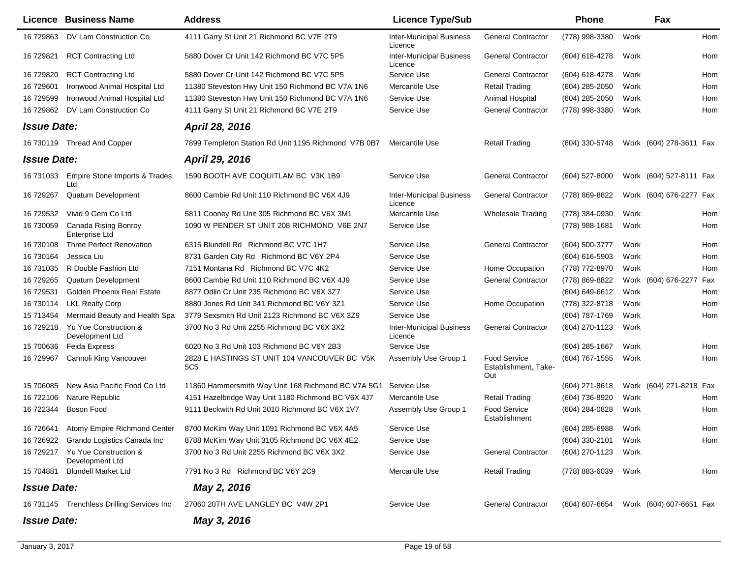|                    | Licence Business Name                              | <b>Address</b>                                                  | <b>Licence Type/Sub</b>                    |                                                    | <b>Phone</b>                           |      | Fax                     |     |
|--------------------|----------------------------------------------------|-----------------------------------------------------------------|--------------------------------------------|----------------------------------------------------|----------------------------------------|------|-------------------------|-----|
| 16 729863          | DV Lam Construction Co                             | 4111 Garry St Unit 21 Richmond BC V7E 2T9                       | <b>Inter-Municipal Business</b><br>Licence | <b>General Contractor</b>                          | (778) 998-3380                         | Work |                         | Hom |
| 16 729821          | <b>RCT Contracting Ltd</b>                         | 5880 Dover Cr Unit 142 Richmond BC V7C 5P5                      | <b>Inter-Municipal Business</b><br>Licence | <b>General Contractor</b>                          | (604) 618-4278                         | Work |                         | Hom |
| 16 729820          | <b>RCT Contracting Ltd</b>                         | 5880 Dover Cr Unit 142 Richmond BC V7C 5P5                      | Service Use                                | <b>General Contractor</b>                          | (604) 618-4278                         | Work |                         | Hom |
| 16 729601          | Ironwood Animal Hospital Ltd                       | 11380 Steveston Hwy Unit 150 Richmond BC V7A 1N6                | Mercantile Use                             | <b>Retail Trading</b>                              | $(604)$ 285-2050                       | Work |                         | Hom |
| 16 729599          | Ironwood Animal Hospital Ltd                       | 11380 Steveston Hwy Unit 150 Richmond BC V7A 1N6                | Service Use                                | Animal Hospital                                    | (604) 285-2050                         | Work |                         | Hom |
| 16 729862          | DV Lam Construction Co                             | 4111 Garry St Unit 21 Richmond BC V7E 2T9                       | Service Use                                | <b>General Contractor</b>                          | (778) 998-3380                         | Work |                         | Hom |
| <b>Issue Date:</b> |                                                    | <b>April 28, 2016</b>                                           |                                            |                                                    |                                        |      |                         |     |
|                    | 16 730119 Thread And Copper                        | 7899 Templeton Station Rd Unit 1195 Richmond V7B 0B7            | Mercantile Use                             | <b>Retail Trading</b>                              | (604) 330-5748                         |      | Work (604) 278-3611 Fax |     |
| <b>Issue Date:</b> |                                                    | April 29, 2016                                                  |                                            |                                                    |                                        |      |                         |     |
| 16 731033          | Empire Stone Imports & Trades<br>Ltd               | 1590 BOOTH AVE COQUITLAM BC V3K 1B9                             | Service Use                                | <b>General Contractor</b>                          | $(604)$ 527-8000                       |      | Work (604) 527-8111 Fax |     |
| 16 729267          | Quatum Development                                 | 8600 Cambie Rd Unit 110 Richmond BC V6X 4J9                     | <b>Inter-Municipal Business</b><br>Licence | <b>General Contractor</b>                          | (778) 869-8822                         |      | Work (604) 676-2277 Fax |     |
| 16 729532          | Vivid 9 Gem Co Ltd                                 | 5811 Cooney Rd Unit 305 Richmond BC V6X 3M1                     | Mercantile Use                             | <b>Wholesale Trading</b>                           | (778) 384-0930                         | Work |                         | Hom |
| 16 730059          | Canada Rising Bonroy<br>Enterprise Ltd             | 1090 W PENDER ST UNIT 208 RICHMOND V6E 2N7                      | Service Use                                |                                                    | (778) 988-1681                         | Work |                         | Hom |
| 16 730108          | <b>Three Perfect Renovation</b>                    | 6315 Blundell Rd Richmond BC V7C 1H7                            | Service Use                                | <b>General Contractor</b>                          | (604) 500-3777                         | Work |                         | Hom |
| 16 730164          | Jessica Liu                                        | 8731 Garden City Rd Richmond BC V6Y 2P4                         | Service Use                                |                                                    | (604) 616-5903                         | Work |                         | Hom |
| 16 731035          | R Double Fashion Ltd                               | 7151 Montana Rd Richmond BC V7C 4K2                             | Service Use                                | Home Occupation                                    | (778) 772-8970                         | Work |                         | Hom |
| 16 729265          | Quatum Development                                 | 8600 Cambie Rd Unit 110 Richmond BC V6X 4J9                     | Service Use                                | <b>General Contractor</b>                          | (778) 869-8822                         |      | Work (604) 676-2277 Fax |     |
| 16 729531          | Golden Phoenix Real Estate                         | 8877 Odlin Cr Unit 235 Richmond BC V6X 3Z7                      | Service Use                                |                                                    | (604) 649-6612                         | Work |                         | Hom |
| 16 730114          | <b>LKL Realty Corp</b>                             | 8880 Jones Rd Unit 341 Richmond BC V6Y 3Z1                      | Service Use                                | Home Occupation                                    | (778) 322-8718                         | Work |                         | Hom |
| 15 713454          | Mermaid Beauty and Health Spa                      | 3779 Sexsmith Rd Unit 2123 Richmond BC V6X 3Z9                  | Service Use                                |                                                    | (604) 787-1769                         | Work |                         | Hom |
| 16 729218          | Yu Yue Construction &<br>Development Ltd           | 3700 No 3 Rd Unit 2255 Richmond BC V6X 3X2                      | <b>Inter-Municipal Business</b><br>Licence | <b>General Contractor</b>                          | (604) 270-1123                         | Work |                         |     |
| 15 700636          | Feida Express                                      | 6020 No 3 Rd Unit 103 Richmond BC V6Y 2B3                       | Service Use                                |                                                    | (604) 285-1667                         | Work |                         | Hom |
| 16 729967          | Cannoli King Vancouver                             | 2828 E HASTINGS ST UNIT 104 VANCOUVER BC V5K<br>5C <sub>5</sub> | Assembly Use Group 1                       | <b>Food Service</b><br>Establishment, Take-<br>Out | (604) 767-1555                         | Work |                         | Hom |
| 15 706085          | New Asia Pacific Food Co Ltd                       | 11860 Hammersmith Way Unit 168 Richmond BC V7A 5G1              | Service Use                                |                                                    | (604) 271-8618                         |      | Work (604) 271-8218 Fax |     |
| 16 722106          | <b>Nature Republic</b>                             | 4151 Hazelbridge Way Unit 1180 Richmond BC V6X 4J7              | Mercantile Use                             | Retail Trading                                     | (604) 736-8920                         | Work |                         | Hom |
| 16 722344          | Boson Food                                         | 9111 Beckwith Rd Unit 2010 Richmond BC V6X 1V7                  | Assembly Use Group 1                       | <b>Food Service</b><br>Establishment               | (604) 284-0828                         | Work |                         | Hom |
| 16 726641          | Atomy Empire Richmond Center                       | 8700 McKim Way Unit 1091 Richmond BC V6X 4A5                    | Service Use                                |                                                    | (604) 285-6988                         | Work |                         | Hom |
|                    | 16 726922 Grando Logistics Canada Inc              | 8788 McKim Way Unit 3105 Richmond BC V6X 4E2                    | Service Use                                |                                                    | (604) 330-2101                         | Work |                         | Hom |
|                    | 16 729217 Yu Yue Construction &<br>Development Ltd | 3700 No 3 Rd Unit 2255 Richmond BC V6X 3X2                      | Service Use                                | <b>General Contractor</b>                          | (604) 270-1123                         | Work |                         |     |
| 15 704881          | <b>Blundell Market Ltd</b>                         | 7791 No 3 Rd Richmond BC V6Y 2C9                                | Mercantile Use                             | <b>Retail Trading</b>                              | (778) 883-6039                         | Work |                         | Hom |
| <b>Issue Date:</b> |                                                    | May 2, 2016                                                     |                                            |                                                    |                                        |      |                         |     |
|                    | 16 731145 Trenchless Drilling Services Inc         | 27060 20TH AVE LANGLEY BC V4W 2P1                               | Service Use                                | <b>General Contractor</b>                          | (604) 607-6654 Work (604) 607-6651 Fax |      |                         |     |
| <b>Issue Date:</b> |                                                    | May 3, 2016                                                     |                                            |                                                    |                                        |      |                         |     |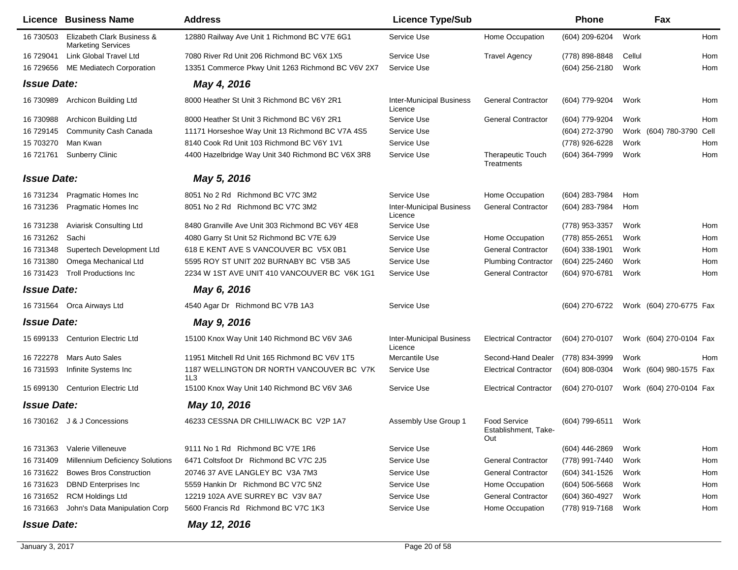|                    | Licence Business Name                                   | <b>Address</b>                                    | <b>Licence Type/Sub</b>                    |                                                    | <b>Phone</b>     |        | Fax                     |      |
|--------------------|---------------------------------------------------------|---------------------------------------------------|--------------------------------------------|----------------------------------------------------|------------------|--------|-------------------------|------|
| 16 730503          | Elizabeth Clark Business &<br><b>Marketing Services</b> | 12880 Railway Ave Unit 1 Richmond BC V7E 6G1      | Service Use                                | Home Occupation                                    | (604) 209-6204   | Work   |                         | Hom  |
| 16 729041          | Link Global Travel Ltd                                  | 7080 River Rd Unit 206 Richmond BC V6X 1X5        | Service Use                                | <b>Travel Agency</b>                               | (778) 898-8848   | Cellul |                         | Hom  |
| 16 729656          | <b>ME Mediatech Corporation</b>                         | 13351 Commerce Pkwy Unit 1263 Richmond BC V6V 2X7 | Service Use                                |                                                    | (604) 256-2180   | Work   |                         | Hom  |
| <b>Issue Date:</b> |                                                         | May 4, 2016                                       |                                            |                                                    |                  |        |                         |      |
| 16 730989          | Archicon Building Ltd                                   | 8000 Heather St Unit 3 Richmond BC V6Y 2R1        | <b>Inter-Municipal Business</b><br>Licence | <b>General Contractor</b>                          | (604) 779-9204   | Work   |                         | Hom  |
| 16 730988          | Archicon Building Ltd                                   | 8000 Heather St Unit 3 Richmond BC V6Y 2R1        | Service Use                                | <b>General Contractor</b>                          | (604) 779-9204   | Work   |                         | Hom  |
| 16 729145          | <b>Community Cash Canada</b>                            | 11171 Horseshoe Way Unit 13 Richmond BC V7A 4S5   | Service Use                                |                                                    | (604) 272-3790   |        | Work (604) 780-3790     | Cell |
| 15 703270          | Man Kwan                                                | 8140 Cook Rd Unit 103 Richmond BC V6Y 1V1         | Service Use                                |                                                    | (778) 926-6228   | Work   |                         | Hom  |
| 16 721761          | <b>Sunberry Clinic</b>                                  | 4400 Hazelbridge Way Unit 340 Richmond BC V6X 3R8 | Service Use                                | <b>Therapeutic Touch</b><br>Treatments             | (604) 364-7999   | Work   |                         | Hom  |
| <b>Issue Date:</b> |                                                         | May 5, 2016                                       |                                            |                                                    |                  |        |                         |      |
| 16 731234          | Pragmatic Homes Inc                                     | 8051 No 2 Rd Richmond BC V7C 3M2                  | Service Use                                | Home Occupation                                    | (604) 283-7984   | Hom    |                         |      |
| 16 731236          | <b>Pragmatic Homes Inc</b>                              | 8051 No 2 Rd Richmond BC V7C 3M2                  | <b>Inter-Municipal Business</b><br>Licence | <b>General Contractor</b>                          | (604) 283-7984   | Hom    |                         |      |
| 16 731238          | Aviarisk Consulting Ltd                                 | 8480 Granville Ave Unit 303 Richmond BC V6Y 4E8   | Service Use                                |                                                    | (778) 953-3357   | Work   |                         | Hom  |
| 16 731262          | Sachi                                                   | 4080 Garry St Unit 52 Richmond BC V7E 6J9         | Service Use                                | Home Occupation                                    | (778) 855-2651   | Work   |                         | Hom  |
| 16 731348          | Supertech Development Ltd                               | 618 E KENT AVE S VANCOUVER BC V5X 0B1             | Service Use                                | <b>General Contractor</b>                          | $(604)$ 338-1901 | Work   |                         | Hom  |
| 16 731380          | Omega Mechanical Ltd                                    | 5595 ROY ST UNIT 202 BURNABY BC V5B 3A5           | Service Use                                | <b>Plumbing Contractor</b>                         | (604) 225-2460   | Work   |                         | Hom  |
| 16 731423          | <b>Troll Productions Inc.</b>                           | 2234 W 1ST AVE UNIT 410 VANCOUVER BC V6K 1G1      | Service Use                                | <b>General Contractor</b>                          | (604) 970-6781   | Work   |                         | Hom  |
| <b>Issue Date:</b> |                                                         | May 6, 2016                                       |                                            |                                                    |                  |        |                         |      |
|                    | 16 731564 Orca Airways Ltd                              | 4540 Agar Dr Richmond BC V7B 1A3                  | Service Use                                |                                                    | (604) 270-6722   |        | Work (604) 270-6775 Fax |      |
| <b>Issue Date:</b> |                                                         | May 9, 2016                                       |                                            |                                                    |                  |        |                         |      |
| 15 699133          | <b>Centurion Electric Ltd</b>                           | 15100 Knox Way Unit 140 Richmond BC V6V 3A6       | <b>Inter-Municipal Business</b><br>Licence | <b>Electrical Contractor</b>                       | (604) 270-0107   |        | Work (604) 270-0104 Fax |      |
| 16 722278          | <b>Mars Auto Sales</b>                                  | 11951 Mitchell Rd Unit 165 Richmond BC V6V 1T5    | Mercantile Use                             | Second-Hand Dealer                                 | (778) 834-3999   | Work   |                         | Hom  |
| 16 731593          | Infinite Systems Inc                                    | 1187 WELLINGTON DR NORTH VANCOUVER BC V7K<br>1L3  | Service Use                                | <b>Electrical Contractor</b>                       | (604) 808-0304   |        | Work (604) 980-1575 Fax |      |
| 15 699130          | <b>Centurion Electric Ltd</b>                           | 15100 Knox Way Unit 140 Richmond BC V6V 3A6       | Service Use                                | <b>Electrical Contractor</b>                       | (604) 270-0107   |        | Work (604) 270-0104 Fax |      |
| <b>Issue Date:</b> |                                                         | May 10, 2016                                      |                                            |                                                    |                  |        |                         |      |
|                    | 16 730162 J & J Concessions                             | 46233 CESSNA DR CHILLIWACK BC V2P 1A7             | Assembly Use Group 1                       | <b>Food Service</b><br>Establishment, Take-<br>Out | (604) 799-6511   | Work   |                         |      |
| 16 731363          | Valerie Villeneuve                                      | 9111 No 1 Rd Richmond BC V7E 1R6                  | Service Use                                |                                                    | (604) 446-2869   | Work   |                         | Hom  |
| 16 731409          | <b>Millennium Deficiency Solutions</b>                  | 6471 Coltsfoot Dr Richmond BC V7C 2J5             | Service Use                                | <b>General Contractor</b>                          | (778) 991-7440   | Work   |                         | Hom  |
| 16 731622          | <b>Bowes Bros Construction</b>                          | 20746 37 AVE LANGLEY BC V3A 7M3                   | Service Use                                | <b>General Contractor</b>                          | (604) 341-1526   | Work   |                         | Hom  |
| 16 731623          | <b>DBND</b> Enterprises Inc                             | 5559 Hankin Dr Richmond BC V7C 5N2                | Service Use                                | Home Occupation                                    | $(604)$ 506-5668 | Work   |                         | Hom  |
| 16 731652          | <b>RCM Holdings Ltd</b>                                 | 12219 102A AVE SURREY BC V3V 8A7                  | Service Use                                | <b>General Contractor</b>                          | (604) 360-4927   | Work   |                         | Hom  |
| 16 731663          | John's Data Manipulation Corp                           | 5600 Francis Rd Richmond BC V7C 1K3               | Service Use                                | Home Occupation                                    | (778) 919-7168   | Work   |                         | Hom  |
| <b>Issue Date:</b> |                                                         | May 12, 2016                                      |                                            |                                                    |                  |        |                         |      |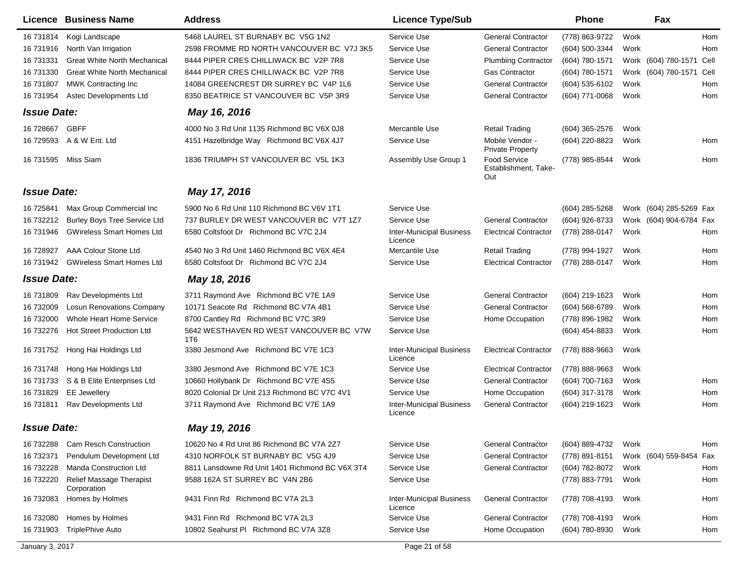|                    | Licence Business Name                   | <b>Address</b>                                  | <b>Licence Type/Sub</b>                    |                                                    | <b>Phone</b>   |      | Fax                      |      |
|--------------------|-----------------------------------------|-------------------------------------------------|--------------------------------------------|----------------------------------------------------|----------------|------|--------------------------|------|
| 16 731814          | Kogi Landscape                          | 5468 LAUREL ST BURNABY BC V5G 1N2               | Service Use                                | <b>General Contractor</b>                          | (778) 863-9722 | Work |                          | Hom  |
| 16 731916          | North Van Irrigation                    | 2598 FROMME RD NORTH VANCOUVER BC V7J 3K5       | Service Use                                | <b>General Contractor</b>                          | (604) 500-3344 | Work |                          | Hom  |
| 16 731331          | <b>Great White North Mechanical</b>     | 8444 PIPER CRES CHILLIWACK BC V2P 7R8           | Service Use                                | <b>Plumbing Contractor</b>                         | (604) 780-1571 |      | Work (604) 780-1571 Cell |      |
| 16 731330          | <b>Great White North Mechanical</b>     | 8444 PIPER CRES CHILLIWACK BC V2P 7R8           | Service Use                                | <b>Gas Contractor</b>                              | (604) 780-1571 |      | Work (604) 780-1571      | Cell |
| 16 731807          | <b>MWK Contracting Inc</b>              | 14084 GREENCREST DR SURREY BC V4P 1L6           | Service Use                                | <b>General Contractor</b>                          | (604) 535-6102 | Work |                          | Hom  |
| 16 731954          | Astec Developments Ltd                  | 8350 BEATRICE ST VANCOUVER BC V5P 3R9           | Service Use                                | <b>General Contractor</b>                          | (604) 771-0068 | Work |                          | Hom  |
| <b>Issue Date:</b> |                                         | May 16, 2016                                    |                                            |                                                    |                |      |                          |      |
| 16 728667          | <b>GBFF</b>                             | 4000 No 3 Rd Unit 1135 Richmond BC V6X 0J8      | Mercantile Use                             | <b>Retail Trading</b>                              | (604) 365-2576 | Work |                          |      |
| 16 729593          | A & W Ent. Ltd                          | 4151 Hazelbridge Way Richmond BC V6X 4J7        | Service Use                                | Mobile Vendor -<br><b>Private Property</b>         | (604) 220-8823 | Work |                          | Hom  |
| 16 731595          | Miss Siam                               | 1836 TRIUMPH ST VANCOUVER BC V5L 1K3            | Assembly Use Group 1                       | <b>Food Service</b><br>Establishment, Take-<br>Out | (778) 985-8544 | Work |                          | Hom  |
| <b>Issue Date:</b> |                                         | May 17, 2016                                    |                                            |                                                    |                |      |                          |      |
| 16 725841          | Max Group Commercial Inc                | 5900 No 6 Rd Unit 110 Richmond BC V6V 1T1       | Service Use                                |                                                    | (604) 285-5268 |      | Work (604) 285-5269 Fax  |      |
| 16 732212          | <b>Burley Boys Tree Service Ltd</b>     | 737 BURLEY DR WEST VANCOUVER BC V7T 1Z7         | Service Use                                | <b>General Contractor</b>                          | (604) 926-8733 |      | Work (604) 904-6784 Fax  |      |
| 16 731946          | <b>GWireless Smart Homes Ltd</b>        | 6580 Coltsfoot Dr Richmond BC V7C 2J4           | <b>Inter-Municipal Business</b><br>Licence | <b>Electrical Contractor</b>                       | (778) 288-0147 | Work |                          | Hom  |
| 16 728927          | AAA Colour Stone Ltd                    | 4540 No 3 Rd Unit 1460 Richmond BC V6X 4E4      | Mercantile Use                             | <b>Retail Trading</b>                              | (778) 994-1927 | Work |                          | Hom  |
| 16 731942          | <b>GWireless Smart Homes Ltd</b>        | 6580 Coltsfoot Dr Richmond BC V7C 2J4           | Service Use                                | <b>Electrical Contractor</b>                       | (778) 288-0147 | Work |                          | Hom  |
| <b>Issue Date:</b> |                                         | May 18, 2016                                    |                                            |                                                    |                |      |                          |      |
| 16 731809          | Rav Developments Ltd                    | 3711 Raymond Ave Richmond BC V7E 1A9            | Service Use                                | <b>General Contractor</b>                          | (604) 219-1623 | Work |                          | Hom  |
| 16 732009          | <b>Losun Renovations Company</b>        | 10171 Seacote Rd Richmond BC V7A 4B1            | Service Use                                | <b>General Contractor</b>                          | (604) 568-6789 | Work |                          | Hom  |
| 16 732000          | Whole Heart Home Service                | 8700 Cantley Rd Richmond BC V7C 3R9             | Service Use                                | Home Occupation                                    | (778) 896-1982 | Work |                          | Hom  |
| 16 732276          | <b>Hot Street Production Ltd</b>        | 5642 WESTHAVEN RD WEST VANCOUVER BC V7W<br>1T6  | Service Use                                |                                                    | (604) 454-8833 | Work |                          | Hom  |
| 16 731752          | Hong Hai Holdings Ltd                   | 3380 Jesmond Ave Richmond BC V7E 1C3            | <b>Inter-Municipal Business</b><br>Licence | <b>Electrical Contractor</b>                       | (778) 888-9663 | Work |                          |      |
| 16 731748          | Hong Hai Holdings Ltd                   | 3380 Jesmond Ave Richmond BC V7E 1C3            | Service Use                                | <b>Electrical Contractor</b>                       | (778) 888-9663 | Work |                          |      |
| 16 731733          | S & B Elite Enterprises Ltd             | 10660 Hollybank Dr Richmond BC V7E 4S5          | Service Use                                | <b>General Contractor</b>                          | (604) 700-7163 | Work |                          | Hom  |
| 16 731829          | <b>EE</b> Jewellery                     | 8020 Colonial Dr Unit 213 Richmond BC V7C 4V1   | Service Use                                | Home Occupation                                    | (604) 317-3178 | Work |                          | Hom  |
| 16 731811          | Rav Developments Ltd                    | 3711 Raymond Ave Richmond BC V7E 1A9            | <b>Inter-Municipal Business</b><br>Licence | <b>General Contractor</b>                          | (604) 219-1623 | Work |                          | Hom  |
| <b>Issue Date:</b> |                                         | May 19, 2016                                    |                                            |                                                    |                |      |                          |      |
| 16 732288          | <b>Cam Resch Construction</b>           | 10620 No 4 Rd Unit 86 Richmond BC V7A 2Z7       | Service Use                                | <b>General Contractor</b>                          | (604) 889-4732 | Work |                          | Hom  |
| 16 732371          | Pendulum Development Ltd                | 4310 NORFOLK ST BURNABY BC V5G 4J9              | Service Use                                | <b>General Contractor</b>                          | (778) 891-8151 |      | Work (604) 559-8454 Fax  |      |
| 16 732228          | <b>Manda Construction Ltd</b>           | 8811 Lansdowne Rd Unit 1401 Richmond BC V6X 3T4 | Service Use                                | <b>General Contractor</b>                          | (604) 782-8072 | Work |                          | Hom  |
| 16 732220          | Relief Massage Therapist<br>Corporation | 9588 162A ST SURREY BC V4N 2B6                  | Service Use                                |                                                    | (778) 883-7791 | Work |                          | Hom  |
| 16 732083          | Homes by Holmes                         | 9431 Finn Rd Richmond BC V7A 2L3                | <b>Inter-Municipal Business</b><br>Licence | <b>General Contractor</b>                          | (778) 708-4193 | Work |                          | Hom  |
| 16 732080          | Homes by Holmes                         | 9431 Finn Rd Richmond BC V7A 2L3                | Service Use                                | <b>General Contractor</b>                          | (778) 708-4193 | Work |                          | Hom  |
| 16 731903          | <b>TriplePhive Auto</b>                 | 10802 Seahurst PI Richmond BC V7A 3Z8           | Service Use                                | Home Occupation                                    | (604) 780-8930 | Work |                          | Hom  |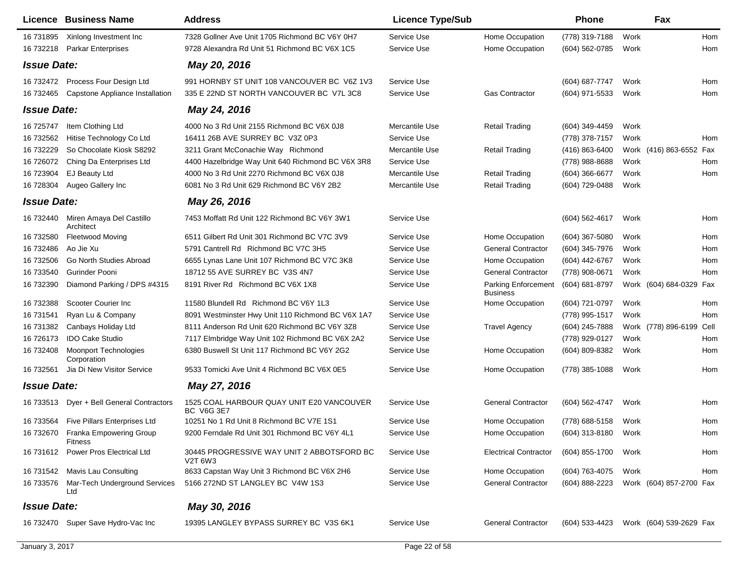| Licence            | <b>Business Name</b>                            | <b>Address</b>                                                 | <b>Licence Type/Sub</b> |                                               | Phone            |      | Fax                     |      |
|--------------------|-------------------------------------------------|----------------------------------------------------------------|-------------------------|-----------------------------------------------|------------------|------|-------------------------|------|
| 16 731895          | Xinlong Investment Inc                          | 7328 Gollner Ave Unit 1705 Richmond BC V6Y 0H7                 | Service Use             | Home Occupation                               | (778) 319-7188   | Work |                         | Hom  |
| 16 732218          | <b>Parkar Enterprises</b>                       | 9728 Alexandra Rd Unit 51 Richmond BC V6X 1C5                  | Service Use             | Home Occupation                               | (604) 562-0785   | Work |                         | Hom  |
| <b>Issue Date:</b> |                                                 | May 20, 2016                                                   |                         |                                               |                  |      |                         |      |
| 16 732472          | Process Four Design Ltd                         | 991 HORNBY ST UNIT 108 VANCOUVER BC V6Z 1V3                    | Service Use             |                                               | (604) 687-7747   | Work |                         | Hom  |
| 16 732465          | Capstone Appliance Installation                 | 335 E 22ND ST NORTH VANCOUVER BC V7L 3C8                       | Service Use             | <b>Gas Contractor</b>                         | (604) 971-5533   | Work |                         | Hom  |
| <b>Issue Date:</b> |                                                 | May 24, 2016                                                   |                         |                                               |                  |      |                         |      |
| 16 725747          | Item Clothing Ltd                               | 4000 No 3 Rd Unit 2155 Richmond BC V6X 0J8                     | Mercantile Use          | <b>Retail Trading</b>                         | (604) 349-4459   | Work |                         |      |
| 16 732562          | Hitise Technology Co Ltd                        | 16411 26B AVE SURREY BC V3Z 0P3                                | Service Use             |                                               | (778) 378-7157   | Work |                         | Hom  |
| 16 732229          | So Chocolate Kiosk S8292                        | 3211 Grant McConachie Way Richmond                             | Mercantile Use          | <b>Retail Trading</b>                         | (416) 863-6400   |      | Work (416) 863-6552 Fax |      |
| 16 726072          | Ching Da Enterprises Ltd                        | 4400 Hazelbridge Way Unit 640 Richmond BC V6X 3R8              | Service Use             |                                               | (778) 988-8688   | Work |                         | Hom  |
| 16 723904          | <b>EJ Beauty Ltd</b>                            | 4000 No 3 Rd Unit 2270 Richmond BC V6X 0J8                     | Mercantile Use          | <b>Retail Trading</b>                         | $(604)$ 366-6677 | Work |                         | Hom  |
| 16 728304          | Augeo Gallery Inc                               | 6081 No 3 Rd Unit 629 Richmond BC V6Y 2B2                      | Mercantile Use          | <b>Retail Trading</b>                         | (604) 729-0488   | Work |                         |      |
| <b>Issue Date:</b> |                                                 | May 26, 2016                                                   |                         |                                               |                  |      |                         |      |
|                    | 16 732440 Miren Amaya Del Castillo<br>Architect | 7453 Moffatt Rd Unit 122 Richmond BC V6Y 3W1                   | Service Use             |                                               | (604) 562-4617   | Work |                         | Hom  |
| 16 732580          | <b>Fleetwood Moving</b>                         | 6511 Gilbert Rd Unit 301 Richmond BC V7C 3V9                   | Service Use             | Home Occupation                               | $(604)$ 367-5080 | Work |                         | Hom  |
| 16 732486          | Ao Jie Xu                                       | 5791 Cantrell Rd Richmond BC V7C 3H5                           | Service Use             | <b>General Contractor</b>                     | (604) 345-7976   | Work |                         | Hom  |
| 16 732506          | Go North Studies Abroad                         | 6655 Lynas Lane Unit 107 Richmond BC V7C 3K8                   | Service Use             | Home Occupation                               | (604) 442-6767   | Work |                         | Hom  |
| 16 733540          | Gurinder Pooni                                  | 18712 55 AVE SURREY BC V3S 4N7                                 | Service Use             | <b>General Contractor</b>                     | (778) 908-0671   | Work |                         | Hom  |
| 16 732390          | Diamond Parking / DPS #4315                     | 8191 River Rd Richmond BC V6X 1X8                              | Service Use             | <b>Parking Enforcement</b><br><b>Business</b> | (604) 681-8797   |      | Work (604) 684-0329 Fax |      |
| 16 732388          | Scooter Courier Inc                             | 11580 Blundell Rd Richmond BC V6Y 1L3                          | Service Use             | Home Occupation                               | (604) 721-0797   | Work |                         | Hom  |
| 16 731541          | Ryan Lu & Company                               | 8091 Westminster Hwy Unit 110 Richmond BC V6X 1A7              | Service Use             |                                               | (778) 995-1517   | Work |                         | Hom  |
| 16 731382          | Canbays Holiday Ltd                             | 8111 Anderson Rd Unit 620 Richmond BC V6Y 3Z8                  | Service Use             | <b>Travel Agency</b>                          | (604) 245-7888   |      | Work (778) 896-6199     | Cell |
| 16 726173          | <b>IDO Cake Studio</b>                          | 7117 Elmbridge Way Unit 102 Richmond BC V6X 2A2                | Service Use             |                                               | (778) 929-0127   | Work |                         | Hom  |
| 16 732408          | <b>Moonport Technologies</b><br>Corporation     | 6380 Buswell St Unit 117 Richmond BC V6Y 2G2                   | Service Use             | Home Occupation                               | (604) 809-8382   | Work |                         | Hom  |
| 16 732561          | Jia Di New Visitor Service                      | 9533 Tomicki Ave Unit 4 Richmond BC V6X 0E5                    | Service Use             | Home Occupation                               | (778) 385-1088   | Work |                         | Hom  |
| <b>Issue Date:</b> |                                                 | May 27, 2016                                                   |                         |                                               |                  |      |                         |      |
|                    | 16 733513 Dyer + Bell General Contractors       | 1525 COAL HARBOUR QUAY UNIT E20 VANCOUVER<br><b>BC V6G 3E7</b> | Service Use             | <b>General Contractor</b>                     | (604) 562-4747   | Work |                         | Hom  |
|                    | 16 733564 Five Pillars Enterprises Ltd          | 10251 No 1 Rd Unit 8 Richmond BC V7E 1S1                       | Service Use             | Home Occupation                               | (778) 688-5158   | Work |                         | Hom  |
| 16 732670          | Franka Empowering Group<br><b>Fitness</b>       | 9200 Ferndale Rd Unit 301 Richmond BC V6Y 4L1                  | Service Use             | Home Occupation                               | (604) 313-8180   | Work |                         | Hom  |
|                    | 16 731612 Power Pros Electrical Ltd             | 30445 PROGRESSIVE WAY UNIT 2 ABBOTSFORD BC<br>V2T 6W3          | Service Use             | <b>Electrical Contractor</b>                  | (604) 855-1700   | Work |                         | Hom  |
|                    | 16 731542 Mavis Lau Consulting                  | 8633 Capstan Way Unit 3 Richmond BC V6X 2H6                    | Service Use             | Home Occupation                               | (604) 763-4075   | Work |                         | Hom  |
|                    | 16 733576 Mar-Tech Underground Services<br>Ltd  | 5166 272ND ST LANGLEY BC V4W 1S3                               | Service Use             | <b>General Contractor</b>                     | (604) 888-2223   |      | Work (604) 857-2700 Fax |      |
| <b>Issue Date:</b> |                                                 | May 30, 2016                                                   |                         |                                               |                  |      |                         |      |
|                    | 16 732470 Super Save Hydro-Vac Inc              | 19395 LANGLEY BYPASS SURREY BC V3S 6K1                         | Service Use             | <b>General Contractor</b>                     | (604) 533-4423   |      | Work (604) 539-2629 Fax |      |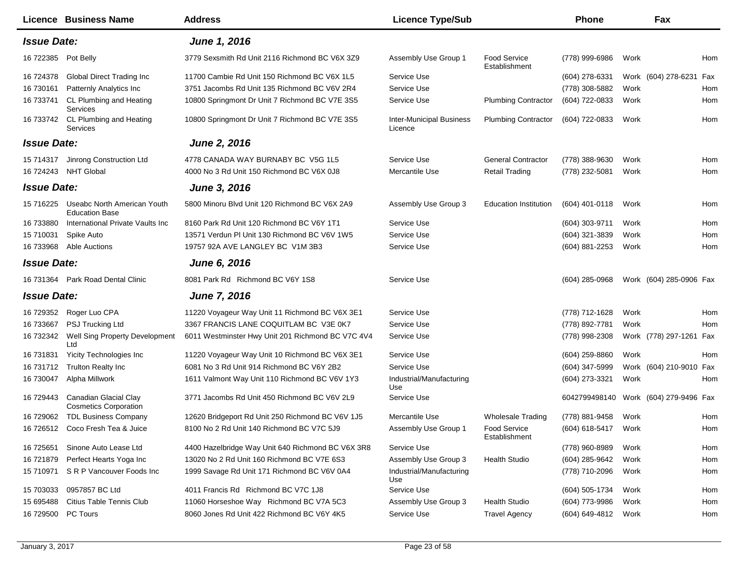|                     | Licence Business Name                                 | <b>Address</b>                                    | <b>Licence Type/Sub</b>                    |                                      | <b>Phone</b>                          |      | Fax                     |     |
|---------------------|-------------------------------------------------------|---------------------------------------------------|--------------------------------------------|--------------------------------------|---------------------------------------|------|-------------------------|-----|
| <b>Issue Date:</b>  |                                                       | June 1, 2016                                      |                                            |                                      |                                       |      |                         |     |
| 16 722385 Pot Belly |                                                       | 3779 Sexsmith Rd Unit 2116 Richmond BC V6X 3Z9    | Assembly Use Group 1                       | <b>Food Service</b><br>Establishment | (778) 999-6986                        | Work |                         | Hom |
| 16 724378           | Global Direct Trading Inc                             | 11700 Cambie Rd Unit 150 Richmond BC V6X 1L5      | Service Use                                |                                      | (604) 278-6331                        |      | Work (604) 278-6231     | Fax |
| 16 730161           | Patternly Analytics Inc                               | 3751 Jacombs Rd Unit 135 Richmond BC V6V 2R4      | Service Use                                |                                      | (778) 308-5882                        | Work |                         | Hom |
| 16 733741           | CL Plumbing and Heating<br>Services                   | 10800 Springmont Dr Unit 7 Richmond BC V7E 3S5    | Service Use                                | <b>Plumbing Contractor</b>           | (604) 722-0833                        | Work |                         | Hom |
|                     | 16 733742 CL Plumbing and Heating<br>Services         | 10800 Springmont Dr Unit 7 Richmond BC V7E 3S5    | <b>Inter-Municipal Business</b><br>Licence | <b>Plumbing Contractor</b>           | (604) 722-0833                        | Work |                         | Hom |
| <b>Issue Date:</b>  |                                                       | <b>June 2, 2016</b>                               |                                            |                                      |                                       |      |                         |     |
| 15 714317           | Jinrong Construction Ltd                              | 4778 CANADA WAY BURNABY BC V5G 1L5                | Service Use                                | <b>General Contractor</b>            | (778) 388-9630                        | Work |                         | Hom |
|                     | 16 724243 NHT Global                                  | 4000 No 3 Rd Unit 150 Richmond BC V6X 0J8         | Mercantile Use                             | <b>Retail Trading</b>                | (778) 232-5081                        | Work |                         | Hom |
| <b>Issue Date:</b>  |                                                       | <b>June 3, 2016</b>                               |                                            |                                      |                                       |      |                         |     |
| 15 716225           | Useabc North American Youth<br><b>Education Base</b>  | 5800 Minoru Blvd Unit 120 Richmond BC V6X 2A9     | Assembly Use Group 3                       | <b>Education Institution</b>         | (604) 401-0118                        | Work |                         | Hom |
| 16 733880           | International Private Vaults Inc                      | 8160 Park Rd Unit 120 Richmond BC V6Y 1T1         | Service Use                                |                                      | (604) 303-9711                        | Work |                         | Hom |
| 15 710031           | Spike Auto                                            | 13571 Verdun PI Unit 130 Richmond BC V6V 1W5      | Service Use                                |                                      | $(604)$ 321-3839                      | Work |                         | Hom |
| 16 733968           | Able Auctions                                         | 19757 92A AVE LANGLEY BC V1M 3B3                  | Service Use                                |                                      | (604) 881-2253                        | Work |                         | Hom |
| <b>Issue Date:</b>  |                                                       | <b>June 6, 2016</b>                               |                                            |                                      |                                       |      |                         |     |
|                     | 16 731364 Park Road Dental Clinic                     | 8081 Park Rd Richmond BC V6Y 1S8                  | Service Use                                |                                      | $(604)$ 285-0968                      |      | Work (604) 285-0906 Fax |     |
| <b>Issue Date:</b>  |                                                       | <b>June 7, 2016</b>                               |                                            |                                      |                                       |      |                         |     |
| 16 729352           | Roger Luo CPA                                         | 11220 Voyageur Way Unit 11 Richmond BC V6X 3E1    | Service Use                                |                                      | (778) 712-1628                        | Work |                         | Hom |
| 16 733667           | PSJ Trucking Ltd                                      | 3367 FRANCIS LANE COQUITLAM BC V3E 0K7            | Service Use                                |                                      | (778) 892-7781                        | Work |                         | Hom |
| 16 732342           | Well Sing Property Development<br>Ltd                 | 6011 Westminster Hwy Unit 201 Richmond BC V7C 4V4 | Service Use                                |                                      | (778) 998-2308                        |      | Work (778) 297-1261 Fax |     |
| 16 731831           | Yicity Technologies Inc                               | 11220 Voyageur Way Unit 10 Richmond BC V6X 3E1    | Service Use                                |                                      | (604) 259-8860                        | Work |                         | Hom |
| 16 731712           | <b>Trulton Realty Inc</b>                             | 6081 No 3 Rd Unit 914 Richmond BC V6Y 2B2         | Service Use                                |                                      | (604) 347-5999                        |      | Work (604) 210-9010 Fax |     |
| 16 730047           | Alpha Millwork                                        | 1611 Valmont Way Unit 110 Richmond BC V6V 1Y3     | Industrial/Manufacturing<br>Use            |                                      | (604) 273-3321                        | Work |                         | Hom |
| 16 729443           | Canadian Glacial Clay<br><b>Cosmetics Corporation</b> | 3771 Jacombs Rd Unit 450 Richmond BC V6V 2L9      | Service Use                                |                                      | 6042799498140 Work (604) 279-9496 Fax |      |                         |     |
|                     | 16 729062 TDL Business Company                        | 12620 Bridgeport Rd Unit 250 Richmond BC V6V 1J5  | Mercantile Use                             | <b>Wholesale Trading</b>             | (778) 881-9458                        | Work |                         | Hom |
|                     | 16 726512 Coco Fresh Tea & Juice                      | 8100 No 2 Rd Unit 140 Richmond BC V7C 5J9         | Assembly Use Group 1                       | Food Service<br>Establishment        | (604) 618-5417 Work                   |      |                         | Hom |
| 16 725651           | Sinone Auto Lease Ltd                                 | 4400 Hazelbridge Way Unit 640 Richmond BC V6X 3R8 | Service Use                                |                                      | (778) 960-8989                        | Work |                         | Hom |
| 16 721879           | Perfect Hearts Yoga Inc                               | 13020 No 2 Rd Unit 160 Richmond BC V7E 6S3        | Assembly Use Group 3                       | <b>Health Studio</b>                 | (604) 285-9642                        | Work |                         | Hom |
| 15 710971           | S R P Vancouver Foods Inc                             | 1999 Savage Rd Unit 171 Richmond BC V6V 0A4       | Industrial/Manufacturing<br>Use            |                                      | (778) 710-2096                        | Work |                         | Hom |
| 15 703033           | 0957857 BC Ltd                                        | 4011 Francis Rd Richmond BC V7C 1J8               | Service Use                                |                                      | (604) 505-1734                        | Work |                         | Hom |
| 15 695488           | Citius Table Tennis Club                              | 11060 Horseshoe Way Richmond BC V7A 5C3           | Assembly Use Group 3                       | <b>Health Studio</b>                 | (604) 773-9986                        | Work |                         | Hom |
| 16 729500 PC Tours  |                                                       | 8060 Jones Rd Unit 422 Richmond BC V6Y 4K5        | Service Use                                | <b>Travel Agency</b>                 | (604) 649-4812                        | Work |                         | Hom |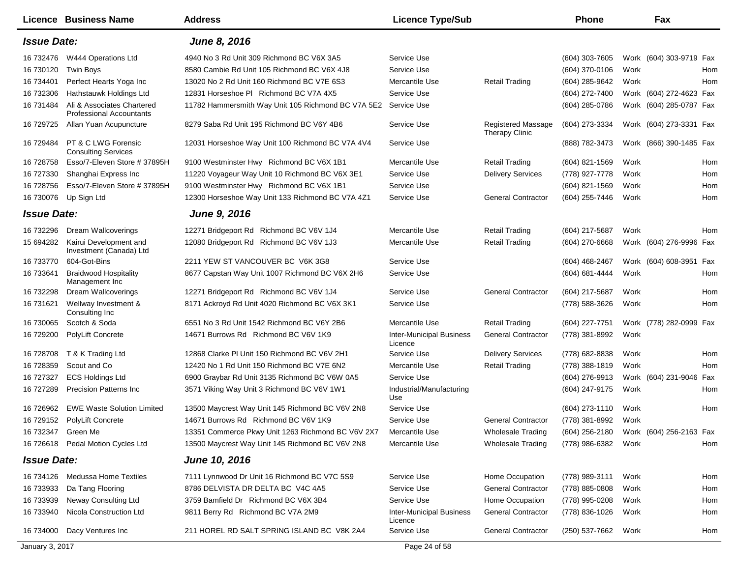|                    | <b>Licence Business Name</b>                                  | <b>Address</b>                                                 | <b>Licence Type/Sub</b>                    |                                                    | Phone               | Fax                                    |
|--------------------|---------------------------------------------------------------|----------------------------------------------------------------|--------------------------------------------|----------------------------------------------------|---------------------|----------------------------------------|
| <b>Issue Date:</b> |                                                               | June 8, 2016                                                   |                                            |                                                    |                     |                                        |
| 16 732476          | W444 Operations Ltd                                           | 4940 No 3 Rd Unit 309 Richmond BC V6X 3A5                      | Service Use                                |                                                    | (604) 303-7605      | Work (604) 303-9719 Fax                |
| 16 730120          | <b>Twin Boys</b>                                              | 8580 Cambie Rd Unit 105 Richmond BC V6X 4J8                    | Service Use                                |                                                    | (604) 370-0106      | Work<br>Hom                            |
| 16 734401          | Perfect Hearts Yoga Inc                                       | 13020 No 2 Rd Unit 160 Richmond BC V7E 6S3                     | Mercantile Use                             | <b>Retail Trading</b>                              | (604) 285-9642      | Hom<br>Work                            |
| 16 732306          | Hathstauwk Holdings Ltd                                       | 12831 Horseshoe PI Richmond BC V7A 4X5                         | Service Use                                |                                                    | (604) 272-7400      | Work (604) 272-4623 Fax                |
| 16 731484          | Ali & Associates Chartered<br><b>Professional Accountants</b> | 11782 Hammersmith Way Unit 105 Richmond BC V7A 5E2 Service Use |                                            |                                                    | (604) 285-0786      | Work (604) 285-0787 Fax                |
| 16 729725          | Allan Yuan Acupuncture                                        | 8279 Saba Rd Unit 195 Richmond BC V6Y 4B6                      | Service Use                                | <b>Registered Massage</b><br><b>Therapy Clinic</b> | (604) 273-3334      | Work (604) 273-3331 Fax                |
| 16 729484          | PT & C LWG Forensic<br><b>Consulting Services</b>             | 12031 Horseshoe Way Unit 100 Richmond BC V7A 4V4               | Service Use                                |                                                    | (888) 782-3473      | Work (866) 390-1485 Fax                |
| 16 728758          | Esso/7-Eleven Store # 37895H                                  | 9100 Westminster Hwy Richmond BC V6X 1B1                       | Mercantile Use                             | <b>Retail Trading</b>                              | (604) 821-1569      | Work<br>Hom                            |
| 16 727330          | Shanghai Express Inc                                          | 11220 Voyageur Way Unit 10 Richmond BC V6X 3E1                 | Service Use                                | <b>Delivery Services</b>                           | (778) 927-7778      | Hom<br>Work                            |
| 16 728756          | Esso/7-Eleven Store # 37895H                                  | 9100 Westminster Hwy Richmond BC V6X 1B1                       | Service Use                                |                                                    | $(604)$ 821-1569    | Hom<br>Work                            |
| 16 730076          | Up Sign Ltd                                                   | 12300 Horseshoe Way Unit 133 Richmond BC V7A 4Z1               | Service Use                                | <b>General Contractor</b>                          | (604) 255-7446      | Work<br>Hom                            |
| <b>Issue Date:</b> |                                                               | June 9, 2016                                                   |                                            |                                                    |                     |                                        |
| 16 732296          | <b>Dream Wallcoverings</b>                                    | 12271 Bridgeport Rd Richmond BC V6V 1J4                        | Mercantile Use                             | <b>Retail Trading</b>                              | (604) 217-5687      | Work<br>Hom                            |
| 15 694282          | Kairui Development and<br>Investment (Canada) Ltd             | 12080 Bridgeport Rd Richmond BC V6V 1J3                        | Mercantile Use                             | <b>Retail Trading</b>                              | (604) 270-6668      | Work (604) 276-9996 Fax                |
| 16 733770          | 604-Got-Bins                                                  | 2211 YEW ST VANCOUVER BC V6K 3G8                               | Service Use                                |                                                    | (604) 468-2467      | Work (604) 608-3951 Fax                |
| 16 733641          | <b>Braidwood Hospitality</b><br>Management Inc                | 8677 Capstan Way Unit 1007 Richmond BC V6X 2H6                 | Service Use                                |                                                    | (604) 681-4444      | Work<br>Hom                            |
| 16 732298          | Dream Wallcoverings                                           | 12271 Bridgeport Rd Richmond BC V6V 1J4                        | Service Use                                | <b>General Contractor</b>                          | (604) 217-5687      | Work<br>Hom                            |
| 16 731621          | Wellway Investment &<br>Consulting Inc                        | 8171 Ackroyd Rd Unit 4020 Richmond BC V6X 3K1                  | Service Use                                |                                                    | (778) 588-3626      | Hom<br>Work                            |
| 16 730065          | Scotch & Soda                                                 | 6551 No 3 Rd Unit 1542 Richmond BC V6Y 2B6                     | Mercantile Use                             | <b>Retail Trading</b>                              | (604) 227-7751      | Work (778) 282-0999 Fax                |
| 16 729200          | PolyLift Concrete                                             | 14671 Burrows Rd Richmond BC V6V 1K9                           | <b>Inter-Municipal Business</b><br>Licence | <b>General Contractor</b>                          | (778) 381-8992      | Work                                   |
| 16 728708          | T & K Trading Ltd                                             | 12868 Clarke PI Unit 150 Richmond BC V6V 2H1                   | Service Use                                | <b>Delivery Services</b>                           | (778) 682-8838      | Hom<br>Work                            |
| 16 728359          | Scout and Co                                                  | 12420 No 1 Rd Unit 150 Richmond BC V7E 6N2                     | Mercantile Use                             | <b>Retail Trading</b>                              | (778) 388-1819      | Hom<br>Work                            |
| 16 727327          | <b>ECS Holdings Ltd</b>                                       | 6900 Graybar Rd Unit 3135 Richmond BC V6W 0A5                  | Service Use                                |                                                    | (604) 276-9913      | Work (604) 231-9046<br>Fax             |
| 16 727289          | <b>Precision Patterns Inc.</b>                                | 3571 Viking Way Unit 3 Richmond BC V6V 1W1                     | Industrial/Manufacturing<br>Use            |                                                    | (604) 247-9175      | Work<br>Hom                            |
| 16 726962          | <b>EWE Waste Solution Limited</b>                             | 13500 Maycrest Way Unit 145 Richmond BC V6V 2N8                | Service Use                                |                                                    | (604) 273-1110      | Hom<br>Work                            |
| 16 729152          | PolyLift Concrete                                             | 14671 Burrows Rd Richmond BC V6V 1K9                           | Service Use                                | <b>General Contractor</b>                          | (778) 381-8992      | Work                                   |
|                    | 16 732347 Green Me                                            | 13351 Commerce Pkwy Unit 1263 Richmond BC V6V 2X7              | Mercantile Use                             | <b>Wholesale Trading</b>                           |                     | (604) 256-2180 Work (604) 256-2163 Fax |
| 16 726618          | Pedal Motion Cycles Ltd                                       | 13500 Maycrest Way Unit 145 Richmond BC V6V 2N8                | Mercantile Use                             | <b>Wholesale Trading</b>                           | (778) 986-6382      | Work<br>Hom                            |
| <b>Issue Date:</b> |                                                               | <b>June 10, 2016</b>                                           |                                            |                                                    |                     |                                        |
| 16 734126          | <b>Medussa Home Textiles</b>                                  | 7111 Lynnwood Dr Unit 16 Richmond BC V7C 5S9                   | Service Use                                | Home Occupation                                    | (778) 989-3111      | Work<br>Hom                            |
| 16 733933          | Da Tang Flooring                                              | 8786 DELVISTA DR DELTA BC V4C 4A5                              | Service Use                                | <b>General Contractor</b>                          | (778) 885-0808      | Work<br>Hom                            |
| 16 733939          | Neway Consulting Ltd                                          | 3759 Bamfield Dr Richmond BC V6X 3B4                           | Service Use                                | Home Occupation                                    | (778) 995-0208      | Work<br>Hom                            |
| 16 733940          | Nicola Construction Ltd                                       | 9811 Berry Rd Richmond BC V7A 2M9                              | <b>Inter-Municipal Business</b><br>Licence | <b>General Contractor</b>                          | (778) 836-1026      | Work<br>Hom                            |
| 16 734000          | Dacy Ventures Inc                                             | 211 HOREL RD SALT SPRING ISLAND BC V8K 2A4                     | Service Use                                | <b>General Contractor</b>                          | (250) 537-7662 Work | Hom                                    |
| January 3, 2017    |                                                               |                                                                | Page 24 of 58                              |                                                    |                     |                                        |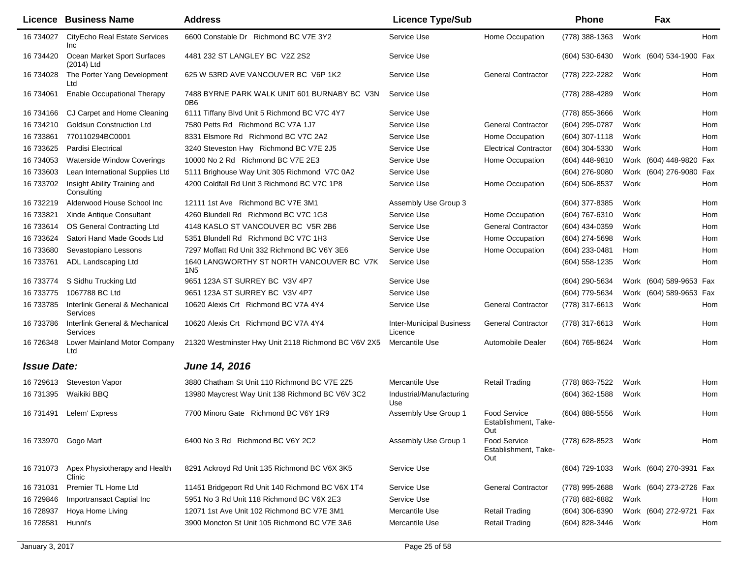|                    | <b>Licence Business Name</b>                | <b>Address</b>                                               | <b>Licence Type/Sub</b>                    |                                                    | <b>Phone</b>     |      | Fax                     |     |
|--------------------|---------------------------------------------|--------------------------------------------------------------|--------------------------------------------|----------------------------------------------------|------------------|------|-------------------------|-----|
| 16 734027          | <b>CityEcho Real Estate Services</b><br>Inc | 6600 Constable Dr Richmond BC V7E 3Y2                        | Service Use                                | Home Occupation                                    | (778) 388-1363   | Work |                         | Hom |
| 16 734420          | Ocean Market Sport Surfaces<br>(2014) Ltd   | 4481 232 ST LANGLEY BC V2Z 2S2                               | Service Use                                |                                                    | (604) 530-6430   |      | Work (604) 534-1900 Fax |     |
| 16 734028          | The Porter Yang Development<br>Ltd          | 625 W 53RD AVE VANCOUVER BC V6P 1K2                          | Service Use                                | <b>General Contractor</b>                          | (778) 222-2282   | Work |                         | Hom |
| 16 734061          | <b>Enable Occupational Therapy</b>          | 7488 BYRNE PARK WALK UNIT 601 BURNABY BC V3N<br>0B6          | Service Use                                |                                                    | (778) 288-4289   | Work |                         | Hom |
| 16 734166          | CJ Carpet and Home Cleaning                 | 6111 Tiffany Blvd Unit 5 Richmond BC V7C 4Y7                 | Service Use                                |                                                    | (778) 855-3666   | Work |                         | Hom |
| 16 734210          | <b>Goldsun Construction Ltd</b>             | 7580 Petts Rd Richmond BC V7A 1J7                            | Service Use                                | <b>General Contractor</b>                          | (604) 295-0787   | Work |                         | Hom |
| 16 733861          | 770110294BC0001                             | 8331 Elsmore Rd Richmond BC V7C 2A2                          | Service Use                                | Home Occupation                                    | $(604)$ 307-1118 | Work |                         | Hom |
| 16 733625          | <b>Pardisi Electrical</b>                   | 3240 Steveston Hwy Richmond BC V7E 2J5                       | Service Use                                | <b>Electrical Contractor</b>                       | (604) 304-5330   | Work |                         | Hom |
| 16 734053          | <b>Waterside Window Coverings</b>           | 10000 No 2 Rd Richmond BC V7E 2E3                            | Service Use                                | Home Occupation                                    | (604) 448-9810   |      | Work (604) 448-9820 Fax |     |
| 16 733603          | Lean International Supplies Ltd             | 5111 Brighouse Way Unit 305 Richmond V7C 0A2                 | Service Use                                |                                                    | (604) 276-9080   |      | Work (604) 276-9080 Fax |     |
| 16 733702          | Insight Ability Training and<br>Consulting  | 4200 Coldfall Rd Unit 3 Richmond BC V7C 1P8                  | Service Use                                | Home Occupation                                    | (604) 506-8537   | Work |                         | Hom |
| 16 732219          | Alderwood House School Inc                  | 12111 1st Ave Richmond BC V7E 3M1                            | Assembly Use Group 3                       |                                                    | (604) 377-8385   | Work |                         | Hom |
| 16 733821          | Xinde Antique Consultant                    | 4260 Blundell Rd Richmond BC V7C 1G8                         | Service Use                                | Home Occupation                                    | (604) 767-6310   | Work |                         | Hom |
| 16 733614          | OS General Contracting Ltd                  | 4148 KASLO ST VANCOUVER BC V5R 2B6                           | Service Use                                | <b>General Contractor</b>                          | (604) 434-0359   | Work |                         | Hom |
| 16 733624          | Satori Hand Made Goods Ltd                  | 5351 Blundell Rd Richmond BC V7C 1H3                         | Service Use                                | Home Occupation                                    | (604) 274-5698   | Work |                         | Hom |
| 16 733680          | Sevastopiano Lessons                        | 7297 Moffatt Rd Unit 332 Richmond BC V6Y 3E6                 | Service Use                                | Home Occupation                                    | (604) 233-0481   | Hom  |                         | Hom |
| 16 733761          | ADL Landscaping Ltd                         | 1640 LANGWORTHY ST NORTH VANCOUVER BC V7K<br>1N <sub>5</sub> | Service Use                                |                                                    | (604) 558-1235   | Work |                         | Hom |
| 16 733774          | S Sidhu Trucking Ltd                        | 9651 123A ST SURREY BC V3V 4P7                               | Service Use                                |                                                    | (604) 290-5634   |      | Work (604) 589-9653 Fax |     |
| 16 733775          | 1067788 BC Ltd                              | 9651 123A ST SURREY BC V3V 4P7                               | Service Use                                |                                                    | (604) 779-5634   |      | Work (604) 589-9653 Fax |     |
| 16 733785          | Interlink General & Mechanical<br>Services  | 10620 Alexis Crt Richmond BC V7A 4Y4                         | Service Use                                | <b>General Contractor</b>                          | (778) 317-6613   | Work |                         | Hom |
| 16 733786          | Interlink General & Mechanical<br>Services  | 10620 Alexis Crt Richmond BC V7A 4Y4                         | <b>Inter-Municipal Business</b><br>Licence | <b>General Contractor</b>                          | (778) 317-6613   | Work |                         | Hom |
| 16 726348          | Lower Mainland Motor Company<br>Ltd         | 21320 Westminster Hwy Unit 2118 Richmond BC V6V 2X5          | Mercantile Use                             | Automobile Dealer                                  | (604) 765-8624   | Work |                         | Hom |
| <b>Issue Date:</b> |                                             | June 14, 2016                                                |                                            |                                                    |                  |      |                         |     |
| 16 729613          | <b>Steveston Vapor</b>                      | 3880 Chatham St Unit 110 Richmond BC V7E 2Z5                 | Mercantile Use                             | <b>Retail Trading</b>                              | (778) 863-7522   | Work |                         | Hom |
| 16 731395          | Waikiki BBQ                                 | 13980 Maycrest Way Unit 138 Richmond BC V6V 3C2              | Industrial/Manufacturing<br>Use            |                                                    | $(604)$ 362-1588 | Work |                         | Hom |
| 16 731491          | Lelem' Express                              | 7700 Minoru Gate Richmond BC V6Y 1R9                         | Assembly Use Group 1                       | <b>Food Service</b><br>Establishment, Take-<br>Out | $(604)$ 888-5556 | Work |                         | Hom |
|                    | 16 733970 Gogo Mart                         | 6400 No 3 Rd Richmond BC V6Y 2C2                             | Assembly Use Group 1                       | <b>Food Service</b><br>Establishment, Take-<br>Out | (778) 628-8523   | Work |                         | Hom |
| 16 731073          | Apex Physiotherapy and Health<br>Clinic     | 8291 Ackroyd Rd Unit 135 Richmond BC V6X 3K5                 | Service Use                                |                                                    | (604) 729-1033   |      | Work (604) 270-3931 Fax |     |
| 16 731031          | Premier TL Home Ltd                         | 11451 Bridgeport Rd Unit 140 Richmond BC V6X 1T4             | Service Use                                | <b>General Contractor</b>                          | (778) 995-2688   |      | Work (604) 273-2726 Fax |     |
| 16 729846          | Importransact Captial Inc                   | 5951 No 3 Rd Unit 118 Richmond BC V6X 2E3                    | Service Use                                |                                                    | (778) 682-6882   | Work |                         | Hom |
| 16 728937          | Hoya Home Living                            | 12071 1st Ave Unit 102 Richmond BC V7E 3M1                   | Mercantile Use                             | <b>Retail Trading</b>                              | $(604)$ 306-6390 |      | Work (604) 272-9721 Fax |     |
| 16 728581          | Hunni's                                     | 3900 Moncton St Unit 105 Richmond BC V7E 3A6                 | Mercantile Use                             | <b>Retail Trading</b>                              | (604) 828-3446   | Work |                         | Hom |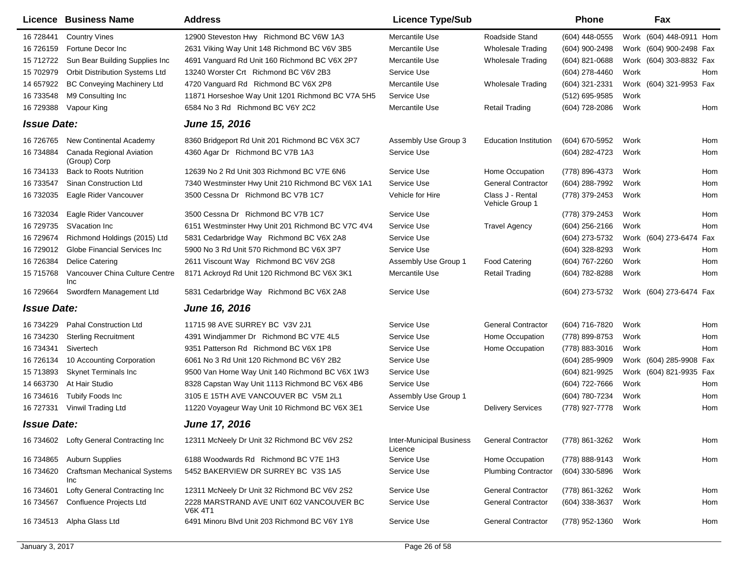|                    | <b>Licence Business Name</b>               | <b>Address</b>                                             | <b>Licence Type/Sub</b>                    |                                     | Phone            |      | Fax                        |
|--------------------|--------------------------------------------|------------------------------------------------------------|--------------------------------------------|-------------------------------------|------------------|------|----------------------------|
| 16 728441          | <b>Country Vines</b>                       | 12900 Steveston Hwy Richmond BC V6W 1A3                    | Mercantile Use                             | Roadside Stand                      | (604) 448-0555   |      | Work (604) 448-0911 Hom    |
| 16 726159          | Fortune Decor Inc                          | 2631 Viking Way Unit 148 Richmond BC V6V 3B5               | Mercantile Use                             | <b>Wholesale Trading</b>            | (604) 900-2498   |      | Work (604) 900-2498 Fax    |
| 15 712722          | Sun Bear Building Supplies Inc             | 4691 Vanguard Rd Unit 160 Richmond BC V6X 2P7              | Mercantile Use                             | <b>Wholesale Trading</b>            | (604) 821-0688   |      | Work (604) 303-8832 Fax    |
| 15 702979          | Orbit Distribution Systems Ltd             | 13240 Worster Crt Richmond BC V6V 2B3                      | Service Use                                |                                     | (604) 278-4460   | Work | Hom                        |
| 14 657922          | <b>BC Conveying Machinery Ltd</b>          | 4720 Vanguard Rd Richmond BC V6X 2P8                       | Mercantile Use                             | <b>Wholesale Trading</b>            | (604) 321-2331   |      | Work (604) 321-9953 Fax    |
| 16 733548          | M9 Consulting Inc                          | 11871 Horseshoe Way Unit 1201 Richmond BC V7A 5H5          | Service Use                                |                                     | (512) 695-9585   | Work |                            |
| 16 729388          | Vapour King                                | 6584 No 3 Rd Richmond BC V6Y 2C2                           | Mercantile Use                             | <b>Retail Trading</b>               | (604) 728-2086   | Work | Hom                        |
| <b>Issue Date:</b> |                                            | <b>June 15, 2016</b>                                       |                                            |                                     |                  |      |                            |
| 16 726765          | New Continental Academy                    | 8360 Bridgeport Rd Unit 201 Richmond BC V6X 3C7            | Assembly Use Group 3                       | <b>Education Institution</b>        | (604) 670-5952   | Work | Hom                        |
| 16 734884          | Canada Regional Aviation<br>(Group) Corp   | 4360 Agar Dr Richmond BC V7B 1A3                           | Service Use                                |                                     | (604) 282-4723   | Work | Hom                        |
| 16 734133          | <b>Back to Roots Nutrition</b>             | 12639 No 2 Rd Unit 303 Richmond BC V7E 6N6                 | Service Use                                | Home Occupation                     | (778) 896-4373   | Work | Hom                        |
| 16 733547          | Sinan Construction Ltd                     | 7340 Westminster Hwy Unit 210 Richmond BC V6X 1A1          | Service Use                                | <b>General Contractor</b>           | (604) 288-7992   | Work | Hom                        |
| 16 732035          | Eagle Rider Vancouver                      | 3500 Cessna Dr Richmond BC V7B 1C7                         | Vehicle for Hire                           | Class J - Rental<br>Vehicle Group 1 | (778) 379-2453   | Work | Hom                        |
| 16 732034          | Eagle Rider Vancouver                      | 3500 Cessna Dr Richmond BC V7B 1C7                         | Service Use                                |                                     | (778) 379-2453   | Work | Hom                        |
| 16 729735          | SVacation Inc                              | 6151 Westminster Hwy Unit 201 Richmond BC V7C 4V4          | Service Use                                | <b>Travel Agency</b>                | $(604)$ 256-2166 | Work | Hom                        |
| 16 729674          | Richmond Holdings (2015) Ltd               | 5831 Cedarbridge Way Richmond BC V6X 2A8                   | Service Use                                |                                     | (604) 273-5732   |      | Work (604) 273-6474<br>Fax |
| 16 729012          | Globe Financial Services Inc               | 5900 No 3 Rd Unit 570 Richmond BC V6X 3P7                  | Service Use                                |                                     | (604) 328-8293   | Work | Hom                        |
| 16 726384          | Delice Catering                            | 2611 Viscount Way Richmond BC V6V 2G8                      | Assembly Use Group 1                       | <b>Food Catering</b>                | (604) 767-2260   | Work | Hom                        |
| 15 715768          | Vancouver China Culture Centre<br>Inc      | 8171 Ackroyd Rd Unit 120 Richmond BC V6X 3K1               | Mercantile Use                             | <b>Retail Trading</b>               | (604) 782-8288   | Work | Hom                        |
| 16 729664          | Swordfern Management Ltd                   | 5831 Cedarbridge Way Richmond BC V6X 2A8                   | Service Use                                |                                     | (604) 273-5732   |      | Work (604) 273-6474 Fax    |
| <b>Issue Date:</b> |                                            | <b>June 16, 2016</b>                                       |                                            |                                     |                  |      |                            |
| 16 734229          | <b>Pahal Construction Ltd</b>              | 11715 98 AVE SURREY BC V3V 2J1                             | Service Use                                | <b>General Contractor</b>           | (604) 716-7820   | Work | Hom                        |
| 16 734230          | <b>Sterling Recruitment</b>                | 4391 Windjammer Dr Richmond BC V7E 4L5                     | Service Use                                | Home Occupation                     | (778) 899-8753   | Work | Hom                        |
| 16 734341          | Sivertech                                  | 9351 Patterson Rd Richmond BC V6X 1P8                      | Service Use                                | Home Occupation                     | (778) 883-3016   | Work | Hom                        |
| 16 726134          | 10 Accounting Corporation                  | 6061 No 3 Rd Unit 120 Richmond BC V6Y 2B2                  | Service Use                                |                                     | (604) 285-9909   |      | Work (604) 285-9908 Fax    |
| 15 713893          | <b>Skynet Terminals Inc</b>                | 9500 Van Horne Way Unit 140 Richmond BC V6X 1W3            | Service Use                                |                                     | (604) 821-9925   |      | Work (604) 821-9935 Fax    |
| 14 663730          | At Hair Studio                             | 8328 Capstan Way Unit 1113 Richmond BC V6X 4B6             | Service Use                                |                                     | (604) 722-7666   | Work | Hom                        |
| 16 734616          | Tubify Foods Inc                           | 3105 E 15TH AVE VANCOUVER BC V5M 2L1                       | Assembly Use Group 1                       |                                     | (604) 780-7234   | Work | Hom                        |
| 16 727331          | Vinwil Trading Ltd                         | 11220 Voyageur Way Unit 10 Richmond BC V6X 3E1             | Service Use                                | <b>Delivery Services</b>            | (778) 927-7778   | Work | Hom                        |
| <b>Issue Date:</b> |                                            | <b>June 17, 2016</b>                                       |                                            |                                     |                  |      |                            |
| 16 734602          | Lofty General Contracting Inc              | 12311 McNeely Dr Unit 32 Richmond BC V6V 2S2               | <b>Inter-Municipal Business</b><br>Licence | <b>General Contractor</b>           | (778) 861-3262   | Work | Hom                        |
| 16 734865          | <b>Auburn Supplies</b>                     | 6188 Woodwards Rd Richmond BC V7E 1H3                      | Service Use                                | Home Occupation                     | (778) 888-9143   | Work | Hom                        |
| 16 734620          | <b>Craftsman Mechanical Systems</b><br>Inc | 5452 BAKERVIEW DR SURREY BC V3S 1A5                        | Service Use                                | <b>Plumbing Contractor</b>          | (604) 330-5896   | Work |                            |
| 16 734601          | Lofty General Contracting Inc              | 12311 McNeely Dr Unit 32 Richmond BC V6V 2S2               | Service Use                                | <b>General Contractor</b>           | (778) 861-3262   | Work | Hom                        |
| 16 734567          | Confluence Projects Ltd                    | 2228 MARSTRAND AVE UNIT 602 VANCOUVER BC<br><b>V6K 4T1</b> | Service Use                                | <b>General Contractor</b>           | $(604)$ 338-3637 | Work | Hom                        |
| 16 734513          | Alpha Glass Ltd                            | 6491 Minoru Blvd Unit 203 Richmond BC V6Y 1Y8              | Service Use                                | <b>General Contractor</b>           | (778) 952-1360   | Work | Hom                        |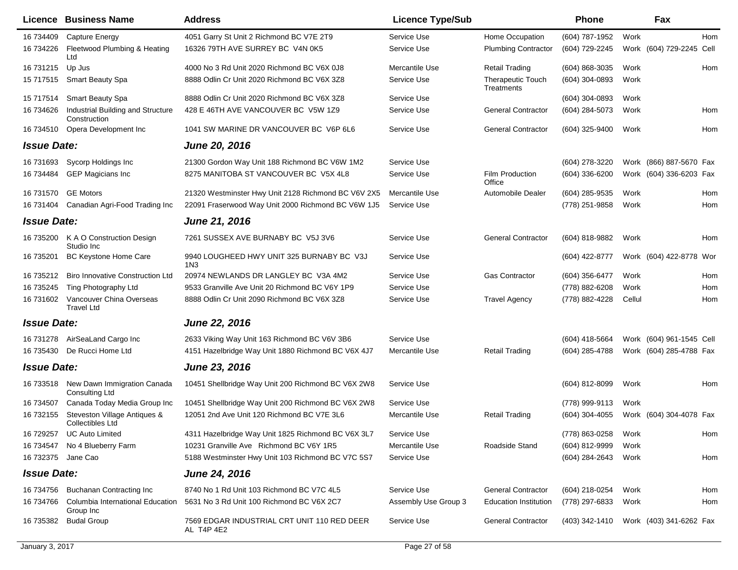|                    | <b>Licence Business Name</b>                            | <b>Address</b>                                            | <b>Licence Type/Sub</b> |                                        | Phone            | Fax                      |     |
|--------------------|---------------------------------------------------------|-----------------------------------------------------------|-------------------------|----------------------------------------|------------------|--------------------------|-----|
| 16 734409          | Capture Energy                                          | 4051 Garry St Unit 2 Richmond BC V7E 2T9                  | Service Use             | Home Occupation                        | (604) 787-1952   | Work                     | Hom |
| 16 734226          | Fleetwood Plumbing & Heating<br>Ltd                     | 16326 79TH AVE SURREY BC V4N 0K5                          | Service Use             | <b>Plumbing Contractor</b>             | (604) 729-2245   | Work (604) 729-2245 Cell |     |
| 16 731215          | Up Jus                                                  | 4000 No 3 Rd Unit 2020 Richmond BC V6X 0J8                | Mercantile Use          | <b>Retail Trading</b>                  | (604) 868-3035   | Work                     | Hom |
| 15 717515          | <b>Smart Beauty Spa</b>                                 | 8888 Odlin Cr Unit 2020 Richmond BC V6X 3Z8               | Service Use             | <b>Therapeutic Touch</b><br>Treatments | (604) 304-0893   | Work                     |     |
| 15 717514          | <b>Smart Beauty Spa</b>                                 | 8888 Odlin Cr Unit 2020 Richmond BC V6X 3Z8               | Service Use             |                                        | $(604)$ 304-0893 | Work                     |     |
| 16 734626          | Industrial Building and Structure<br>Construction       | 428 E 46TH AVE VANCOUVER BC V5W 1Z9                       | Service Use             | <b>General Contractor</b>              | (604) 284-5073   | Work                     | Hom |
| 16 734510          | Opera Development Inc                                   | 1041 SW MARINE DR VANCOUVER BC V6P 6L6                    | Service Use             | <b>General Contractor</b>              | (604) 325-9400   | Work                     | Hom |
| <b>Issue Date:</b> |                                                         | <b>June 20, 2016</b>                                      |                         |                                        |                  |                          |     |
| 16 731693          | Sycorp Holdings Inc.                                    | 21300 Gordon Way Unit 188 Richmond BC V6W 1M2             | Service Use             |                                        | (604) 278-3220   | Work (866) 887-5670 Fax  |     |
| 16 734484          | <b>GEP Magicians Inc</b>                                | 8275 MANITOBA ST VANCOUVER BC V5X 4L8                     | Service Use             | Film Production<br>Office              | (604) 336-6200   | Work (604) 336-6203 Fax  |     |
| 16 731570          | <b>GE Motors</b>                                        | 21320 Westminster Hwy Unit 2128 Richmond BC V6V 2X5       | Mercantile Use          | Automobile Dealer                      | (604) 285-9535   | Work                     | Hom |
| 16 731404          | Canadian Agri-Food Trading Inc                          | 22091 Fraserwood Way Unit 2000 Richmond BC V6W 1J5        | Service Use             |                                        | (778) 251-9858   | Work                     | Hom |
| <b>Issue Date:</b> |                                                         | June 21, 2016                                             |                         |                                        |                  |                          |     |
| 16 735200          | K A O Construction Design<br>Studio Inc                 | 7261 SUSSEX AVE BURNABY BC V5J 3V6                        | Service Use             | <b>General Contractor</b>              | (604) 818-9882   | Work                     | Hom |
| 16 735201          | BC Keystone Home Care                                   | 9940 LOUGHEED HWY UNIT 325 BURNABY BC V3J<br>1N3          | Service Use             |                                        | (604) 422-8777   | Work (604) 422-8778 Wor  |     |
| 16 735212          | <b>Biro Innovative Construction Ltd</b>                 | 20974 NEWLANDS DR LANGLEY BC V3A 4M2                      | Service Use             | <b>Gas Contractor</b>                  | (604) 356-6477   | Work                     | Hom |
| 16 735245          | Ting Photography Ltd                                    | 9533 Granville Ave Unit 20 Richmond BC V6Y 1P9            | Service Use             |                                        | (778) 882-6208   | Work                     | Hom |
| 16 731602          | Vancouver China Overseas<br><b>Travel Ltd</b>           | 8888 Odlin Cr Unit 2090 Richmond BC V6X 3Z8               | Service Use             | <b>Travel Agency</b>                   | (778) 882-4228   | Cellul                   | Hom |
| <b>Issue Date:</b> |                                                         | June 22, 2016                                             |                         |                                        |                  |                          |     |
| 16 731278          | AirSeaLand Cargo Inc                                    | 2633 Viking Way Unit 163 Richmond BC V6V 3B6              | Service Use             |                                        | (604) 418-5664   | Work (604) 961-1545 Cell |     |
| 16 735430          | De Rucci Home Ltd                                       | 4151 Hazelbridge Way Unit 1880 Richmond BC V6X 4J7        | Mercantile Use          | <b>Retail Trading</b>                  | (604) 285-4788   | Work (604) 285-4788 Fax  |     |
| <b>Issue Date:</b> |                                                         | June 23, 2016                                             |                         |                                        |                  |                          |     |
| 16 733518          | New Dawn Immigration Canada<br>Consulting Ltd           | 10451 Shellbridge Way Unit 200 Richmond BC V6X 2W8        | Service Use             |                                        | (604) 812-8099   | Work                     | Hom |
| 16 734507          | Canada Today Media Group Inc                            | 10451 Shellbridge Way Unit 200 Richmond BC V6X 2W8        | Service Use             |                                        | (778) 999-9113   | Work                     |     |
| 16 732155          | Steveston Village Antiques &<br><b>Collectibles Ltd</b> | 12051 2nd Ave Unit 120 Richmond BC V7E 3L6                | Mercantile Use          | <b>Retail Trading</b>                  | $(604)$ 304-4055 | Work (604) 304-4078 Fax  |     |
| 16 729257          | <b>UC Auto Limited</b>                                  | 4311 Hazelbridge Way Unit 1825 Richmond BC V6X 3L7        | Service Use             |                                        | (778) 863-0258   | Work                     | Hom |
| 16 734547          | No 4 Blueberry Farm                                     | 10231 Granville Ave Richmond BC V6Y 1R5                   | Mercantile Use          | Roadside Stand                         | (604) 812-9999   | Work                     |     |
| 16 732375 Jane Cao |                                                         | 5188 Westminster Hwy Unit 103 Richmond BC V7C 5S7         | Service Use             |                                        | (604) 284-2643   | Work                     | Hom |
| <b>Issue Date:</b> |                                                         | <b>June 24, 2016</b>                                      |                         |                                        |                  |                          |     |
| 16 734756          | <b>Buchanan Contracting Inc</b>                         | 8740 No 1 Rd Unit 103 Richmond BC V7C 4L5                 | Service Use             | <b>General Contractor</b>              | (604) 218-0254   | Work                     | Hom |
| 16 734766          | Columbia International Education<br>Group Inc           | 5631 No 3 Rd Unit 100 Richmond BC V6X 2C7                 | Assembly Use Group 3    | <b>Education Institution</b>           | (778) 297-6833   | Work                     | Hom |
| 16 735382          | <b>Budal Group</b>                                      | 7569 EDGAR INDUSTRIAL CRT UNIT 110 RED DEER<br>AL T4P 4E2 | Service Use             | <b>General Contractor</b>              | (403) 342-1410   | Work (403) 341-6262 Fax  |     |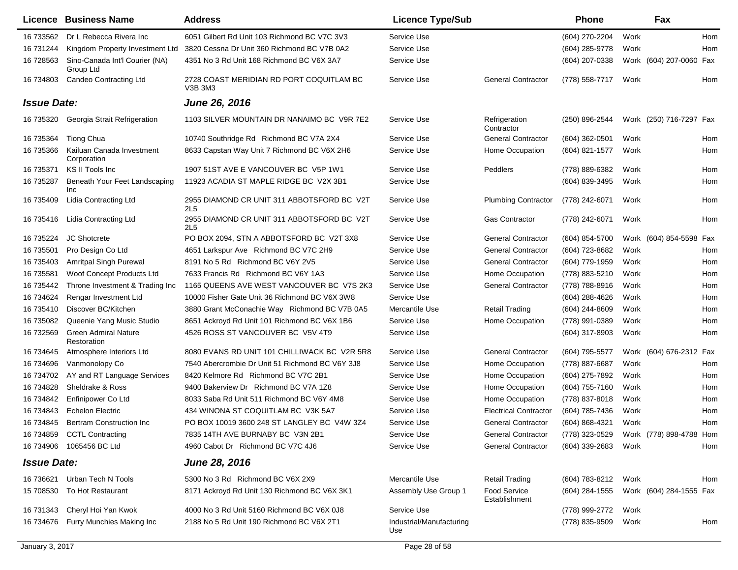|                    | Licence Business Name                       | <b>Address</b>                                                | <b>Licence Type/Sub</b>         |                               | <b>Phone</b>   | Fax                     |            |
|--------------------|---------------------------------------------|---------------------------------------------------------------|---------------------------------|-------------------------------|----------------|-------------------------|------------|
| 16 733562          | Dr L Rebecca Rivera Inc                     | 6051 Gilbert Rd Unit 103 Richmond BC V7C 3V3                  | Service Use                     |                               | (604) 270-2204 | Work                    | <b>Hom</b> |
| 16 731244          | Kingdom Property Investment Ltd             | 3820 Cessna Dr Unit 360 Richmond BC V7B 0A2                   | Service Use                     |                               | (604) 285-9778 | Work                    | Hom        |
| 16 728563          | Sino-Canada Int'l Courier (NA)<br>Group Ltd | 4351 No 3 Rd Unit 168 Richmond BC V6X 3A7                     | Service Use                     |                               | (604) 207-0338 | Work (604) 207-0060     | Fax        |
| 16 734803          | <b>Candeo Contracting Ltd</b>               | 2728 COAST MERIDIAN RD PORT COQUITLAM BC<br>V3B 3M3           | Service Use                     | <b>General Contractor</b>     | (778) 558-7717 | Work                    | Hom        |
| <b>Issue Date:</b> |                                             | <b>June 26, 2016</b>                                          |                                 |                               |                |                         |            |
| 16 735320          | Georgia Strait Refrigeration                | 1103 SILVER MOUNTAIN DR NANAIMO BC V9R 7E2                    | Service Use                     | Refrigeration<br>Contractor   | (250) 896-2544 | Work (250) 716-7297 Fax |            |
| 16 735364          | Tiong Chua                                  | 10740 Southridge Rd Richmond BC V7A 2X4                       | Service Use                     | <b>General Contractor</b>     | (604) 362-0501 | Work                    | Hom        |
| 16 735366          | Kailuan Canada Investment<br>Corporation    | 8633 Capstan Way Unit 7 Richmond BC V6X 2H6                   | Service Use                     | Home Occupation               | (604) 821-1577 | Work                    | Hom        |
| 16 735371          | KS II Tools Inc                             | 1907 51ST AVE E VANCOUVER BC V5P 1W1                          | Service Use                     | Peddlers                      | (778) 889-6382 | Work                    | Hom        |
| 16 735287          | Beneath Your Feet Landscaping<br>Inc        | 11923 ACADIA ST MAPLE RIDGE BC V2X 3B1                        | Service Use                     |                               | (604) 839-3495 | Work                    | Hom        |
| 16 735409          | Lidia Contracting Ltd                       | 2955 DIAMOND CR UNIT 311 ABBOTSFORD BC V2T<br>2L5             | Service Use                     | <b>Plumbing Contractor</b>    | (778) 242-6071 | Work                    | Hom        |
| 16 735416          | Lidia Contracting Ltd                       | 2955 DIAMOND CR UNIT 311 ABBOTSFORD BC V2T<br>2L <sub>5</sub> | Service Use                     | <b>Gas Contractor</b>         | (778) 242-6071 | Work                    | Hom        |
| 16 735224          | <b>JC Shotcrete</b>                         | PO BOX 2094, STN A ABBOTSFORD BC V2T 3X8                      | Service Use                     | <b>General Contractor</b>     | (604) 854-5700 | Work (604) 854-5598     | Fax        |
| 16 735501          | Pro Design Co Ltd                           | 4651 Larkspur Ave Richmond BC V7C 2H9                         | Service Use                     | <b>General Contractor</b>     | (604) 723-8682 | Work                    | Hom        |
| 16 735403          | Amritpal Singh Purewal                      | 8191 No 5 Rd Richmond BC V6Y 2V5                              | Service Use                     | <b>General Contractor</b>     | (604) 779-1959 | Work                    | Hom        |
| 16 735581          | Woof Concept Products Ltd                   | 7633 Francis Rd Richmond BC V6Y 1A3                           | Service Use                     | Home Occupation               | (778) 883-5210 | Work                    | Hom        |
| 16 735442          | Throne Investment & Trading Inc             | 1165 QUEENS AVE WEST VANCOUVER BC V7S 2K3                     | Service Use                     | <b>General Contractor</b>     | (778) 788-8916 | Work                    | Hom        |
| 16 734624          | Rengar Investment Ltd                       | 10000 Fisher Gate Unit 36 Richmond BC V6X 3W8                 | Service Use                     |                               | (604) 288-4626 | Work                    | Hom        |
| 16 735410          | Discover BC/Kitchen                         | 3880 Grant McConachie Way Richmond BC V7B 0A5                 | Mercantile Use                  | <b>Retail Trading</b>         | (604) 244-8609 | Work                    | Hom        |
| 16 735082          | Queenie Yang Music Studio                   | 8651 Ackroyd Rd Unit 101 Richmond BC V6X 1B6                  | Service Use                     | Home Occupation               | (778) 991-0389 | Work                    | Hom        |
| 16 732569          | <b>Green Admiral Nature</b><br>Restoration  | 4526 ROSS ST VANCOUVER BC V5V 4T9                             | Service Use                     |                               | (604) 317-8903 | Work                    | Hom        |
| 16 734645          | Atmosphere Interiors Ltd                    | 8080 EVANS RD UNIT 101 CHILLIWACK BC V2R 5R8                  | Service Use                     | <b>General Contractor</b>     | (604) 795-5577 | Work (604) 676-2312 Fax |            |
| 16 734696          | Vanmonolopy Co                              | 7540 Abercrombie Dr Unit 51 Richmond BC V6Y 3J8               | Service Use                     | Home Occupation               | (778) 887-6687 | Work                    | Hom        |
| 16 734702          | AY and RT Language Services                 | 8420 Kelmore Rd Richmond BC V7C 2B1                           | Service Use                     | Home Occupation               | (604) 275-7892 | Work                    | Hom        |
| 16 734828          | Sheldrake & Ross                            | 9400 Bakerview Dr Richmond BC V7A 1Z8                         | Service Use                     | Home Occupation               | (604) 755-7160 | Work                    | Hom        |
| 16 734842          | Enfinipower Co Ltd                          | 8033 Saba Rd Unit 511 Richmond BC V6Y 4M8                     | Service Use                     | Home Occupation               | (778) 837-8018 | Work                    | Hom        |
| 16 734843          | <b>Echelon Electric</b>                     | 434 WINONA ST COQUITLAM BC V3K 5A7                            | Service Use                     | <b>Electrical Contractor</b>  | (604) 785-7436 | Work                    | Hom        |
| 16 734845          | <b>Bertram Construction Inc.</b>            | PO BOX 10019 3600 248 ST LANGLEY BC V4W 3Z4                   | Service Use                     | <b>General Contractor</b>     | (604) 868-4321 | Work                    | Hom        |
| 16 734859          | <b>CCTL Contracting</b>                     | 7835 14TH AVE BURNABY BC V3N 2B1                              | Service Use                     | <b>General Contractor</b>     | (778) 323-0529 | Work (778) 898-4788 Hom |            |
|                    | 16 734906 1065456 BC Ltd                    | 4960 Cabot Dr Richmond BC V7C 4J6                             | Service Use                     | <b>General Contractor</b>     | (604) 339-2683 | Work                    | Hom        |
| <b>Issue Date:</b> |                                             | <b>June 28, 2016</b>                                          |                                 |                               |                |                         |            |
| 16 73 6621         | Urban Tech N Tools                          | 5300 No 3 Rd Richmond BC V6X 2X9                              | Mercantile Use                  | <b>Retail Trading</b>         | (604) 783-8212 | Work                    | Hom        |
| 15 708530          | To Hot Restaurant                           | 8171 Ackroyd Rd Unit 130 Richmond BC V6X 3K1                  | Assembly Use Group 1            | Food Service<br>Establishment | (604) 284-1555 | Work (604) 284-1555 Fax |            |
| 16 731343          | Cheryl Hoi Yan Kwok                         | 4000 No 3 Rd Unit 5160 Richmond BC V6X 0J8                    | Service Use                     |                               | (778) 999-2772 | Work                    |            |
| 16 734676          | Furry Munchies Making Inc                   | 2188 No 5 Rd Unit 190 Richmond BC V6X 2T1                     | Industrial/Manufacturing<br>Use |                               | (778) 835-9509 | Work                    | Hom        |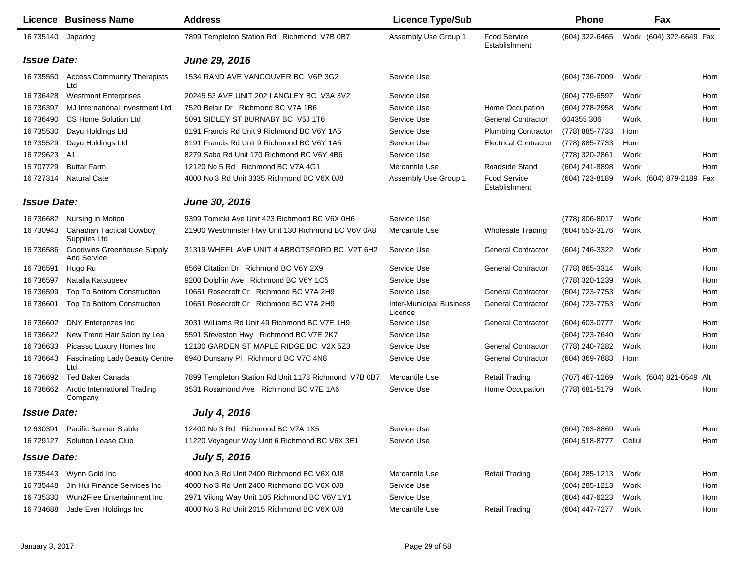|                    | Licence Business Name                                   | <b>Address</b>                                       | <b>Licence Type/Sub</b>                    |                                      | <b>Phone</b>          |      | Fax                     |     |
|--------------------|---------------------------------------------------------|------------------------------------------------------|--------------------------------------------|--------------------------------------|-----------------------|------|-------------------------|-----|
| 16 735140          | Japadog                                                 | 7899 Templeton Station Rd Richmond V7B 0B7           | Assembly Use Group 1                       | Food Service<br>Establishment        | (604) 322-6465        |      | Work (604) 322-6649 Fax |     |
| <b>Issue Date:</b> |                                                         | June 29, 2016                                        |                                            |                                      |                       |      |                         |     |
| 16 735550          | <b>Access Community Therapists</b><br>Ltd               | 1534 RAND AVE VANCOUVER BC V6P 3G2                   | Service Use                                |                                      | (604) 736-7009        | Work |                         | Hom |
| 16 73 6428         | <b>Westmont Enterprises</b>                             | 20245 53 AVE UNIT 202 LANGLEY BC V3A 3V2             | Service Use                                |                                      | (604) 779-6597        | Work |                         | Hom |
| 16 736397          | MJ International Investment Ltd                         | 7520 Belair Dr Richmond BC V7A 1B6                   | Service Use                                | Home Occupation                      | (604) 278-2958        | Work |                         | Hom |
| 16 73 6490         | <b>CS Home Solution Ltd</b>                             | 5091 SIDLEY ST BURNABY BC V5J 1T6                    | Service Use                                | <b>General Contractor</b>            | 604355 306            | Work |                         | Hom |
| 16 735530          | Dayu Holdings Ltd                                       | 8191 Francis Rd Unit 9 Richmond BC V6Y 1A5           | Service Use                                | <b>Plumbing Contractor</b>           | (778) 885-7733        | Hom  |                         |     |
| 16 735529          | Dayu Holdings Ltd                                       | 8191 Francis Rd Unit 9 Richmond BC V6Y 1A5           | Service Use                                | <b>Electrical Contractor</b>         | (778) 885-7733        | Hom  |                         |     |
| 16 729623          | A <sub>1</sub>                                          | 8279 Saba Rd Unit 170 Richmond BC V6Y 4B6            | Service Use                                |                                      | (778) 320-2861        | Work |                         | Hom |
| 15 707729          | <b>Buttar Farm</b>                                      | 12120 No 5 Rd Richmond BC V7A 4G1                    | Mercantile Use                             | Roadside Stand                       | (604) 241-8898        | Work |                         | Hom |
| 16 727314          | <b>Natural Cate</b>                                     | 4000 No 3 Rd Unit 3335 Richmond BC V6X 0J8           | Assembly Use Group 1                       | <b>Food Service</b><br>Establishment | (604) 723-8189        |      | Work (604) 879-2189 Fax |     |
| <b>Issue Date:</b> |                                                         | <b>June 30, 2016</b>                                 |                                            |                                      |                       |      |                         |     |
| 16 736682          | Nursing in Motion                                       | 9399 Tomicki Ave Unit 423 Richmond BC V6X 0H6        | Service Use                                |                                      | (778) 806-8017        | Work |                         | Hom |
| 16 730943          | <b>Canadian Tactical Cowboy</b><br>Supplies Ltd         | 21900 Westminster Hwy Unit 130 Richmond BC V6V 0A8   | Mercantile Use                             | <b>Wholesale Trading</b>             | (604) 553-3176        | Work |                         |     |
| 16 736586          | <b>Goodwins Greenhouse Supply</b><br><b>And Service</b> | 31319 WHEEL AVE UNIT 4 ABBOTSFORD BC V2T 6H2         | Service Use                                | <b>General Contractor</b>            | (604) 746-3322        | Work |                         | Hom |
| 16 73 6591         | Hugo Ru                                                 | 8569 Citation Dr Richmond BC V6Y 2X9                 | Service Use                                | <b>General Contractor</b>            | (778) 865-3314        | Work |                         | Hom |
| 16 73 6597         | Natalia Katsupeev                                       | 9200 Dolphin Ave Richmond BC V6Y 1C5                 | Service Use                                |                                      | (778) 320-1239        | Work |                         | Hom |
| 16 73 6599         | Top To Bottom Construction                              | 10651 Rosecroft Cr Richmond BC V7A 2H9               | Service Use                                | <b>General Contractor</b>            | (604) 723-7753        | Work |                         | Hom |
| 16 73 6601         | Top To Bottom Construction                              | 10651 Rosecroft Cr Richmond BC V7A 2H9               | <b>Inter-Municipal Business</b><br>Licence | <b>General Contractor</b>            | (604) 723-7753        | Work |                         | Hom |
| 16 73 6602         | DNY Enterprizes Inc.                                    | 3031 Williams Rd Unit 49 Richmond BC V7E 1H9         | Service Use                                | <b>General Contractor</b>            | (604) 603-0777        | Work |                         | Hom |
| 16 73 6622         | New Trend Hair Salon by Lea                             | 5591 Steveston Hwy Richmond BC V7E 2K7               | Service Use                                |                                      | (604) 723-7640        | Work |                         | Hom |
| 16 736633          | Picasso Luxury Homes Inc                                | 12130 GARDEN ST MAPLE RIDGE BC V2X 5Z3               | Service Use                                | <b>General Contractor</b>            | (778) 240-7282        | Work |                         | Hom |
| 16 73 6643         | <b>Fascinating Lady Beauty Centre</b><br>Ltd            | 6940 Dunsany PI Richmond BC V7C 4N8                  | Service Use                                | <b>General Contractor</b>            | (604) 369-7883        | Hom  |                         |     |
| 16 736692          | <b>Ted Baker Canada</b>                                 | 7899 Templeton Station Rd Unit 1178 Richmond V7B 0B7 | Mercantile Use                             | <b>Retail Trading</b>                | (707) 467-1269        |      | Work (604) 821-0549 Alt |     |
| 16 736662          | <b>Arctic International Trading</b><br>Company          | 3531 Rosamond Ave Richmond BC V7E 1A6                | Service Use                                | Home Occupation                      | (778) 681-5179        | Work |                         | Hom |
| <b>Issue Date:</b> |                                                         | <b>July 4, 2016</b>                                  |                                            |                                      |                       |      |                         |     |
|                    | 12 630391 Pacific Banner Stable                         | 12400 No 3 Rd Richmond BC V7A 1X5                    | Service Use                                |                                      | (604) 763-8869 Work   |      |                         | Hom |
|                    | 16 729127 Solution Lease Club                           | 11220 Voyageur Way Unit 6 Richmond BC V6X 3E1        | Service Use                                |                                      | (604) 518-8777 Cellul |      |                         | Hom |
| <b>Issue Date:</b> |                                                         | <b>July 5, 2016</b>                                  |                                            |                                      |                       |      |                         |     |
|                    | 16 735443  Wynn Gold Inc                                | 4000 No 3 Rd Unit 2400 Richmond BC V6X 0J8           | Mercantile Use                             | <b>Retail Trading</b>                | (604) 285-1213        | Work |                         | Hom |
| 16 735448          | Jin Hui Finance Services Inc                            | 4000 No 3 Rd Unit 2400 Richmond BC V6X 0J8           | Service Use                                |                                      | (604) 285-1213        | Work |                         | Hom |
| 16 735330          | Wun2Free Entertainment Inc                              | 2971 Viking Way Unit 105 Richmond BC V6V 1Y1         | Service Use                                |                                      | (604) 447-6223        | Work |                         | Hom |
| 16 734688          | Jade Ever Holdings Inc                                  | 4000 No 3 Rd Unit 2015 Richmond BC V6X 0J8           | Mercantile Use                             | <b>Retail Trading</b>                | (604) 447-7277        | Work |                         | Hom |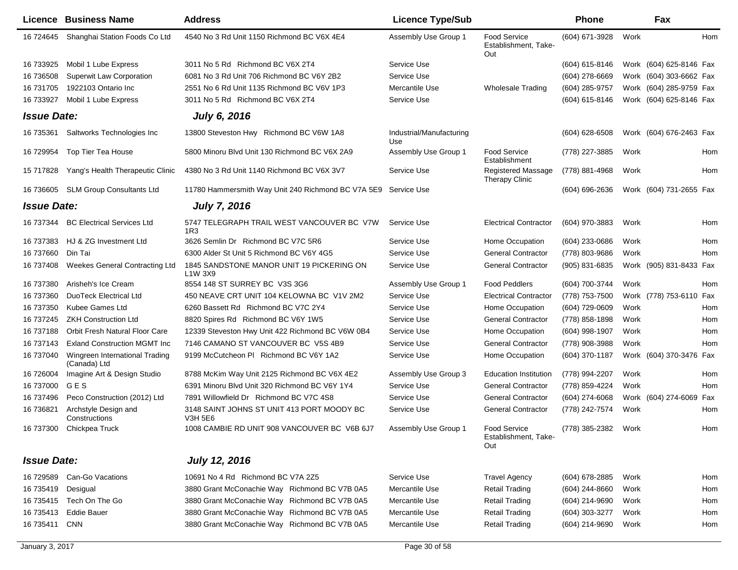|                    | <b>Licence Business Name</b>                   | <b>Address</b>                                                    | <b>Licence Type/Sub</b>         |                                                    | <b>Phone</b>     |      | Fax                     |     |
|--------------------|------------------------------------------------|-------------------------------------------------------------------|---------------------------------|----------------------------------------------------|------------------|------|-------------------------|-----|
| 16 724645          | Shanghai Station Foods Co Ltd                  | 4540 No 3 Rd Unit 1150 Richmond BC V6X 4E4                        | Assembly Use Group 1            | <b>Food Service</b><br>Establishment, Take-<br>Out | (604) 671-3928   | Work |                         | Hom |
| 16 733925          | Mobil 1 Lube Express                           | 3011 No 5 Rd Richmond BC V6X 2T4                                  | Service Use                     |                                                    | $(604)$ 615-8146 |      | Work (604) 625-8146 Fax |     |
| 16 736508          | <b>Superwit Law Corporation</b>                | 6081 No 3 Rd Unit 706 Richmond BC V6Y 2B2                         | Service Use                     |                                                    | (604) 278-6669   |      | Work (604) 303-6662 Fax |     |
| 16 731705          | 1922103 Ontario Inc                            | 2551 No 6 Rd Unit 1135 Richmond BC V6V 1P3                        | Mercantile Use                  | Wholesale Trading                                  | (604) 285-9757   |      | Work (604) 285-9759 Fax |     |
| 16 733927          | Mobil 1 Lube Express                           | 3011 No 5 Rd Richmond BC V6X 2T4                                  | Service Use                     |                                                    | (604) 615-8146   |      | Work (604) 625-8146 Fax |     |
| <b>Issue Date:</b> |                                                | <b>July 6, 2016</b>                                               |                                 |                                                    |                  |      |                         |     |
| 16 735361          | Saltworks Technologies Inc                     | 13800 Steveston Hwy Richmond BC V6W 1A8                           | Industrial/Manufacturing<br>Use |                                                    | (604) 628-6508   |      | Work (604) 676-2463 Fax |     |
| 16 729954          | Top Tier Tea House                             | 5800 Minoru Blvd Unit 130 Richmond BC V6X 2A9                     | Assembly Use Group 1            | <b>Food Service</b><br>Establishment               | (778) 227-3885   | Work |                         | Hom |
| 15 717828          | Yang's Health Therapeutic Clinic               | 4380 No 3 Rd Unit 1140 Richmond BC V6X 3V7                        | Service Use                     | <b>Registered Massage</b><br><b>Therapy Clinic</b> | (778) 881-4968   | Work |                         | Hom |
| 16 736605          | <b>SLM Group Consultants Ltd</b>               | 11780 Hammersmith Way Unit 240 Richmond BC V7A 5E9 Service Use    |                                 |                                                    | (604) 696-2636   |      | Work (604) 731-2655 Fax |     |
| <b>Issue Date:</b> |                                                | <b>July 7, 2016</b>                                               |                                 |                                                    |                  |      |                         |     |
| 16 737344          | <b>BC Electrical Services Ltd</b>              | 5747 TELEGRAPH TRAIL WEST VANCOUVER BC V7W<br>1R3                 | Service Use                     | <b>Electrical Contractor</b>                       | (604) 970-3883   | Work |                         | Hom |
| 16 737383          | HJ & ZG Investment Ltd                         | 3626 Semlin Dr Richmond BC V7C 5R6                                | Service Use                     | Home Occupation                                    | $(604)$ 233-0686 | Work |                         | Hom |
| 16 737660          | Din Tai                                        | 6300 Alder St Unit 5 Richmond BC V6Y 4G5                          | Service Use                     | <b>General Contractor</b>                          | (778) 803-9686   | Work |                         | Hom |
| 16 737408          | <b>Weekes General Contracting Ltd</b>          | 1845 SANDSTONE MANOR UNIT 19 PICKERING ON<br>L <sub>1</sub> W 3X9 | Service Use                     | <b>General Contractor</b>                          | (905) 831-6835   |      | Work (905) 831-8433 Fax |     |
| 16 737380          | Arisheh's Ice Cream                            | 8554 148 ST SURREY BC V3S 3G6                                     | Assembly Use Group 1            | <b>Food Peddlers</b>                               | (604) 700-3744   | Work |                         | Hom |
| 16 737360          | DuoTeck Electrical Ltd                         | 450 NEAVE CRT UNIT 104 KELOWNA BC V1V 2M2                         | Service Use                     | <b>Electrical Contractor</b>                       | (778) 753-7500   |      | Work (778) 753-6110 Fax |     |
| 16 737350          | Kubee Games Ltd                                | 6260 Bassett Rd Richmond BC V7C 2Y4                               | Service Use                     | Home Occupation                                    | (604) 729-0609   | Work |                         | Hom |
| 16 737245          | <b>ZKH Construction Ltd</b>                    | 8820 Spires Rd Richmond BC V6Y 1W5                                | Service Use                     | <b>General Contractor</b>                          | (778) 858-1898   | Work |                         | Hom |
| 16 737188          | Orbit Fresh Natural Floor Care                 | 12339 Steveston Hwy Unit 422 Richmond BC V6W 0B4                  | Service Use                     | Home Occupation                                    | (604) 998-1907   | Work |                         | Hom |
| 16 737143          | <b>Exland Construction MGMT Inc</b>            | 7146 CAMANO ST VANCOUVER BC V5S 4B9                               | Service Use                     | <b>General Contractor</b>                          | (778) 908-3988   | Work |                         | Hom |
| 16 737040          | Wingreen International Trading<br>(Canada) Ltd | 9199 McCutcheon PI Richmond BC V6Y 1A2                            | Service Use                     | Home Occupation                                    | (604) 370-1187   |      | Work (604) 370-3476 Fax |     |
| 16 726004          | Imagine Art & Design Studio                    | 8788 McKim Way Unit 2125 Richmond BC V6X 4E2                      | Assembly Use Group 3            | <b>Education Institution</b>                       | (778) 994-2207   | Work |                         | Hom |
| 16 737000          | GES                                            | 6391 Minoru Blvd Unit 320 Richmond BC V6Y 1Y4                     | Service Use                     | <b>General Contractor</b>                          | (778) 859-4224   | Work |                         | Hom |
| 16 737496          | Peco Construction (2012) Ltd                   | 7891 Willowfield Dr Richmond BC V7C 4S8                           | Service Use                     | <b>General Contractor</b>                          | (604) 274-6068   |      | Work (604) 274-6069     | Fax |
| 16 73 6821         | Archstyle Design and<br>Constructions          | 3148 SAINT JOHNS ST UNIT 413 PORT MOODY BC<br><b>V3H 5E6</b>      | Service Use                     | <b>General Contractor</b>                          | (778) 242-7574   | Work |                         | Hom |
|                    | 16 737300 Chickpea Truck                       | 1008 CAMBIE RD UNIT 908 VANCOUVER BC V6B 6J7                      | Assembly Use Group 1            | <b>Food Service</b><br>Establishment, Take-<br>Out | (778) 385-2382   | Work |                         | Hom |
| <b>Issue Date:</b> |                                                | <b>July 12, 2016</b>                                              |                                 |                                                    |                  |      |                         |     |
| 16 729589          | Can-Go Vacations                               | 10691 No 4 Rd Richmond BC V7A 2Z5                                 | Service Use                     | <b>Travel Agency</b>                               | (604) 678-2885   | Work |                         | Hom |
| 16 735419          | Desigual                                       | 3880 Grant McConachie Way Richmond BC V7B 0A5                     | Mercantile Use                  | <b>Retail Trading</b>                              | (604) 244-8660   | Work |                         | Hom |
|                    | 16 735415 Tech On The Go                       | 3880 Grant McConachie Way Richmond BC V7B 0A5                     | Mercantile Use                  | <b>Retail Trading</b>                              | (604) 214-9690   | Work |                         | Hom |
| 16 735413          | <b>Eddie Bauer</b>                             | 3880 Grant McConachie Way Richmond BC V7B 0A5                     | Mercantile Use                  | <b>Retail Trading</b>                              | (604) 303-3277   | Work |                         | Hom |
| 16 735411          | <b>CNN</b>                                     | 3880 Grant McConachie Way Richmond BC V7B 0A5                     | Mercantile Use                  | <b>Retail Trading</b>                              | (604) 214-9690   | Work |                         | Hom |
|                    |                                                |                                                                   |                                 |                                                    |                  |      |                         |     |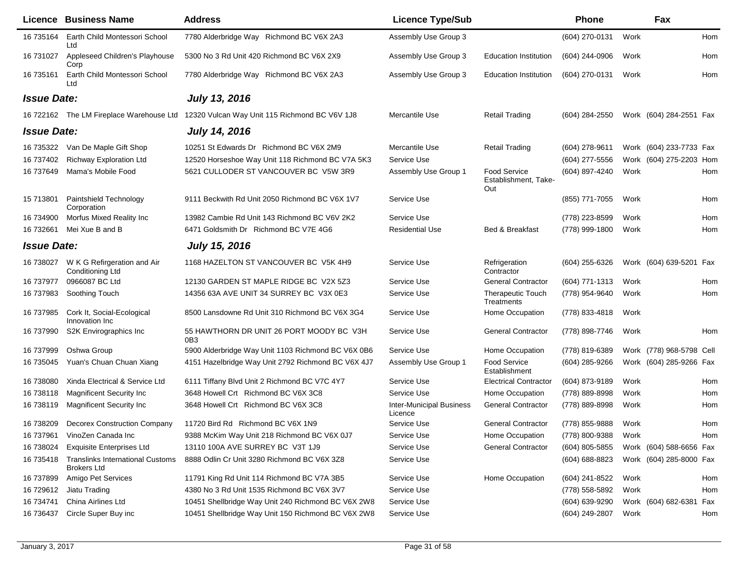|                    | <b>Licence Business Name</b>                                  | <b>Address</b>                                               | <b>Licence Type/Sub</b>                    |                                                    | <b>Phone</b>   |      | Fax                      |     |
|--------------------|---------------------------------------------------------------|--------------------------------------------------------------|--------------------------------------------|----------------------------------------------------|----------------|------|--------------------------|-----|
| 16 735164          | Earth Child Montessori School<br>Ltd                          | 7780 Alderbridge Way Richmond BC V6X 2A3                     | Assembly Use Group 3                       |                                                    | (604) 270-0131 | Work |                          | Hom |
| 16 731027          | Appleseed Children's Playhouse<br>Corp                        | 5300 No 3 Rd Unit 420 Richmond BC V6X 2X9                    | Assembly Use Group 3                       | <b>Education Institution</b>                       | (604) 244-0906 | Work |                          | Hom |
| 16 735161          | Earth Child Montessori School<br>Ltd                          | 7780 Alderbridge Way Richmond BC V6X 2A3                     | Assembly Use Group 3                       | <b>Education Institution</b>                       | (604) 270-0131 | Work |                          | Hom |
| <b>Issue Date:</b> |                                                               | <b>July 13, 2016</b>                                         |                                            |                                                    |                |      |                          |     |
| 16 722162          | The LM Fireplace Warehouse Ltd                                | 12320 Vulcan Way Unit 115 Richmond BC V6V 1J8                | Mercantile Use                             | <b>Retail Trading</b>                              | (604) 284-2550 |      | Work (604) 284-2551 Fax  |     |
| <b>Issue Date:</b> |                                                               | <b>July 14, 2016</b>                                         |                                            |                                                    |                |      |                          |     |
| 16 735322          | Van De Maple Gift Shop                                        | 10251 St Edwards Dr Richmond BC V6X 2M9                      | Mercantile Use                             | <b>Retail Trading</b>                              | (604) 278-9611 |      | Work (604) 233-7733 Fax  |     |
| 16 737402          | Richway Exploration Ltd                                       | 12520 Horseshoe Way Unit 118 Richmond BC V7A 5K3             | Service Use                                |                                                    | (604) 277-5556 |      | Work (604) 275-2203 Hom  |     |
| 16 737649          | Mama's Mobile Food                                            | 5621 CULLODER ST VANCOUVER BC V5W 3R9                        | Assembly Use Group 1                       | <b>Food Service</b><br>Establishment, Take-<br>Out | (604) 897-4240 | Work |                          | Hom |
| 15 713801          | Paintshield Technology<br>Corporation                         | 9111 Beckwith Rd Unit 2050 Richmond BC V6X 1V7               | Service Use                                |                                                    | (855) 771-7055 | Work |                          | Hom |
| 16 734900          | Morfus Mixed Reality Inc                                      | 13982 Cambie Rd Unit 143 Richmond BC V6V 2K2                 | Service Use                                |                                                    | (778) 223-8599 | Work |                          | Hom |
| 16 732661          | Mei Xue B and B                                               | 6471 Goldsmith Dr Richmond BC V7E 4G6                        | <b>Residential Use</b>                     | <b>Bed &amp; Breakfast</b>                         | (778) 999-1800 | Work |                          | Hom |
| <b>Issue Date:</b> |                                                               | July 15, 2016                                                |                                            |                                                    |                |      |                          |     |
| 16 738027          | W K G Refirgeration and Air<br>Conditioning Ltd               | 1168 HAZELTON ST VANCOUVER BC V5K 4H9                        | Service Use                                | Refrigeration<br>Contractor                        | (604) 255-6326 |      | Work (604) 639-5201 Fax  |     |
| 16 737977          | 0966087 BC Ltd                                                | 12130 GARDEN ST MAPLE RIDGE BC V2X 5Z3                       | Service Use                                | <b>General Contractor</b>                          | (604) 771-1313 | Work |                          | Hom |
| 16 737983          | Soothing Touch                                                | 14356 63A AVE UNIT 34 SURREY BC V3X 0E3                      | Service Use                                | <b>Therapeutic Touch</b><br>Treatments             | (778) 954-9640 | Work |                          | Hom |
| 16 737985          | Cork It, Social-Ecological<br>Innovation Inc                  | 8500 Lansdowne Rd Unit 310 Richmond BC V6X 3G4               | Service Use                                | Home Occupation                                    | (778) 833-4818 | Work |                          |     |
| 16 737990          | S2K Envirographics Inc                                        | 55 HAWTHORN DR UNIT 26 PORT MOODY BC V3H<br>0 <sub>B</sub> 3 | Service Use                                | <b>General Contractor</b>                          | (778) 898-7746 | Work |                          | Hom |
| 16 737999          | Oshwa Group                                                   | 5900 Alderbridge Way Unit 1103 Richmond BC V6X 0B6           | Service Use                                | Home Occupation                                    | (778) 819-6389 |      | Work (778) 968-5798 Cell |     |
| 16 735045          | Yuan's Chuan Chuan Xiang                                      | 4151 Hazelbridge Way Unit 2792 Richmond BC V6X 4J7           | Assembly Use Group 1                       | <b>Food Service</b><br>Establishment               | (604) 285-9266 |      | Work (604) 285-9266 Fax  |     |
| 16 738080          | Xinda Electrical & Service Ltd                                | 6111 Tiffany Blvd Unit 2 Richmond BC V7C 4Y7                 | Service Use                                | <b>Electrical Contractor</b>                       | (604) 873-9189 | Work |                          | Hom |
| 16 738118          | Magnificent Security Inc.                                     | 3648 Howell Crt Richmond BC V6X 3C8                          | Service Use                                | Home Occupation                                    | (778) 889-8998 | Work |                          | Hom |
| 16 738119          | <b>Magnificent Security Inc.</b>                              | 3648 Howell Crt Richmond BC V6X 3C8                          | <b>Inter-Municipal Business</b><br>Licence | <b>General Contractor</b>                          | (778) 889-8998 | Work |                          | Hom |
| 16 738209          | <b>Decorex Construction Company</b>                           | 11720 Bird Rd Richmond BC V6X 1N9                            | Service Use                                | <b>General Contractor</b>                          | (778) 855-9888 | Work |                          | Hom |
| 16 737961          | VinoZen Canada Inc                                            | 9388 McKim Way Unit 218 Richmond BC V6X 0J7                  | Service Use                                | Home Occupation                                    | (778) 800-9388 | Work |                          | Hom |
| 16 738024          | <b>Exquisite Enterprises Ltd</b>                              | 13110 100A AVE SURREY BC V3T 1J9                             | Service Use                                | <b>General Contractor</b>                          | (604) 805-5855 |      | Work (604) 588-6656 Fax  |     |
| 16 735418          | <b>Translinks International Customs</b><br><b>Brokers Ltd</b> | 8888 Odlin Cr Unit 3280 Richmond BC V6X 3Z8                  | Service Use                                |                                                    | (604) 688-8823 |      | Work (604) 285-8000 Fax  |     |
| 16 737899          | Amigo Pet Services                                            | 11791 King Rd Unit 114 Richmond BC V7A 3B5                   | Service Use                                | Home Occupation                                    | (604) 241-8522 | Work |                          | Hom |
| 16 729612          | Jiatu Trading                                                 | 4380 No 3 Rd Unit 1535 Richmond BC V6X 3V7                   | Service Use                                |                                                    | (778) 558-5892 | Work |                          | Hom |
| 16 734741          | China Airlines Ltd                                            | 10451 Shellbridge Way Unit 240 Richmond BC V6X 2W8           | Service Use                                |                                                    | (604) 639-9290 |      | Work (604) 682-6381      | Fax |
| 16 73 6437         | Circle Super Buy inc                                          | 10451 Shellbridge Way Unit 150 Richmond BC V6X 2W8           | Service Use                                |                                                    | (604) 249-2807 | Work |                          | Hom |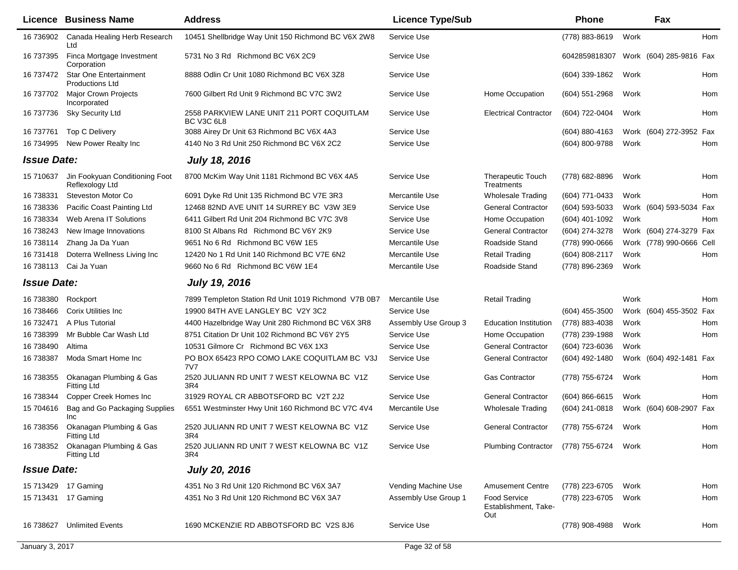|                    | Licence Business Name                                   | <b>Address</b>                                           | <b>Licence Type/Sub</b> |                                                    | Phone                                 |      | Fax                      |            |
|--------------------|---------------------------------------------------------|----------------------------------------------------------|-------------------------|----------------------------------------------------|---------------------------------------|------|--------------------------|------------|
| 16 736902          | Canada Healing Herb Research<br>Ltd                     | 10451 Shellbridge Way Unit 150 Richmond BC V6X 2W8       | Service Use             |                                                    | (778) 883-8619                        | Work |                          | Hom        |
| 16 737395          | Finca Mortgage Investment<br>Corporation                | 5731 No 3 Rd Richmond BC V6X 2C9                         | Service Use             |                                                    | 6042859818307 Work (604) 285-9816 Fax |      |                          |            |
| 16 737472          | <b>Star One Entertainment</b><br><b>Productions Ltd</b> | 8888 Odlin Cr Unit 1080 Richmond BC V6X 3Z8              | Service Use             |                                                    | (604) 339-1862                        | Work |                          | Hom        |
| 16 737702          | <b>Major Crown Projects</b><br>Incorporated             | 7600 Gilbert Rd Unit 9 Richmond BC V7C 3W2               | Service Use             | Home Occupation                                    | (604) 551-2968                        | Work |                          | Hom        |
| 16 737736          | <b>Sky Security Ltd</b>                                 | 2558 PARKVIEW LANE UNIT 211 PORT COQUITLAM<br>BC V3C 6L8 | Service Use             | <b>Electrical Contractor</b>                       | (604) 722-0404                        | Work |                          | Hom        |
| 16 737761          | <b>Top C Delivery</b>                                   | 3088 Airey Dr Unit 63 Richmond BC V6X 4A3                | Service Use             |                                                    | (604) 880-4163                        |      | Work (604) 272-3952 Fax  |            |
| 16 734995          | New Power Realty Inc                                    | 4140 No 3 Rd Unit 250 Richmond BC V6X 2C2                | Service Use             |                                                    | (604) 800-9788                        | Work |                          | Hom        |
| <b>Issue Date:</b> |                                                         | <b>July 18, 2016</b>                                     |                         |                                                    |                                       |      |                          |            |
| 15 710637          | Jin Fookyuan Conditioning Foot<br>Reflexology Ltd       | 8700 McKim Way Unit 1181 Richmond BC V6X 4A5             | Service Use             | <b>Therapeutic Touch</b><br>Treatments             | (778) 682-8896                        | Work |                          | Hom        |
| 16 738331          | Steveston Motor Co                                      | 6091 Dyke Rd Unit 135 Richmond BC V7E 3R3                | Mercantile Use          | <b>Wholesale Trading</b>                           | (604) 771-0433                        | Work |                          | <b>Hom</b> |
| 16 738336          | Pacific Coast Painting Ltd                              | 12468 82ND AVE UNIT 14 SURREY BC V3W 3E9                 | Service Use             | <b>General Contractor</b>                          | (604) 593-5033                        |      | Work (604) 593-5034 Fax  |            |
| 16 738334          | Web Arena IT Solutions                                  | 6411 Gilbert Rd Unit 204 Richmond BC V7C 3V8             | Service Use             | Home Occupation                                    | (604) 401-1092                        | Work |                          | Hom        |
| 16 738243          | New Image Innovations                                   | 8100 St Albans Rd Richmond BC V6Y 2K9                    | Service Use             | <b>General Contractor</b>                          | (604) 274-3278                        |      | Work (604) 274-3279 Fax  |            |
| 16 738114          | Zhang Ja Da Yuan                                        | 9651 No 6 Rd Richmond BC V6W 1E5                         | Mercantile Use          | Roadside Stand                                     | (778) 990-0666                        |      | Work (778) 990-0666 Cell |            |
| 16 731418          | Doterra Wellness Living Inc                             | 12420 No 1 Rd Unit 140 Richmond BC V7E 6N2               | Mercantile Use          | Retail Trading                                     | (604) 808-2117                        | Work |                          | Hom        |
| 16 738113          | Cai Ja Yuan                                             | 9660 No 6 Rd Richmond BC V6W 1E4                         | Mercantile Use          | Roadside Stand                                     | (778) 896-2369                        | Work |                          |            |
| <b>Issue Date:</b> |                                                         | <b>July 19, 2016</b>                                     |                         |                                                    |                                       |      |                          |            |
| 16 738380          | Rockport                                                | 7899 Templeton Station Rd Unit 1019 Richmond V7B 0B7     | Mercantile Use          | <b>Retail Trading</b>                              |                                       | Work |                          | Hom        |
| 16 738466          | <b>Corix Utilities Inc.</b>                             | 19900 84TH AVE LANGLEY BC V2Y 3C2                        | Service Use             |                                                    | $(604)$ 455-3500                      |      | Work (604) 455-3502 Fax  |            |
| 16 732471          | A Plus Tutorial                                         | 4400 Hazelbridge Way Unit 280 Richmond BC V6X 3R8        | Assembly Use Group 3    | <b>Education Institution</b>                       | (778) 883-4038                        | Work |                          | Hom        |
| 16 738399          | Mr Bubble Car Wash Ltd                                  | 8751 Citation Dr Unit 102 Richmond BC V6Y 2Y5            | Service Use             | Home Occupation                                    | (778) 239-1988                        | Work |                          | Hom        |
| 16 738490          | Altima                                                  | 10531 Gilmore Cr Richmond BC V6X 1X3                     | Service Use             | <b>General Contractor</b>                          | (604) 723-6036                        | Work |                          |            |
| 16 738387          | Moda Smart Home Inc                                     | PO BOX 65423 RPO COMO LAKE COQUITLAM BC V3J<br>7V7       | Service Use             | <b>General Contractor</b>                          | (604) 492-1480                        |      | Work (604) 492-1481 Fax  |            |
| 16 738355          | Okanagan Plumbing & Gas<br><b>Fitting Ltd</b>           | 2520 JULIANN RD UNIT 7 WEST KELOWNA BC V1Z<br>3R4        | Service Use             | <b>Gas Contractor</b>                              | (778) 755-6724                        | Work |                          | Hom        |
| 16 738344          | Copper Creek Homes Inc                                  | 31929 ROYAL CR ABBOTSFORD BC V2T 2J2                     | Service Use             | <b>General Contractor</b>                          | $(604) 866 - 6615$                    | Work |                          | <b>Hom</b> |
| 15 704616          | Bag and Go Packaging Supplies<br>Inc                    | 6551 Westminster Hwy Unit 160 Richmond BC V7C 4V4        | Mercantile Use          | <b>Wholesale Trading</b>                           | $(604)$ 241-0818                      |      | Work (604) 608-2907 Fax  |            |
| 16 738356          | Okanagan Plumbing & Gas<br><b>Fitting Ltd</b>           | 2520 JULIANN RD UNIT 7 WEST KELOWNA BC V1Z<br>3R4        | Service Use             | <b>General Contractor</b>                          | (778) 755-6724                        | Work |                          | Hom        |
| 16 738352          | Okanagan Plumbing & Gas<br><b>Fitting Ltd</b>           | 2520 JULIANN RD UNIT 7 WEST KELOWNA BC V1Z<br>3R4        | Service Use             | <b>Plumbing Contractor</b>                         | (778) 755-6724                        | Work |                          | Hom        |
| <b>Issue Date:</b> |                                                         | <b>July 20, 2016</b>                                     |                         |                                                    |                                       |      |                          |            |
|                    | 15 713429 17 Gaming                                     | 4351 No 3 Rd Unit 120 Richmond BC V6X 3A7                | Vending Machine Use     | <b>Amusement Centre</b>                            | (778) 223-6705                        | Work |                          | Hom        |
|                    | 15 713431 17 Gaming                                     | 4351 No 3 Rd Unit 120 Richmond BC V6X 3A7                | Assembly Use Group 1    | <b>Food Service</b><br>Establishment, Take-<br>Out | (778) 223-6705                        | Work |                          | Hom        |
|                    | 16 738627 Unlimited Events                              | 1690 MCKENZIE RD ABBOTSFORD BC V2S 8J6                   | Service Use             |                                                    | (778) 908-4988                        | Work |                          | Hom        |
| January 3, 2017    |                                                         |                                                          | Page 32 of 58           |                                                    |                                       |      |                          |            |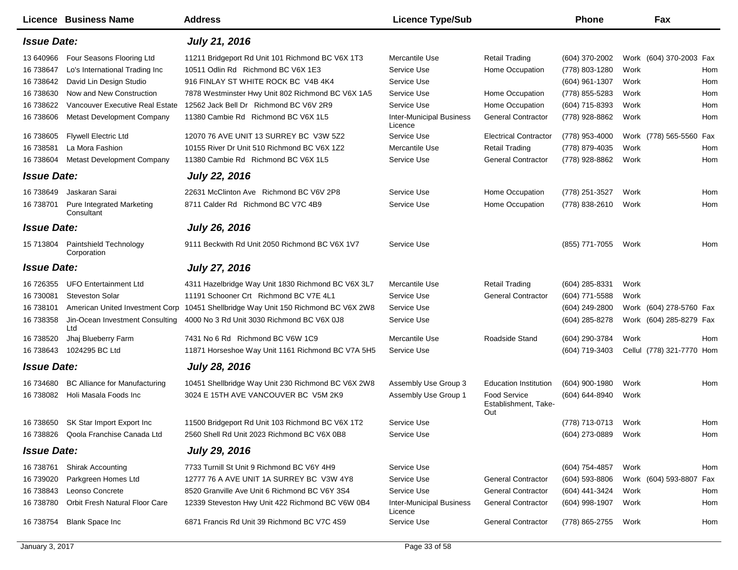|                        | <b>Licence Business Name</b>                    | <b>Address</b>                                     | <b>Licence Type/Sub</b>                    |                                             | <b>Phone</b>                       |      | Fax                       |     |
|------------------------|-------------------------------------------------|----------------------------------------------------|--------------------------------------------|---------------------------------------------|------------------------------------|------|---------------------------|-----|
| <b>Issue Date:</b>     |                                                 | <b>July 21, 2016</b>                               |                                            |                                             |                                    |      |                           |     |
| 13 640966              | Four Seasons Flooring Ltd                       | 11211 Bridgeport Rd Unit 101 Richmond BC V6X 1T3   | Mercantile Use                             | <b>Retail Trading</b>                       | (604) 370-2002                     |      | Work (604) 370-2003 Fax   |     |
| 16 738647              | Lo's International Trading Inc                  | 10511 Odlin Rd Richmond BC V6X 1E3                 | Service Use                                | Home Occupation                             | (778) 803-1280                     | Work |                           | Hom |
| 16 738642              | David Lin Design Studio                         | 916 FINLAY ST WHITE ROCK BC V4B 4K4                | Service Use                                |                                             | (604) 961-1307                     | Work |                           | Hom |
| 16 738630              | Now and New Construction                        | 7878 Westminster Hwy Unit 802 Richmond BC V6X 1A5  | Service Use                                | Home Occupation                             | (778) 855-5283                     | Work |                           | Hom |
| 16 738622              | Vancouver Executive Real Estate                 | 12562 Jack Bell Dr Richmond BC V6V 2R9             | Service Use                                | Home Occupation                             | (604) 715-8393                     | Work |                           | Hom |
| 16 738606              | <b>Metast Development Company</b>               | 11380 Cambie Rd Richmond BC V6X 1L5                | <b>Inter-Municipal Business</b><br>Licence | <b>General Contractor</b>                   | (778) 928-8862                     | Work |                           | Hom |
| 16 738605              | <b>Flywell Electric Ltd</b>                     | 12070 76 AVE UNIT 13 SURREY BC V3W 5Z2             | Service Use                                | <b>Electrical Contractor</b>                | (778) 953-4000                     |      | Work (778) 565-5560       | Fax |
| 16 738581              | La Mora Fashion                                 | 10155 River Dr Unit 510 Richmond BC V6X 1Z2        | Mercantile Use                             | <b>Retail Trading</b>                       | (778) 879-4035                     | Work |                           | Hom |
| 16 738604              | <b>Metast Development Company</b>               | 11380 Cambie Rd Richmond BC V6X 1L5                | Service Use                                | <b>General Contractor</b>                   | (778) 928-8862                     | Work |                           | Hom |
| <b>Issue Date:</b>     |                                                 | <b>July 22, 2016</b>                               |                                            |                                             |                                    |      |                           |     |
| 16 738649              | Jaskaran Sarai                                  | 22631 McClinton Ave Richmond BC V6V 2P8            | Service Use                                | Home Occupation                             | (778) 251-3527                     | Work |                           | Hom |
| 16 738701              | <b>Pure Integrated Marketing</b><br>Consultant  | 8711 Calder Rd Richmond BC V7C 4B9                 | Service Use                                | Home Occupation                             | (778) 838-2610                     | Work |                           | Hom |
| <b>Issue Date:</b>     |                                                 | July 26, 2016                                      |                                            |                                             |                                    |      |                           |     |
| 15 713804              | Paintshield Technology<br>Corporation           | 9111 Beckwith Rd Unit 2050 Richmond BC V6X 1V7     | Service Use                                |                                             | (855) 771-7055                     | Work |                           | Hom |
| <b>Issue Date:</b>     |                                                 | <b>July 27, 2016</b>                               |                                            |                                             |                                    |      |                           |     |
| 16 726355              | <b>UFO Entertainment Ltd</b>                    | 4311 Hazelbridge Way Unit 1830 Richmond BC V6X 3L7 | Mercantile Use                             | <b>Retail Trading</b>                       | $(604)$ 285-8331                   | Work |                           |     |
| 16 730081              | <b>Steveston Solar</b>                          | 11191 Schooner Crt Richmond BC V7E 4L1             | Service Use                                | <b>General Contractor</b>                   | (604) 771-5588                     | Work |                           |     |
| 16 738101              | American United Investment Corp                 | 10451 Shellbridge Way Unit 150 Richmond BC V6X 2W8 | Service Use                                |                                             | (604) 249-2800                     |      | Work (604) 278-5760 Fax   |     |
| 16 738358              | Jin-Ocean Investment Consulting<br>Ltd          | 4000 No 3 Rd Unit 3030 Richmond BC V6X 0J8         | Service Use                                |                                             | (604) 285-8278                     |      | Work (604) 285-8279 Fax   |     |
| 16 738520              | Jhaj Blueberry Farm                             | 7431 No 6 Rd Richmond BC V6W 1C9                   | Mercantile Use                             | Roadside Stand                              | (604) 290-3784                     | Work |                           | Hom |
| 16 738643              | 1024295 BC Ltd                                  | 11871 Horseshoe Way Unit 1161 Richmond BC V7A 5H5  | Service Use                                |                                             | (604) 719-3403                     |      | Cellul (778) 321-7770 Hom |     |
| <b>Issue Date:</b>     |                                                 | <b>July 28, 2016</b>                               |                                            |                                             |                                    |      |                           |     |
| 16 734680              | <b>BC Alliance for Manufacturing</b>            | 10451 Shellbridge Way Unit 230 Richmond BC V6X 2W8 | Assembly Use Group 3                       | <b>Education Institution</b>                | (604) 900-1980                     | Work |                           | Hom |
| 16 738082              | Holi Masala Foods Inc                           | 3024 E 15TH AVE VANCOUVER BC V5M 2K9               | Assembly Use Group 1                       | <b>Food Service</b><br>Establishment, Take- | (604) 644-8940                     | Work |                           |     |
| 16 738650              | SK Star Import Export Inc.                      | 11500 Bridgeport Rd Unit 103 Richmond BC V6X 1T2   | Service Use                                | Out                                         | (778) 713-0713                     | Work |                           | Hom |
|                        | 16 738826 Qoola Franchise Canada Ltd            | 2560 Shell Rd Unit 2023 Richmond BC V6X 0B8        | Service Use                                |                                             | (604) 273-0889                     | Work |                           | Hom |
| <b>Issue Date:</b>     |                                                 | <b>July 29, 2016</b>                               |                                            |                                             |                                    |      |                           |     |
|                        |                                                 | 7733 Turnill St Unit 9 Richmond BC V6Y 4H9         |                                            |                                             |                                    |      |                           |     |
| 16 738761              | <b>Shirak Accounting</b><br>Parkgreen Homes Ltd | 12777 76 A AVE UNIT 1A SURREY BC V3W 4Y8           | Service Use<br>Service Use                 | <b>General Contractor</b>                   | (604) 754-4857                     | Work |                           | Hom |
| 16 739020<br>16 738843 | Leonso Concrete                                 | 8520 Granville Ave Unit 6 Richmond BC V6Y 3S4      | Service Use                                | <b>General Contractor</b>                   | $(604)$ 593-8806<br>(604) 441-3424 |      | Work (604) 593-8807 Fax   |     |
|                        | Orbit Fresh Natural Floor Care                  |                                                    |                                            |                                             |                                    | Work |                           | Hom |
| 16 738780              |                                                 | 12339 Steveston Hwy Unit 422 Richmond BC V6W 0B4   | <b>Inter-Municipal Business</b><br>Licence | <b>General Contractor</b>                   | (604) 998-1907                     | Work |                           | Hom |
| 16 738754              | <b>Blank Space Inc</b>                          | 6871 Francis Rd Unit 39 Richmond BC V7C 4S9        | Service Use                                | <b>General Contractor</b>                   | (778) 865-2755                     | Work |                           | Hom |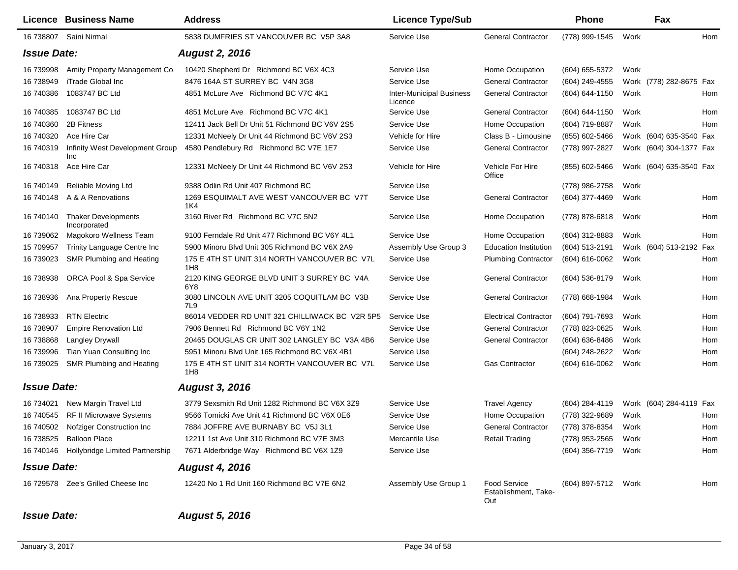|                    | Licence Business Name                      | <b>Address</b>                                      | <b>Licence Type/Sub</b>                    |                                                    | <b>Phone</b>        |      | Fax                     |     |
|--------------------|--------------------------------------------|-----------------------------------------------------|--------------------------------------------|----------------------------------------------------|---------------------|------|-------------------------|-----|
|                    | 16 738807 Saini Nirmal                     | 5838 DUMFRIES ST VANCOUVER BC V5P 3A8               | Service Use                                | <b>General Contractor</b>                          | (778) 999-1545      | Work |                         | Hom |
| <b>Issue Date:</b> |                                            | <b>August 2, 2016</b>                               |                                            |                                                    |                     |      |                         |     |
| 16 739998          | Amity Property Management Co               | 10420 Shepherd Dr Richmond BC V6X 4C3               | Service Use                                | Home Occupation                                    | (604) 655-5372      | Work |                         |     |
| 16 738949          | iTrade Global Inc                          | 8476 164A ST SURREY BC V4N 3G8                      | Service Use                                | <b>General Contractor</b>                          | (604) 249-4555      |      | Work (778) 282-8675 Fax |     |
| 16 740386          | 1083747 BC Ltd                             | 4851 McLure Ave Richmond BC V7C 4K1                 | <b>Inter-Municipal Business</b><br>Licence | <b>General Contractor</b>                          | (604) 644-1150      | Work |                         | Hom |
| 16 740385          | 1083747 BC Ltd                             | 4851 McLure Ave Richmond BC V7C 4K1                 | Service Use                                | <b>General Contractor</b>                          | (604) 644-1150      | Work |                         | Hom |
| 16 740360          | 2B Fitness                                 | 12411 Jack Bell Dr Unit 51 Richmond BC V6V 2S5      | Service Use                                | Home Occupation                                    | (604) 719-8887      | Work |                         | Hom |
| 16 740320          | Ace Hire Car                               | 12331 McNeely Dr Unit 44 Richmond BC V6V 2S3        | Vehicle for Hire                           | Class B - Limousine                                | (855) 602-5466      |      | Work (604) 635-3540 Fax |     |
| 16 740319          | Infinity West Development Group<br>Inc     | 4580 Pendlebury Rd Richmond BC V7E 1E7              | Service Use                                | <b>General Contractor</b>                          | (778) 997-2827      |      | Work (604) 304-1377 Fax |     |
| 16 740318          | Ace Hire Car                               | 12331 McNeely Dr Unit 44 Richmond BC V6V 2S3        | Vehicle for Hire                           | Vehicle For Hire<br>Office                         | (855) 602-5466      |      | Work (604) 635-3540 Fax |     |
| 16 740149          | Reliable Moving Ltd                        | 9388 Odlin Rd Unit 407 Richmond BC                  | Service Use                                |                                                    | (778) 986-2758      | Work |                         |     |
| 16 740148          | A & A Renovations                          | 1269 ESQUIMALT AVE WEST VANCOUVER BC V7T<br>1K4     | Service Use                                | <b>General Contractor</b>                          | (604) 377-4469      | Work |                         | Hom |
| 16 740140          | <b>Thaker Developments</b><br>Incorporated | 3160 River Rd Richmond BC V7C 5N2                   | Service Use                                | Home Occupation                                    | (778) 878-6818      | Work |                         | Hom |
| 16 739062          | Magokoro Wellness Team                     | 9100 Ferndale Rd Unit 477 Richmond BC V6Y 4L1       | Service Use                                | Home Occupation                                    | (604) 312-8883      | Work |                         | Hom |
| 15 709957          | Trinity Language Centre Inc                | 5900 Minoru Blvd Unit 305 Richmond BC V6X 2A9       | Assembly Use Group 3                       | <b>Education Institution</b>                       | $(604)$ 513-2191    |      | Work (604) 513-2192 Fax |     |
| 16 739023          | SMR Plumbing and Heating                   | 175 E 4TH ST UNIT 314 NORTH VANCOUVER BC V7L<br>1H8 | Service Use                                | <b>Plumbing Contractor</b>                         | (604) 616-0062      | Work |                         | Hom |
| 16 738938          | ORCA Pool & Spa Service                    | 2120 KING GEORGE BLVD UNIT 3 SURREY BC V4A<br>6Y8   | Service Use                                | <b>General Contractor</b>                          | (604) 536-8179      | Work |                         | Hom |
| 16 738936          | Ana Property Rescue                        | 3080 LINCOLN AVE UNIT 3205 COQUITLAM BC V3B<br>7L9  | Service Use                                | <b>General Contractor</b>                          | (778) 668-1984      | Work |                         | Hom |
| 16 738933          | <b>RTN Electric</b>                        | 86014 VEDDER RD UNIT 321 CHILLIWACK BC V2R 5P5      | Service Use                                | <b>Electrical Contractor</b>                       | (604) 791-7693      | Work |                         | Hom |
| 16 738907          | <b>Empire Renovation Ltd</b>               | 7906 Bennett Rd Richmond BC V6Y 1N2                 | Service Use                                | <b>General Contractor</b>                          | (778) 823-0625      | Work |                         | Hom |
| 16 738868          | <b>Langley Drywall</b>                     | 20465 DOUGLAS CR UNIT 302 LANGLEY BC V3A 4B6        | Service Use                                | <b>General Contractor</b>                          | (604) 636-8486      | Work |                         | Hom |
| 16 739996          | Tian Yuan Consulting Inc                   | 5951 Minoru Blvd Unit 165 Richmond BC V6X 4B1       | Service Use                                |                                                    | (604) 248-2622      | Work |                         | Hom |
| 16 739025          | SMR Plumbing and Heating                   | 175 E 4TH ST UNIT 314 NORTH VANCOUVER BC V7L<br>1H8 | Service Use                                | <b>Gas Contractor</b>                              | (604) 616-0062      | Work |                         | Hom |
| <b>Issue Date:</b> |                                            | <b>August 3, 2016</b>                               |                                            |                                                    |                     |      |                         |     |
| 16 734021          | New Margin Travel Ltd                      | 3779 Sexsmith Rd Unit 1282 Richmond BC V6X 3Z9      | Service Use                                | <b>Travel Agency</b>                               | (604) 284-4119      |      | Work (604) 284-4119 Fax |     |
| 16 740545          | RF II Microwave Systems                    | 9566 Tomicki Ave Unit 41 Richmond BC V6X 0E6        | Service Use                                | Home Occupation                                    | (778) 322-9689      | Work |                         | Hom |
| 16 740502          | Nofziger Construction Inc                  | 7884 JOFFRE AVE BURNABY BC V5J 3L1                  | Service Use                                | <b>General Contractor</b>                          | (778) 378-8354      | Work |                         | Hom |
|                    | 16 738525 Balloon Place                    | 12211 1st Ave Unit 310 Richmond BC V7E 3M3          | Mercantile Use                             | <b>Retail Trading</b>                              | (778) 953-2565      | Work |                         | Hom |
|                    | 16 740146 Hollybridge Limited Partnership  | 7671 Alderbridge Way Richmond BC V6X 1Z9            | Service Use                                |                                                    | (604) 356-7719      | Work |                         | Hom |
| <b>Issue Date:</b> |                                            | <b>August 4, 2016</b>                               |                                            |                                                    |                     |      |                         |     |
|                    | 16 729578 Zee's Grilled Cheese Inc         | 12420 No 1 Rd Unit 160 Richmond BC V7E 6N2          | Assembly Use Group 1                       | <b>Food Service</b><br>Establishment, Take-<br>Out | (604) 897-5712 Work |      |                         | Hom |

## *Issue Date: August 5, 2016*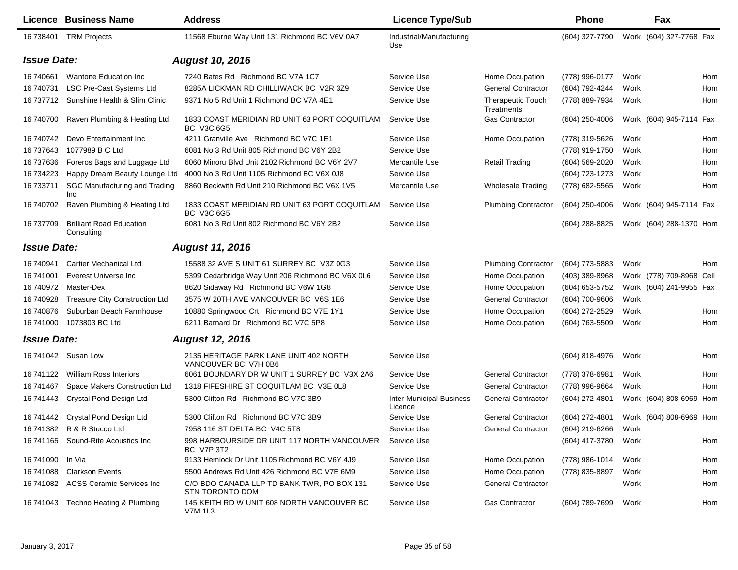|                    | Licence Business Name                         | <b>Address</b>                                                     | <b>Licence Type/Sub</b>                    |                                        | <b>Phone</b>     |      | Fax                      |     |
|--------------------|-----------------------------------------------|--------------------------------------------------------------------|--------------------------------------------|----------------------------------------|------------------|------|--------------------------|-----|
| 16 738401          | <b>TRM Projects</b>                           | 11568 Eburne Way Unit 131 Richmond BC V6V 0A7                      | Industrial/Manufacturing<br>Use            |                                        | (604) 327-7790   |      | Work (604) 327-7768 Fax  |     |
| <b>Issue Date:</b> |                                               | <b>August 10, 2016</b>                                             |                                            |                                        |                  |      |                          |     |
| 16 74 0661         | Wantone Education Inc                         | 7240 Bates Rd Richmond BC V7A 1C7                                  | Service Use                                | Home Occupation                        | (778) 996-0177   | Work |                          | Hom |
| 16 740731          | <b>LSC Pre-Cast Systems Ltd</b>               | 8285A LICKMAN RD CHILLIWACK BC V2R 3Z9                             | Service Use                                | <b>General Contractor</b>              | (604) 792-4244   | Work |                          | Hom |
| 16 737712          | Sunshine Health & Slim Clinic                 | 9371 No 5 Rd Unit 1 Richmond BC V7A 4E1                            | Service Use                                | <b>Therapeutic Touch</b><br>Treatments | (778) 889-7934   | Work |                          | Hom |
| 16 740700          | Raven Plumbing & Heating Ltd                  | 1833 COAST MERIDIAN RD UNIT 63 PORT COQUITLAM<br>BC V3C 6G5        | Service Use                                | Gas Contractor                         | $(604)$ 250-4006 |      | Work (604) 945-7114 Fax  |     |
| 16 740742          | Devo Entertainment Inc                        | 4211 Granville Ave Richmond BC V7C 1E1                             | Service Use                                | Home Occupation                        | (778) 319-5626   | Work |                          | Hom |
| 16 737643          | 1077989 B C Ltd                               | 6081 No 3 Rd Unit 805 Richmond BC V6Y 2B2                          | Service Use                                |                                        | (778) 919-1750   | Work |                          | Hom |
| 16 737636          | Foreros Bags and Luggage Ltd                  | 6060 Minoru Blvd Unit 2102 Richmond BC V6Y 2V7                     | Mercantile Use                             | <b>Retail Trading</b>                  | (604) 569-2020   | Work |                          | Hom |
| 16 734223          | Happy Dream Beauty Lounge Ltd                 | 4000 No 3 Rd Unit 1105 Richmond BC V6X 0J8                         | Service Use                                |                                        | (604) 723-1273   | Work |                          | Hom |
| 16 733711          | SGC Manufacturing and Trading<br>Inc          | 8860 Beckwith Rd Unit 210 Richmond BC V6X 1V5                      | Mercantile Use                             | <b>Wholesale Trading</b>               | (778) 682-5565   | Work |                          | Hom |
| 16 740702          | Raven Plumbing & Heating Ltd                  | 1833 COAST MERIDIAN RD UNIT 63 PORT COQUITLAM<br><b>BC V3C 6G5</b> | Service Use                                | <b>Plumbing Contractor</b>             | $(604)$ 250-4006 |      | Work (604) 945-7114 Fax  |     |
| 16 737709          | <b>Brilliant Road Education</b><br>Consulting | 6081 No 3 Rd Unit 802 Richmond BC V6Y 2B2                          | Service Use                                |                                        | (604) 288-8825   |      | Work (604) 288-1370 Hom  |     |
| <b>Issue Date:</b> |                                               | <b>August 11, 2016</b>                                             |                                            |                                        |                  |      |                          |     |
| 16 740941          | <b>Cartier Mechanical Ltd</b>                 | 15588 32 AVE S UNIT 61 SURREY BC V3Z 0G3                           | Service Use                                | <b>Plumbing Contractor</b>             | (604) 773-5883   | Work |                          | Hom |
| 16 741001          | Everest Universe Inc                          | 5399 Cedarbridge Way Unit 206 Richmond BC V6X 0L6                  | Service Use                                | Home Occupation                        | (403) 389-8968   |      | Work (778) 709-8968 Cell |     |
| 16 740972          | Master-Dex                                    | 8620 Sidaway Rd Richmond BC V6W 1G8                                | Service Use                                | Home Occupation                        | (604) 653-5752   |      | Work (604) 241-9955 Fax  |     |
| 16 740928          | <b>Treasure City Construction Ltd</b>         | 3575 W 20TH AVE VANCOUVER BC V6S 1E6                               | Service Use                                | <b>General Contractor</b>              | (604) 700-9606   | Work |                          |     |
| 16 740876          | Suburban Beach Farmhouse                      | 10880 Springwood Crt Richmond BC V7E 1Y1                           | Service Use                                | Home Occupation                        | (604) 272-2529   | Work |                          | Hom |
| 16 741000          | 1073803 BC Ltd                                | 6211 Barnard Dr Richmond BC V7C 5P8                                | Service Use                                | Home Occupation                        | (604) 763-5509   | Work |                          | Hom |
| <b>Issue Date:</b> |                                               | <b>August 12, 2016</b>                                             |                                            |                                        |                  |      |                          |     |
|                    | 16 741042 Susan Low                           | 2135 HERITAGE PARK LANE UNIT 402 NORTH<br>VANCOUVER BC V7H 0B6     | Service Use                                |                                        | (604) 818-4976   | Work |                          | Hom |
| 16 741122          | <b>William Ross Interiors</b>                 | 6061 BOUNDARY DR W UNIT 1 SURREY BC V3X 2A6                        | Service Use                                | <b>General Contractor</b>              | (778) 378-6981   | Work |                          | Hom |
| 16 741467          | Space Makers Construction Ltd                 | 1318 FIFESHIRE ST COQUITLAM BC V3E 0L8                             | Service Use                                | <b>General Contractor</b>              | (778) 996-9664   | Work |                          | Hom |
| 16 741443          | <b>Crystal Pond Design Ltd</b>                | 5300 Clifton Rd Richmond BC V7C 3B9                                | <b>Inter-Municipal Business</b><br>Licence | <b>General Contractor</b>              | (604) 272-4801   |      | Work (604) 808-6969 Hom  |     |
|                    | 16 741442 Crystal Pond Design Ltd             | 5300 Clifton Rd Richmond BC V7C 3B9                                | Service Use                                | <b>General Contractor</b>              | (604) 272-4801   |      | Work (604) 808-6969 Hom  |     |
|                    | 16 741382 R & R Stucco Ltd                    | 7958 116 ST DELTA BC V4C 5T8                                       | Service Use                                | <b>General Contractor</b>              | (604) 219-6266   | Work |                          |     |
|                    | 16 741165 Sound-Rite Acoustics Inc            | 998 HARBOURSIDE DR UNIT 117 NORTH VANCOUVER<br><b>BC V7P 3T2</b>   | Service Use                                |                                        | (604) 417-3780   | Work |                          | Hom |
| 16 741090          | In Via                                        | 9133 Hemlock Dr Unit 1105 Richmond BC V6Y 4J9                      | Service Use                                | Home Occupation                        | (778) 986-1014   | Work |                          | Hom |
| 16 741088          | <b>Clarkson Events</b>                        | 5500 Andrews Rd Unit 426 Richmond BC V7E 6M9                       | Service Use                                | Home Occupation                        | (778) 835-8897   | Work |                          | Hom |
| 16 741082          | <b>ACSS Ceramic Services Inc</b>              | C/O BDO CANADA LLP TD BANK TWR, PO BOX 131<br>STN TORONTO DOM      | Service Use                                | <b>General Contractor</b>              |                  | Work |                          | Hom |
|                    | 16 741043 Techno Heating & Plumbing           | 145 KEITH RD W UNIT 608 NORTH VANCOUVER BC<br><b>V7M 1L3</b>       | Service Use                                | Gas Contractor                         | (604) 789-7699   | Work |                          | Hom |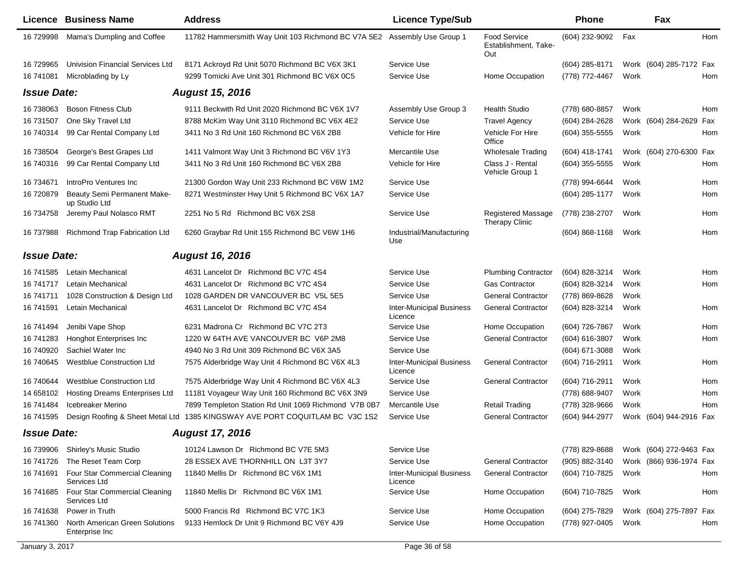|                    | Licence Business Name                            | <b>Address</b>                                                               | <b>Licence Type/Sub</b>                    |                                                    | Phone            |      | Fax                     |     |
|--------------------|--------------------------------------------------|------------------------------------------------------------------------------|--------------------------------------------|----------------------------------------------------|------------------|------|-------------------------|-----|
| 16 729998          | Mama's Dumpling and Coffee                       | 11782 Hammersmith Way Unit 103 Richmond BC V7A 5E2 Assembly Use Group 1      |                                            | <b>Food Service</b><br>Establishment. Take-<br>Out | (604) 232-9092   | Fax  |                         | Hom |
| 16 729965          | Univision Financial Services Ltd                 | 8171 Ackroyd Rd Unit 5070 Richmond BC V6X 3K1                                | Service Use                                |                                                    | (604) 285-8171   |      | Work (604) 285-7172 Fax |     |
| 16 741081          | Microblading by Ly                               | 9299 Tomicki Ave Unit 301 Richmond BC V6X 0C5                                | Service Use                                | Home Occupation                                    | (778) 772-4467   | Work |                         | Hom |
| <b>Issue Date:</b> |                                                  | <b>August 15, 2016</b>                                                       |                                            |                                                    |                  |      |                         |     |
| 16 738063          | <b>Boson Fitness Club</b>                        | 9111 Beckwith Rd Unit 2020 Richmond BC V6X 1V7                               | Assembly Use Group 3                       | <b>Health Studio</b>                               | (778) 680-8857   | Work |                         | Hom |
| 16 731507          | One Sky Travel Ltd                               | 8788 McKim Way Unit 3110 Richmond BC V6X 4E2                                 | Service Use                                | <b>Travel Agency</b>                               | (604) 284-2628   |      | Work (604) 284-2629 Fax |     |
| 16 740314          | 99 Car Rental Company Ltd                        | 3411 No 3 Rd Unit 160 Richmond BC V6X 2B8                                    | Vehicle for Hire                           | Vehicle For Hire<br>Office                         | (604) 355-5555   | Work |                         | Hom |
| 16 738504          | George's Best Grapes Ltd                         | 1411 Valmont Way Unit 3 Richmond BC V6V 1Y3                                  | Mercantile Use                             | <b>Wholesale Trading</b>                           | (604) 418-1741   |      | Work (604) 270-6300 Fax |     |
| 16 740316          | 99 Car Rental Company Ltd                        | 3411 No 3 Rd Unit 160 Richmond BC V6X 2B8                                    | Vehicle for Hire                           | Class J - Rental<br>Vehicle Group 1                | $(604)$ 355-5555 | Work |                         | Hom |
| 16 734671          | IntroPro Ventures Inc                            | 21300 Gordon Way Unit 233 Richmond BC V6W 1M2                                | Service Use                                |                                                    | (778) 994-6644   | Work |                         | Hom |
| 16 720879          | Beauty Semi Permanent Make-<br>up Studio Ltd     | 8271 Westminster Hwy Unit 5 Richmond BC V6X 1A7                              | Service Use                                |                                                    | (604) 285-1177   | Work |                         | Hom |
| 16 734758          | Jeremy Paul Nolasco RMT                          | 2251 No 5 Rd Richmond BC V6X 2S8                                             | Service Use                                | <b>Registered Massage</b><br><b>Therapy Clinic</b> | (778) 238-2707   | Work |                         | Hom |
| 16 737988          | Richmond Trap Fabrication Ltd                    | 6260 Graybar Rd Unit 155 Richmond BC V6W 1H6                                 | Industrial/Manufacturing<br>Use            |                                                    | $(604)$ 868-1168 | Work |                         | Hom |
| <b>Issue Date:</b> |                                                  | <b>August 16, 2016</b>                                                       |                                            |                                                    |                  |      |                         |     |
| 16 741585          | Letain Mechanical                                | 4631 Lancelot Dr Richmond BC V7C 4S4                                         | Service Use                                | <b>Plumbing Contractor</b>                         | (604) 828-3214   | Work |                         | Hom |
| 16 741717          | Letain Mechanical                                | 4631 Lancelot Dr Richmond BC V7C 4S4                                         | Service Use                                | Gas Contractor                                     | (604) 828-3214   | Work |                         | Hom |
| 16 741711          | 1028 Construction & Design Ltd                   | 1028 GARDEN DR VANCOUVER BC V5L 5E5                                          | Service Use                                | <b>General Contractor</b>                          | (778) 869-8628   | Work |                         |     |
| 16 741591          | Letain Mechanical                                | 4631 Lancelot Dr Richmond BC V7C 4S4                                         | <b>Inter-Municipal Business</b><br>Licence | <b>General Contractor</b>                          | (604) 828-3214   | Work |                         | Hom |
| 16 741494          | Jenibi Vape Shop                                 | 6231 Madrona Cr Richmond BC V7C 2T3                                          | Service Use                                | Home Occupation                                    | (604) 726-7867   | Work |                         | Hom |
| 16 741283          | Honghot Enterprises Inc                          | 1220 W 64TH AVE VANCOUVER BC V6P 2M8                                         | Service Use                                | <b>General Contractor</b>                          | (604) 616-3807   | Work |                         | Hom |
| 16 740920          | Sachiel Water Inc                                | 4940 No 3 Rd Unit 309 Richmond BC V6X 3A5                                    | Service Use                                |                                                    | (604) 671-3088   | Work |                         |     |
| 16 740 645         | <b>Westblue Construction Ltd</b>                 | 7575 Alderbridge Way Unit 4 Richmond BC V6X 4L3                              | <b>Inter-Municipal Business</b><br>Licence | <b>General Contractor</b>                          | (604) 716-2911   | Work |                         | Hom |
| 16 740644          | <b>Westblue Construction Ltd</b>                 | 7575 Alderbridge Way Unit 4 Richmond BC V6X 4L3                              | Service Use                                | <b>General Contractor</b>                          | (604) 716-2911   | Work |                         | Hom |
| 14 658102          | Hosting Dreams Enterprises Ltd                   | 11181 Voyageur Way Unit 160 Richmond BC V6X 3N9                              | Service Use                                |                                                    | (778) 688-9407   | Work |                         | Hom |
| 16 741484          | Icebreaker Merino                                | 7899 Templeton Station Rd Unit 1069 Richmond V7B 0B7                         | Mercantile Use                             | <b>Retail Trading</b>                              | (778) 328-9666   | Work |                         | Hom |
| 16 741595          |                                                  | Design Roofing & Sheet Metal Ltd 1385 KINGSWAY AVE PORT COQUITLAM BC V3C 1S2 | Service Use                                | <b>General Contractor</b>                          | (604) 944-2977   |      | Work (604) 944-2916 Fax |     |
| <b>Issue Date:</b> |                                                  | <b>August 17, 2016</b>                                                       |                                            |                                                    |                  |      |                         |     |
| 16 739906          | Shirley's Music Studio                           | 10124 Lawson Dr Richmond BC V7E 5M3                                          | Service Use                                |                                                    | (778) 829-8688   |      | Work (604) 272-9463 Fax |     |
| 16 741726          | The Reset Team Corp                              | 28 ESSEX AVE THORNHILL ON L3T 3Y7                                            | Service Use                                | <b>General Contractor</b>                          | (905) 882-3140   |      | Work (866) 936-1974 Fax |     |
| 16 741691          | Four Star Commercial Cleaning<br>Services Ltd    | 11840 Mellis Dr Richmond BC V6X 1M1                                          | <b>Inter-Municipal Business</b><br>Licence | <b>General Contractor</b>                          | (604) 710-7825   | Work |                         | Hom |
| 16 741685          | Four Star Commercial Cleaning<br>Services Ltd    | 11840 Mellis Dr Richmond BC V6X 1M1                                          | Service Use                                | Home Occupation                                    | (604) 710-7825   | Work |                         | Hom |
| 16 74 16 38        | Power in Truth                                   | 5000 Francis Rd Richmond BC V7C 1K3                                          | Service Use                                | Home Occupation                                    | (604) 275-7829   |      | Work (604) 275-7897 Fax |     |
| 16 741360          | North American Green Solutions<br>Enterprise Inc | 9133 Hemlock Dr Unit 9 Richmond BC V6Y 4J9                                   | Service Use                                | Home Occupation                                    | (778) 927-0405   | Work |                         | Hom |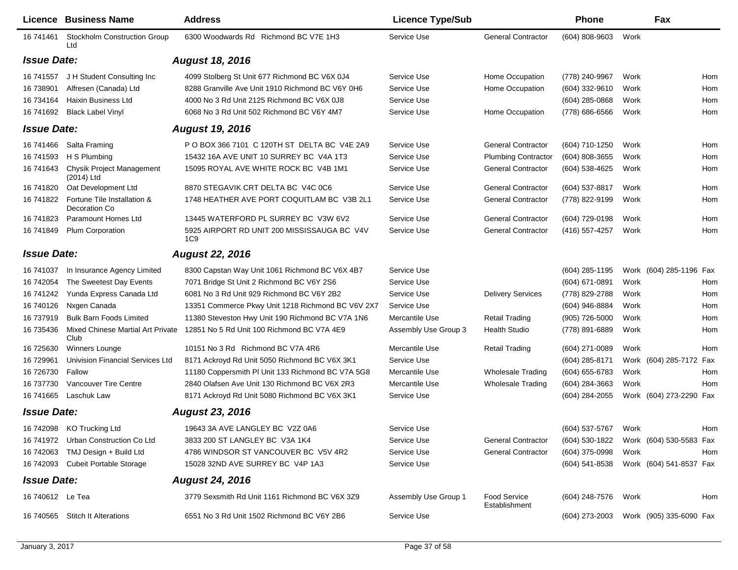|                    | Licence Business Name                        | <b>Address</b>                                     | <b>Licence Type/Sub</b> |                                      | Phone               | Fax                                    |     |
|--------------------|----------------------------------------------|----------------------------------------------------|-------------------------|--------------------------------------|---------------------|----------------------------------------|-----|
| 16 741461          | <b>Stockholm Construction Group</b><br>Ltd   | 6300 Woodwards Rd Richmond BC V7E 1H3              | Service Use             | <b>General Contractor</b>            | $(604)$ 808-9603    | Work                                   |     |
| <b>Issue Date:</b> |                                              | <b>August 18, 2016</b>                             |                         |                                      |                     |                                        |     |
| 16 741557          | J H Student Consulting Inc                   | 4099 Stolberg St Unit 677 Richmond BC V6X 0J4      | Service Use             | Home Occupation                      | (778) 240-9967      | Work                                   | Hom |
| 16 738901          | Alfresen (Canada) Ltd                        | 8288 Granville Ave Unit 1910 Richmond BC V6Y 0H6   | Service Use             | Home Occupation                      | (604) 332-9610      | Work                                   | Hom |
| 16 734164          | Haixin Business Ltd                          | 4000 No 3 Rd Unit 2125 Richmond BC V6X 0J8         | Service Use             |                                      | (604) 285-0868      | Work                                   | Hom |
| 16 74 1692         | <b>Black Label Vinyl</b>                     | 6068 No 3 Rd Unit 502 Richmond BC V6Y 4M7          | Service Use             | Home Occupation                      | (778) 686-6566      | Work                                   | Hom |
| <b>Issue Date:</b> |                                              | <b>August 19, 2016</b>                             |                         |                                      |                     |                                        |     |
| 16 741466          | Salta Framing                                | P O BOX 366 7101 C 120TH ST DELTA BC V4E 2A9       | Service Use             | <b>General Contractor</b>            | (604) 710-1250      | Work                                   | Hom |
| 16 741593          | H S Plumbing                                 | 15432 16A AVE UNIT 10 SURREY BC V4A 1T3            | Service Use             | <b>Plumbing Contractor</b>           | (604) 808-3655      | Work                                   | Hom |
| 16 741643          | Chysik Project Management<br>(2014) Ltd      | 15095 ROYAL AVE WHITE ROCK BC V4B 1M1              | Service Use             | <b>General Contractor</b>            | (604) 538-4625      | Work                                   | Hom |
| 16 741820          | Oat Development Ltd                          | 8870 STEGAVIK CRT DELTA BC V4C 0C6                 | Service Use             | <b>General Contractor</b>            | (604) 537-8817      | Work                                   | Hom |
| 16 741822          | Fortune Tile Installation &<br>Decoration Co | 1748 HEATHER AVE PORT COQUITLAM BC V3B 2L1         | Service Use             | <b>General Contractor</b>            | (778) 822-9199      | Work                                   | Hom |
| 16 741823          | Paramount Homes Ltd                          | 13445 WATERFORD PL SURREY BC V3W 6V2               | Service Use             | <b>General Contractor</b>            | (604) 729-0198      | Work                                   | Hom |
| 16 741849          | Plum Corporation                             | 5925 AIRPORT RD UNIT 200 MISSISSAUGA BC V4V<br>1C9 | Service Use             | <b>General Contractor</b>            | (416) 557-4257      | Work                                   | Hom |
| <b>Issue Date:</b> |                                              | <b>August 22, 2016</b>                             |                         |                                      |                     |                                        |     |
| 16 741037          | In Insurance Agency Limited                  | 8300 Capstan Way Unit 1061 Richmond BC V6X 4B7     | Service Use             |                                      | $(604)$ 285-1195    | Work (604) 285-1196 Fax                |     |
| 16 742054          | The Sweetest Day Events                      | 7071 Bridge St Unit 2 Richmond BC V6Y 2S6          | Service Use             |                                      | (604) 671-0891      | Work                                   | Hom |
| 16 741242          | Yunda Express Canada Ltd                     | 6081 No 3 Rd Unit 929 Richmond BC V6Y 2B2          | Service Use             | <b>Delivery Services</b>             | (778) 829-2788      | Work                                   | Hom |
| 16 740126          | Nxgen Canada                                 | 13351 Commerce Pkwy Unit 1218 Richmond BC V6V 2X7  | Service Use             |                                      | (604) 946-8884      | Work                                   | Hom |
| 16 737919          | <b>Bulk Barn Foods Limited</b>               | 11380 Steveston Hwy Unit 190 Richmond BC V7A 1N6   | Mercantile Use          | <b>Retail Trading</b>                | (905) 726-5000      | Work                                   | Hom |
| 16 735436          | Mixed Chinese Martial Art Private<br>Club    | 12851 No 5 Rd Unit 100 Richmond BC V7A 4E9         | Assembly Use Group 3    | <b>Health Studio</b>                 | (778) 891-6889      | Work                                   | Hom |
| 16 725630          | Winners Lounge                               | 10151 No 3 Rd Richmond BC V7A 4R6                  | Mercantile Use          | <b>Retail Trading</b>                | (604) 271-0089      | Work                                   | Hom |
| 16 729961          | Univision Financial Services Ltd             | 8171 Ackroyd Rd Unit 5050 Richmond BC V6X 3K1      | Service Use             |                                      | (604) 285-8171      | Work (604) 285-7172 Fax                |     |
| 16 726730          | Fallow                                       | 11180 Coppersmith PI Unit 133 Richmond BC V7A 5G8  | Mercantile Use          | <b>Wholesale Trading</b>             | (604) 655-6783      | Work                                   | Hom |
| 16 737730          | Vancouver Tire Centre                        | 2840 Olafsen Ave Unit 130 Richmond BC V6X 2R3      | Mercantile Use          | <b>Wholesale Trading</b>             | (604) 284-3663      | Work                                   | Hom |
| 16 74 16 65        | Laschuk Law                                  | 8171 Ackroyd Rd Unit 5080 Richmond BC V6X 3K1      | Service Use             |                                      | (604) 284-2055      | Work (604) 273-2290                    | Fax |
| <b>Issue Date:</b> |                                              | <b>August 23, 2016</b>                             |                         |                                      |                     |                                        |     |
|                    | 16 742098 KO Trucking Ltd                    | 19643 3A AVE LANGLEY BC V2Z 0A6                    | Service Use             |                                      | (604) 537-5767 Work |                                        | Hom |
|                    | 16 741972 Urban Construction Co Ltd          | 3833 200 ST LANGLEY BC V3A 1K4                     | Service Use             | <b>General Contractor</b>            |                     | (604) 530-1822 Work (604) 530-5583 Fax |     |
|                    | 16 742063 TMJ Design + Build Ltd             | 4786 WINDSOR ST VANCOUVER BC V5V 4R2               | Service Use             | <b>General Contractor</b>            | (604) 375-0998      | Work                                   | Hom |
|                    | 16 742093 Cubeit Portable Storage            | 15028 32ND AVE SURREY BC V4P 1A3                   | Service Use             |                                      | (604) 541-8538      | Work (604) 541-8537 Fax                |     |
| <b>Issue Date:</b> |                                              | <b>August 24, 2016</b>                             |                         |                                      |                     |                                        |     |
| 16 740612 Le Tea   |                                              | 3779 Sexsmith Rd Unit 1161 Richmond BC V6X 3Z9     | Assembly Use Group 1    | <b>Food Service</b><br>Establishment | (604) 248-7576      | Work                                   | Hom |
|                    | 16 740565 Stitch It Alterations              | 6551 No 3 Rd Unit 1502 Richmond BC V6Y 2B6         | Service Use             |                                      | (604) 273-2003      | Work (905) 335-6090 Fax                |     |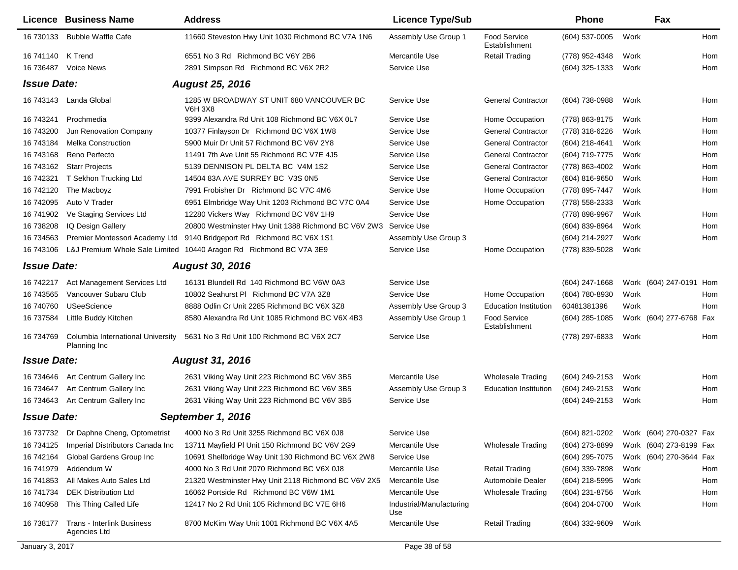|                    | Licence Business Name                                        | <b>Address</b>                                                     | <b>Licence Type/Sub</b>         |                                      | <b>Phone</b>                           |      | Fax                     |     |
|--------------------|--------------------------------------------------------------|--------------------------------------------------------------------|---------------------------------|--------------------------------------|----------------------------------------|------|-------------------------|-----|
| 16 730133          | <b>Bubble Waffle Cafe</b>                                    | 11660 Steveston Hwy Unit 1030 Richmond BC V7A 1N6                  | Assembly Use Group 1            | <b>Food Service</b><br>Establishment | (604) 537-0005                         | Work |                         | Hom |
| 16 741140 K Trend  |                                                              | 6551 No 3 Rd Richmond BC V6Y 2B6                                   | Mercantile Use                  | <b>Retail Trading</b>                | (778) 952-4348                         | Work |                         | Hom |
| 16 73 6487         | <b>Voice News</b>                                            | 2891 Simpson Rd Richmond BC V6X 2R2                                | Service Use                     |                                      | (604) 325-1333                         | Work |                         | Hom |
| <b>Issue Date:</b> |                                                              | <b>August 25, 2016</b>                                             |                                 |                                      |                                        |      |                         |     |
|                    | 16 743143 Landa Global                                       | 1285 W BROADWAY ST UNIT 680 VANCOUVER BC<br><b>V6H 3X8</b>         | Service Use                     | <b>General Contractor</b>            | (604) 738-0988                         | Work |                         | Hom |
| 16 743241          | Prochmedia                                                   | 9399 Alexandra Rd Unit 108 Richmond BC V6X 0L7                     | Service Use                     | Home Occupation                      | (778) 863-8175                         | Work |                         | Hom |
| 16 743200          | Jun Renovation Company                                       | 10377 Finlayson Dr Richmond BC V6X 1W8                             | Service Use                     | <b>General Contractor</b>            | (778) 318-6226                         | Work |                         | Hom |
| 16 743184          | <b>Melka Construction</b>                                    | 5900 Muir Dr Unit 57 Richmond BC V6V 2Y8                           | Service Use                     | <b>General Contractor</b>            | (604) 218-4641                         | Work |                         | Hom |
| 16 743168          | Reno Perfecto                                                | 11491 7th Ave Unit 55 Richmond BC V7E 4J5                          | Service Use                     | <b>General Contractor</b>            | (604) 719-7775                         | Work |                         | Hom |
| 16 743162          | <b>Starr Projects</b>                                        | 5139 DENNISON PL DELTA BC V4M 1S2                                  | Service Use                     | <b>General Contractor</b>            | (778) 863-4002                         | Work |                         | Hom |
| 16 742321          | T Sekhon Trucking Ltd                                        | 14504 83A AVE SURREY BC V3S 0N5                                    | Service Use                     | <b>General Contractor</b>            | (604) 816-9650                         | Work |                         | Hom |
| 16 742120          | The Macboyz                                                  | 7991 Frobisher Dr Richmond BC V7C 4M6                              | Service Use                     | Home Occupation                      | (778) 895-7447                         | Work |                         | Hom |
| 16 742095          | Auto V Trader                                                | 6951 Elmbridge Way Unit 1203 Richmond BC V7C 0A4                   | Service Use                     | Home Occupation                      | (778) 558-2333                         | Work |                         |     |
| 16 741902          | Ve Staging Services Ltd                                      | 12280 Vickers Way Richmond BC V6V 1H9                              | Service Use                     |                                      | (778) 898-9967                         | Work |                         | Hom |
| 16 738208          | IQ Design Gallery                                            | 20800 Westminster Hwy Unit 1388 Richmond BC V6V 2W3                | Service Use                     |                                      | (604) 839-8964                         | Work |                         | Hom |
| 16 734563          | Premier Montessori Academy Ltd                               | 9140 Bridgeport Rd Richmond BC V6X 1S1                             | Assembly Use Group 3            |                                      | (604) 214-2927                         | Work |                         | Hom |
| 16 743106          |                                                              | L&J Premium Whole Sale Limited 10440 Aragon Rd Richmond BC V7A 3E9 | Service Use                     | Home Occupation                      | (778) 839-5028                         | Work |                         |     |
| <b>Issue Date:</b> |                                                              | <b>August 30, 2016</b>                                             |                                 |                                      |                                        |      |                         |     |
| 16 742217          | Act Management Services Ltd                                  | 16131 Blundell Rd 140 Richmond BC V6W 0A3                          | Service Use                     |                                      | (604) 247-1668                         |      | Work (604) 247-0191 Hom |     |
| 16 743565          | Vancouver Subaru Club                                        | 10802 Seahurst PI Richmond BC V7A 3Z8                              | Service Use                     | Home Occupation                      | (604) 780-8930                         | Work |                         | Hom |
| 16 740760          | <b>USeeScience</b>                                           | 8888 Odlin Cr Unit 2285 Richmond BC V6X 3Z8                        | Assembly Use Group 3            | <b>Education Institution</b>         | 60481381396                            | Work |                         | Hom |
| 16 737584          | Little Buddy Kitchen                                         | 8580 Alexandra Rd Unit 1085 Richmond BC V6X 4B3                    | Assembly Use Group 1            | <b>Food Service</b><br>Establishment | $(604)$ 285-1085                       |      | Work (604) 277-6768 Fax |     |
| 16 734769          | Columbia International University<br>Planning Inc            | 5631 No 3 Rd Unit 100 Richmond BC V6X 2C7                          | Service Use                     |                                      | (778) 297-6833                         | Work |                         | Hom |
| <b>Issue Date:</b> |                                                              | <b>August 31, 2016</b>                                             |                                 |                                      |                                        |      |                         |     |
|                    |                                                              |                                                                    |                                 |                                      |                                        |      |                         |     |
| 16 734646          | Art Centrum Gallery Inc                                      | 2631 Viking Way Unit 223 Richmond BC V6V 3B5                       | Mercantile Use                  | <b>Wholesale Trading</b>             | (604) 249-2153                         | Work |                         | Hom |
| 16 734647          | Art Centrum Gallery Inc<br>16 734643 Art Centrum Gallery Inc | 2631 Viking Way Unit 223 Richmond BC V6V 3B5                       | Assembly Use Group 3            | <b>Education Institution</b>         | (604) 249-2153                         | Work |                         | Hom |
|                    |                                                              | 2631 Viking Way Unit 223 Richmond BC V6V 3B5                       | Service Use                     |                                      | (604) 249-2153                         | Work |                         | Hom |
| <b>Issue Date:</b> |                                                              | September 1, 2016                                                  |                                 |                                      |                                        |      |                         |     |
|                    | 16 737732 Dr Daphne Cheng, Optometrist                       | 4000 No 3 Rd Unit 3255 Richmond BC V6X 0J8                         | Service Use                     |                                      | (604) 821-0202 Work (604) 270-0327 Fax |      |                         |     |
| 16 734125          | Imperial Distributors Canada Inc                             | 13711 Mayfield PI Unit 150 Richmond BC V6V 2G9                     | Mercantile Use                  | <b>Wholesale Trading</b>             | (604) 273-8899                         |      | Work (604) 273-8199 Fax |     |
| 16 742164          | Global Gardens Group Inc                                     | 10691 Shellbridge Way Unit 130 Richmond BC V6X 2W8                 | Service Use                     |                                      | (604) 295-7075                         |      | Work (604) 270-3644 Fax |     |
| 16 741979          | Addendum W                                                   | 4000 No 3 Rd Unit 2070 Richmond BC V6X 0J8                         | Mercantile Use                  | <b>Retail Trading</b>                | (604) 339-7898                         | Work |                         | Hom |
| 16 741853          | All Makes Auto Sales Ltd                                     | 21320 Westminster Hwy Unit 2118 Richmond BC V6V 2X5                | Mercantile Use                  | Automobile Dealer                    | (604) 218-5995                         | Work |                         | Hom |
| 16 741734          | <b>DEK Distribution Ltd</b>                                  | 16062 Portside Rd Richmond BC V6W 1M1                              | Mercantile Use                  | <b>Wholesale Trading</b>             | (604) 231-8756                         | Work |                         | Hom |
| 16 740958          | This Thing Called Life                                       | 12417 No 2 Rd Unit 105 Richmond BC V7E 6H6                         | Industrial/Manufacturing<br>Use |                                      | (604) 204-0700                         | Work |                         | Hom |
| 16 738177          | Trans - Interlink Business<br>Agencies Ltd                   | 8700 McKim Way Unit 1001 Richmond BC V6X 4A5                       | Mercantile Use                  | <b>Retail Trading</b>                | (604) 332-9609                         | Work |                         |     |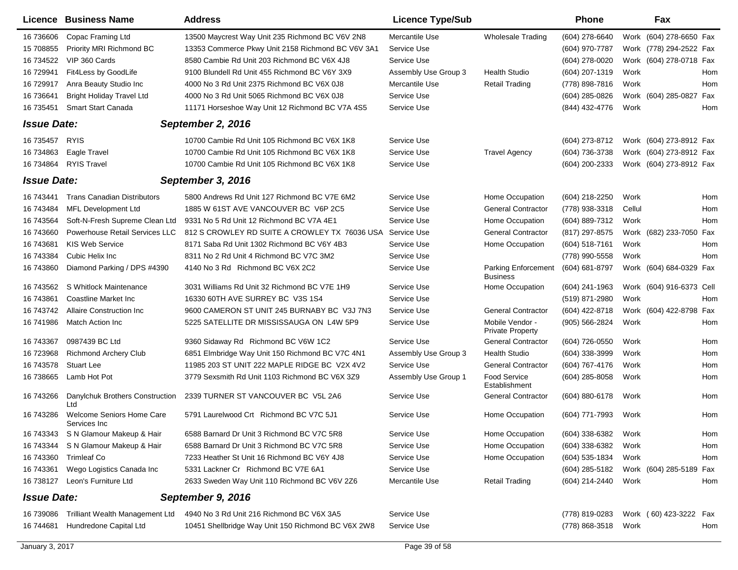|                    | <b>Licence Business Name</b>              | <b>Address</b>                                     | <b>Licence Type/Sub</b> |                                            | <b>Phone</b>     | Fax                      |     |
|--------------------|-------------------------------------------|----------------------------------------------------|-------------------------|--------------------------------------------|------------------|--------------------------|-----|
| 16 73 660 6        | Copac Framing Ltd                         | 13500 Maycrest Way Unit 235 Richmond BC V6V 2N8    | Mercantile Use          | <b>Wholesale Trading</b>                   | (604) 278-6640   | Work (604) 278-6650 Fax  |     |
| 15 708855          | Priority MRI Richmond BC                  | 13353 Commerce Pkwy Unit 2158 Richmond BC V6V 3A1  | Service Use             |                                            | (604) 970-7787   | Work (778) 294-2522 Fax  |     |
| 16 734522          | VIP 360 Cards                             | 8580 Cambie Rd Unit 203 Richmond BC V6X 4J8        | Service Use             |                                            | (604) 278-0020   | Work (604) 278-0718 Fax  |     |
| 16 729941          | Fit4Less by GoodLife                      | 9100 Blundell Rd Unit 455 Richmond BC V6Y 3X9      | Assembly Use Group 3    | <b>Health Studio</b>                       | (604) 207-1319   | Work                     | Hom |
| 16 729917          | Anra Beauty Studio Inc                    | 4000 No 3 Rd Unit 2375 Richmond BC V6X 0J8         | Mercantile Use          | <b>Retail Trading</b>                      | (778) 898-7816   | Work                     | Hom |
| 16 73 6641         | <b>Bright Holiday Travel Ltd</b>          | 4000 No 3 Rd Unit 5065 Richmond BC V6X 0J8         | Service Use             |                                            | (604) 285-0826   | Work (604) 285-0827      | Fax |
| 16 735451          | Smart Start Canada                        | 11171 Horseshoe Way Unit 12 Richmond BC V7A 4S5    | Service Use             |                                            | (844) 432-4776   | Work                     | Hom |
| <b>Issue Date:</b> |                                           | September 2, 2016                                  |                         |                                            |                  |                          |     |
| 16 735457          | <b>RYIS</b>                               | 10700 Cambie Rd Unit 105 Richmond BC V6X 1K8       | Service Use             |                                            | (604) 273-8712   | Work (604) 273-8912 Fax  |     |
| 16 734863          | Eagle Travel                              | 10700 Cambie Rd Unit 105 Richmond BC V6X 1K8       | Service Use             | <b>Travel Agency</b>                       | (604) 736-3738   | Work (604) 273-8912 Fax  |     |
| 16 734864          | <b>RYIS Travel</b>                        | 10700 Cambie Rd Unit 105 Richmond BC V6X 1K8       | Service Use             |                                            | (604) 200-2333   | Work (604) 273-8912 Fax  |     |
| <b>Issue Date:</b> |                                           | September 3, 2016                                  |                         |                                            |                  |                          |     |
| 16 743441          | <b>Trans Canadian Distributors</b>        | 5800 Andrews Rd Unit 127 Richmond BC V7E 6M2       | Service Use             | Home Occupation                            | (604) 218-2250   | Work                     | Hom |
| 16 743484          | <b>MFL Development Ltd</b>                | 1885 W 61ST AVE VANCOUVER BC V6P 2C5               | Service Use             | <b>General Contractor</b>                  | (778) 938-3318   | Cellul                   | Hom |
| 16 743564          | Soft-N-Fresh Supreme Clean Ltd            | 9331 No 5 Rd Unit 12 Richmond BC V7A 4E1           | Service Use             | Home Occupation                            | (604) 889-7312   | Work                     | Hom |
| 16 743660          | Powerhouse Retail Services LLC            | 812 S CROWLEY RD SUITE A CROWLEY TX 76036 USA      | Service Use             | <b>General Contractor</b>                  | (817) 297-8575   | Work (682) 233-7050      | Fax |
| 16 743681          | <b>KIS Web Service</b>                    | 8171 Saba Rd Unit 1302 Richmond BC V6Y 4B3         | Service Use             | Home Occupation                            | (604) 518-7161   | Work                     | Hom |
| 16 743384          | Cubic Helix Inc                           | 8311 No 2 Rd Unit 4 Richmond BC V7C 3M2            | Service Use             |                                            | (778) 990-5558   | Work                     | Hom |
| 16 743860          | Diamond Parking / DPS #4390               | 4140 No 3 Rd Richmond BC V6X 2C2                   | Service Use             | Parking Enforcement<br><b>Business</b>     | (604) 681-8797   | Work (604) 684-0329 Fax  |     |
| 16 743562          | S Whitlock Maintenance                    | 3031 Williams Rd Unit 32 Richmond BC V7E 1H9       | Service Use             | Home Occupation                            | (604) 241-1963   | Work (604) 916-6373 Cell |     |
| 16 743861          | Coastline Market Inc                      | 16330 60TH AVE SURREY BC V3S 1S4                   | Service Use             |                                            | (519) 871-2980   | Work                     | Hom |
| 16 743742          | <b>Allaire Construction Inc.</b>          | 9600 CAMERON ST UNIT 245 BURNABY BC V3J 7N3        | Service Use             | <b>General Contractor</b>                  | (604) 422-8718   | Work (604) 422-8798      | Fax |
| 16 741986          | Match Action Inc                          | 5225 SATELLITE DR MISSISSAUGA ON L4W 5P9           | Service Use             | Mobile Vendor -<br><b>Private Property</b> | (905) 566-2824   | Work                     | Hom |
| 16 743367          | 0987439 BC Ltd                            | 9360 Sidaway Rd Richmond BC V6W 1C2                | Service Use             | <b>General Contractor</b>                  | (604) 726-0550   | Work                     | Hom |
| 16 723968          | <b>Richmond Archery Club</b>              | 6851 Elmbridge Way Unit 150 Richmond BC V7C 4N1    | Assembly Use Group 3    | <b>Health Studio</b>                       | (604) 338-3999   | Work                     | Hom |
| 16 743578          | <b>Stuart Lee</b>                         | 11985 203 ST UNIT 222 MAPLE RIDGE BC V2X 4V2       | Service Use             | <b>General Contractor</b>                  | (604) 767-4176   | Work                     | Hom |
| 16 738665          | Lamb Hot Pot                              | 3779 Sexsmith Rd Unit 1103 Richmond BC V6X 3Z9     | Assembly Use Group 1    | Food Service<br>Establishment              | $(604)$ 285-8058 | Work                     | Hom |
| 16 743266          | Danylchuk Brothers Construction<br>Ltd    | 2339 TURNER ST VANCOUVER BC V5L 2A6                | Service Use             | <b>General Contractor</b>                  | (604) 880-6178   | Work                     | Hom |
| 16 743286          | Welcome Seniors Home Care<br>Services Inc | 5791 Laurelwood Crt Richmond BC V7C 5J1            | Service Use             | Home Occupation                            | (604) 771-7993   | Work                     | Hom |
|                    | 16 743343 S N Glamour Makeup & Hair       | 6588 Barnard Dr Unit 3 Richmond BC V7C 5R8         | Service Use             | Home Occupation                            | (604) 338-6382   | Work                     | Hom |
| 16 743344          | S N Glamour Makeup & Hair                 | 6588 Barnard Dr Unit 3 Richmond BC V7C 5R8         | Service Use             | Home Occupation                            | (604) 338-6382   | Work                     | Hom |
| 16 743360          | Trimleaf Co                               | 7233 Heather St Unit 16 Richmond BC V6Y 4J8        | Service Use             | Home Occupation                            | (604) 535-1834   | Work                     | Hom |
| 16 743361          | Wego Logistics Canada Inc                 | 5331 Lackner Cr Richmond BC V7E 6A1                | Service Use             |                                            | (604) 285-5182   | Work (604) 285-5189 Fax  |     |
| 16 738127          | Leon's Furniture Ltd                      | 2633 Sweden Way Unit 110 Richmond BC V6V 2Z6       | Mercantile Use          | <b>Retail Trading</b>                      | (604) 214-2440   | Work                     | Hom |
| <b>Issue Date:</b> |                                           | September 9, 2016                                  |                         |                                            |                  |                          |     |
| 16 739086          | Trilliant Wealth Management Ltd           | 4940 No 3 Rd Unit 216 Richmond BC V6X 3A5          | Service Use             |                                            | (778) 819-0283   | Work (60) 423-3222 Fax   |     |
| 16 744681          | Hundredone Capital Ltd                    | 10451 Shellbridge Way Unit 150 Richmond BC V6X 2W8 | Service Use             |                                            | (778) 868-3518   | Work                     | Hom |
|                    |                                           |                                                    |                         |                                            |                  |                          |     |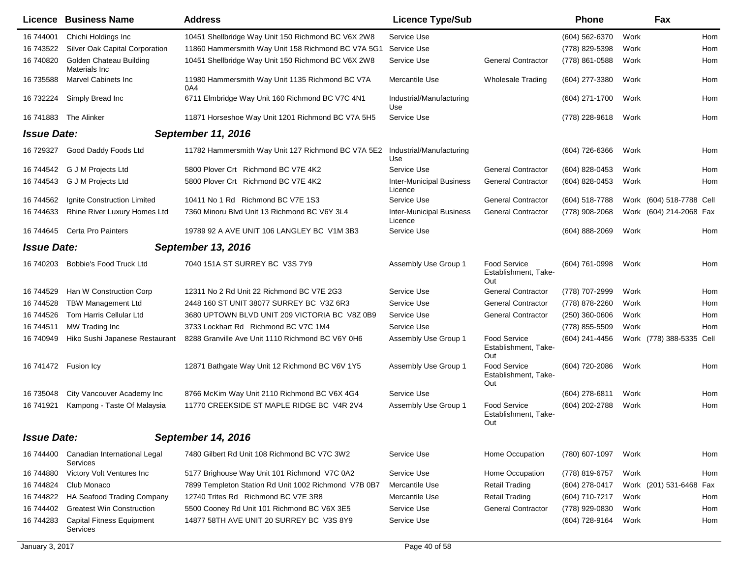|                    | Licence Business Name                           | <b>Address</b>                                         | <b>Licence Type/Sub</b>                    |                                                    | <b>Phone</b>     |      | Fax                      |     |
|--------------------|-------------------------------------------------|--------------------------------------------------------|--------------------------------------------|----------------------------------------------------|------------------|------|--------------------------|-----|
| 16 744001          | Chichi Holdings Inc                             | 10451 Shellbridge Way Unit 150 Richmond BC V6X 2W8     | Service Use                                |                                                    | (604) 562-6370   | Work |                          | Hom |
| 16 743522          | Silver Oak Capital Corporation                  | 11860 Hammersmith Way Unit 158 Richmond BC V7A 5G1     | Service Use                                |                                                    | (778) 829-5398   | Work |                          | Hom |
| 16 740820          | Golden Chateau Building<br>Materials Inc        | 10451 Shellbridge Way Unit 150 Richmond BC V6X 2W8     | Service Use                                | <b>General Contractor</b>                          | (778) 861-0588   | Work |                          | Hom |
| 16 735588          | <b>Marvel Cabinets Inc</b>                      | 11980 Hammersmith Way Unit 1135 Richmond BC V7A<br>0A4 | Mercantile Use                             | <b>Wholesale Trading</b>                           | (604) 277-3380   | Work |                          | Hom |
| 16 732224          | Simply Bread Inc                                | 6711 Elmbridge Way Unit 160 Richmond BC V7C 4N1        | Industrial/Manufacturing<br>Use            |                                                    | (604) 271-1700   | Work |                          | Hom |
| 16 741883          | The Alinker                                     | 11871 Horseshoe Way Unit 1201 Richmond BC V7A 5H5      | Service Use                                |                                                    | (778) 228-9618   | Work |                          | Hom |
| <b>Issue Date:</b> |                                                 | <b>September 11, 2016</b>                              |                                            |                                                    |                  |      |                          |     |
| 16 729327          | Good Daddy Foods Ltd                            | 11782 Hammersmith Way Unit 127 Richmond BC V7A 5E2     | Industrial/Manufacturing<br>Use            |                                                    | (604) 726-6366   | Work |                          | Hom |
| 16 744542          | G J M Projects Ltd                              | 5800 Plover Crt Richmond BC V7E 4K2                    | Service Use                                | <b>General Contractor</b>                          | (604) 828-0453   | Work |                          | Hom |
| 16 744543          | G J M Projects Ltd                              | 5800 Plover Crt Richmond BC V7E 4K2                    | <b>Inter-Municipal Business</b><br>Licence | <b>General Contractor</b>                          | (604) 828-0453   | Work |                          | Hom |
| 16 744562          | Ignite Construction Limited                     | 10411 No 1 Rd Richmond BC V7E 1S3                      | Service Use                                | <b>General Contractor</b>                          | (604) 518-7788   |      | Work (604) 518-7788 Cell |     |
| 16 744633          | Rhine River Luxury Homes Ltd                    | 7360 Minoru Blvd Unit 13 Richmond BC V6Y 3L4           | <b>Inter-Municipal Business</b><br>Licence | <b>General Contractor</b>                          | (778) 908-2068   |      | Work (604) 214-2068 Fax  |     |
| 16 744645          | Certa Pro Painters                              | 19789 92 A AVE UNIT 106 LANGLEY BC V1M 3B3             | Service Use                                |                                                    | (604) 888-2069   | Work |                          | Hom |
| <b>Issue Date:</b> |                                                 | September 13, 2016                                     |                                            |                                                    |                  |      |                          |     |
| 16 740203          | Bobbie's Food Truck Ltd                         | 7040 151A ST SURREY BC V3S 7Y9                         | Assembly Use Group 1                       | <b>Food Service</b><br>Establishment, Take-<br>Out | (604) 761-0998   | Work |                          | Hom |
| 16 744529          | Han W Construction Corp                         | 12311 No 2 Rd Unit 22 Richmond BC V7E 2G3              | Service Use                                | <b>General Contractor</b>                          | (778) 707-2999   | Work |                          | Hom |
| 16 744528          | <b>TBW Management Ltd</b>                       | 2448 160 ST UNIT 38077 SURREY BC V3Z 6R3               | Service Use                                | <b>General Contractor</b>                          | (778) 878-2260   | Work |                          | Hom |
| 16 744526          | Tom Harris Cellular Ltd                         | 3680 UPTOWN BLVD UNIT 209 VICTORIA BC V8Z 0B9          | Service Use                                | <b>General Contractor</b>                          | $(250)$ 360-0606 | Work |                          | Hom |
| 16 744511          | MW Trading Inc                                  | 3733 Lockhart Rd Richmond BC V7C 1M4                   | Service Use                                |                                                    | (778) 855-5509   | Work |                          | Hom |
| 16 740949          | Hiko Sushi Japanese Restaurant                  | 8288 Granville Ave Unit 1110 Richmond BC V6Y 0H6       | Assembly Use Group 1                       | <b>Food Service</b><br>Establishment, Take-<br>Out | (604) 241-4456   |      | Work (778) 388-5335 Cell |     |
| 16 741472          | Fusion Icy                                      | 12871 Bathgate Way Unit 12 Richmond BC V6V 1Y5         | Assembly Use Group 1                       | <b>Food Service</b><br>Establishment, Take-<br>Out | (604) 720-2086   | Work |                          | Hom |
| 16 735048          | City Vancouver Academy Inc                      | 8766 McKim Way Unit 2110 Richmond BC V6X 4G4           | Service Use                                |                                                    | (604) 278-6811   | Work |                          | Hom |
| 16 741921          | Kampong - Taste Of Malaysia                     | 11770 CREEKSIDE ST MAPLE RIDGE BC V4R 2V4              | Assembly Use Group 1                       | <b>Food Service</b><br>Establishment, Take-<br>Out | (604) 202-2788   | Work |                          | Hom |
| <b>Issue Date:</b> |                                                 | September 14, 2016                                     |                                            |                                                    |                  |      |                          |     |
| 16 744400          | Canadian International Legal<br><b>Services</b> | 7480 Gilbert Rd Unit 108 Richmond BC V7C 3W2           | Service Use                                | Home Occupation                                    | (780) 607-1097   | Work |                          | Hom |
| 16 744880          | Victory Volt Ventures Inc                       | 5177 Brighouse Way Unit 101 Richmond V7C 0A2           | Service Use                                | Home Occupation                                    | (778) 819-6757   | Work |                          | Hom |
| 16 744824          | Club Monaco                                     | 7899 Templeton Station Rd Unit 1002 Richmond V7B 0B7   | Mercantile Use                             | <b>Retail Trading</b>                              | (604) 278-0417   |      | Work (201) 531-6468 Fax  |     |
| 16 744822          | HA Seafood Trading Company                      | 12740 Trites Rd Richmond BC V7E 3R8                    | Mercantile Use                             | <b>Retail Trading</b>                              | (604) 710-7217   | Work |                          | Hom |
| 16 744402          | <b>Greatest Win Construction</b>                | 5500 Cooney Rd Unit 101 Richmond BC V6X 3E5            | Service Use                                | <b>General Contractor</b>                          | (778) 929-0830   | Work |                          | Hom |
| 16 744283          | <b>Capital Fitness Equipment</b><br>Services    | 14877 58TH AVE UNIT 20 SURREY BC V3S 8Y9               | Service Use                                |                                                    | (604) 728-9164   | Work |                          | Hom |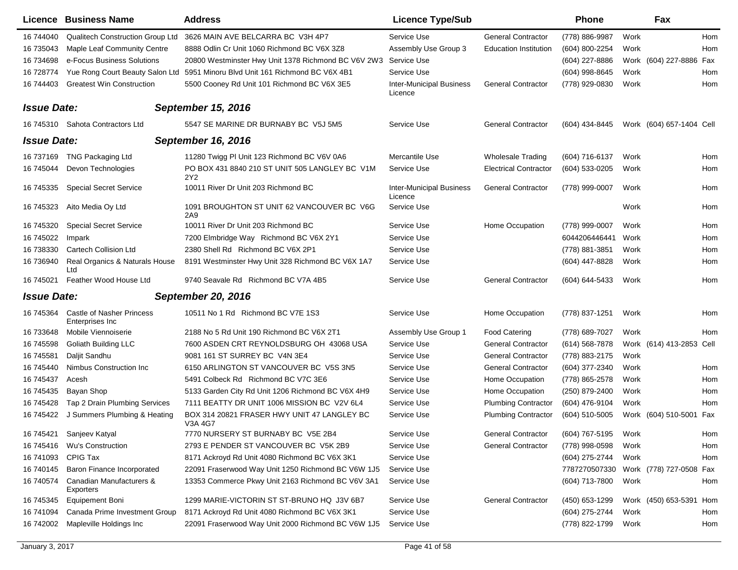|                    | Licence Business Name                               | <b>Address</b>                                         | <b>Licence Type/Sub</b>                    |                              | <b>Phone</b>     | Fax                      |     |
|--------------------|-----------------------------------------------------|--------------------------------------------------------|--------------------------------------------|------------------------------|------------------|--------------------------|-----|
| 16 744040          | Qualitech Construction Group Ltd                    | 3626 MAIN AVE BELCARRA BC V3H 4P7                      | Service Use                                | <b>General Contractor</b>    | (778) 886-9987   | Work                     | Hom |
| 16 735043          | Maple Leaf Community Centre                         | 8888 Odlin Cr Unit 1060 Richmond BC V6X 3Z8            | Assembly Use Group 3                       | <b>Education Institution</b> | (604) 800-2254   | Work                     | Hom |
| 16 734698          | e-Focus Business Solutions                          | 20800 Westminster Hwy Unit 1378 Richmond BC V6V 2W3    | Service Use                                |                              | (604) 227-8886   | Work (604) 227-8886 Fax  |     |
| 16 728774          | Yue Rong Court Beauty Salon Ltd                     | 5951 Minoru Blvd Unit 161 Richmond BC V6X 4B1          | Service Use                                |                              | (604) 998-8645   | Work                     | Hom |
| 16 744403          | <b>Greatest Win Construction</b>                    | 5500 Cooney Rd Unit 101 Richmond BC V6X 3E5            | <b>Inter-Municipal Business</b><br>Licence | <b>General Contractor</b>    | (778) 929-0830   | Work                     | Hom |
| <b>Issue Date:</b> |                                                     | <b>September 15, 2016</b>                              |                                            |                              |                  |                          |     |
|                    | 16 745310 Sahota Contractors Ltd                    | 5547 SE MARINE DR BURNABY BC V5J 5M5                   | Service Use                                | <b>General Contractor</b>    | (604) 434-8445   | Work (604) 657-1404 Cell |     |
| <b>Issue Date:</b> |                                                     | <b>September 16, 2016</b>                              |                                            |                              |                  |                          |     |
| 16 737169          | <b>TNG Packaging Ltd</b>                            | 11280 Twigg PI Unit 123 Richmond BC V6V 0A6            | Mercantile Use                             | <b>Wholesale Trading</b>     | (604) 716-6137   | Work                     | Hom |
| 16 745044          | Devon Technologies                                  | PO BOX 431 8840 210 ST UNIT 505 LANGLEY BC V1M<br>2Y2  | Service Use                                | <b>Electrical Contractor</b> | (604) 533-0205   | Work                     | Hom |
| 16 745335          | <b>Special Secret Service</b>                       | 10011 River Dr Unit 203 Richmond BC                    | <b>Inter-Municipal Business</b><br>Licence | <b>General Contractor</b>    | (778) 999-0007   | Work                     | Hom |
| 16 745323          | Aito Media Oy Ltd                                   | 1091 BROUGHTON ST UNIT 62 VANCOUVER BC V6G<br>2A9      | Service Use                                |                              |                  | Work                     | Hom |
| 16 745320          | <b>Special Secret Service</b>                       | 10011 River Dr Unit 203 Richmond BC                    | Service Use                                | Home Occupation              | (778) 999-0007   | Work                     | Hom |
| 16 745022          | Impark                                              | 7200 Elmbridge Way Richmond BC V6X 2Y1                 | Service Use                                |                              | 6044206446441    | Work                     | Hom |
| 16 738330          | <b>Cartech Collision Ltd</b>                        | 2380 Shell Rd Richmond BC V6X 2P1                      | Service Use                                |                              | (778) 881-3851   | Work                     | Hom |
| 16 736940          | Real Organics & Naturals House<br>Ltd               | 8191 Westminster Hwy Unit 328 Richmond BC V6X 1A7      | Service Use                                |                              | (604) 447-8828   | Work                     | Hom |
| 16 745021          | Feather Wood House Ltd                              | 9740 Seavale Rd Richmond BC V7A 4B5                    | Service Use                                | <b>General Contractor</b>    | (604) 644-5433   | Work                     | Hom |
| <b>Issue Date:</b> |                                                     | <b>September 20, 2016</b>                              |                                            |                              |                  |                          |     |
| 16 745364          | <b>Castle of Nasher Princess</b><br>Enterprises Inc | 10511 No 1 Rd Richmond BC V7E 1S3                      | Service Use                                | Home Occupation              | (778) 837-1251   | Work                     | Hom |
| 16 733648          | Mobile Viennoiserie                                 | 2188 No 5 Rd Unit 190 Richmond BC V6X 2T1              | Assembly Use Group 1                       | <b>Food Catering</b>         | (778) 689-7027   | Work                     | Hom |
| 16 745598          | Goliath Building LLC                                | 7600 ASDEN CRT REYNOLDSBURG OH 43068 USA               | Service Use                                | <b>General Contractor</b>    | (614) 568-7878   | Work (614) 413-2853 Cell |     |
| 16 745581          | Daljit Sandhu                                       | 9081 161 ST SURREY BC V4N 3E4                          | Service Use                                | <b>General Contractor</b>    | (778) 883-2175   | Work                     |     |
| 16 745440          | Nimbus Construction Inc                             | 6150 ARLINGTON ST VANCOUVER BC V5S 3N5                 | Service Use                                | <b>General Contractor</b>    | (604) 377-2340   | Work                     | Hom |
| 16 745437          | Acesh                                               | 5491 Colbeck Rd Richmond BC V7C 3E6                    | Service Use                                | Home Occupation              | (778) 865-2578   | Work                     | Hom |
| 16 745435          | Bayan Shop                                          | 5133 Garden City Rd Unit 1206 Richmond BC V6X 4H9      | Service Use                                | Home Occupation              | (250) 879-2400   | Work                     | Hom |
| 16 745428          | Tap 2 Drain Plumbing Services                       | 7111 BEATTY DR UNIT 1006 MISSION BC V2V 6L4            | Service Use                                | <b>Plumbing Contractor</b>   | (604) 476-9104   | Work                     | Hom |
| 16 745422          | J Summers Plumbing & Heating                        | BOX 314 20821 FRASER HWY UNIT 47 LANGLEY BC<br>V3A 4G7 | Service Use                                | <b>Plumbing Contractor</b>   | $(604)$ 510-5005 | Work (604) 510-5001 Fax  |     |
| 16 745421          | Sanjeev Katyal                                      | 7770 NURSERY ST BURNABY BC V5E 2B4                     | Service Use                                | <b>General Contractor</b>    | (604) 767-5195   | Work                     | Hom |
| 16 745416          | <b>Wu's Construction</b>                            | 2793 E PENDER ST VANCOUVER BC V5K 2B9                  | Service Use                                | <b>General Contractor</b>    | (778) 998-0598   | Work                     | Hom |
| 16 741093          | <b>CPIG Tax</b>                                     | 8171 Ackroyd Rd Unit 4080 Richmond BC V6X 3K1          | Service Use                                |                              | (604) 275-2744   | Work                     | Hom |
| 16 740145          | Baron Finance Incorporated                          | 22091 Fraserwood Way Unit 1250 Richmond BC V6W 1J5     | Service Use                                |                              | 7787270507330    | Work (778) 727-0508 Fax  |     |
| 16 740574          | Canadian Manufacturers &<br>Exporters               | 13353 Commerce Pkwy Unit 2163 Richmond BC V6V 3A1      | Service Use                                |                              | (604) 713-7800   | Work                     | Hom |
| 16 745345          | <b>Equipement Boni</b>                              | 1299 MARIE-VICTORIN ST ST-BRUNO HQ J3V 6B7             | Service Use                                | <b>General Contractor</b>    | (450) 653-1299   | Work (450) 653-5391 Hom  |     |
| 16 741094          | Canada Prime Investment Group                       | 8171 Ackroyd Rd Unit 4080 Richmond BC V6X 3K1          | Service Use                                |                              | (604) 275-2744   | Work                     | Hom |
| 16 742002          | Mapleville Holdings Inc                             | 22091 Fraserwood Way Unit 2000 Richmond BC V6W 1J5     | Service Use                                |                              | (778) 822-1799   | Work                     | Hom |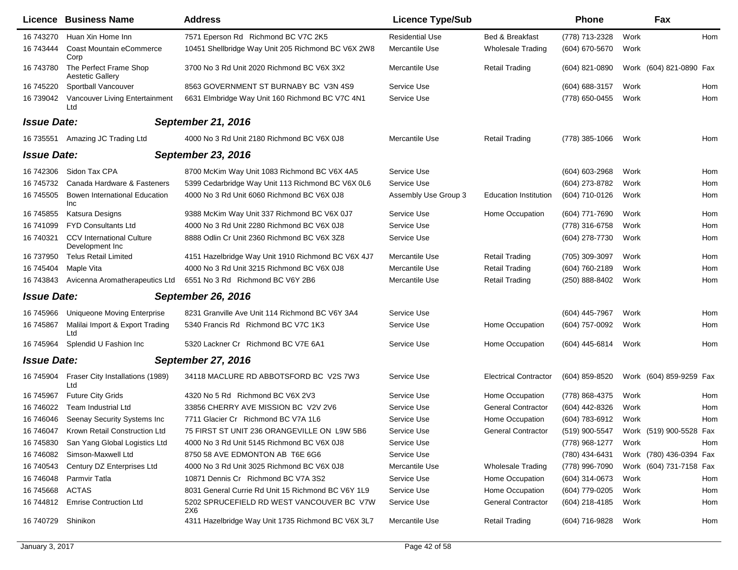|                    | Licence Business Name                               | <b>Address</b>                                     | <b>Licence Type/Sub</b> |                              | <b>Phone</b>       | Fax                     |     |
|--------------------|-----------------------------------------------------|----------------------------------------------------|-------------------------|------------------------------|--------------------|-------------------------|-----|
| 16 743270          | Huan Xin Home Inn                                   | 7571 Eperson Rd Richmond BC V7C 2K5                | <b>Residential Use</b>  | Bed & Breakfast              | (778) 713-2328     | Work                    | Hom |
| 16 743444          | Coast Mountain eCommerce<br>Corp                    | 10451 Shellbridge Way Unit 205 Richmond BC V6X 2W8 | Mercantile Use          | <b>Wholesale Trading</b>     | (604) 670-5670     | Work                    |     |
| 16 743780          | The Perfect Frame Shop<br>Aestetic Gallery          | 3700 No 3 Rd Unit 2020 Richmond BC V6X 3X2         | Mercantile Use          | <b>Retail Trading</b>        | $(604)$ 821-0890   | Work (604) 821-0890 Fax |     |
| 16 745220          | Sportball Vancouver                                 | 8563 GOVERNMENT ST BURNABY BC V3N 4S9              | Service Use             |                              | $(604) 688 - 3157$ | Work                    | Hom |
| 16 739042          | Vancouver Living Entertainment<br>Ltd               | 6631 Elmbridge Way Unit 160 Richmond BC V7C 4N1    | Service Use             |                              | (778) 650-0455     | Work                    | Hom |
| <b>Issue Date:</b> |                                                     | <b>September 21, 2016</b>                          |                         |                              |                    |                         |     |
| 16 735551          | Amazing JC Trading Ltd                              | 4000 No 3 Rd Unit 2180 Richmond BC V6X 0J8         | Mercantile Use          | <b>Retail Trading</b>        | (778) 385-1066     | Work                    | Hom |
| <b>Issue Date:</b> |                                                     | <b>September 23, 2016</b>                          |                         |                              |                    |                         |     |
| 16 742306          | Sidon Tax CPA                                       | 8700 McKim Way Unit 1083 Richmond BC V6X 4A5       | Service Use             |                              | $(604) 603 - 2968$ | Work                    | Hom |
| 16 745732          | Canada Hardware & Fasteners                         | 5399 Cedarbridge Way Unit 113 Richmond BC V6X 0L6  | Service Use             |                              | (604) 273-8782     | Work                    | Hom |
| 16 745505          | Bowen International Education<br>Inc                | 4000 No 3 Rd Unit 6060 Richmond BC V6X 0J8         | Assembly Use Group 3    | <b>Education Institution</b> | (604) 710-0126     | Work                    | Hom |
| 16 745855          | Katsura Designs                                     | 9388 McKim Way Unit 337 Richmond BC V6X 0J7        | Service Use             | Home Occupation              | (604) 771-7690     | Work                    | Hom |
| 16 741099          | <b>FYD Consultants Ltd</b>                          | 4000 No 3 Rd Unit 2280 Richmond BC V6X 0J8         | Service Use             |                              | (778) 316-6758     | Work                    | Hom |
| 16 740321          | <b>CCV</b> International Culture<br>Development Inc | 8888 Odlin Cr Unit 2360 Richmond BC V6X 3Z8        | Service Use             |                              | (604) 278-7730     | Work                    | Hom |
| 16 737950          | <b>Telus Retail Limited</b>                         | 4151 Hazelbridge Way Unit 1910 Richmond BC V6X 4J7 | Mercantile Use          | <b>Retail Trading</b>        | (705) 309-3097     | Work                    | Hom |
| 16 745404          | Maple Vita                                          | 4000 No 3 Rd Unit 3215 Richmond BC V6X 0J8         | Mercantile Use          | <b>Retail Trading</b>        | (604) 760-2189     | Work                    | Hom |
| 16 743843          | Avicenna Aromatherapeutics Ltd                      | 6551 No 3 Rd Richmond BC V6Y 2B6                   | Mercantile Use          | <b>Retail Trading</b>        | (250) 888-8402     | Work                    | Hom |
| <b>Issue Date:</b> |                                                     | <b>September 26, 2016</b>                          |                         |                              |                    |                         |     |
| 16 745966          | Uniqueone Moving Enterprise                         | 8231 Granville Ave Unit 114 Richmond BC V6Y 3A4    | Service Use             |                              | (604) 445-7967     | Work                    | Hom |
| 16 745867          | Malilai Import & Export Trading<br>Ltd              | 5340 Francis Rd Richmond BC V7C 1K3                | Service Use             | Home Occupation              | (604) 757-0092     | Work                    | Hom |
| 16 745964          | Splendid U Fashion Inc.                             | 5320 Lackner Cr Richmond BC V7E 6A1                | Service Use             | Home Occupation              | (604) 445-6814     | Work                    | Hom |
| <b>Issue Date:</b> |                                                     | <b>September 27, 2016</b>                          |                         |                              |                    |                         |     |
| 16 745904          | Fraser City Installations (1989)<br>Ltd             | 34118 MACLURE RD ABBOTSFORD BC V2S 7W3             | Service Use             | <b>Electrical Contractor</b> | (604) 859-8520     | Work (604) 859-9259 Fax |     |
| 16 745967          | <b>Future City Grids</b>                            | 4320 No 5 Rd Richmond BC V6X 2V3                   | Service Use             | Home Occupation              | (778) 868-4375     | Work                    | Hom |
| 16 746022          | <b>Team Industrial Ltd</b>                          | 33856 CHERRY AVE MISSION BC V2V 2V6                | Service Use             | <b>General Contractor</b>    | (604) 442-8326     | Work                    | Hom |
| 16 746046          | Seenay Security Systems Inc                         | 7711 Glacier Cr Richmond BC V7A 1L6                | Service Use             | Home Occupation              | (604) 783-6912     | Work                    | Hom |
| 16 746047          | Krown Retail Construction Ltd                       | 75 FIRST ST UNIT 236 ORANGEVILLE ON L9W 5B6        | Service Use             | <b>General Contractor</b>    | (519) 900-5547     | Work (519) 900-5528 Fax |     |
| 16 745830          | San Yang Global Logistics Ltd                       | 4000 No 3 Rd Unit 5145 Richmond BC V6X 0J8         | Service Use             |                              | (778) 968-1277     | Work                    | Hom |
| 16 74 6082         | Simson-Maxwell Ltd                                  | 8750 58 AVE EDMONTON AB T6E 6G6                    | Service Use             |                              | (780) 434-6431     | Work (780) 436-0394 Fax |     |
| 16 740543          | Century DZ Enterprises Ltd                          | 4000 No 3 Rd Unit 3025 Richmond BC V6X 0J8         | Mercantile Use          | <b>Wholesale Trading</b>     | (778) 996-7090     | Work (604) 731-7158 Fax |     |
| 16 74 6048         | Parmvir Tatla                                       | 10871 Dennis Cr Richmond BC V7A 3S2                | Service Use             | Home Occupation              | (604) 314-0673     | Work                    | Hom |
| 16 745 668         | ACTAS                                               | 8031 General Currie Rd Unit 15 Richmond BC V6Y 1L9 | Service Use             | Home Occupation              | (604) 779-0205     | Work                    | Hom |
| 16 744812          | <b>Emrise Contruction Ltd</b>                       | 5202 SPRUCEFIELD RD WEST VANCOUVER BC V7W<br>2X6   | Service Use             | <b>General Contractor</b>    | (604) 218-4185     | Work                    | Hom |
| 16 740729          | Shinikon                                            | 4311 Hazelbridge Way Unit 1735 Richmond BC V6X 3L7 | Mercantile Use          | <b>Retail Trading</b>        | (604) 716-9828     | Work                    | Hom |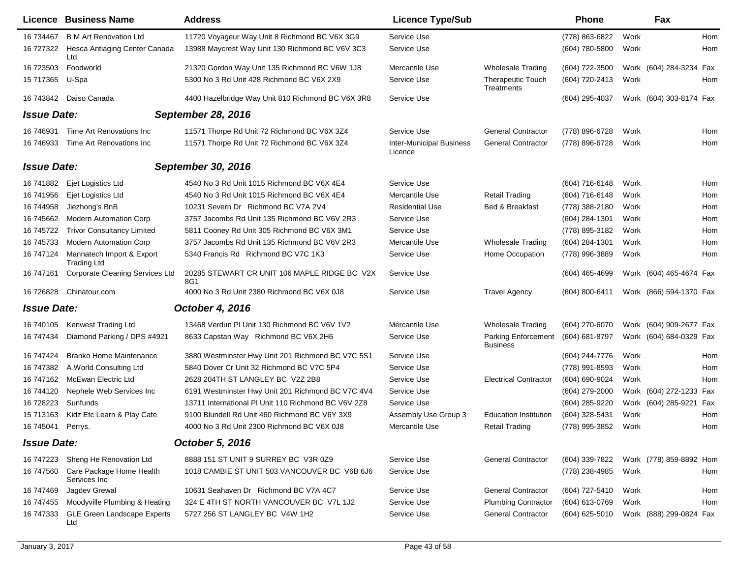|                    | Licence Business Name                           | <b>Address</b>                                      | <b>Licence Type/Sub</b>                    |                                        | <b>Phone</b>     |      | Fax                     |     |
|--------------------|-------------------------------------------------|-----------------------------------------------------|--------------------------------------------|----------------------------------------|------------------|------|-------------------------|-----|
| 16 734467          | <b>B M Art Renovation Ltd</b>                   | 11720 Voyageur Way Unit 8 Richmond BC V6X 3G9       | Service Use                                |                                        | (778) 863-6822   | Work |                         | Hom |
| 16 727322          | Hesca Antiaging Center Canada<br>Ltd            | 13988 Maycrest Way Unit 130 Richmond BC V6V 3C3     | Service Use                                |                                        | (604) 780-5800   | Work |                         | Hom |
| 16 723503          | Foodworld                                       | 21320 Gordon Way Unit 135 Richmond BC V6W 1J8       | Mercantile Use                             | <b>Wholesale Trading</b>               | (604) 722-3500   |      | Work (604) 284-3234 Fax |     |
| 15 717365          | U-Spa                                           | 5300 No 3 Rd Unit 428 Richmond BC V6X 2X9           | Service Use                                | <b>Therapeutic Touch</b><br>Treatments | (604) 720-2413   | Work |                         | Hom |
| 16 743842          | Daiso Canada                                    | 4400 Hazelbridge Way Unit 810 Richmond BC V6X 3R8   | Service Use                                |                                        | (604) 295-4037   |      | Work (604) 303-8174 Fax |     |
| <b>Issue Date:</b> |                                                 | <b>September 28, 2016</b>                           |                                            |                                        |                  |      |                         |     |
| 16 74 6931         | Time Art Renovations Inc                        | 11571 Thorpe Rd Unit 72 Richmond BC V6X 3Z4         | Service Use                                | <b>General Contractor</b>              | (778) 896-6728   | Work |                         | Hom |
| 16 746933          | Time Art Renovations Inc                        | 11571 Thorpe Rd Unit 72 Richmond BC V6X 3Z4         | <b>Inter-Municipal Business</b><br>Licence | <b>General Contractor</b>              | (778) 896-6728   | Work |                         | Hom |
| <b>Issue Date:</b> |                                                 | September 30, 2016                                  |                                            |                                        |                  |      |                         |     |
| 16 741882          | Ejet Logistics Ltd                              | 4540 No 3 Rd Unit 1015 Richmond BC V6X 4E4          | Service Use                                |                                        | $(604)$ 716-6148 | Work |                         | Hom |
| 16 741956          | Ejet Logistics Ltd                              | 4540 No 3 Rd Unit 1015 Richmond BC V6X 4E4          | Mercantile Use                             | <b>Retail Trading</b>                  | (604) 716-6148   | Work |                         | Hom |
| 16 744958          | Jiezhong's BnB                                  | 10231 Severn Dr Richmond BC V7A 2V4                 | <b>Residential Use</b>                     | Bed & Breakfast                        | (778) 388-2180   | Work |                         | Hom |
| 16 745662          | <b>Modern Automation Corp</b>                   | 3757 Jacombs Rd Unit 135 Richmond BC V6V 2R3        | Service Use                                |                                        | (604) 284-1301   | Work |                         | Hom |
| 16 745722          | <b>Trivor Consultancy Limited</b>               | 5811 Cooney Rd Unit 305 Richmond BC V6X 3M1         | Service Use                                |                                        | (778) 895-3182   | Work |                         | Hom |
| 16 745733          | <b>Modern Automation Corp</b>                   | 3757 Jacombs Rd Unit 135 Richmond BC V6V 2R3        | Mercantile Use                             | <b>Wholesale Trading</b>               | (604) 284-1301   | Work |                         | Hom |
| 16 747124          | Mannatech Import & Export<br><b>Trading Ltd</b> | 5340 Francis Rd Richmond BC V7C 1K3                 | Service Use                                | Home Occupation                        | (778) 996-3889   | Work |                         | Hom |
| 16 747161          | <b>Corporate Cleaning Services Ltd</b>          | 20285 STEWART CR UNIT 106 MAPLE RIDGE BC V2X<br>8G1 | Service Use                                |                                        | (604) 465-4699   |      | Work (604) 465-4674 Fax |     |
| 16 726828          | Chinatour.com                                   | 4000 No 3 Rd Unit 2380 Richmond BC V6X 0J8          | Service Use                                | <b>Travel Agency</b>                   | (604) 800-6411   |      | Work (866) 594-1370 Fax |     |
| <b>Issue Date:</b> |                                                 | <b>October 4, 2016</b>                              |                                            |                                        |                  |      |                         |     |
| 16 740105          | Kenwest Trading Ltd                             | 13468 Verdun PI Unit 130 Richmond BC V6V 1V2        | Mercantile Use                             | Wholesale Trading                      | (604) 270-6070   |      | Work (604) 909-2677 Fax |     |
| 16 747434          | Diamond Parking / DPS #4921                     | 8633 Capstan Way Richmond BC V6X 2H6                | Service Use                                | <b>Parking Enforcement</b><br>Business | (604) 681-8797   |      | Work (604) 684-0329 Fax |     |
| 16 747424          | <b>Branko Home Maintenance</b>                  | 3880 Westminster Hwy Unit 201 Richmond BC V7C 5S1   | Service Use                                |                                        | (604) 244-7776   | Work |                         | Hom |
| 16 747382          | A World Consulting Ltd                          | 5840 Dover Cr Unit 32 Richmond BC V7C 5P4           | Service Use                                |                                        | (778) 991-8593   | Work |                         | Hom |
| 16 747162          | McEwan Electric Ltd                             | 2628 204TH ST LANGLEY BC V2Z 2B8                    | Service Use                                | <b>Electrical Contractor</b>           | (604) 690-9024   | Work |                         | Hom |
| 16 744120          | Nephele Web Services Inc                        | 6191 Westminster Hwy Unit 201 Richmond BC V7C 4V4   | Service Use                                |                                        | (604) 279-2000   | Work | (604) 272-1233 Fax      |     |
| 16 728223          | Sunfunds                                        | 13711 International PI Unit 110 Richmond BC V6V 2Z8 | Service Use                                |                                        | (604) 285-9220   |      | Work (604) 285-9221     | Fax |
| 15 713163          | Kidz Etc Learn & Play Cafe                      | 9100 Blundell Rd Unit 460 Richmond BC V6Y 3X9       | Assembly Use Group 3                       | <b>Education Institution</b>           | (604) 328-5431   | Work |                         | Hom |
| 16 745041          | Perrys.                                         | 4000 No 3 Rd Unit 2300 Richmond BC V6X 0J8          | Mercantile Use                             | Retail Trading                         | (778) 995-3852   | Work |                         | Hom |
| <b>Issue Date:</b> |                                                 | October 5, 2016                                     |                                            |                                        |                  |      |                         |     |
| 16 747223          | Sheng He Renovation Ltd                         | 8888 151 ST UNIT 9 SURREY BC V3R 0Z9                | Service Use                                | <b>General Contractor</b>              | (604) 339-7822   |      | Work (778) 859-8892 Hom |     |
| 16 747560          | Care Package Home Health<br>Services Inc        | 1018 CAMBIE ST UNIT 503 VANCOUVER BC V6B 6J6        | Service Use                                |                                        | (778) 238-4985   | Work |                         | Hom |
| 16 747469          | Jagdev Grewal                                   | 10631 Seahaven Dr Richmond BC V7A 4C7               | Service Use                                | <b>General Contractor</b>              | (604) 727-5410   | Work |                         | Hom |
| 16 747455          | Moodyville Plumbing & Heating                   | 324 E 4TH ST NORTH VANCOUVER BC V7L 1J2             | Service Use                                | <b>Plumbing Contractor</b>             | (604) 613-0769   | Work |                         | Hom |
| 16 747333          | <b>GLE Green Landscape Experts</b><br>Ltd       | 5727 256 ST LANGLEY BC V4W 1H2                      | Service Use                                | <b>General Contractor</b>              | (604) 625-5010   |      | Work (888) 299-0824 Fax |     |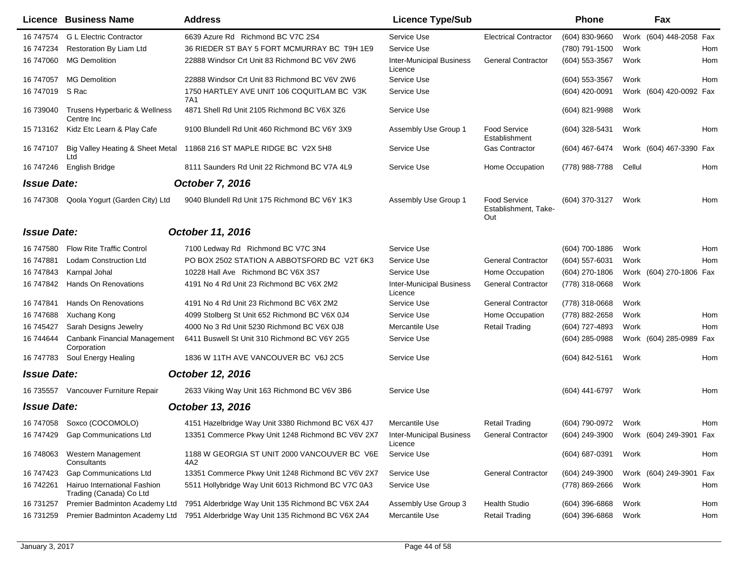|                    | Licence Business Name                                   | <b>Address</b>                                                                  | <b>Licence Type/Sub</b>                    |                                                    | <b>Phone</b>     | Fax                        |     |
|--------------------|---------------------------------------------------------|---------------------------------------------------------------------------------|--------------------------------------------|----------------------------------------------------|------------------|----------------------------|-----|
| 16 747574          | <b>G L Electric Contractor</b>                          | 6639 Azure Rd Richmond BC V7C 2S4                                               | Service Use                                | <b>Electrical Contractor</b>                       | (604) 830-9660   | Work<br>(604) 448-2058 Fax |     |
| 16 747234          | Restoration By Liam Ltd                                 | 36 RIEDER ST BAY 5 FORT MCMURRAY BC T9H 1E9                                     | Service Use                                |                                                    | (780) 791-1500   | Work                       | Hom |
| 16 747060          | <b>MG Demolition</b>                                    | 22888 Windsor Crt Unit 83 Richmond BC V6V 2W6                                   | <b>Inter-Municipal Business</b><br>Licence | <b>General Contractor</b>                          | (604) 553-3567   | Work                       | Hom |
| 16 747057          | <b>MG Demolition</b>                                    | 22888 Windsor Crt Unit 83 Richmond BC V6V 2W6                                   | Service Use                                |                                                    | (604) 553-3567   | Work                       | Hom |
| 16 747019          | S Rac                                                   | 1750 HARTLEY AVE UNIT 106 COQUITLAM BC V3K<br>7A1                               | Service Use                                |                                                    | (604) 420-0091   | Work (604) 420-0092 Fax    |     |
| 16 739040          | Trusens Hyperbaric & Wellness<br>Centre Inc.            | 4871 Shell Rd Unit 2105 Richmond BC V6X 3Z6                                     | Service Use                                |                                                    | (604) 821-9988   | Work                       |     |
| 15 713162          | Kidz Etc Learn & Play Cafe                              | 9100 Blundell Rd Unit 460 Richmond BC V6Y 3X9                                   | Assembly Use Group 1                       | <b>Food Service</b><br>Establishment               | (604) 328-5431   | Work                       | Hom |
| 16 747107          | Big Valley Heating & Sheet Metal<br>Ltd                 | 11868 216 ST MAPLE RIDGE BC V2X 5H8                                             | Service Use                                | <b>Gas Contractor</b>                              | (604) 467-6474   | Work (604) 467-3390 Fax    |     |
| 16 747246          | English Bridge                                          | 8111 Saunders Rd Unit 22 Richmond BC V7A 4L9                                    | Service Use                                | Home Occupation                                    | (778) 988-7788   | Cellul                     | Hom |
| <b>Issue Date:</b> |                                                         | <b>October 7, 2016</b>                                                          |                                            |                                                    |                  |                            |     |
| 16 747308          | Qoola Yogurt (Garden City) Ltd                          | 9040 Blundell Rd Unit 175 Richmond BC V6Y 1K3                                   | Assembly Use Group 1                       | <b>Food Service</b><br>Establishment, Take-<br>Out | (604) 370-3127   | Work                       | Hom |
| <b>Issue Date:</b> |                                                         | October 11, 2016                                                                |                                            |                                                    |                  |                            |     |
| 16 747580          | <b>Flow Rite Traffic Control</b>                        | 7100 Ledway Rd Richmond BC V7C 3N4                                              | Service Use                                |                                                    | (604) 700-1886   | Work                       | Hom |
| 16 747881          | Lodam Construction Ltd                                  | PO BOX 2502 STATION A ABBOTSFORD BC V2T 6K3                                     | Service Use                                | <b>General Contractor</b>                          | (604) 557-6031   | Work                       | Hom |
| 16 747843          | Karnpal Johal                                           | 10228 Hall Ave Richmond BC V6X 3S7                                              | Service Use                                | Home Occupation                                    | (604) 270-1806   | (604) 270-1806 Fax<br>Work |     |
| 16 747842          | Hands On Renovations                                    | 4191 No 4 Rd Unit 23 Richmond BC V6X 2M2                                        | <b>Inter-Municipal Business</b><br>Licence | <b>General Contractor</b>                          | (778) 318-0668   | Work                       |     |
| 16 747841          | Hands On Renovations                                    | 4191 No 4 Rd Unit 23 Richmond BC V6X 2M2                                        | Service Use                                | <b>General Contractor</b>                          | (778) 318-0668   | Work                       |     |
| 16 747688          | Xuchang Kong                                            | 4099 Stolberg St Unit 652 Richmond BC V6X 0J4                                   | Service Use                                | Home Occupation                                    | (778) 882-2658   | Work                       | Hom |
| 16 745427          | Sarah Designs Jewelry                                   | 4000 No 3 Rd Unit 5230 Richmond BC V6X 0J8                                      | Mercantile Use                             | <b>Retail Trading</b>                              | (604) 727-4893   | Work                       | Hom |
| 16 744644          | Canbank Financial Management<br>Corporation             | 6411 Buswell St Unit 310 Richmond BC V6Y 2G5                                    | Service Use                                |                                                    | (604) 285-0988   | Work (604) 285-0989        | Fax |
| 16 747783          | Soul Energy Healing                                     | 1836 W 11TH AVE VANCOUVER BC V6J 2C5                                            | Service Use                                |                                                    | (604) 842-5161   | Work                       | Hom |
| <b>Issue Date:</b> |                                                         | October 12, 2016                                                                |                                            |                                                    |                  |                            |     |
|                    | 16 735557 Vancouver Furniture Repair                    | 2633 Viking Way Unit 163 Richmond BC V6V 3B6                                    | Service Use                                |                                                    | (604) 441-6797   | Work                       | Hom |
| <b>Issue Date:</b> |                                                         | October 13, 2016                                                                |                                            |                                                    |                  |                            |     |
|                    | 16 747058 Soxco (COCOMOLO)                              | 4151 Hazelbridge Way Unit 3380 Richmond BC V6X 4J7                              | Mercantile Use                             | <b>Retail Trading</b>                              | (604) 790-0972   | Work                       | Hom |
| 16 747429          | <b>Gap Communications Ltd</b>                           | 13351 Commerce Pkwy Unit 1248 Richmond BC V6V 2X7                               | <b>Inter-Municipal Business</b><br>Licence | <b>General Contractor</b>                          | (604) 249-3900   | Work (604) 249-3901 Fax    |     |
| 16 748063          | Western Management<br>Consultants                       | 1188 W GEORGIA ST UNIT 2000 VANCOUVER BC V6E<br>4A2                             | Service Use                                |                                                    | (604) 687-0391   | Work                       | Hom |
| 16 747423          | <b>Gap Communications Ltd</b>                           | 13351 Commerce Pkwy Unit 1248 Richmond BC V6V 2X7                               | Service Use                                | <b>General Contractor</b>                          | (604) 249-3900   | Work (604) 249-3901 Fax    |     |
| 16 742261          | Hairuo International Fashion<br>Trading (Canada) Co Ltd | 5511 Hollybridge Way Unit 6013 Richmond BC V7C 0A3                              | Service Use                                |                                                    | (778) 869-2666   | Work                       | Hom |
| 16 731257          | Premier Badminton Academy Ltd                           | 7951 Alderbridge Way Unit 135 Richmond BC V6X 2A4                               | Assembly Use Group 3                       | <b>Health Studio</b>                               | $(604)$ 396-6868 | Work                       | Hom |
| 16 731259          |                                                         | Premier Badminton Academy Ltd 7951 Alderbridge Way Unit 135 Richmond BC V6X 2A4 | Mercantile Use                             | <b>Retail Trading</b>                              | (604) 396-6868   | Work                       | Hom |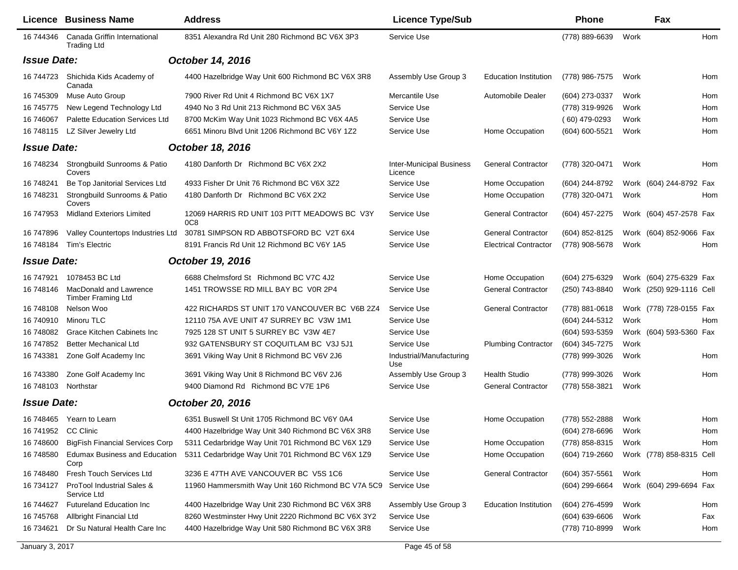|                     | Licence Business Name                               | <b>Address</b>                                                  | <b>Licence Type/Sub</b>                    |                              | <b>Phone</b>       |      | Fax                      |     |
|---------------------|-----------------------------------------------------|-----------------------------------------------------------------|--------------------------------------------|------------------------------|--------------------|------|--------------------------|-----|
| 16 744346           | Canada Griffin International<br><b>Trading Ltd</b>  | 8351 Alexandra Rd Unit 280 Richmond BC V6X 3P3                  | Service Use                                |                              | (778) 889-6639     | Work |                          | Hom |
| <b>Issue Date:</b>  |                                                     | October 14, 2016                                                |                                            |                              |                    |      |                          |     |
| 16 744723           | Shichida Kids Academy of<br>Canada                  | 4400 Hazelbridge Way Unit 600 Richmond BC V6X 3R8               | Assembly Use Group 3                       | <b>Education Institution</b> | (778) 986-7575     | Work |                          | Hom |
| 16 745309           | Muse Auto Group                                     | 7900 River Rd Unit 4 Richmond BC V6X 1X7                        | Mercantile Use                             | Automobile Dealer            | (604) 273-0337     | Work |                          | Hom |
| 16 745775           | New Legend Technology Ltd                           | 4940 No 3 Rd Unit 213 Richmond BC V6X 3A5                       | Service Use                                |                              | (778) 319-9926     | Work |                          | Hom |
| 16 74 60 67         | <b>Palette Education Services Ltd</b>               | 8700 McKim Way Unit 1023 Richmond BC V6X 4A5                    | Service Use                                |                              | $(60)$ 479-0293    | Work |                          | Hom |
| 16 748115           | LZ Silver Jewelry Ltd                               | 6651 Minoru Blvd Unit 1206 Richmond BC V6Y 1Z2                  | Service Use                                | Home Occupation              | (604) 600-5521     | Work |                          | Hom |
| <b>Issue Date:</b>  |                                                     | October 18, 2016                                                |                                            |                              |                    |      |                          |     |
| 16 748234           | Strongbuild Sunrooms & Patio<br>Covers              | 4180 Danforth Dr Richmond BC V6X 2X2                            | <b>Inter-Municipal Business</b><br>Licence | <b>General Contractor</b>    | (778) 320-0471     | Work |                          | Hom |
| 16 748241           | Be Top Janitorial Services Ltd                      | 4933 Fisher Dr Unit 76 Richmond BC V6X 3Z2                      | Service Use                                | Home Occupation              | (604) 244-8792     |      | Work (604) 244-8792 Fax  |     |
| 16 748231           | Strongbuild Sunrooms & Patio<br>Covers              | 4180 Danforth Dr Richmond BC V6X 2X2                            | Service Use                                | Home Occupation              | (778) 320-0471     | Work |                          | Hom |
| 16 747953           | <b>Midland Exteriors Limited</b>                    | 12069 HARRIS RD UNIT 103 PITT MEADOWS BC V3Y<br>0C <sub>8</sub> | Service Use                                | <b>General Contractor</b>    | (604) 457-2275     |      | Work (604) 457-2578 Fax  |     |
| 16 747896           | Valley Countertops Industries Ltd                   | 30781 SIMPSON RD ABBOTSFORD BC V2T 6X4                          | Service Use                                | <b>General Contractor</b>    | (604) 852-8125     |      | Work (604) 852-9066 Fax  |     |
| 16 748184           | Tim's Electric                                      | 8191 Francis Rd Unit 12 Richmond BC V6Y 1A5                     | Service Use                                | <b>Electrical Contractor</b> | (778) 908-5678     | Work |                          | Hom |
| <b>Issue Date:</b>  |                                                     | October 19, 2016                                                |                                            |                              |                    |      |                          |     |
| 16 747921           | 1078453 BC Ltd                                      | 6688 Chelmsford St Richmond BC V7C 4J2                          | Service Use                                | Home Occupation              | (604) 275-6329     |      | Work (604) 275-6329 Fax  |     |
| 16 748146           | MacDonald and Lawrence<br><b>Timber Framing Ltd</b> | 1451 TROWSSE RD MILL BAY BC VOR 2P4                             | Service Use                                | <b>General Contractor</b>    | (250) 743-8840     |      | Work (250) 929-1116 Cell |     |
| 16 748108           | Nelson Woo                                          | 422 RICHARDS ST UNIT 170 VANCOUVER BC V6B 2Z4                   | Service Use                                | <b>General Contractor</b>    | $(778)$ 881-0618   |      | Work (778) 728-0155 Fax  |     |
| 16 740910           | Minoru TLC                                          | 12110 75A AVE UNIT 47 SURREY BC V3W 1M1                         | Service Use                                |                              | (604) 244-5312     | Work |                          | Hom |
| 16 748082           | Grace Kitchen Cabinets Inc                          | 7925 128 ST UNIT 5 SURREY BC V3W 4E7                            | Service Use                                |                              | (604) 593-5359     |      | Work (604) 593-5360 Fax  |     |
| 16 747852           | <b>Better Mechanical Ltd</b>                        | 932 GATENSBURY ST COQUITLAM BC V3J 5J1                          | Service Use                                | <b>Plumbing Contractor</b>   | (604) 345-7275     | Work |                          |     |
| 16 743381           | Zone Golf Academy Inc                               | 3691 Viking Way Unit 8 Richmond BC V6V 2J6                      | Industrial/Manufacturing<br>Use            |                              | (778) 999-3026     | Work |                          | Hom |
| 16 743380           | Zone Golf Academy Inc                               | 3691 Viking Way Unit 8 Richmond BC V6V 2J6                      | Assembly Use Group 3                       | <b>Health Studio</b>         | (778) 999-3026     | Work |                          | Hom |
| 16 748103 Northstar |                                                     | 9400 Diamond Rd Richmond BC V7E 1P6                             | Service Use                                | <b>General Contractor</b>    | (778) 558-3821     | Work |                          |     |
| <b>Issue Date:</b>  |                                                     | October 20, 2016                                                |                                            |                              |                    |      |                          |     |
|                     | 16 748465 Yearn to Learn                            | 6351 Buswell St Unit 1705 Richmond BC V6Y 0A4                   | Service Use                                | Home Occupation              | (778) 552-2888     | Work |                          | Hom |
| 16 741952 CC Clinic |                                                     | 4400 Hazelbridge Way Unit 340 Richmond BC V6X 3R8               | Service Use                                |                              | (604) 278-6696     | Work |                          | Hom |
| 16 748600           | <b>BigFish Financial Services Corp</b>              | 5311 Cedarbridge Way Unit 701 Richmond BC V6X 1Z9               | Service Use                                | Home Occupation              | (778) 858-8315     | Work |                          | Hom |
| 16 748580           | <b>Edumax Business and Education</b><br>Corp        | 5311 Cedarbridge Way Unit 701 Richmond BC V6X 1Z9               | Service Use                                | Home Occupation              | (604) 719-2660     |      | Work (778) 858-8315 Cell |     |
| 16 748480           | Fresh Touch Services Ltd                            | 3236 E 47TH AVE VANCOUVER BC V5S 1C6                            | Service Use                                | <b>General Contractor</b>    | $(604)$ 357-5561   | Work |                          | Hom |
| 16 734127           | ProTool Industrial Sales &<br>Service Ltd           | 11960 Hammersmith Way Unit 160 Richmond BC V7A 5C9              | Service Use                                |                              | (604) 299-6664     |      | Work (604) 299-6694 Fax  |     |
| 16 744627           | <b>Futureland Education Inc.</b>                    | 4400 Hazelbridge Way Unit 230 Richmond BC V6X 3R8               | Assembly Use Group 3                       | <b>Education Institution</b> | (604) 276-4599     | Work |                          | Hom |
| 16 745768           | Allbright Financial Ltd                             | 8260 Westminster Hwy Unit 2220 Richmond BC V6X 3Y2              | Service Use                                |                              | $(604) 639 - 6606$ | Work |                          | Fax |
| 16 734621           | Dr Su Natural Health Care Inc                       | 4400 Hazelbridge Way Unit 580 Richmond BC V6X 3R8               | Service Use                                |                              | (778) 710-8999     | Work |                          | Hom |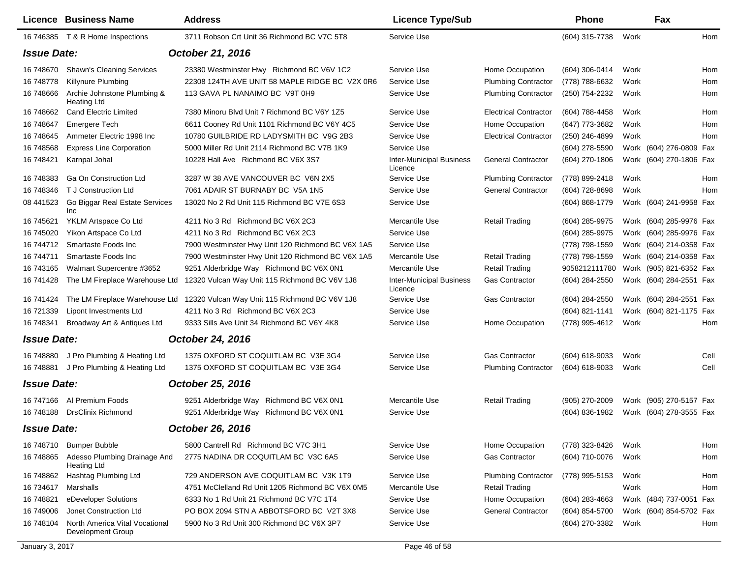|                    | <b>Licence Business Name</b>                        | <b>Address</b>                                    | <b>Licence Type/Sub</b>                    |                              | <b>Phone</b>       |      | Fax                     |      |
|--------------------|-----------------------------------------------------|---------------------------------------------------|--------------------------------------------|------------------------------|--------------------|------|-------------------------|------|
|                    | 16 746385 T & R Home Inspections                    | 3711 Robson Crt Unit 36 Richmond BC V7C 5T8       | Service Use                                |                              | (604) 315-7738     | Work |                         | Hom  |
| <b>Issue Date:</b> |                                                     | October 21, 2016                                  |                                            |                              |                    |      |                         |      |
| 16 748670          | <b>Shawn's Cleaning Services</b>                    | 23380 Westminster Hwy Richmond BC V6V 1C2         | Service Use                                | Home Occupation              | (604) 306-0414     | Work |                         | Hom  |
| 16 748778          | Killynure Plumbing                                  | 22308 124TH AVE UNIT 58 MAPLE RIDGE BC V2X 0R6    | Service Use                                | <b>Plumbing Contractor</b>   | (778) 788-6632     | Work |                         | Hom  |
| 16 748666          | Archie Johnstone Plumbing &<br><b>Heating Ltd</b>   | 113 GAVA PL NANAIMO BC V9T 0H9                    | Service Use                                | <b>Plumbing Contractor</b>   | (250) 754-2232     | Work |                         | Hom  |
| 16 748662          | <b>Cand Electric Limited</b>                        | 7380 Minoru Blvd Unit 7 Richmond BC V6Y 1Z5       | Service Use                                | <b>Electrical Contractor</b> | (604) 788-4458     | Work |                         | Hom  |
| 16 748647          | <b>Emergere Tech</b>                                | 6611 Cooney Rd Unit 1101 Richmond BC V6Y 4C5      | Service Use                                | Home Occupation              | (647) 773-3682     | Work |                         | Hom  |
| 16 748645          | Ammeter Electric 1998 Inc                           | 10780 GUILBRIDE RD LADYSMITH BC V9G 2B3           | Service Use                                | <b>Electrical Contractor</b> | (250) 246-4899     | Work |                         | Hom  |
| 16 748568          | <b>Express Line Corporation</b>                     | 5000 Miller Rd Unit 2114 Richmond BC V7B 1K9      | Service Use                                |                              | (604) 278-5590     |      | Work (604) 276-0809 Fax |      |
| 16 748421          | Karnpal Johal                                       | 10228 Hall Ave Richmond BC V6X 3S7                | <b>Inter-Municipal Business</b><br>Licence | <b>General Contractor</b>    | (604) 270-1806     |      | Work (604) 270-1806 Fax |      |
| 16 748383          | <b>Ga On Construction Ltd</b>                       | 3287 W 38 AVE VANCOUVER BC V6N 2X5                | Service Use                                | <b>Plumbing Contractor</b>   | (778) 899-2418     | Work |                         | Hom  |
| 16 748346          | T J Construction Ltd                                | 7061 ADAIR ST BURNABY BC V5A 1N5                  | Service Use                                | <b>General Contractor</b>    | (604) 728-8698     | Work |                         | Hom  |
| 08 441523          | Go Biggar Real Estate Services<br>Inc               | 13020 No 2 Rd Unit 115 Richmond BC V7E 6S3        | Service Use                                |                              | $(604) 868 - 1779$ |      | Work (604) 241-9958 Fax |      |
| 16 745621          | YKLM Artspace Co Ltd                                | 4211 No 3 Rd Richmond BC V6X 2C3                  | Mercantile Use                             | <b>Retail Trading</b>        | (604) 285-9975     |      | Work (604) 285-9976 Fax |      |
| 16 745020          | Yikon Artspace Co Ltd                               | 4211 No 3 Rd Richmond BC V6X 2C3                  | Service Use                                |                              | (604) 285-9975     |      | Work (604) 285-9976 Fax |      |
| 16 744712          | Smartaste Foods Inc                                 | 7900 Westminster Hwy Unit 120 Richmond BC V6X 1A5 | Service Use                                |                              | (778) 798-1559     |      | Work (604) 214-0358 Fax |      |
| 16 744711          | Smartaste Foods Inc                                 | 7900 Westminster Hwy Unit 120 Richmond BC V6X 1A5 | Mercantile Use                             | <b>Retail Trading</b>        | (778) 798-1559     |      | Work (604) 214-0358 Fax |      |
| 16 743165          | Walmart Supercentre #3652                           | 9251 Alderbridge Way Richmond BC V6X 0N1          | Mercantile Use                             | <b>Retail Trading</b>        | 9058212111780      |      | Work (905) 821-6352 Fax |      |
| 16 741428          | The LM Fireplace Warehouse Ltd                      | 12320 Vulcan Way Unit 115 Richmond BC V6V 1J8     | <b>Inter-Municipal Business</b><br>Licence | Gas Contractor               | (604) 284-2550     |      | Work (604) 284-2551 Fax |      |
| 16 741424          | The LM Fireplace Warehouse Ltd                      | 12320 Vulcan Way Unit 115 Richmond BC V6V 1J8     | Service Use                                | Gas Contractor               | (604) 284-2550     |      | Work (604) 284-2551 Fax |      |
| 16 721339          | Lipont Investments Ltd                              | 4211 No 3 Rd Richmond BC V6X 2C3                  | Service Use                                |                              | (604) 821-1141     |      | Work (604) 821-1175 Fax |      |
| 16 748341          | Broadway Art & Antiques Ltd                         | 9333 Sills Ave Unit 34 Richmond BC V6Y 4K8        | Service Use                                | Home Occupation              | (778) 995-4612     | Work |                         | Hom  |
| <b>Issue Date:</b> |                                                     | October 24, 2016                                  |                                            |                              |                    |      |                         |      |
| 16 748880          | J Pro Plumbing & Heating Ltd                        | 1375 OXFORD ST COQUITLAM BC V3E 3G4               | Service Use                                | <b>Gas Contractor</b>        | (604) 618-9033     | Work |                         | Cell |
| 16 748881          | J Pro Plumbing & Heating Ltd                        | 1375 OXFORD ST COQUITLAM BC V3E 3G4               | Service Use                                | <b>Plumbing Contractor</b>   | (604) 618-9033     | Work |                         | Cell |
| <b>Issue Date:</b> |                                                     | October 25, 2016                                  |                                            |                              |                    |      |                         |      |
| 16 747166          | Al Premium Foods                                    | 9251 Alderbridge Way Richmond BC V6X 0N1          | Mercantile Use                             | <b>Retail Trading</b>        | (905) 270-2009     |      | Work (905) 270-5157 Fax |      |
| 16 748188          | <b>DrsClinix Richmond</b>                           | 9251 Alderbridge Way Richmond BC V6X 0N1          | Service Use                                |                              | (604) 836-1982     |      | Work (604) 278-3555 Fax |      |
| <b>Issue Date:</b> |                                                     | October 26, 2016                                  |                                            |                              |                    |      |                         |      |
| 16 748710          | <b>Bumper Bubble</b>                                | 5800 Cantrell Rd Richmond BC V7C 3H1              | Service Use                                | Home Occupation              | (778) 323-8426     | Work |                         | Hom  |
| 16 748865          | Adesso Plumbing Drainage And<br><b>Heating Ltd</b>  | 2775 NADINA DR COQUITLAM BC V3C 6A5               | Service Use                                | Gas Contractor               | (604) 710-0076     | Work |                         | Hom  |
| 16 748862          | Hashtag Plumbing Ltd                                | 729 ANDERSON AVE COQUITLAM BC V3K 1T9             | Service Use                                | <b>Plumbing Contractor</b>   | (778) 995-5153     | Work |                         | Hom  |
| 16 734617          | Marshalls                                           | 4751 McClelland Rd Unit 1205 Richmond BC V6X 0M5  | Mercantile Use                             | <b>Retail Trading</b>        |                    | Work |                         | Hom  |
| 16 748821          | eDeveloper Solutions                                | 6333 No 1 Rd Unit 21 Richmond BC V7C 1T4          | Service Use                                | Home Occupation              | (604) 283-4663     |      | Work (484) 737-0051 Fax |      |
| 16 749006          | Jonet Construction Ltd                              | PO BOX 2094 STN A ABBOTSFORD BC V2T 3X8           | Service Use                                | <b>General Contractor</b>    | (604) 854-5700     |      | Work (604) 854-5702 Fax |      |
| 16 748104          | North America Vital Vocational<br>Development Group | 5900 No 3 Rd Unit 300 Richmond BC V6X 3P7         | Service Use                                |                              | (604) 270-3382     | Work |                         | Hom  |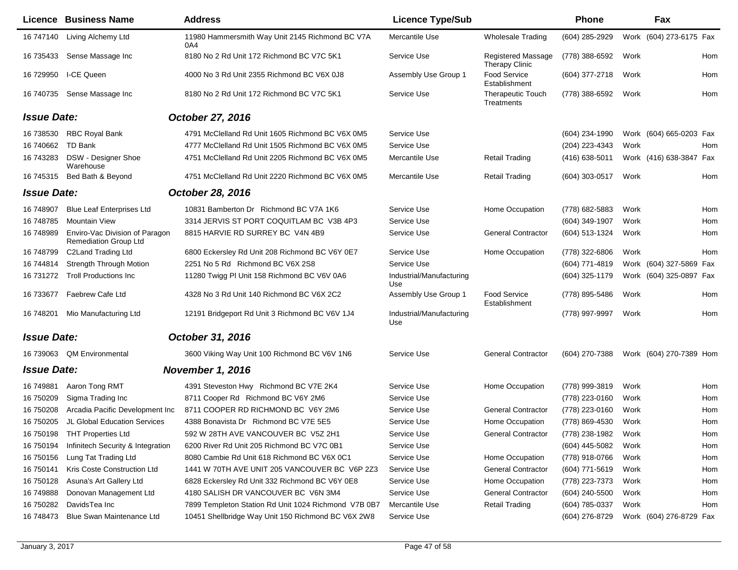|                    | <b>Licence Business Name</b>                                   | <b>Address</b>                                         | <b>Licence Type/Sub</b>         |                                             | <b>Phone</b>   |      | Fax                        |
|--------------------|----------------------------------------------------------------|--------------------------------------------------------|---------------------------------|---------------------------------------------|----------------|------|----------------------------|
| 16 747140          | Living Alchemy Ltd                                             | 11980 Hammersmith Way Unit 2145 Richmond BC V7A<br>0A4 | Mercantile Use                  | <b>Wholesale Trading</b>                    | (604) 285-2929 |      | Work (604) 273-6175 Fax    |
| 16 735433          | Sense Massage Inc                                              | 8180 No 2 Rd Unit 172 Richmond BC V7C 5K1              | Service Use                     | Registered Massage<br><b>Therapy Clinic</b> | (778) 388-6592 | Work | Hom                        |
| 16 729950          | I-CE Queen                                                     | 4000 No 3 Rd Unit 2355 Richmond BC V6X 0J8             | Assembly Use Group 1            | <b>Food Service</b><br>Establishment        | (604) 377-2718 | Work | Hom                        |
| 16 740735          | Sense Massage Inc                                              | 8180 No 2 Rd Unit 172 Richmond BC V7C 5K1              | Service Use                     | Therapeutic Touch<br>Treatments             | (778) 388-6592 | Work | Hom                        |
| <b>Issue Date:</b> |                                                                | October 27, 2016                                       |                                 |                                             |                |      |                            |
| 16 738530          | <b>RBC Royal Bank</b>                                          | 4791 McClelland Rd Unit 1605 Richmond BC V6X 0M5       | Service Use                     |                                             | (604) 234-1990 |      | Work (604) 665-0203 Fax    |
| 16 740662          | TD Bank                                                        | 4777 McClelland Rd Unit 1505 Richmond BC V6X 0M5       | Service Use                     |                                             | (204) 223-4343 | Work | Hom                        |
| 16 743283          | <b>DSW</b> - Designer Shoe<br>Warehouse                        | 4751 McClelland Rd Unit 2205 Richmond BC V6X 0M5       | Mercantile Use                  | <b>Retail Trading</b>                       | (416) 638-5011 |      | Work (416) 638-3847 Fax    |
| 16 745315          | Bed Bath & Beyond                                              | 4751 McClelland Rd Unit 2220 Richmond BC V6X 0M5       | Mercantile Use                  | <b>Retail Trading</b>                       | (604) 303-0517 | Work | Hom                        |
| <b>Issue Date:</b> |                                                                | October 28, 2016                                       |                                 |                                             |                |      |                            |
| 16 748907          | <b>Blue Leaf Enterprises Ltd</b>                               | 10831 Bamberton Dr Richmond BC V7A 1K6                 | Service Use                     | Home Occupation                             | (778) 682-5883 | Work | Hom                        |
| 16 748785          | <b>Mountain View</b>                                           | 3314 JERVIS ST PORT COQUITLAM BC V3B 4P3               | Service Use                     |                                             | (604) 349-1907 | Work | Hom                        |
| 16 748989          | Enviro-Vac Division of Paragon<br><b>Remediation Group Ltd</b> | 8815 HARVIE RD SURREY BC V4N 4B9                       | Service Use                     | <b>General Contractor</b>                   | (604) 513-1324 | Work | Hom                        |
| 16 748799          | C2Land Trading Ltd                                             | 6800 Eckersley Rd Unit 208 Richmond BC V6Y 0E7         | Service Use                     | Home Occupation                             | (778) 322-6806 | Work | Hom                        |
| 16 744814          | <b>Strength Through Motion</b>                                 | 2251 No 5 Rd Richmond BC V6X 2S8                       | Service Use                     |                                             | (604) 771-4819 |      | Work (604) 327-5869<br>Fax |
| 16 731272          | <b>Troll Productions Inc.</b>                                  | 11280 Twigg PI Unit 158 Richmond BC V6V 0A6            | Industrial/Manufacturing<br>Use |                                             | (604) 325-1179 |      | Work (604) 325-0897 Fax    |
| 16 733677          | Faebrew Cafe Ltd                                               | 4328 No 3 Rd Unit 140 Richmond BC V6X 2C2              | Assembly Use Group 1            | <b>Food Service</b><br>Establishment        | (778) 895-5486 | Work | Hom                        |
| 16 748201          | Mio Manufacturing Ltd                                          | 12191 Bridgeport Rd Unit 3 Richmond BC V6V 1J4         | Industrial/Manufacturing<br>Use |                                             | (778) 997-9997 | Work | Hom                        |
| <b>Issue Date:</b> |                                                                | October 31, 2016                                       |                                 |                                             |                |      |                            |
| 16 739063          | <b>QM Environmental</b>                                        | 3600 Viking Way Unit 100 Richmond BC V6V 1N6           | Service Use                     | <b>General Contractor</b>                   | (604) 270-7388 |      | Work (604) 270-7389 Hom    |
| <b>Issue Date:</b> |                                                                | <b>November 1, 2016</b>                                |                                 |                                             |                |      |                            |
| 16 749881          | Aaron Tong RMT                                                 | 4391 Steveston Hwy Richmond BC V7E 2K4                 | Service Use                     | Home Occupation                             | (778) 999-3819 | Work | Hom                        |
| 16 750209          | Sigma Trading Inc                                              | 8711 Cooper Rd Richmond BC V6Y 2M6                     | Service Use                     |                                             | (778) 223-0160 | Work | Hom                        |
| 16 750208          | Arcadia Pacific Development Inc                                | 8711 COOPER RD RICHMOND BC V6Y 2M6                     | Service Use                     | <b>General Contractor</b>                   | (778) 223-0160 | Work | Hom                        |
| 16 750205          | JL Global Education Services                                   | 4388 Bonavista Dr Richmond BC V7E 5E5                  | Service Use                     | Home Occupation                             | (778) 869-4530 | Work | Hom                        |
| 16 750198          | <b>THT Properties Ltd</b>                                      | 592 W 28TH AVE VANCOUVER BC V5Z 2H1                    | Service Use                     | <b>General Contractor</b>                   | (778) 238-1982 | Work | Hom                        |
| 16 750194          | Infinitech Security & Integration                              | 6200 River Rd Unit 205 Richmond BC V7C 0B1             | Service Use                     |                                             | (604) 445-5082 | Work | Hom                        |
| 16 750156          | Lung Tat Trading Ltd                                           | 8080 Cambie Rd Unit 618 Richmond BC V6X 0C1            | Service Use                     | Home Occupation                             | (778) 918-0766 | Work | Hom                        |
| 16 750141          | Kris Coste Construction Ltd                                    | 1441 W 70TH AVE UNIT 205 VANCOUVER BC V6P 2Z3          | Service Use                     | <b>General Contractor</b>                   | (604) 771-5619 | Work | Hom                        |
| 16 750128          | Asuna's Art Gallery Ltd                                        | 6828 Eckersley Rd Unit 332 Richmond BC V6Y 0E8         | Service Use                     | Home Occupation                             | (778) 223-7373 | Work | Hom                        |
| 16 749888          | Donovan Management Ltd                                         | 4180 SALISH DR VANCOUVER BC V6N 3M4                    | Service Use                     | <b>General Contractor</b>                   | (604) 240-5500 | Work | Hom                        |
| 16 750282          | DavidsTea Inc                                                  | 7899 Templeton Station Rd Unit 1024 Richmond V7B 0B7   | Mercantile Use                  | <b>Retail Trading</b>                       | (604) 785-0337 | Work | Hom                        |
| 16 748473          | Blue Swan Maintenance Ltd                                      | 10451 Shellbridge Way Unit 150 Richmond BC V6X 2W8     | Service Use                     |                                             | (604) 276-8729 |      | Work (604) 276-8729 Fax    |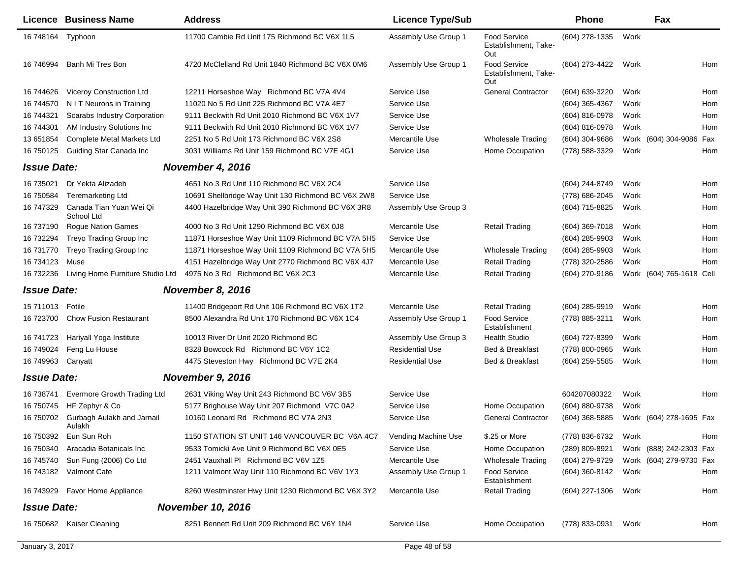|                    | <b>Licence Business Name</b>          | <b>Address</b>                                     | <b>Licence Type/Sub</b> |                                                    | <b>Phone</b>     |      | Fax                      |     |
|--------------------|---------------------------------------|----------------------------------------------------|-------------------------|----------------------------------------------------|------------------|------|--------------------------|-----|
| 16 748164 Typhoon  |                                       | 11700 Cambie Rd Unit 175 Richmond BC V6X 1L5       | Assembly Use Group 1    | <b>Food Service</b><br>Establishment, Take-<br>Out | (604) 278-1335   | Work |                          |     |
| 16 746994          | Banh Mi Tres Bon                      | 4720 McClelland Rd Unit 1840 Richmond BC V6X 0M6   | Assembly Use Group 1    | <b>Food Service</b><br>Establishment, Take-<br>Out | (604) 273-4422   | Work |                          | Hom |
| 16 744626          | Viceroy Construction Ltd              | 12211 Horseshoe Way Richmond BC V7A 4V4            | Service Use             | <b>General Contractor</b>                          | (604) 639-3220   | Work |                          | Hom |
| 16 744570          | N I T Neurons in Training             | 11020 No 5 Rd Unit 225 Richmond BC V7A 4E7         | Service Use             |                                                    | (604) 365-4367   | Work |                          | Hom |
| 16 744321          | Scarabs Industry Corporation          | 9111 Beckwith Rd Unit 2010 Richmond BC V6X 1V7     | Service Use             |                                                    | (604) 816-0978   | Work |                          | Hom |
| 16 744301          | AM Industry Solutions Inc             | 9111 Beckwith Rd Unit 2010 Richmond BC V6X 1V7     | Service Use             |                                                    | (604) 816-0978   | Work |                          | Hom |
| 13 651 854         | <b>Complete Metal Markets Ltd</b>     | 2251 No 5 Rd Unit 173 Richmond BC V6X 2S8          | Mercantile Use          | <b>Wholesale Trading</b>                           | $(604)$ 304-9686 |      | Work (604) 304-9086      | Fax |
| 16 750125          | Guiding Star Canada Inc               | 3031 Williams Rd Unit 159 Richmond BC V7E 4G1      | Service Use             | Home Occupation                                    | (778) 588-3329   | Work |                          | Hom |
| <b>Issue Date:</b> |                                       | November 4, 2016                                   |                         |                                                    |                  |      |                          |     |
| 16 735021          | Dr Yekta Alizadeh                     | 4651 No 3 Rd Unit 110 Richmond BC V6X 2C4          | Service Use             |                                                    | (604) 244-8749   | Work |                          | Hom |
| 16 750584          | <b>Teremarketing Ltd</b>              | 10691 Shellbridge Way Unit 130 Richmond BC V6X 2W8 | Service Use             |                                                    | (778) 686-2045   | Work |                          | Hom |
| 16 747329          | Canada Tian Yuan Wei Qi<br>School Ltd | 4400 Hazelbridge Way Unit 390 Richmond BC V6X 3R8  | Assembly Use Group 3    |                                                    | (604) 715-8825   | Work |                          | Hom |
| 16 737190          | <b>Rogue Nation Games</b>             | 4000 No 3 Rd Unit 1290 Richmond BC V6X 0J8         | Mercantile Use          | <b>Retail Trading</b>                              | $(604)$ 369-7018 | Work |                          | Hom |
| 16 732294          | Treyo Trading Group Inc               | 11871 Horseshoe Way Unit 1109 Richmond BC V7A 5H5  | Service Use             |                                                    | (604) 285-9903   | Work |                          | Hom |
| 16 731770          | Treyo Trading Group Inc               | 11871 Horseshoe Way Unit 1109 Richmond BC V7A 5H5  | Mercantile Use          | <b>Wholesale Trading</b>                           | $(604)$ 285-9903 | Work |                          | Hom |
| 16 734123          | Muse                                  | 4151 Hazelbridge Way Unit 2770 Richmond BC V6X 4J7 | Mercantile Use          | <b>Retail Trading</b>                              | (778) 320-2586   | Work |                          | Hom |
| 16 732236          | Living Home Furniture Studio Ltd      | 4975 No 3 Rd Richmond BC V6X 2C3                   | Mercantile Use          | <b>Retail Trading</b>                              | (604) 270-9186   |      | Work (604) 765-1618 Cell |     |
| <b>Issue Date:</b> |                                       | November 8, 2016                                   |                         |                                                    |                  |      |                          |     |
| 15 711013          | Fotile                                | 11400 Bridgeport Rd Unit 106 Richmond BC V6X 1T2   | Mercantile Use          | <b>Retail Trading</b>                              | (604) 285-9919   | Work |                          | Hom |
| 16 723700          | <b>Chow Fusion Restaurant</b>         | 8500 Alexandra Rd Unit 170 Richmond BC V6X 1C4     | Assembly Use Group 1    | <b>Food Service</b><br>Establishment               | (778) 885-3211   | Work |                          | Hom |
| 16 741723          | Hariyall Yoga Institute               | 10013 River Dr Unit 2020 Richmond BC               | Assembly Use Group 3    | <b>Health Studio</b>                               | (604) 727-8399   | Work |                          | Hom |
| 16 749024          | Feng Lu House                         | 8328 Bowcock Rd Richmond BC V6Y 1C2                | <b>Residential Use</b>  | Bed & Breakfast                                    | (778) 800-0965   | Work |                          | Hom |
| 16 749963          | Canyatt                               | 4475 Steveston Hwy Richmond BC V7E 2K4             | <b>Residential Use</b>  | Bed & Breakfast                                    | (604) 259-5585   | Work |                          | Hom |
| <b>Issue Date:</b> |                                       | November 9, 2016                                   |                         |                                                    |                  |      |                          |     |
| 16 738741          | Evermore Growth Trading Ltd           | 2631 Viking Way Unit 243 Richmond BC V6V 3B5       | Service Use             |                                                    | 604207080322     | Work |                          | Hom |
| 16 750745          | HF Zephyr & Co                        | 5177 Brighouse Way Unit 207 Richmond V7C 0A2       | Service Use             | Home Occupation                                    | (604) 880-9738   | Work |                          |     |
| 16 750702          | Gurbagh Aulakh and Jarnail<br>Aulakh  | 10160 Leonard Rd Richmond BC V7A 2N3               | Service Use             | <b>General Contractor</b>                          | (604) 368-5885   |      | Work (604) 278-1695 Fax  |     |
|                    | 16 750392 Eun Sun Roh                 | 1150 STATION ST UNIT 146 VANCOUVER BC V6A 4C7      | Vending Machine Use     | \$.25 or More                                      | (778) 836-6732   | Work |                          | Hom |
| 16 750340          | Aracadia Botanicals Inc               | 9533 Tomicki Ave Unit 9 Richmond BC V6X 0E5        | Service Use             | Home Occupation                                    | (289) 809-8921   |      | Work (888) 242-2303 Fax  |     |
| 16 745740          | Sun Fung (2006) Co Ltd                | 2451 Vauxhall PI Richmond BC V6V 1Z5               | Mercantile Use          | Wholesale Trading                                  | (604) 279-9729   |      | Work (604) 279-9730 Fax  |     |
| 16 743182          | Valmont Cafe                          | 1211 Valmont Way Unit 110 Richmond BC V6V 1Y3      | Assembly Use Group 1    | <b>Food Service</b><br>Establishment               | (604) 360-8142   | Work |                          | Hom |
| 16 743929          | <b>Favor Home Appliance</b>           | 8260 Westminster Hwy Unit 1230 Richmond BC V6X 3Y2 | Mercantile Use          | <b>Retail Trading</b>                              | (604) 227-1306   | Work |                          | Hom |
| <b>Issue Date:</b> |                                       | <b>November 10, 2016</b>                           |                         |                                                    |                  |      |                          |     |
|                    | 16 750682 Kaiser Cleaning             | 8251 Bennett Rd Unit 209 Richmond BC V6Y 1N4       | Service Use             | Home Occupation                                    | (778) 833-0931   | Work |                          | Hom |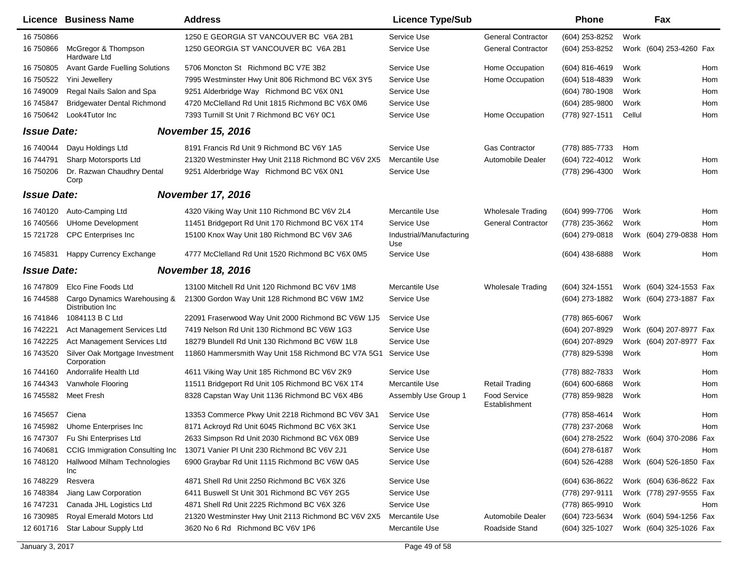|                    | Licence Business Name                             | <b>Address</b>                                      | <b>Licence Type/Sub</b>         |                                      | <b>Phone</b>     |        | Fax                     |     |
|--------------------|---------------------------------------------------|-----------------------------------------------------|---------------------------------|--------------------------------------|------------------|--------|-------------------------|-----|
| 16 750866          |                                                   | 1250 E GEORGIA ST VANCOUVER BC V6A 2B1              | Service Use                     | <b>General Contractor</b>            | (604) 253-8252   | Work   |                         |     |
| 16 750866          | McGregor & Thompson<br>Hardware Ltd               | 1250 GEORGIA ST VANCOUVER BC V6A 2B1                | Service Use                     | <b>General Contractor</b>            | (604) 253-8252   |        | Work (604) 253-4260 Fax |     |
| 16 750805          | <b>Avant Garde Fuelling Solutions</b>             | 5706 Moncton St Richmond BC V7E 3B2                 | Service Use                     | Home Occupation                      | (604) 816-4619   | Work   |                         | Hom |
| 16 750522          | Yini Jewellery                                    | 7995 Westminster Hwy Unit 806 Richmond BC V6X 3Y5   | Service Use                     | Home Occupation                      | (604) 518-4839   | Work   |                         | Hom |
| 16 749009          | Regal Nails Salon and Spa                         | 9251 Alderbridge Way Richmond BC V6X 0N1            | Service Use                     |                                      | (604) 780-1908   | Work   |                         | Hom |
| 16 745847          | <b>Bridgewater Dental Richmond</b>                | 4720 McClelland Rd Unit 1815 Richmond BC V6X 0M6    | Service Use                     |                                      | (604) 285-9800   | Work   |                         | Hom |
| 16 750642          | Look4Tutor Inc                                    | 7393 Turnill St Unit 7 Richmond BC V6Y 0C1          | Service Use                     | Home Occupation                      | (778) 927-1511   | Cellul |                         | Hom |
| <b>Issue Date:</b> |                                                   | <b>November 15, 2016</b>                            |                                 |                                      |                  |        |                         |     |
| 16 740044          | Dayu Holdings Ltd                                 | 8191 Francis Rd Unit 9 Richmond BC V6Y 1A5          | Service Use                     | <b>Gas Contractor</b>                | (778) 885-7733   | Hom    |                         |     |
| 16 744791          | Sharp Motorsports Ltd                             | 21320 Westminster Hwy Unit 2118 Richmond BC V6V 2X5 | Mercantile Use                  | <b>Automobile Dealer</b>             | (604) 722-4012   | Work   |                         | Hom |
| 16 750206          | Dr. Razwan Chaudhry Dental<br>Corp                | 9251 Alderbridge Way Richmond BC V6X 0N1            | Service Use                     |                                      | (778) 296-4300   | Work   |                         | Hom |
| <b>Issue Date:</b> |                                                   | <b>November 17, 2016</b>                            |                                 |                                      |                  |        |                         |     |
| 16 740120          | Auto-Camping Ltd                                  | 4320 Viking Way Unit 110 Richmond BC V6V 2L4        | Mercantile Use                  | <b>Wholesale Trading</b>             | (604) 999-7706   | Work   |                         | Hom |
| 16 740566          | <b>UHome Development</b>                          | 11451 Bridgeport Rd Unit 170 Richmond BC V6X 1T4    | Service Use                     | <b>General Contractor</b>            | (778) 235-3662   | Work   |                         | Hom |
| 15 721728          | <b>CPC</b> Enterprises Inc                        | 15100 Knox Way Unit 180 Richmond BC V6V 3A6         | Industrial/Manufacturing<br>Use |                                      | $(604)$ 279-0818 |        | Work (604) 279-0838 Hom |     |
| 16 745831          | Happy Currency Exchange                           | 4777 McClelland Rd Unit 1520 Richmond BC V6X 0M5    | Service Use                     |                                      | (604) 438-6888   | Work   |                         | Hom |
| <b>Issue Date:</b> |                                                   | <b>November 18, 2016</b>                            |                                 |                                      |                  |        |                         |     |
| 16 747809          | Elco Fine Foods Ltd                               | 13100 Mitchell Rd Unit 120 Richmond BC V6V 1M8      | Mercantile Use                  | <b>Wholesale Trading</b>             | (604) 324-1551   |        | Work (604) 324-1553 Fax |     |
| 16 744588          | Cargo Dynamics Warehousing &<br>Distribution Inc. | 21300 Gordon Way Unit 128 Richmond BC V6W 1M2       | Service Use                     |                                      | (604) 273-1882   |        | Work (604) 273-1887 Fax |     |
| 16 741846          | 1084113 B C Ltd                                   | 22091 Fraserwood Way Unit 2000 Richmond BC V6W 1J5  | Service Use                     |                                      | (778) 865-6067   | Work   |                         |     |
| 16 742221          | Act Management Services Ltd                       | 7419 Nelson Rd Unit 130 Richmond BC V6W 1G3         | Service Use                     |                                      | (604) 207-8929   |        | Work (604) 207-8977 Fax |     |
| 16 742225          | Act Management Services Ltd                       | 18279 Blundell Rd Unit 130 Richmond BC V6W 1L8      | Service Use                     |                                      | (604) 207-8929   |        | Work (604) 207-8977 Fax |     |
| 16 743520          | Silver Oak Mortgage Investment<br>Corporation     | 11860 Hammersmith Way Unit 158 Richmond BC V7A 5G1  | Service Use                     |                                      | (778) 829-5398   | Work   |                         | Hom |
| 16 744160          | Andorralife Health Ltd                            | 4611 Viking Way Unit 185 Richmond BC V6V 2K9        | Service Use                     |                                      | (778) 882-7833   | Work   |                         | Hom |
| 16 744343          | Vanwhole Flooring                                 | 11511 Bridgeport Rd Unit 105 Richmond BC V6X 1T4    | Mercantile Use                  | <b>Retail Trading</b>                | (604) 600-6868   | Work   |                         | Hom |
| 16 745582          | <b>Meet Fresh</b>                                 | 8328 Capstan Way Unit 1136 Richmond BC V6X 4B6      | Assembly Use Group 1            | <b>Food Service</b><br>Establishment | (778) 859-9828   | Work   |                         | Hom |
| 16 745 657         | Ciena                                             | 13353 Commerce Pkwy Unit 2218 Richmond BC V6V 3A1   | Service Use                     |                                      | (778) 858-4614   | Work   |                         | Hom |
|                    | 16 745982 Uhome Enterprises Inc                   | 8171 Ackroyd Rd Unit 6045 Richmond BC V6X 3K1       | Service Use                     |                                      | (778) 237-2068   | Work   |                         | Hom |
| 16 747307          | Fu Shi Enterprises Ltd                            | 2633 Simpson Rd Unit 2030 Richmond BC V6X 0B9       | Service Use                     |                                      | (604) 278-2522   |        | Work (604) 370-2086 Fax |     |
| 16 740681          | CCIG Immigration Consulting Inc                   | 13071 Vanier PI Unit 230 Richmond BC V6V 2J1        | Service Use                     |                                      | $(604)$ 278-6187 | Work   |                         | Hom |
| 16 748120          | Hallwood Milham Technologies<br>Inc               | 6900 Graybar Rd Unit 1115 Richmond BC V6W 0A5       | Service Use                     |                                      | (604) 526-4288   |        | Work (604) 526-1850 Fax |     |
| 16 748229          | Resvera                                           | 4871 Shell Rd Unit 2250 Richmond BC V6X 3Z6         | Service Use                     |                                      | (604) 636-8622   |        | Work (604) 636-8622 Fax |     |
| 16 748384          | Jiang Law Corporation                             | 6411 Buswell St Unit 301 Richmond BC V6Y 2G5        | Service Use                     |                                      | (778) 297-9111   |        | Work (778) 297-9555 Fax |     |
| 16 747231          | Canada JHL Logistics Ltd                          | 4871 Shell Rd Unit 2225 Richmond BC V6X 3Z6         | Service Use                     |                                      | (778) 865-9910   | Work   |                         | Hom |
| 16 730985          | Royal Emerald Motors Ltd                          | 21320 Westminster Hwy Unit 2113 Richmond BC V6V 2X5 | Mercantile Use                  | Automobile Dealer                    | (604) 723-5634   |        | Work (604) 594-1256 Fax |     |
| 12 601716          | Star Labour Supply Ltd                            | 3620 No 6 Rd Richmond BC V6V 1P6                    | Mercantile Use                  | Roadside Stand                       | (604) 325-1027   |        | Work (604) 325-1026 Fax |     |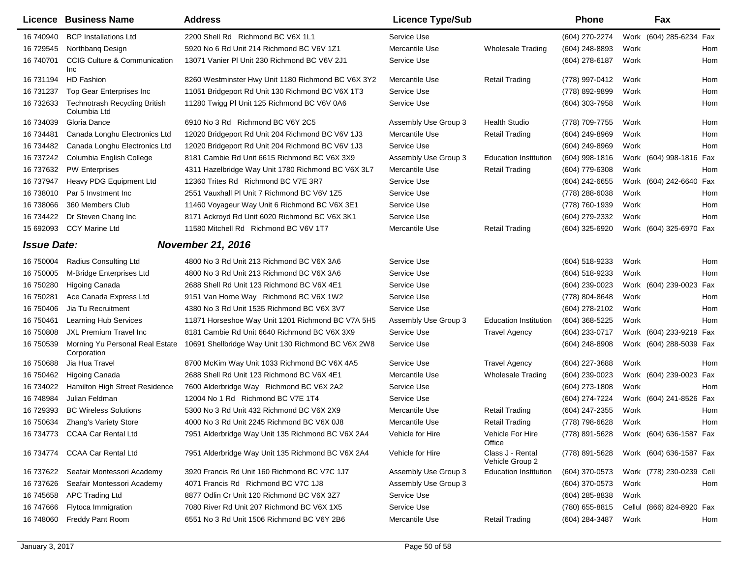|                    | <b>Licence Business Name</b>                   | <b>Address</b>                                     | <b>Licence Type/Sub</b> |                                     | <b>Phone</b>     |      | Fax                       |     |
|--------------------|------------------------------------------------|----------------------------------------------------|-------------------------|-------------------------------------|------------------|------|---------------------------|-----|
| 16 740940          | <b>BCP Installations Ltd</b>                   | 2200 Shell Rd Richmond BC V6X 1L1                  | Service Use             |                                     | (604) 270-2274   |      | Work (604) 285-6234 Fax   |     |
| 16 729545          | Northbang Design                               | 5920 No 6 Rd Unit 214 Richmond BC V6V 1Z1          | Mercantile Use          | <b>Wholesale Trading</b>            | (604) 248-8893   | Work |                           | Hom |
| 16 740701          | <b>CCIG Culture &amp; Communication</b><br>Inc | 13071 Vanier PI Unit 230 Richmond BC V6V 2J1       | Service Use             |                                     | (604) 278-6187   | Work |                           | Hom |
| 16 731194          | <b>HD Fashion</b>                              | 8260 Westminster Hwy Unit 1180 Richmond BC V6X 3Y2 | Mercantile Use          | <b>Retail Trading</b>               | (778) 997-0412   | Work |                           | Hom |
| 16 731237          | Top Gear Enterprises Inc                       | 11051 Bridgeport Rd Unit 130 Richmond BC V6X 1T3   | Service Use             |                                     | (778) 892-9899   | Work |                           | Hom |
| 16 732633          | Technotrash Recycling British<br>Columbia Ltd  | 11280 Twigg PI Unit 125 Richmond BC V6V 0A6        | Service Use             |                                     | (604) 303-7958   | Work |                           | Hom |
| 16 734039          | Gloria Dance                                   | 6910 No 3 Rd Richmond BC V6Y 2C5                   | Assembly Use Group 3    | <b>Health Studio</b>                | (778) 709-7755   | Work |                           | Hom |
| 16 734481          | Canada Longhu Electronics Ltd                  | 12020 Bridgeport Rd Unit 204 Richmond BC V6V 1J3   | Mercantile Use          | <b>Retail Trading</b>               | $(604)$ 249-8969 | Work |                           | Hom |
| 16 734482          | Canada Longhu Electronics Ltd                  | 12020 Bridgeport Rd Unit 204 Richmond BC V6V 1J3   | Service Use             |                                     | (604) 249-8969   | Work |                           | Hom |
| 16 737242          | Columbia English College                       | 8181 Cambie Rd Unit 6615 Richmond BC V6X 3X9       | Assembly Use Group 3    | <b>Education Institution</b>        | $(604)$ 998-1816 |      | Work (604) 998-1816 Fax   |     |
| 16 737632          | <b>PW Enterprises</b>                          | 4311 Hazelbridge Way Unit 1780 Richmond BC V6X 3L7 | Mercantile Use          | <b>Retail Trading</b>               | (604) 779-6308   | Work |                           | Hom |
| 16 737947          | Heavy PDG Equipment Ltd                        | 12360 Trites Rd Richmond BC V7E 3R7                | Service Use             |                                     | (604) 242-6655   |      | Work (604) 242-6640 Fax   |     |
| 16 738010          | Par 5 Invstment Inc                            | 2551 Vauxhall PI Unit 7 Richmond BC V6V 1Z5        | Service Use             |                                     | (778) 288-6038   | Work |                           | Hom |
| 16 738066          | 360 Members Club                               | 11460 Voyageur Way Unit 6 Richmond BC V6X 3E1      | Service Use             |                                     | (778) 760-1939   | Work |                           | Hom |
| 16 734422          | Dr Steven Chang Inc                            | 8171 Ackroyd Rd Unit 6020 Richmond BC V6X 3K1      | Service Use             |                                     | (604) 279-2332   | Work |                           | Hom |
| 15 692093          | <b>CCY Marine Ltd</b>                          | 11580 Mitchell Rd Richmond BC V6V 1T7              | Mercantile Use          | <b>Retail Trading</b>               | (604) 325-6920   |      | Work (604) 325-6970 Fax   |     |
| <b>Issue Date:</b> |                                                | <b>November 21, 2016</b>                           |                         |                                     |                  |      |                           |     |
| 16 750004          | Radius Consulting Ltd                          | 4800 No 3 Rd Unit 213 Richmond BC V6X 3A6          | Service Use             |                                     | (604) 518-9233   | Work |                           | Hom |
| 16 750005          | M-Bridge Enterprises Ltd                       | 4800 No 3 Rd Unit 213 Richmond BC V6X 3A6          | Service Use             |                                     | (604) 518-9233   | Work |                           | Hom |
| 16 750280          | <b>Higoing Canada</b>                          | 2688 Shell Rd Unit 123 Richmond BC V6X 4E1         | Service Use             |                                     | (604) 239-0023   |      | Work (604) 239-0023 Fax   |     |
| 16 750281          | Ace Canada Express Ltd                         | 9151 Van Horne Way Richmond BC V6X 1W2             | Service Use             |                                     | (778) 804-8648   | Work |                           | Hom |
| 16 750406          | Jia Tu Recruitment                             | 4380 No 3 Rd Unit 1535 Richmond BC V6X 3V7         | Service Use             |                                     | (604) 278-2102   | Work |                           | Hom |
| 16 750461          | <b>Learning Hub Services</b>                   | 11871 Horseshoe Way Unit 1201 Richmond BC V7A 5H5  | Assembly Use Group 3    | <b>Education Institution</b>        | (604) 368-5225   | Work |                           | Hom |
| 16 750808          | <b>JXL Premium Travel Inc.</b>                 | 8181 Cambie Rd Unit 6640 Richmond BC V6X 3X9       | Service Use             | <b>Travel Agency</b>                | (604) 233-0717   |      | Work (604) 233-9219 Fax   |     |
| 16 750539          | Morning Yu Personal Real Estate<br>Corporation | 10691 Shellbridge Way Unit 130 Richmond BC V6X 2W8 | Service Use             |                                     | (604) 248-8908   |      | Work (604) 288-5039 Fax   |     |
| 16 750688          | Jia Hua Travel                                 | 8700 McKim Way Unit 1033 Richmond BC V6X 4A5       | Service Use             | <b>Travel Agency</b>                | (604) 227-3688   | Work |                           | Hom |
| 16 750462          | Higoing Canada                                 | 2688 Shell Rd Unit 123 Richmond BC V6X 4E1         | Mercantile Use          | <b>Wholesale Trading</b>            | (604) 239-0023   |      | Work (604) 239-0023 Fax   |     |
| 16 734022          | Hamilton High Street Residence                 | 7600 Alderbridge Way Richmond BC V6X 2A2           | Service Use             |                                     | (604) 273-1808   | Work |                           | Hom |
| 16 748984          | Julian Feldman                                 | 12004 No 1 Rd Richmond BC V7E 1T4                  | Service Use             |                                     | (604) 274-7224   |      | Work (604) 241-8526 Fax   |     |
| 16 729393          | <b>BC Wireless Solutions</b>                   | 5300 No 3 Rd Unit 432 Richmond BC V6X 2X9          | Mercantile Use          | <b>Retail Trading</b>               | (604) 247-2355   | Work |                           | Hom |
| 16 750634          | Zhang's Variety Store                          | 4000 No 3 Rd Unit 2245 Richmond BC V6X 0J8         | Mercantile Use          | <b>Retail Trading</b>               | (778) 798-6628   | Work |                           | Hom |
|                    | 16 734773 CCAA Car Rental Ltd                  | 7951 Alderbridge Way Unit 135 Richmond BC V6X 2A4  | Vehicle for Hire        | Vehicle For Hire<br>Office          | (778) 891-5628   |      | Work (604) 636-1587 Fax   |     |
|                    | 16 734774 CCAA Car Rental Ltd                  | 7951 Alderbridge Way Unit 135 Richmond BC V6X 2A4  | Vehicle for Hire        | Class J - Rental<br>Vehicle Group 2 | (778) 891-5628   |      | Work (604) 636-1587 Fax   |     |
| 16 737622          | Seafair Montessori Academy                     | 3920 Francis Rd Unit 160 Richmond BC V7C 1J7       | Assembly Use Group 3    | <b>Education Institution</b>        | (604) 370-0573   |      | Work (778) 230-0239 Cell  |     |
| 16 737626          | Seafair Montessori Academy                     | 4071 Francis Rd Richmond BC V7C 1J8                | Assembly Use Group 3    |                                     | (604) 370-0573   | Work |                           | Hom |
| 16 745 658         | <b>APC Trading Ltd</b>                         | 8877 Odlin Cr Unit 120 Richmond BC V6X 3Z7         | Service Use             |                                     | (604) 285-8838   | Work |                           |     |
| 16 747666          | Flytoca Immigration                            | 7080 River Rd Unit 207 Richmond BC V6X 1X5         | Service Use             |                                     | (780) 655-8815   |      | Cellul (866) 824-8920 Fax |     |
| 16 748060          | <b>Freddy Pant Room</b>                        | 6551 No 3 Rd Unit 1506 Richmond BC V6Y 2B6         | Mercantile Use          | <b>Retail Trading</b>               | (604) 284-3487   | Work |                           | Hom |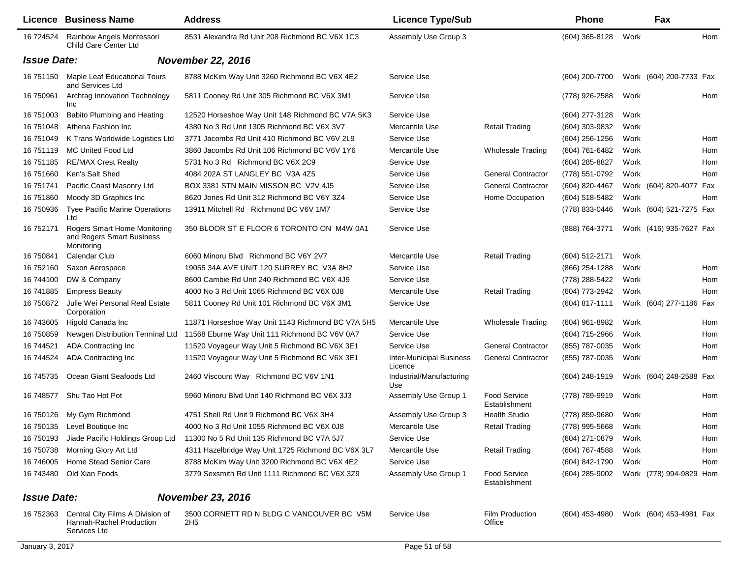|                    | Licence Business Name                                                          | <b>Address</b>                                               | <b>Licence Type/Sub</b>                    |                                      | <b>Phone</b>     |      | Fax                     |     |
|--------------------|--------------------------------------------------------------------------------|--------------------------------------------------------------|--------------------------------------------|--------------------------------------|------------------|------|-------------------------|-----|
| 16 724524          | Rainbow Angels Montessori<br>Child Care Center Ltd                             | 8531 Alexandra Rd Unit 208 Richmond BC V6X 1C3               | Assembly Use Group 3                       |                                      | (604) 365-8128   | Work |                         | Hom |
| <b>Issue Date:</b> |                                                                                | <b>November 22, 2016</b>                                     |                                            |                                      |                  |      |                         |     |
| 16 751150          | Maple Leaf Educational Tours<br>and Services Ltd                               | 8788 McKim Way Unit 3260 Richmond BC V6X 4E2                 | Service Use                                |                                      | (604) 200-7700   |      | Work (604) 200-7733 Fax |     |
| 16 750961          | Archtag Innovation Technology<br>Inc                                           | 5811 Cooney Rd Unit 305 Richmond BC V6X 3M1                  | Service Use                                |                                      | (778) 926-2588   | Work |                         | Hom |
| 16 751003          | Babito Plumbing and Heating                                                    | 12520 Horseshoe Way Unit 148 Richmond BC V7A 5K3             | Service Use                                |                                      | (604) 277-3128   | Work |                         |     |
| 16 751048          | Athena Fashion Inc                                                             | 4380 No 3 Rd Unit 1305 Richmond BC V6X 3V7                   | Mercantile Use                             | <b>Retail Trading</b>                | (604) 303-9832   | Work |                         |     |
| 16 751049          | K Trans Worldwide Logistics Ltd                                                | 3771 Jacombs Rd Unit 410 Richmond BC V6V 2L9                 | Service Use                                |                                      | $(604)$ 256-1256 | Work |                         | Hom |
| 16 751119          | MC United Food Ltd                                                             | 3860 Jacombs Rd Unit 106 Richmond BC V6V 1Y6                 | Mercantile Use                             | <b>Wholesale Trading</b>             | (604) 761-6482   | Work |                         | Hom |
| 16 751 185         | <b>RE/MAX Crest Realty</b>                                                     | 5731 No 3 Rd Richmond BC V6X 2C9                             | Service Use                                |                                      | (604) 285-8827   | Work |                         | Hom |
| 16 751 660         | Ken's Salt Shed                                                                | 4084 202A ST LANGLEY BC V3A 4Z5                              | Service Use                                | <b>General Contractor</b>            | (778) 551-0792   | Work |                         | Hom |
| 16 751741          | Pacific Coast Masonry Ltd                                                      | BOX 3381 STN MAIN MISSON BC V2V 4J5                          | Service Use                                | <b>General Contractor</b>            | (604) 820-4467   |      | Work (604) 820-4077 Fax |     |
| 16 751860          | Moody 3D Graphics Inc                                                          | 8620 Jones Rd Unit 312 Richmond BC V6Y 3Z4                   | Service Use                                | Home Occupation                      | (604) 518-5482   | Work |                         | Hom |
| 16 750936          | <b>Tyee Pacific Marine Operations</b><br>Ltd                                   | 13911 Mitchell Rd Richmond BC V6V 1M7                        | Service Use                                |                                      | (778) 833-0446   |      | Work (604) 521-7275 Fax |     |
| 16 752171          | <b>Rogers Smart Home Monitoring</b><br>and Rogers Smart Business<br>Monitoring | 350 BLOOR ST E FLOOR 6 TORONTO ON M4W 0A1                    | Service Use                                |                                      | (888) 764-3771   |      | Work (416) 935-7627 Fax |     |
| 16 750841          | Calendar Club                                                                  | 6060 Minoru Blvd Richmond BC V6Y 2V7                         | Mercantile Use                             | <b>Retail Trading</b>                | (604) 512-2171   | Work |                         |     |
| 16 752160          | Saxon Aerospace                                                                | 19055 34A AVE UNIT 120 SURREY BC V3A 8H2                     | Service Use                                |                                      | (866) 254-1288   | Work |                         | Hom |
| 16 744100          | DW & Company                                                                   | 8600 Cambie Rd Unit 240 Richmond BC V6X 4J9                  | Service Use                                |                                      | (778) 288-5422   | Work |                         | Hom |
| 16 741885          | <b>Empress Beauty</b>                                                          | 4000 No 3 Rd Unit 1065 Richmond BC V6X 0J8                   | Mercantile Use                             | Retail Trading                       | (604) 773-2942   | Work |                         | Hom |
| 16 750872          | Julie Wei Personal Real Estate<br>Corporation                                  | 5811 Cooney Rd Unit 101 Richmond BC V6X 3M1                  | Service Use                                |                                      | (604) 817-1111   |      | Work (604) 277-1186 Fax |     |
| 16 743605          | Higold Canada Inc                                                              | 11871 Horseshoe Way Unit 1143 Richmond BC V7A 5H5            | Mercantile Use                             | <b>Wholesale Trading</b>             | (604) 961-8982   | Work |                         | Hom |
| 16 750859          | Newgen Distribution Terminal Ltd                                               | 11568 Eburne Way Unit 111 Richmond BC V6V 0A7                | Service Use                                |                                      | (604) 715-2966   | Work |                         | Hom |
| 16 744521          | ADA Contracting Inc.                                                           | 11520 Voyageur Way Unit 5 Richmond BC V6X 3E1                | Service Use                                | <b>General Contractor</b>            | (855) 787-0035   | Work |                         | Hom |
| 16 744524          | <b>ADA Contracting Inc</b>                                                     | 11520 Voyageur Way Unit 5 Richmond BC V6X 3E1                | <b>Inter-Municipal Business</b><br>Licence | <b>General Contractor</b>            | (855) 787-0035   | Work |                         | Hom |
| 16 745735          | Ocean Giant Seafoods Ltd                                                       | 2460 Viscount Way Richmond BC V6V 1N1                        | Industrial/Manufacturing<br>Use            |                                      | (604) 248-1919   |      | Work (604) 248-2588 Fax |     |
| 16 748577          | Shu Tao Hot Pot                                                                | 5960 Minoru Blvd Unit 140 Richmond BC V6X 3J3                | Assembly Use Group 1                       | <b>Food Service</b><br>Establishment | (778) 789-9919   | Work |                         | Hom |
| 16 750126          | My Gym Richmond                                                                | 4751 Shell Rd Unit 9 Richmond BC V6X 3H4                     | Assembly Use Group 3                       | <b>Health Studio</b>                 | (778) 859-9680   | Work |                         | Hom |
|                    | 16 750135 Level Boutique Inc                                                   | 4000 No 3 Rd Unit 1055 Richmond BC V6X 0J8                   | Mercantile Use                             | <b>Retail Trading</b>                | (778) 995-5668   | Work |                         | Hom |
| 16 750193          | Jiade Pacific Holdings Group Ltd                                               | 11300 No 5 Rd Unit 135 Richmond BC V7A 5J7                   | Service Use                                |                                      | (604) 271-0879   | Work |                         | Hom |
| 16 750738          | Morning Glory Art Ltd                                                          | 4311 Hazelbridge Way Unit 1725 Richmond BC V6X 3L7           | Mercantile Use                             | <b>Retail Trading</b>                | (604) 767-4588   | Work |                         | Hom |
| 16 746005          | Home Stead Senior Care                                                         | 8788 McKim Way Unit 3200 Richmond BC V6X 4E2                 | Service Use                                |                                      | (604) 842-1790   | Work |                         | Hom |
| 16 743480          | Old Xian Foods                                                                 | 3779 Sexsmith Rd Unit 1111 Richmond BC V6X 3Z9               | Assembly Use Group 1                       | <b>Food Service</b><br>Establishment | (604) 285-9002   |      | Work (778) 994-9829 Hom |     |
| <b>Issue Date:</b> |                                                                                | <b>November 23, 2016</b>                                     |                                            |                                      |                  |      |                         |     |
| 16 752363          | Central City Films A Division of<br>Hannah-Rachel Production<br>Services Ltd   | 3500 CORNETT RD N BLDG C VANCOUVER BC V5M<br>2H <sub>5</sub> | Service Use                                | Film Production<br>Office            | (604) 453-4980   |      | Work (604) 453-4981 Fax |     |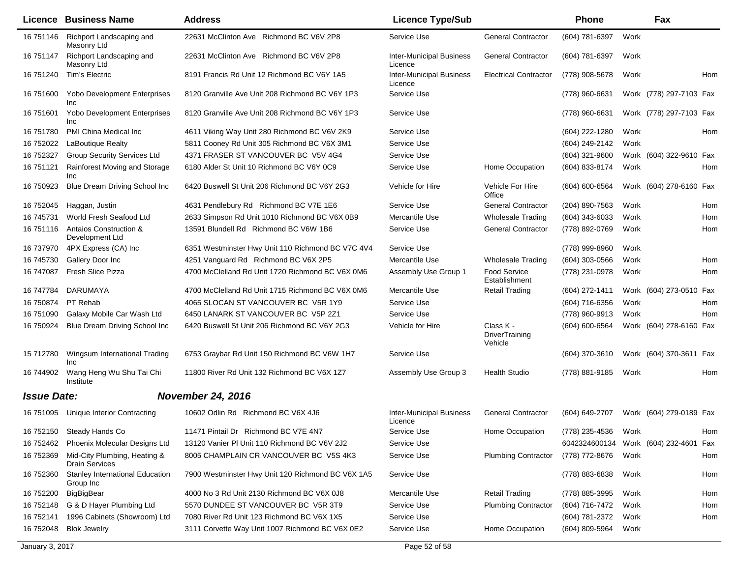|                    | Licence Business Name                               | <b>Address</b>                                    | <b>Licence Type/Sub</b>                    |                                               | <b>Phone</b>                          |      | Fax                     |     |
|--------------------|-----------------------------------------------------|---------------------------------------------------|--------------------------------------------|-----------------------------------------------|---------------------------------------|------|-------------------------|-----|
| 16 751146          | Richport Landscaping and<br>Masonry Ltd             | 22631 McClinton Ave Richmond BC V6V 2P8           | Service Use                                | <b>General Contractor</b>                     | (604) 781-6397                        | Work |                         |     |
| 16 751147          | Richport Landscaping and<br>Masonry Ltd             | 22631 McClinton Ave Richmond BC V6V 2P8           | <b>Inter-Municipal Business</b><br>Licence | <b>General Contractor</b>                     | (604) 781-6397                        | Work |                         |     |
| 16 751240          | Tim's Electric                                      | 8191 Francis Rd Unit 12 Richmond BC V6Y 1A5       | <b>Inter-Municipal Business</b><br>Licence | <b>Electrical Contractor</b>                  | (778) 908-5678                        | Work |                         | Hom |
| 16 751600          | <b>Yobo Development Enterprises</b><br>Inc          | 8120 Granville Ave Unit 208 Richmond BC V6Y 1P3   | Service Use                                |                                               | (778) 960-6631                        |      | Work (778) 297-7103 Fax |     |
| 16 751601          | <b>Yobo Development Enterprises</b><br>Inc          | 8120 Granville Ave Unit 208 Richmond BC V6Y 1P3   | Service Use                                |                                               | (778) 960-6631                        |      | Work (778) 297-7103 Fax |     |
| 16 751780          | PMI China Medical Inc                               | 4611 Viking Way Unit 280 Richmond BC V6V 2K9      | Service Use                                |                                               | (604) 222-1280                        | Work |                         | Hom |
| 16 752022          | LaBoutique Realty                                   | 5811 Cooney Rd Unit 305 Richmond BC V6X 3M1       | Service Use                                |                                               | (604) 249-2142                        | Work |                         |     |
| 16 752327          | <b>Group Security Services Ltd</b>                  | 4371 FRASER ST VANCOUVER BC V5V 4G4               | Service Use                                |                                               | (604) 321-9600                        |      | Work (604) 322-9610 Fax |     |
| 16 751121          | Rainforest Moving and Storage<br>Inc                | 6180 Alder St Unit 10 Richmond BC V6Y 0C9         | Service Use                                | Home Occupation                               | (604) 833-8174                        | Work |                         | Hom |
| 16 750923          | Blue Dream Driving School Inc.                      | 6420 Buswell St Unit 206 Richmond BC V6Y 2G3      | Vehicle for Hire                           | Vehicle For Hire<br>Office                    | (604) 600-6564                        |      | Work (604) 278-6160 Fax |     |
| 16 752045          | Haggan, Justin                                      | 4631 Pendlebury Rd Richmond BC V7E 1E6            | Service Use                                | <b>General Contractor</b>                     | (204) 890-7563                        | Work |                         | Hom |
| 16 745731          | World Fresh Seafood Ltd                             | 2633 Simpson Rd Unit 1010 Richmond BC V6X 0B9     | Mercantile Use                             | <b>Wholesale Trading</b>                      | (604) 343-6033                        | Work |                         | Hom |
| 16 751116          | Antaios Construction &<br>Development Ltd           | 13591 Blundell Rd Richmond BC V6W 1B6             | Service Use                                | <b>General Contractor</b>                     | (778) 892-0769                        | Work |                         | Hom |
| 16 737970          | 4PX Express (CA) Inc                                | 6351 Westminster Hwy Unit 110 Richmond BC V7C 4V4 | Service Use                                |                                               | (778) 999-8960                        | Work |                         |     |
| 16 745730          | Gallery Door Inc                                    | 4251 Vanguard Rd Richmond BC V6X 2P5              | Mercantile Use                             | <b>Wholesale Trading</b>                      | (604) 303-0566                        | Work |                         | Hom |
| 16 747087          | Fresh Slice Pizza                                   | 4700 McClelland Rd Unit 1720 Richmond BC V6X 0M6  | Assembly Use Group 1                       | <b>Food Service</b><br>Establishment          | (778) 231-0978                        | Work |                         | Hom |
| 16 747784          | DARUMAYA                                            | 4700 McClelland Rd Unit 1715 Richmond BC V6X 0M6  | Mercantile Use                             | <b>Retail Trading</b>                         | (604) 272-1411                        |      | Work (604) 273-0510 Fax |     |
| 16 750874          | PT Rehab                                            | 4065 SLOCAN ST VANCOUVER BC V5R 1Y9               | Service Use                                |                                               | (604) 716-6356                        | Work |                         | Hom |
| 16 751090          | Galaxy Mobile Car Wash Ltd                          | 6450 LANARK ST VANCOUVER BC V5P 2Z1               | Service Use                                |                                               | (778) 960-9913                        | Work |                         | Hom |
| 16 750924          | Blue Dream Driving School Inc                       | 6420 Buswell St Unit 206 Richmond BC V6Y 2G3      | Vehicle for Hire                           | Class K -<br><b>DriverTraining</b><br>Vehicle | (604) 600-6564                        |      | Work (604) 278-6160 Fax |     |
| 15 712780          | Wingsum International Trading<br>Inc                | 6753 Graybar Rd Unit 150 Richmond BC V6W 1H7      | Service Use                                |                                               | (604) 370-3610                        |      | Work (604) 370-3611 Fax |     |
| 16 744902          | Wang Heng Wu Shu Tai Chi<br>Institute               | 11800 River Rd Unit 132 Richmond BC V6X 1Z7       | Assembly Use Group 3                       | <b>Health Studio</b>                          | (778) 881-9185                        | Work |                         | Hom |
| <b>Issue Date:</b> |                                                     | <b>November 24, 2016</b>                          |                                            |                                               |                                       |      |                         |     |
| 16 751095          | Unique Interior Contracting                         | 10602 Odlin Rd Richmond BC V6X 4J6                | <b>Inter-Municipal Business</b><br>Licence | <b>General Contractor</b>                     | (604) 649-2707                        |      | Work (604) 279-0189 Fax |     |
|                    | 16 752150 Steady Hands Co                           | 11471 Pintail Dr Richmond BC V7E 4N7              | Service Use                                | Home Occupation                               | (778) 235-4536 Work                   |      |                         | Hom |
| 16 752462          | <b>Phoenix Molecular Designs Ltd</b>                | 13120 Vanier PI Unit 110 Richmond BC V6V 2J2      | Service Use                                |                                               | 6042324600134 Work (604) 232-4601 Fax |      |                         |     |
| 16 752369          | Mid-City Plumbing, Heating &<br>Drain Services      | 8005 CHAMPLAIN CR VANCOUVER BC V5S 4K3            | Service Use                                | <b>Plumbing Contractor</b>                    | (778) 772-8676                        | Work |                         | Hom |
| 16 752360          | <b>Stanley International Education</b><br>Group Inc | 7900 Westminster Hwy Unit 120 Richmond BC V6X 1A5 | Service Use                                |                                               | (778) 883-6838                        | Work |                         | Hom |
| 16 752200          | BigBigBear                                          | 4000 No 3 Rd Unit 2130 Richmond BC V6X 0J8        | Mercantile Use                             | <b>Retail Trading</b>                         | (778) 885-3995                        | Work |                         | Hom |
| 16 752148          | G & D Hayer Plumbing Ltd                            | 5570 DUNDEE ST VANCOUVER BC V5R 3T9               | Service Use                                | <b>Plumbing Contractor</b>                    | (604) 716-7472                        | Work |                         | Hom |
| 16 752141          | 1996 Cabinets (Showroom) Ltd                        | 7080 River Rd Unit 123 Richmond BC V6X 1X5        | Service Use                                |                                               | (604) 781-2372                        | Work |                         | Hom |
| 16 752048          | <b>Blok Jewelry</b>                                 | 3111 Corvette Way Unit 1007 Richmond BC V6X 0E2   | Service Use                                | Home Occupation                               | (604) 809-5964                        | Work |                         |     |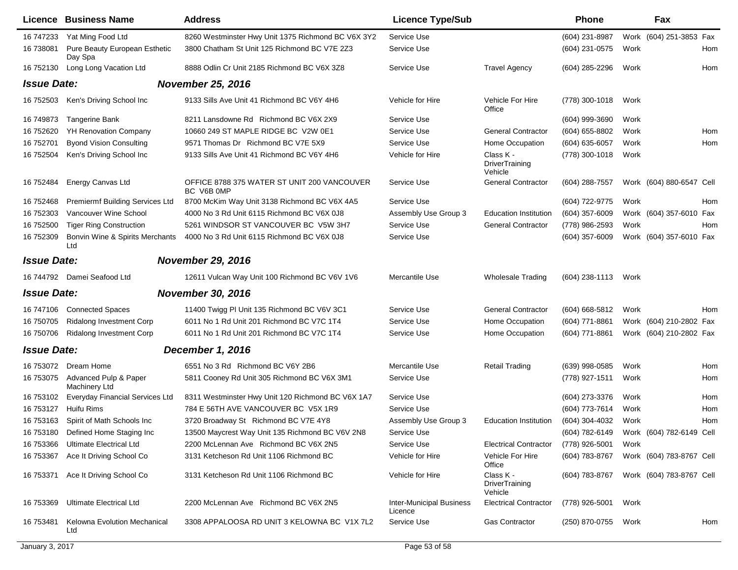|                    | <b>Licence Business Name</b>             | <b>Address</b>                                            | <b>Licence Type/Sub</b>                    |                                               | <b>Phone</b>     |      | Fax                      |     |
|--------------------|------------------------------------------|-----------------------------------------------------------|--------------------------------------------|-----------------------------------------------|------------------|------|--------------------------|-----|
| 16 747233          | Yat Ming Food Ltd                        | 8260 Westminster Hwy Unit 1375 Richmond BC V6X 3Y2        | Service Use                                |                                               | (604) 231-8987   |      | Work (604) 251-3853 Fax  |     |
| 16 738081          | Pure Beauty European Esthetic<br>Day Spa | 3800 Chatham St Unit 125 Richmond BC V7E 2Z3              | Service Use                                |                                               | (604) 231-0575   | Work |                          | Hom |
| 16 752130          | Long Long Vacation Ltd                   | 8888 Odlin Cr Unit 2185 Richmond BC V6X 3Z8               | Service Use                                | <b>Travel Agency</b>                          | (604) 285-2296   | Work |                          | Hom |
| <b>Issue Date:</b> |                                          | <b>November 25, 2016</b>                                  |                                            |                                               |                  |      |                          |     |
| 16 752503          | Ken's Driving School Inc                 | 9133 Sills Ave Unit 41 Richmond BC V6Y 4H6                | Vehicle for Hire                           | Vehicle For Hire<br>Office                    | (778) 300-1018   | Work |                          |     |
| 16 749873          | Tangerine Bank                           | 8211 Lansdowne Rd Richmond BC V6X 2X9                     | Service Use                                |                                               | (604) 999-3690   | Work |                          |     |
| 16 752620          | <b>YH Renovation Company</b>             | 10660 249 ST MAPLE RIDGE BC V2W 0E1                       | Service Use                                | <b>General Contractor</b>                     | (604) 655-8802   | Work |                          | Hom |
| 16 752701          | <b>Byond Vision Consulting</b>           | 9571 Thomas Dr Richmond BC V7E 5X9                        | Service Use                                | Home Occupation                               | (604) 635-6057   | Work |                          | Hom |
| 16 752504          | Ken's Driving School Inc                 | 9133 Sills Ave Unit 41 Richmond BC V6Y 4H6                | Vehicle for Hire                           | Class K -<br>DriverTraining<br>Vehicle        | (778) 300-1018   | Work |                          |     |
| 16 752484          | Energy Canvas Ltd                        | OFFICE 8788 375 WATER ST UNIT 200 VANCOUVER<br>BC V6B 0MP | Service Use                                | <b>General Contractor</b>                     | $(604)$ 288-7557 |      | Work (604) 880-6547 Cell |     |
| 16 752468          | Premiermf Building Services Ltd          | 8700 McKim Way Unit 3138 Richmond BC V6X 4A5              | Service Use                                |                                               | (604) 722-9775   | Work |                          | Hom |
| 16 752303          | Vancouver Wine School                    | 4000 No 3 Rd Unit 6115 Richmond BC V6X 0J8                | Assembly Use Group 3                       | <b>Education Institution</b>                  | $(604)$ 357-6009 |      | Work (604) 357-6010 Fax  |     |
| 16 752500          | <b>Tiger Ring Construction</b>           | 5261 WINDSOR ST VANCOUVER BC V5W 3H7                      | Service Use                                | <b>General Contractor</b>                     | (778) 986-2593   | Work |                          | Hom |
| 16 752309          | Bonvin Wine & Spirits Merchants<br>Ltd   | 4000 No 3 Rd Unit 6115 Richmond BC V6X 0J8                | Service Use                                |                                               | $(604)$ 357-6009 |      | Work (604) 357-6010 Fax  |     |
| <b>Issue Date:</b> |                                          | <b>November 29, 2016</b>                                  |                                            |                                               |                  |      |                          |     |
|                    | 16 744792 Damei Seafood Ltd              | 12611 Vulcan Way Unit 100 Richmond BC V6V 1V6             | Mercantile Use                             | <b>Wholesale Trading</b>                      | $(604)$ 238-1113 | Work |                          |     |
| <b>Issue Date:</b> |                                          | <b>November 30, 2016</b>                                  |                                            |                                               |                  |      |                          |     |
|                    | 16 747106 Connected Spaces               | 11400 Twigg PI Unit 135 Richmond BC V6V 3C1               | Service Use                                | <b>General Contractor</b>                     | $(604)$ 668-5812 | Work |                          | Hom |
| 16 750705          | Ridalong Investment Corp                 | 6011 No 1 Rd Unit 201 Richmond BC V7C 1T4                 | Service Use                                | Home Occupation                               | (604) 771-8861   |      | Work (604) 210-2802 Fax  |     |
| 16 750706          | <b>Ridalong Investment Corp</b>          | 6011 No 1 Rd Unit 201 Richmond BC V7C 1T4                 | Service Use                                | Home Occupation                               | (604) 771-8861   |      | Work (604) 210-2802 Fax  |     |
| <b>Issue Date:</b> |                                          | December 1, 2016                                          |                                            |                                               |                  |      |                          |     |
|                    | 16 753072 Dream Home                     | 6551 No 3 Rd Richmond BC V6Y 2B6                          | Mercantile Use                             | <b>Retail Trading</b>                         | $(639)$ 998-0585 | Work |                          | Hom |
| 16 753075          | Advanced Pulp & Paper<br>Machinery Ltd   | 5811 Cooney Rd Unit 305 Richmond BC V6X 3M1               | Service Use                                |                                               | (778) 927-1511   | Work |                          | Hom |
| 16 753102          | <b>Everyday Financial Services Ltd</b>   | 8311 Westminster Hwy Unit 120 Richmond BC V6X 1A7         | Service Use                                |                                               | (604) 273-3376   | Work |                          | Hom |
| 16 753127          | Huifu Rims                               | 784 E 56TH AVE VANCOUVER BC V5X 1R9                       | Service Use                                |                                               | (604) 773-7614   | Work |                          | Hom |
|                    | 16 753163 Spirit of Math Schools Inc     | 3720 Broadway St Richmond BC V7E 4Y8                      | Assembly Use Group 3                       | Education Institution                         | (604) 304-4032   | Work |                          | Hom |
| 16 753180          | Defined Home Staging Inc                 | 13500 Maycrest Way Unit 135 Richmond BC V6V 2N8           | Service Use                                |                                               | (604) 782-6149   |      | Work (604) 782-6149 Cell |     |
| 16 753366          | <b>Ultimate Electrical Ltd</b>           | 2200 McLennan Ave Richmond BC V6X 2N5                     | Service Use                                | <b>Electrical Contractor</b>                  | (778) 926-5001   | Work |                          |     |
| 16 753367          | Ace It Driving School Co                 | 3131 Ketcheson Rd Unit 1106 Richmond BC                   | Vehicle for Hire                           | Vehicle For Hire<br>Office                    | (604) 783-8767   |      | Work (604) 783-8767 Cell |     |
| 16 753371          | Ace It Driving School Co                 | 3131 Ketcheson Rd Unit 1106 Richmond BC                   | Vehicle for Hire                           | Class K -<br><b>DriverTraining</b><br>Vehicle | (604) 783-8767   |      | Work (604) 783-8767 Cell |     |
| 16 753369          | <b>Ultimate Electrical Ltd</b>           | 2200 McLennan Ave Richmond BC V6X 2N5                     | <b>Inter-Municipal Business</b><br>Licence | <b>Electrical Contractor</b>                  | (778) 926-5001   | Work |                          |     |
| 16 753481          | Kelowna Evolution Mechanical<br>Ltd      | 3308 APPALOOSA RD UNIT 3 KELOWNA BC V1X 7L2               | Service Use                                | Gas Contractor                                | (250) 870-0755   | Work |                          | Hom |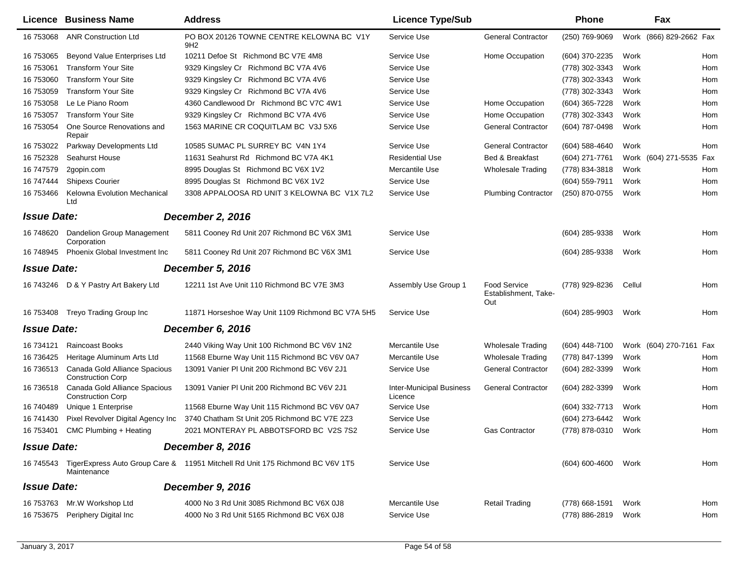|                    | Licence Business Name                                     | <b>Address</b>                                                                          | <b>Licence Type/Sub</b>                    |                                                    | <b>Phone</b>        | Fax                     |     |
|--------------------|-----------------------------------------------------------|-----------------------------------------------------------------------------------------|--------------------------------------------|----------------------------------------------------|---------------------|-------------------------|-----|
| 16 753068          | <b>ANR Construction Ltd</b>                               | PO BOX 20126 TOWNE CENTRE KELOWNA BC V1Y<br>9H <sub>2</sub>                             | Service Use                                | <b>General Contractor</b>                          | (250) 769-9069      | Work (866) 829-2662 Fax |     |
| 16 753065          | Beyond Value Enterprises Ltd                              | 10211 Defoe St Richmond BC V7E 4M8                                                      | Service Use                                | Home Occupation                                    | (604) 370-2235      | Work                    | Hom |
| 16 753061          | <b>Transform Your Site</b>                                | 9329 Kingsley Cr Richmond BC V7A 4V6                                                    | Service Use                                |                                                    | (778) 302-3343      | Work                    | Hom |
| 16 753060          | <b>Transform Your Site</b>                                | 9329 Kingsley Cr Richmond BC V7A 4V6                                                    | Service Use                                |                                                    | (778) 302-3343      | Work                    | Hom |
| 16 753059          | <b>Transform Your Site</b>                                | 9329 Kingsley Cr Richmond BC V7A 4V6                                                    | Service Use                                |                                                    | (778) 302-3343      | Work                    | Hom |
| 16 753058          | Le Le Piano Room                                          | 4360 Candlewood Dr Richmond BC V7C 4W1                                                  | Service Use                                | Home Occupation                                    | (604) 365-7228      | Work                    | Hom |
| 16 753057          | <b>Transform Your Site</b>                                | 9329 Kingsley Cr Richmond BC V7A 4V6                                                    | Service Use                                | Home Occupation                                    | (778) 302-3343      | Work                    | Hom |
| 16 753054          | One Source Renovations and<br>Repair                      | 1563 MARINE CR COQUITLAM BC V3J 5X6                                                     | Service Use                                | <b>General Contractor</b>                          | (604) 787-0498      | Work                    | Hom |
| 16 753022          | Parkway Developments Ltd                                  | 10585 SUMAC PL SURREY BC V4N 1Y4                                                        | Service Use                                | <b>General Contractor</b>                          | $(604)$ 588-4640    | Work                    | Hom |
| 16 752328          | Seahurst House                                            | 11631 Seahurst Rd Richmond BC V7A 4K1                                                   | <b>Residential Use</b>                     | Bed & Breakfast                                    | (604) 271-7761      | Work (604) 271-5535 Fax |     |
| 16 747579          | 2gopin.com                                                | 8995 Douglas St Richmond BC V6X 1V2                                                     | Mercantile Use                             | <b>Wholesale Trading</b>                           | (778) 834-3818      | Work                    | Hom |
| 16 747444          | <b>Shipexs Courier</b>                                    | 8995 Douglas St Richmond BC V6X 1V2                                                     | Service Use                                |                                                    | (604) 559-7911      | Work                    | Hom |
| 16 753466          | <b>Kelowna Evolution Mechanical</b><br>Ltd                | 3308 APPALOOSA RD UNIT 3 KELOWNA BC V1X 7L2                                             | Service Use                                | <b>Plumbing Contractor</b>                         | (250) 870-0755      | Work                    | Hom |
| <b>Issue Date:</b> |                                                           | <b>December 2, 2016</b>                                                                 |                                            |                                                    |                     |                         |     |
| 16 748620          | Dandelion Group Management<br>Corporation                 | 5811 Cooney Rd Unit 207 Richmond BC V6X 3M1                                             | Service Use                                |                                                    | $(604)$ 285-9338    | Work                    | Hom |
| 16 748945          | <b>Phoenix Global Investment Inc.</b>                     | 5811 Cooney Rd Unit 207 Richmond BC V6X 3M1                                             | Service Use                                |                                                    | (604) 285-9338      | Work                    | Hom |
| <b>Issue Date:</b> |                                                           | <b>December 5, 2016</b>                                                                 |                                            |                                                    |                     |                         |     |
| 16 743246          | D & Y Pastry Art Bakery Ltd                               | 12211 1st Ave Unit 110 Richmond BC V7E 3M3                                              | Assembly Use Group 1                       | <b>Food Service</b><br>Establishment, Take-<br>Out | (778) 929-8236      | Cellul                  | Hom |
|                    | 16 753408 Treyo Trading Group Inc                         | 11871 Horseshoe Way Unit 1109 Richmond BC V7A 5H5                                       | Service Use                                |                                                    | (604) 285-9903      | Work                    | Hom |
| <b>Issue Date:</b> |                                                           | December 6, 2016                                                                        |                                            |                                                    |                     |                         |     |
| 16 734121          | <b>Raincoast Books</b>                                    | 2440 Viking Way Unit 100 Richmond BC V6V 1N2                                            | Mercantile Use                             | <b>Wholesale Trading</b>                           | $(604)$ 448-7100    | Work (604) 270-7161 Fax |     |
| 16 73 6425         | Heritage Aluminum Arts Ltd                                | 11568 Eburne Way Unit 115 Richmond BC V6V 0A7                                           | Mercantile Use                             | <b>Wholesale Trading</b>                           | (778) 847-1399      | Work                    | Hom |
| 16 736513          | Canada Gold Alliance Spacious<br><b>Construction Corp</b> | 13091 Vanier PI Unit 200 Richmond BC V6V 2J1                                            | Service Use                                | <b>General Contractor</b>                          | (604) 282-3399      | Work                    | Hom |
| 16 736518          | Canada Gold Alliance Spacious<br><b>Construction Corp</b> | 13091 Vanier PI Unit 200 Richmond BC V6V 2J1                                            | <b>Inter-Municipal Business</b><br>Licence | <b>General Contractor</b>                          | (604) 282-3399      | Work                    | Hom |
| 16 740489          | Unique 1 Enterprise                                       | 11568 Eburne Way Unit 115 Richmond BC V6V 0A7                                           | Service Use                                |                                                    | (604) 332-7713      | Work                    | Hom |
| 16 741430          | Pixel Revolver Digital Agency Inc                         | 3740 Chatham St Unit 205 Richmond BC V7E 2Z3                                            | Service Use                                |                                                    | (604) 273-6442      | Work                    |     |
|                    | 16 753401 CMC Plumbing + Heating                          | 2021 MONTERAY PL ABBOTSFORD BC V2S 7S2                                                  | Service Use                                | <b>Gas Contractor</b>                              | (778) 878-0310 Work |                         | Hom |
| <b>Issue Date:</b> |                                                           | December 8, 2016                                                                        |                                            |                                                    |                     |                         |     |
|                    | Maintenance                                               | 16 745543 TigerExpress Auto Group Care & 11951 Mitchell Rd Unit 175 Richmond BC V6V 1T5 | Service Use                                |                                                    | (604) 600-4600 Work |                         | Hom |
| <b>Issue Date:</b> |                                                           | December 9, 2016                                                                        |                                            |                                                    |                     |                         |     |
| 16 753763          | Mr.W Workshop Ltd                                         | 4000 No 3 Rd Unit 3085 Richmond BC V6X 0J8                                              | Mercantile Use                             | <b>Retail Trading</b>                              | (778) 668-1591      | Work                    | Hom |
| 16 753675          | Periphery Digital Inc                                     | 4000 No 3 Rd Unit 5165 Richmond BC V6X 0J8                                              | Service Use                                |                                                    | (778) 886-2819      | Work                    | Hom |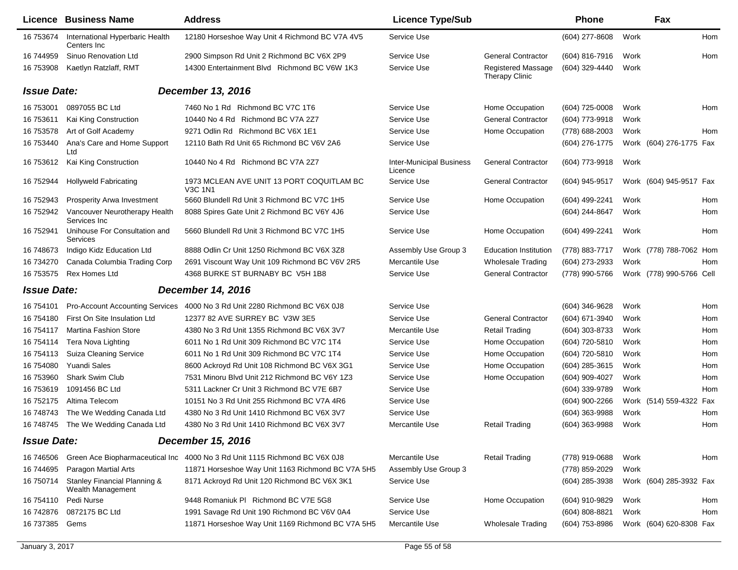|                                                                                                                   | <b>Address</b>                                                                          | <b>Licence Type/Sub</b>                                                                                                                                 |                                                    | Phone              |      | Fax |                                                                                                                                                                                            |
|-------------------------------------------------------------------------------------------------------------------|-----------------------------------------------------------------------------------------|---------------------------------------------------------------------------------------------------------------------------------------------------------|----------------------------------------------------|--------------------|------|-----|--------------------------------------------------------------------------------------------------------------------------------------------------------------------------------------------|
| International Hyperbaric Health<br>Centers Inc                                                                    | 12180 Horseshoe Way Unit 4 Richmond BC V7A 4V5                                          | Service Use                                                                                                                                             |                                                    | $(604)$ 277-8608   | Work |     | Hom                                                                                                                                                                                        |
| Sinuo Renovation Ltd                                                                                              | 2900 Simpson Rd Unit 2 Richmond BC V6X 2P9                                              | Service Use                                                                                                                                             | <b>General Contractor</b>                          | (604) 816-7916     | Work |     | Hom                                                                                                                                                                                        |
| Kaetlyn Ratzlaff, RMT                                                                                             | 14300 Entertainment Blvd Richmond BC V6W 1K3                                            | Service Use                                                                                                                                             | <b>Registered Massage</b><br><b>Therapy Clinic</b> | (604) 329-4440     | Work |     |                                                                                                                                                                                            |
|                                                                                                                   |                                                                                         |                                                                                                                                                         |                                                    |                    |      |     |                                                                                                                                                                                            |
| 0897055 BC Ltd                                                                                                    | 7460 No 1 Rd Richmond BC V7C 1T6                                                        | Service Use                                                                                                                                             | Home Occupation                                    | (604) 725-0008     | Work |     | Hom                                                                                                                                                                                        |
| Kai King Construction                                                                                             | 10440 No 4 Rd Richmond BC V7A 2Z7                                                       | Service Use                                                                                                                                             | <b>General Contractor</b>                          | (604) 773-9918     | Work |     |                                                                                                                                                                                            |
| Art of Golf Academy                                                                                               | 9271 Odlin Rd Richmond BC V6X 1E1                                                       | Service Use                                                                                                                                             | Home Occupation                                    | (778) 688-2003     | Work |     | Hom                                                                                                                                                                                        |
| Ana's Care and Home Support<br>Ltd                                                                                | 12110 Bath Rd Unit 65 Richmond BC V6V 2A6                                               | Service Use                                                                                                                                             |                                                    | (604) 276-1775     |      |     |                                                                                                                                                                                            |
| Kai King Construction                                                                                             | 10440 No 4 Rd Richmond BC V7A 2Z7                                                       | <b>Inter-Municipal Business</b><br>Licence                                                                                                              | <b>General Contractor</b>                          | (604) 773-9918     | Work |     |                                                                                                                                                                                            |
| <b>Hollyweld Fabricating</b>                                                                                      | 1973 MCLEAN AVE UNIT 13 PORT COQUITLAM BC<br><b>V3C 1N1</b>                             | Service Use                                                                                                                                             | <b>General Contractor</b>                          | (604) 945-9517     |      |     |                                                                                                                                                                                            |
| Prosperity Arwa Investment                                                                                        | 5660 Blundell Rd Unit 3 Richmond BC V7C 1H5                                             | Service Use                                                                                                                                             | Home Occupation                                    | (604) 499-2241     | Work |     | Hom                                                                                                                                                                                        |
| Vancouver Neurotherapy Health<br>Services Inc                                                                     | 8088 Spires Gate Unit 2 Richmond BC V6Y 4J6                                             | Service Use                                                                                                                                             |                                                    | (604) 244-8647     | Work |     | Hom                                                                                                                                                                                        |
| Unihouse For Consultation and<br><b>Services</b>                                                                  | 5660 Blundell Rd Unit 3 Richmond BC V7C 1H5                                             | Service Use                                                                                                                                             | Home Occupation                                    | (604) 499-2241     | Work |     | Hom                                                                                                                                                                                        |
| Indigo Kidz Education Ltd                                                                                         | 8888 Odlin Cr Unit 1250 Richmond BC V6X 3Z8                                             | Assembly Use Group 3                                                                                                                                    | <b>Education Institution</b>                       | (778) 883-7717     |      |     |                                                                                                                                                                                            |
| Canada Columbia Trading Corp                                                                                      | 2691 Viscount Way Unit 109 Richmond BC V6V 2R5                                          |                                                                                                                                                         | <b>Wholesale Trading</b>                           | (604) 273-2933     | Work |     | Hom                                                                                                                                                                                        |
| <b>Rex Homes Ltd</b>                                                                                              | 4368 BURKE ST BURNABY BC V5H 1B8                                                        | Service Use                                                                                                                                             | <b>General Contractor</b>                          | (778) 990-5766     |      |     |                                                                                                                                                                                            |
|                                                                                                                   |                                                                                         |                                                                                                                                                         |                                                    |                    |      |     |                                                                                                                                                                                            |
| <b>Pro-Account Accounting Services</b>                                                                            | 4000 No 3 Rd Unit 2280 Richmond BC V6X 0J8                                              | Service Use                                                                                                                                             |                                                    | (604) 346-9628     | Work |     | Hom                                                                                                                                                                                        |
| First On Site Insulation Ltd                                                                                      | 12377 82 AVE SURREY BC V3W 3E5                                                          | Service Use                                                                                                                                             | <b>General Contractor</b>                          | (604) 671-3940     | Work |     | Hom                                                                                                                                                                                        |
| <b>Martina Fashion Store</b>                                                                                      | 4380 No 3 Rd Unit 1355 Richmond BC V6X 3V7                                              | Mercantile Use                                                                                                                                          | <b>Retail Trading</b>                              | (604) 303-8733     | Work |     | Hom                                                                                                                                                                                        |
| Tera Nova Lighting                                                                                                | 6011 No 1 Rd Unit 309 Richmond BC V7C 1T4                                               | Service Use                                                                                                                                             | Home Occupation                                    | (604) 720-5810     | Work |     | Hom                                                                                                                                                                                        |
| <b>Suiza Cleaning Service</b>                                                                                     | 6011 No 1 Rd Unit 309 Richmond BC V7C 1T4                                               | Service Use                                                                                                                                             | Home Occupation                                    | (604) 720-5810     | Work |     | Hom                                                                                                                                                                                        |
| <b>Yuandi Sales</b>                                                                                               | 8600 Ackroyd Rd Unit 108 Richmond BC V6X 3G1                                            | Service Use                                                                                                                                             | Home Occupation                                    | (604) 285-3615     | Work |     | Hom                                                                                                                                                                                        |
| Shark Swim Club                                                                                                   | 7531 Minoru Blvd Unit 212 Richmond BC V6Y 1Z3                                           | Service Use                                                                                                                                             | Home Occupation                                    | (604) 909-4027     | Work |     | Hom                                                                                                                                                                                        |
| 1091456 BC Ltd                                                                                                    | 5311 Lackner Cr Unit 3 Richmond BC V7E 6B7                                              | Service Use                                                                                                                                             |                                                    | (604) 339-9789     | Work |     | Hom                                                                                                                                                                                        |
| Altima Telecom                                                                                                    | 10151 No 3 Rd Unit 255 Richmond BC V7A 4R6                                              | Service Use                                                                                                                                             |                                                    | (604) 900-2266     |      |     |                                                                                                                                                                                            |
| The We Wedding Canada Ltd                                                                                         | 4380 No 3 Rd Unit 1410 Richmond BC V6X 3V7                                              | Service Use                                                                                                                                             |                                                    | (604) 363-9988     | Work |     | Hom                                                                                                                                                                                        |
| The We Wedding Canada Ltd                                                                                         | 4380 No 3 Rd Unit 1410 Richmond BC V6X 3V7                                              | Mercantile Use                                                                                                                                          | <b>Retail Trading</b>                              | (604) 363-9988     | Work |     | Hom                                                                                                                                                                                        |
|                                                                                                                   |                                                                                         |                                                                                                                                                         |                                                    |                    |      |     |                                                                                                                                                                                            |
|                                                                                                                   |                                                                                         | Mercantile Use                                                                                                                                          | <b>Retail Trading</b>                              | (778) 919-0688     | Work |     | Hom                                                                                                                                                                                        |
| Paragon Martial Arts                                                                                              | 11871 Horseshoe Way Unit 1163 Richmond BC V7A 5H5                                       | Assembly Use Group 3                                                                                                                                    |                                                    | (778) 859-2029     | Work |     |                                                                                                                                                                                            |
| Stanley Financial Planning &<br>Wealth Management                                                                 | 8171 Ackroyd Rd Unit 120 Richmond BC V6X 3K1                                            | Service Use                                                                                                                                             |                                                    | (604) 285-3938     |      |     |                                                                                                                                                                                            |
| Pedi Nurse                                                                                                        | 9448 Romaniuk PI Richmond BC V7E 5G8                                                    | Service Use                                                                                                                                             | Home Occupation                                    | (604) 910-9829     | Work |     | Hom                                                                                                                                                                                        |
| 0872175 BC Ltd                                                                                                    | 1991 Savage Rd Unit 190 Richmond BC V6V 0A4                                             | Service Use                                                                                                                                             |                                                    | $(604) 808 - 8821$ | Work |     | Hom                                                                                                                                                                                        |
| Gems                                                                                                              | 11871 Horseshoe Way Unit 1169 Richmond BC V7A 5H5                                       | Mercantile Use                                                                                                                                          | <b>Wholesale Trading</b>                           | (604) 753-8986     |      |     |                                                                                                                                                                                            |
| 16 753674<br>16 753612<br>16 752942<br>16 748673<br>16 754113<br>16 748745<br>16 750714<br>16 754110<br>16 737385 | Licence Business Name<br><b>Issue Date:</b><br><b>Issue Date:</b><br><b>Issue Date:</b> | December 13, 2016<br><b>December 14, 2016</b><br><b>December 15, 2016</b><br>Green Ace Biopharmaceutical Inc 4000 No 3 Rd Unit 1115 Richmond BC V6X 0J8 | Mercantile Use                                     |                    |      |     | Work (604) 276-1775 Fax<br>Work (604) 945-9517 Fax<br>Work (778) 788-7062 Hom<br>Work (778) 990-5766 Cell<br>Work (514) 559-4322 Fax<br>Work (604) 285-3932 Fax<br>Work (604) 620-8308 Fax |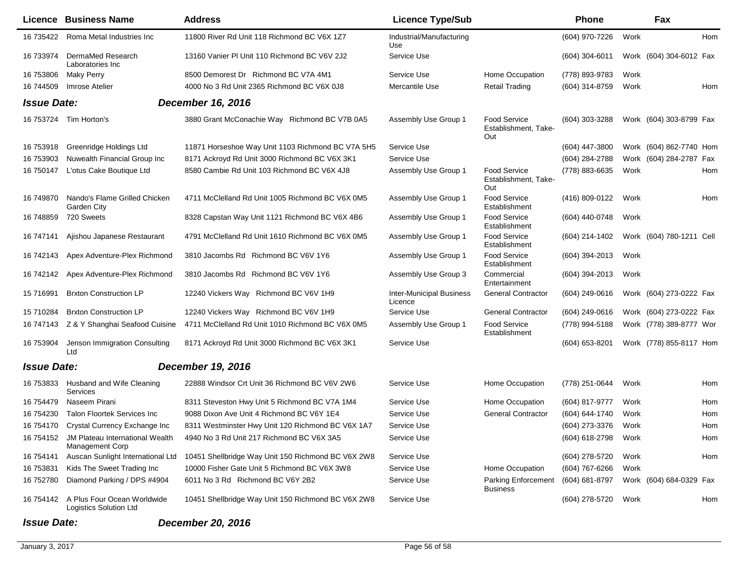|                    | <b>Licence Business Name</b>                                        | <b>Address</b>                                     | <b>Licence Type/Sub</b>                    |                                             | Phone            |      | Fax                      |     |
|--------------------|---------------------------------------------------------------------|----------------------------------------------------|--------------------------------------------|---------------------------------------------|------------------|------|--------------------------|-----|
| 16 735422          | Roma Metal Industries Inc                                           | 11800 River Rd Unit 118 Richmond BC V6X 1Z7        | Industrial/Manufacturing<br>Use            |                                             | (604) 970-7226   | Work |                          | Hom |
| 16 733974          | DermaMed Research<br>Laboratories Inc                               | 13160 Vanier PI Unit 110 Richmond BC V6V 2J2       | Service Use                                |                                             | $(604)$ 304-6011 |      | Work (604) 304-6012 Fax  |     |
| 16 753806          | <b>Maky Perry</b>                                                   | 8500 Demorest Dr Richmond BC V7A 4M1               | Service Use                                | Home Occupation                             | (778) 893-9783   | Work |                          |     |
| 16 744509          | Imrose Atelier                                                      | 4000 No 3 Rd Unit 2365 Richmond BC V6X 0J8         | Mercantile Use                             | <b>Retail Trading</b>                       | (604) 314-8759   | Work |                          | Hom |
| <b>Issue Date:</b> |                                                                     | December 16, 2016                                  |                                            |                                             |                  |      |                          |     |
|                    | 16 753724 Tim Horton's                                              | 3880 Grant McConachie Way Richmond BC V7B 0A5      | Assembly Use Group 1                       | Food Service<br>Establishment, Take-<br>Out | (604) 303-3288   |      | Work (604) 303-8799 Fax  |     |
| 16 753918          | Greenridge Holdings Ltd                                             | 11871 Horseshoe Way Unit 1103 Richmond BC V7A 5H5  | Service Use                                |                                             | (604) 447-3800   |      | Work (604) 862-7740 Hom  |     |
| 16 753903          | Nuwealth Financial Group Inc                                        | 8171 Ackroyd Rd Unit 3000 Richmond BC V6X 3K1      | Service Use                                |                                             | (604) 284-2788   |      | Work (604) 284-2787 Fax  |     |
| 16 750147          | L'otus Cake Boutique Ltd                                            | 8580 Cambie Rd Unit 103 Richmond BC V6X 4J8        | Assembly Use Group 1                       | Food Service<br>Establishment, Take-<br>Out | (778) 883-6635   | Work |                          | Hom |
| 16 749870          | Nando's Flame Grilled Chicken<br>Garden City                        | 4711 McClelland Rd Unit 1005 Richmond BC V6X 0M5   | Assembly Use Group 1                       | Food Service<br>Establishment               | (416) 809-0122   | Work |                          | Hom |
| 16 748859          | 720 Sweets                                                          | 8328 Capstan Way Unit 1121 Richmond BC V6X 4B6     | Assembly Use Group 1                       | Food Service<br>Establishment               | (604) 440-0748   | Work |                          |     |
| 16 747141          | Ajishou Japanese Restaurant                                         | 4791 McClelland Rd Unit 1610 Richmond BC V6X 0M5   | Assembly Use Group 1                       | Food Service<br>Establishment               | (604) 214-1402   |      | Work (604) 780-1211 Cell |     |
| 16 742143          | Apex Adventure-Plex Richmond                                        | 3810 Jacombs Rd Richmond BC V6V 1Y6                | Assembly Use Group 1                       | Food Service<br>Establishment               | (604) 394-2013   | Work |                          |     |
| 16 742142          | Apex Adventure-Plex Richmond                                        | 3810 Jacombs Rd Richmond BC V6V 1Y6                | Assembly Use Group 3                       | Commercial<br>Entertainment                 | (604) 394-2013   | Work |                          |     |
| 15 71 6991         | <b>Brxton Construction LP</b>                                       | 12240 Vickers Way Richmond BC V6V 1H9              | <b>Inter-Municipal Business</b><br>Licence | <b>General Contractor</b>                   | $(604)$ 249-0616 |      | Work (604) 273-0222 Fax  |     |
| 15 710284          | <b>Brxton Construction LP</b>                                       | 12240 Vickers Way Richmond BC V6V 1H9              | Service Use                                | <b>General Contractor</b>                   | (604) 249-0616   |      | Work (604) 273-0222 Fax  |     |
| 16 747143          | Z & Y Shanghai Seafood Cuisine                                      | 4711 McClelland Rd Unit 1010 Richmond BC V6X 0M5   | Assembly Use Group 1                       | <b>Food Service</b><br>Establishment        | (778) 994-5188   |      | Work (778) 389-8777 Wor  |     |
| 16 753904          | Jenson Immigration Consulting<br>Ltd                                | 8171 Ackroyd Rd Unit 3000 Richmond BC V6X 3K1      | Service Use                                |                                             | (604) 653-8201   |      | Work (778) 855-8117 Hom  |     |
| <b>Issue Date:</b> |                                                                     | <b>December 19, 2016</b>                           |                                            |                                             |                  |      |                          |     |
| 16 753833          | Husband and Wife Cleaning<br>Services                               | 22888 Windsor Crt Unit 36 Richmond BC V6V 2W6      | Service Use                                | Home Occupation                             | (778) 251-0644   | Work |                          | Hom |
| 16 754479          | Naseem Pirani                                                       | 8311 Steveston Hwy Unit 5 Richmond BC V7A 1M4      | Service Use                                | Home Occupation                             | (604) 817-9777   | Work |                          | Hom |
| 16 754230          | <b>Talon Floortek Services Inc</b>                                  | 9088 Dixon Ave Unit 4 Richmond BC V6Y 1E4          | Service Use                                | <b>General Contractor</b>                   | (604) 644-1740   | Work |                          | Hom |
| 16 754170          | Crystal Currency Exchange Inc                                       | 8311 Westminster Hwy Unit 120 Richmond BC V6X 1A7  | Service Use                                |                                             | (604) 273-3376   | Work |                          | Hom |
|                    | 16 754152 JM Plateau International Wealth<br><b>Management Corp</b> | 4940 No 3 Rd Unit 217 Richmond BC V6X 3A5          | Service Use                                |                                             | (604) 618-2798   | Work |                          | Hom |
| 16 754141          | Auscan Sunlight International Ltd                                   | 10451 Shellbridge Way Unit 150 Richmond BC V6X 2W8 | Service Use                                |                                             | (604) 278-5720   | Work |                          | Hom |
| 16 753831          | Kids The Sweet Trading Inc                                          | 10000 Fisher Gate Unit 5 Richmond BC V6X 3W8       | Service Use                                | Home Occupation                             | (604) 767-6266   | Work |                          |     |
| 16 752780          | Diamond Parking / DPS #4904                                         | 6011 No 3 Rd Richmond BC V6Y 2B2                   | Service Use                                | Parking Enforcement<br><b>Business</b>      | (604) 681-8797   |      | Work (604) 684-0329 Fax  |     |
| 16 754142          | A Plus Four Ocean Worldwide<br>Logistics Solution Ltd               | 10451 Shellbridge Way Unit 150 Richmond BC V6X 2W8 | Service Use                                |                                             | (604) 278-5720   | Work |                          | Hom |
|                    |                                                                     |                                                    |                                            |                                             |                  |      |                          |     |

## *Issue Date: December 20, 2016*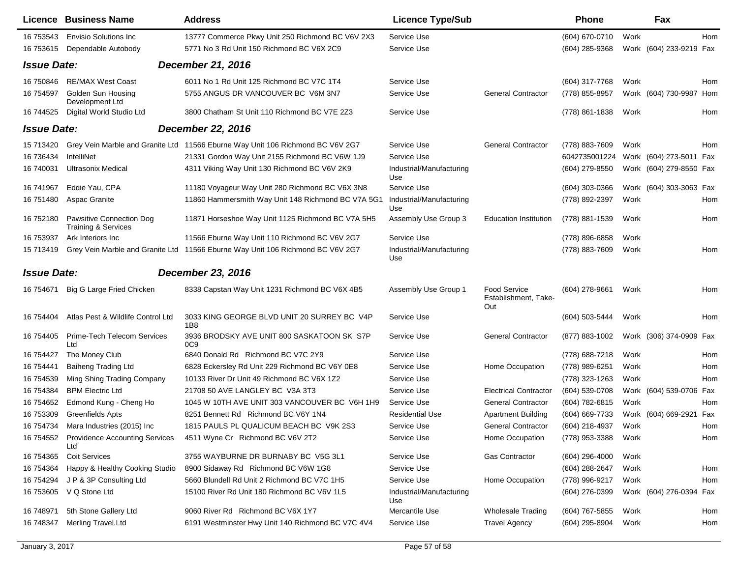|                    | <b>Licence Business Name</b>                                      | <b>Address</b>                                                                 | <b>Licence Type/Sub</b>         |                                             | <b>Phone</b>     |      | Fax                     |            |
|--------------------|-------------------------------------------------------------------|--------------------------------------------------------------------------------|---------------------------------|---------------------------------------------|------------------|------|-------------------------|------------|
| 16 753543          | <b>Envisio Solutions Inc.</b>                                     | 13777 Commerce Pkwy Unit 250 Richmond BC V6V 2X3                               | Service Use                     |                                             | (604) 670-0710   | Work |                         | <b>Hom</b> |
| 16 753615          | Dependable Autobody                                               | 5771 No 3 Rd Unit 150 Richmond BC V6X 2C9                                      | Service Use                     |                                             | (604) 285-9368   |      | Work (604) 233-9219 Fax |            |
| <b>Issue Date:</b> |                                                                   | <b>December 21, 2016</b>                                                       |                                 |                                             |                  |      |                         |            |
| 16 750846          | <b>RE/MAX West Coast</b>                                          | 6011 No 1 Rd Unit 125 Richmond BC V7C 1T4                                      | Service Use                     |                                             | (604) 317-7768   | Work |                         | Hom        |
| 16 754597          | Golden Sun Housing<br>Development Ltd                             | 5755 ANGUS DR VANCOUVER BC V6M 3N7                                             | Service Use                     | <b>General Contractor</b>                   | (778) 855-8957   |      | Work (604) 730-9987 Hom |            |
| 16 744525          | Digital World Studio Ltd                                          | 3800 Chatham St Unit 110 Richmond BC V7E 2Z3                                   | Service Use                     |                                             | (778) 861-1838   | Work |                         | Hom        |
| <b>Issue Date:</b> |                                                                   | <b>December 22, 2016</b>                                                       |                                 |                                             |                  |      |                         |            |
| 15 713420          |                                                                   | Grey Vein Marble and Granite Ltd 11566 Eburne Way Unit 106 Richmond BC V6V 2G7 | Service Use                     | <b>General Contractor</b>                   | (778) 883-7609   | Work |                         | Hom        |
| 16 73 6434         | IntelliNet                                                        | 21331 Gordon Way Unit 2155 Richmond BC V6W 1J9                                 | Service Use                     |                                             | 6042735001224    |      | Work (604) 273-5011 Fax |            |
| 16 740031          | <b>Ultrasonix Medical</b>                                         | 4311 Viking Way Unit 130 Richmond BC V6V 2K9                                   | Industrial/Manufacturing<br>Use |                                             | (604) 279-8550   |      | Work (604) 279-8550 Fax |            |
| 16 741967          | Eddie Yau, CPA                                                    | 11180 Voyageur Way Unit 280 Richmond BC V6X 3N8                                | Service Use                     |                                             | (604) 303-0366   |      | Work (604) 303-3063 Fax |            |
| 16 751480          | Aspac Granite                                                     | 11860 Hammersmith Way Unit 148 Richmond BC V7A 5G1                             | Industrial/Manufacturing<br>Use |                                             | (778) 892-2397   | Work |                         | Hom        |
| 16 752180          | <b>Pawsitive Connection Dog</b><br><b>Training &amp; Services</b> | 11871 Horseshoe Way Unit 1125 Richmond BC V7A 5H5                              | Assembly Use Group 3            | <b>Education Institution</b>                | (778) 881-1539   | Work |                         | Hom        |
| 16 753937          | Ark Interiors Inc                                                 | 11566 Eburne Way Unit 110 Richmond BC V6V 2G7                                  | Service Use                     |                                             | (778) 896-6858   | Work |                         |            |
| 15 713419          |                                                                   | Grey Vein Marble and Granite Ltd 11566 Eburne Way Unit 106 Richmond BC V6V 2G7 | Industrial/Manufacturing<br>Use |                                             | (778) 883-7609   | Work |                         | Hom        |
| <b>Issue Date:</b> |                                                                   | <b>December 23, 2016</b>                                                       |                                 |                                             |                  |      |                         |            |
| 16 754 671         | Big G Large Fried Chicken                                         | 8338 Capstan Way Unit 1231 Richmond BC V6X 4B5                                 | Assembly Use Group 1            | Food Service<br>Establishment, Take-<br>Out | (604) 278-9661   | Work |                         | Hom        |
| 16 754404          | Atlas Pest & Wildlife Control Ltd                                 | 3033 KING GEORGE BLVD UNIT 20 SURREY BC V4P<br>1B8                             | Service Use                     |                                             | (604) 503-5444   | Work |                         | Hom        |
| 16 754405          | Prime-Tech Telecom Services<br>Ltd                                | 3936 BRODSKY AVE UNIT 800 SASKATOON SK S7P<br>0 <sub>C</sub> 9                 | Service Use                     | <b>General Contractor</b>                   | (877) 883-1002   |      | Work (306) 374-0909 Fax |            |
| 16 754427          | The Money Club                                                    | 6840 Donald Rd Richmond BC V7C 2Y9                                             | Service Use                     |                                             | (778) 688-7218   | Work |                         | Hom        |
| 16 754441          | <b>Baiheng Trading Ltd</b>                                        | 6828 Eckersley Rd Unit 229 Richmond BC V6Y 0E8                                 | Service Use                     | Home Occupation                             | (778) 989-6251   | Work |                         | Hom        |
| 16 754539          | Ming Shing Trading Company                                        | 10133 River Dr Unit 49 Richmond BC V6X 1Z2                                     | Service Use                     |                                             | (778) 323-1263   | Work |                         | Hom        |
| 16 754384          | <b>BPM Electric Ltd</b>                                           | 21708 50 AVE LANGLEY BC V3A 3T3                                                | Service Use                     | <b>Electrical Contractor</b>                | (604) 539-0708   | Work | (604) 539-0706 Fax      |            |
| 16 754 652         | Edmond Kung - Cheng Ho                                            | 1045 W 10TH AVE UNIT 303 VANCOUVER BC V6H 1H9                                  | Service Use                     | <b>General Contractor</b>                   | (604) 782-6815   | Work |                         | Hom        |
| 16 753309          | Greenfields Apts                                                  | 8251 Bennett Rd Richmond BC V6Y 1N4                                            | <b>Residential Use</b>          | <b>Apartment Building</b>                   | (604) 669-7733   | Work | (604) 669-2921          | Fax        |
| 16 754734          | Mara Industries (2015) Inc                                        | 1815 PAULS PL QUALICUM BEACH BC V9K 2S3                                        | Service Use                     | <b>General Contractor</b>                   | (604) 218-4937   | Work |                         | Hom        |
|                    | 16 754552 Providence Accounting Services<br>Ltd                   | 4511 Wyne Cr Richmond BC V6V 2T2                                               | Service Use                     | Home Occupation                             | (778) 953-3388   | Work |                         | Hom        |
| 16 754365          | <b>Coit Services</b>                                              | 3755 WAYBURNE DR BURNABY BC V5G 3L1                                            | Service Use                     | Gas Contractor                              | $(604)$ 296-4000 | Work |                         |            |
| 16 754364          | Happy & Healthy Cooking Studio                                    | 8900 Sidaway Rd Richmond BC V6W 1G8                                            | Service Use                     |                                             | (604) 288-2647   | Work |                         | Hom        |
| 16 754294          | J P & 3P Consulting Ltd                                           | 5660 Blundell Rd Unit 2 Richmond BC V7C 1H5                                    | Service Use                     | Home Occupation                             | (778) 996-9217   | Work |                         | Hom        |
| 16 753605          | V Q Stone Ltd                                                     | 15100 River Rd Unit 180 Richmond BC V6V 1L5                                    | Industrial/Manufacturing<br>Use |                                             | (604) 276-0399   |      | Work (604) 276-0394 Fax |            |
| 16 748971          | 5th Stone Gallery Ltd                                             | 9060 River Rd Richmond BC V6X 1Y7                                              | Mercantile Use                  | <b>Wholesale Trading</b>                    | (604) 767-5855   | Work |                         | Hom        |
| 16 748347          | <b>Merling Travel.Ltd</b>                                         | 6191 Westminster Hwy Unit 140 Richmond BC V7C 4V4                              | Service Use                     | <b>Travel Agency</b>                        | (604) 295-8904   | Work |                         | Hom        |

 $\overline{a}$